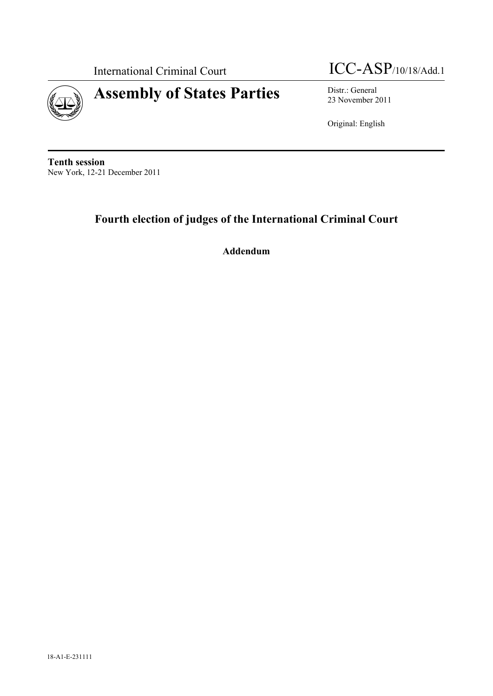



23 November 2011

Original: English

**Tenth session**  New York, 12-21 December 2011

# **Fourth election of judges of the International Criminal Court**

**Addendum**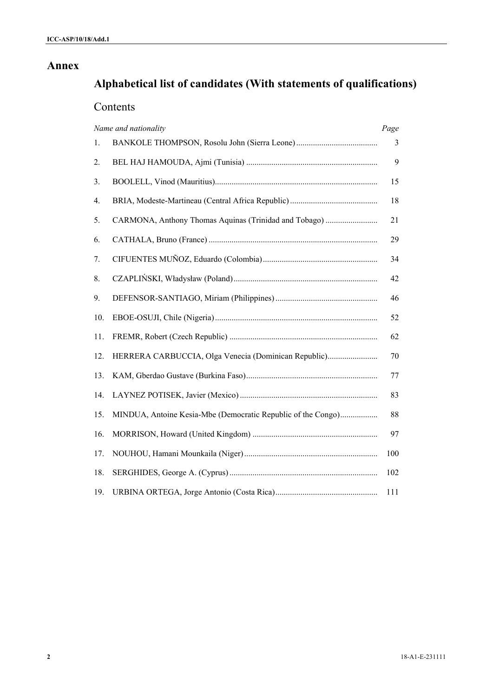# **Annex**

# **Alphabetical list of candidates (With statements of qualifications)**

# Contents

|     | Name and nationality                                         | Page |
|-----|--------------------------------------------------------------|------|
| 1.  |                                                              | 3    |
| 2.  |                                                              | 9    |
| 3.  |                                                              | 15   |
| 4.  |                                                              | 18   |
| 5.  | CARMONA, Anthony Thomas Aquinas (Trinidad and Tobago)        | 21   |
| 6.  |                                                              | 29   |
| 7.  |                                                              | 34   |
| 8.  |                                                              | 42   |
| 9.  |                                                              | 46   |
| 10. |                                                              | 52   |
| 11. |                                                              | 62   |
| 12. | HERRERA CARBUCCIA, Olga Venecia (Dominican Republic)         | 70   |
| 13. |                                                              | 77   |
| 14. |                                                              | 83   |
| 15. | MINDUA, Antoine Kesia-Mbe (Democratic Republic of the Congo) | 88   |
| 16. |                                                              | 97   |
| 17. |                                                              | 100  |
| 18. |                                                              | 102  |
| 19. |                                                              | 111  |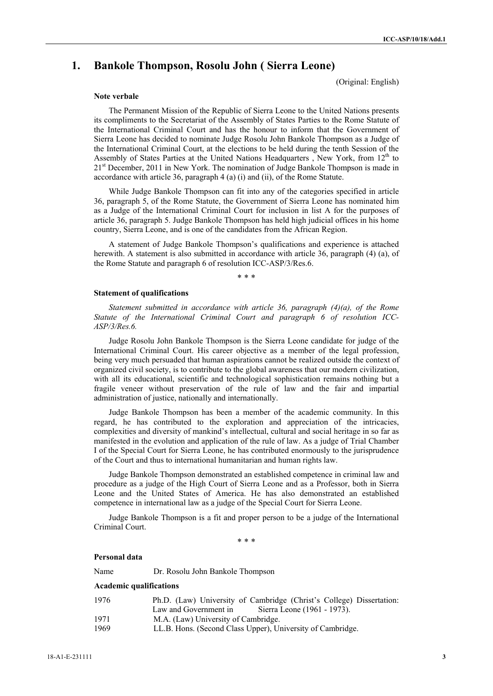# **1. Bankole Thompson, Rosolu John ( Sierra Leone)**

(Original: English)

#### **Note verbale**

The Permanent Mission of the Republic of Sierra Leone to the United Nations presents its compliments to the Secretariat of the Assembly of States Parties to the Rome Statute of the International Criminal Court and has the honour to inform that the Government of Sierra Leone has decided to nominate Judge Rosolu John Bankole Thompson as a Judge of the International Criminal Court, at the elections to be held during the tenth Session of the Assembly of States Parties at the United Nations Headquarters , New York, from 12<sup>th</sup> to 21<sup>st</sup> December, 2011 in New York. The nomination of Judge Bankole Thompson is made in accordance with article 36, paragraph 4 (a) (i) and (ii), of the Rome Statute.

While Judge Bankole Thompson can fit into any of the categories specified in article 36, paragraph 5, of the Rome Statute, the Government of Sierra Leone has nominated him as a Judge of the International Criminal Court for inclusion in list A for the purposes of article 36, paragraph 5. Judge Bankole Thompson has held high judicial offices in his home country, Sierra Leone, and is one of the candidates from the African Region.

A statement of Judge Bankole Thompson's qualifications and experience is attached herewith. A statement is also submitted in accordance with article 36, paragraph (4) (a), of the Rome Statute and paragraph 6 of resolution ICC-ASP/3/Res.6.

\* \* \*

#### **Statement of qualifications**

*Statement submitted in accordance with article 36, paragraph (4)(a), of the Rome Statute of the International Criminal Court and paragraph 6 of resolution ICC-ASP/3/Res.6.*

Judge Rosolu John Bankole Thompson is the Sierra Leone candidate for judge of the International Criminal Court. His career objective as a member of the legal profession, being very much persuaded that human aspirations cannot be realized outside the context of organized civil society, is to contribute to the global awareness that our modern civilization, with all its educational, scientific and technological sophistication remains nothing but a fragile veneer without preservation of the rule of law and the fair and impartial administration of justice, nationally and internationally.

Judge Bankole Thompson has been a member of the academic community. In this regard, he has contributed to the exploration and appreciation of the intricacies, complexities and diversity of mankind's intellectual, cultural and social heritage in so far as manifested in the evolution and application of the rule of law. As a judge of Trial Chamber I of the Special Court for Sierra Leone, he has contributed enormously to the jurisprudence of the Court and thus to international humanitarian and human rights law.

Judge Bankole Thompson demonstrated an established competence in criminal law and procedure as a judge of the High Court of Sierra Leone and as a Professor, both in Sierra Leone and the United States of America. He has also demonstrated an established competence in international law as a judge of the Special Court for Sierra Leone.

Judge Bankole Thompson is a fit and proper person to be a judge of the International Criminal Court.

\* \* \*

#### **Personal data**

Name Dr. Rosolu John Bankole Thompson

#### **Academic qualifications**

| 1976 | Ph.D. (Law) University of Cambridge (Christ's College) Dissertation: |  |
|------|----------------------------------------------------------------------|--|
|      | Sierra Leone (1961 - 1973).<br>Law and Government in                 |  |
| 1971 | M.A. (Law) University of Cambridge.                                  |  |
| 1969 | LL.B. Hons. (Second Class Upper), University of Cambridge.           |  |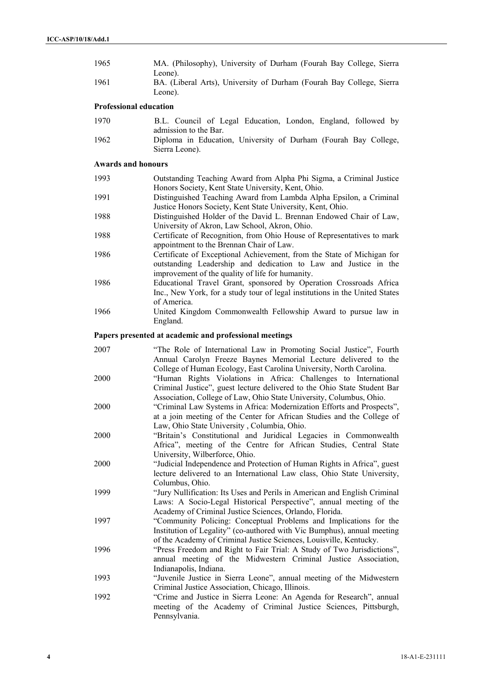| 1965 | MA. (Philosophy), University of Durham (Fourah Bay College, Sierra   |
|------|----------------------------------------------------------------------|
|      | Leone).                                                              |
| 1961 | BA. (Liberal Arts), University of Durham (Fourah Bay College, Sierra |
|      | Leone).                                                              |

# **Professional education**

| 1970 | B.L. Council of Legal Education, London, England, followed by                                              |  |  |  |
|------|------------------------------------------------------------------------------------------------------------|--|--|--|
| 1962 | admission to the Bar.<br>Diploma in Education, University of Durham (Fourah Bay College,<br>Sierra Leone). |  |  |  |

# **Awards and honours**

| 1993 | Outstanding Teaching Award from Alpha Phi Sigma, a Criminal Justice         |
|------|-----------------------------------------------------------------------------|
|      | Honors Society, Kent State University, Kent, Ohio.                          |
| 1991 | Distinguished Teaching Award from Lambda Alpha Epsilon, a Criminal          |
|      | Justice Honors Society, Kent State University, Kent, Ohio.                  |
| 1988 | Distinguished Holder of the David L. Brennan Endowed Chair of Law,          |
|      | University of Akron, Law School, Akron, Ohio.                               |
| 1988 | Certificate of Recognition, from Ohio House of Representatives to mark      |
|      | appointment to the Brennan Chair of Law.                                    |
| 1986 | Certificate of Exceptional Achievement, from the State of Michigan for      |
|      | outstanding Leadership and dedication to Law and Justice in the             |
|      | improvement of the quality of life for humanity.                            |
| 1986 | Educational Travel Grant, sponsored by Operation Crossroads Africa          |
|      | Inc., New York, for a study tour of legal institutions in the United States |
|      | of America.                                                                 |
| 1966 | United Kingdom Commonwealth Fellowship Award to pursue law in               |

# England.

# **Papers presented at academic and professional meetings**

| 2007 | "The Role of International Law in Promoting Social Justice", Fourth<br>Annual Carolyn Freeze Baynes Memorial Lecture delivered to the |
|------|---------------------------------------------------------------------------------------------------------------------------------------|
|      | College of Human Ecology, East Carolina University, North Carolina.                                                                   |
| 2000 | "Human Rights Violations in Africa: Challenges to International                                                                       |
|      | Criminal Justice", guest lecture delivered to the Ohio State Student Bar                                                              |
|      | Association, College of Law, Ohio State University, Columbus, Ohio.                                                                   |
| 2000 | "Criminal Law Systems in Africa: Modernization Efforts and Prospects",                                                                |
|      | at a join meeting of the Center for African Studies and the College of                                                                |
|      | Law, Ohio State University, Columbia, Ohio.                                                                                           |
| 2000 | "Britain's Constitutional and Juridical Legacies in Commonwealth                                                                      |
|      | Africa", meeting of the Centre for African Studies, Central State                                                                     |
|      | University, Wilberforce, Ohio.                                                                                                        |
| 2000 | "Judicial Independence and Protection of Human Rights in Africa", guest                                                               |
|      | lecture delivered to an International Law class, Ohio State University,                                                               |
|      | Columbus, Ohio.                                                                                                                       |
| 1999 | "Jury Nullification: Its Uses and Perils in American and English Criminal                                                             |
|      | Laws: A Socio-Legal Historical Perspective", annual meeting of the                                                                    |
|      | Academy of Criminal Justice Sciences, Orlando, Florida.                                                                               |
| 1997 | "Community Policing: Conceptual Problems and Implications for the                                                                     |
|      | Institution of Legality" (co-authored with Vic Bumphus), annual meeting                                                               |
|      | of the Academy of Criminal Justice Sciences, Louisville, Kentucky.                                                                    |
| 1996 | "Press Freedom and Right to Fair Trial: A Study of Two Jurisdictions",                                                                |
|      | annual meeting of the Midwestern Criminal Justice Association,                                                                        |
|      | Indianapolis, Indiana.                                                                                                                |
| 1993 | "Juvenile Justice in Sierra Leone", annual meeting of the Midwestern                                                                  |
|      | Criminal Justice Association, Chicago, Illinois.                                                                                      |
| 1992 | "Crime and Justice in Sierra Leone: An Agenda for Research", annual                                                                   |
|      | meeting of the Academy of Criminal Justice Sciences, Pittsburgh,                                                                      |
|      | Pennsylvania.                                                                                                                         |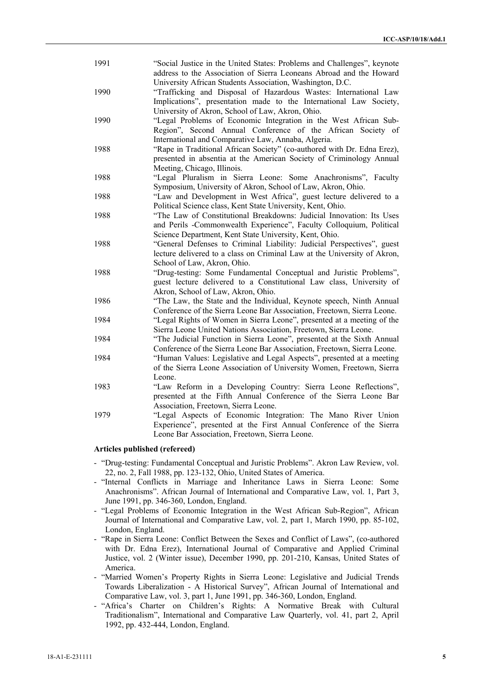| 1991 | "Social Justice in the United States: Problems and Challenges", keynote<br>address to the Association of Sierra Leoneans Abroad and the Howard                                                                                                          |
|------|---------------------------------------------------------------------------------------------------------------------------------------------------------------------------------------------------------------------------------------------------------|
| 1990 | University African Students Association, Washington, D.C.<br>"Trafficking and Disposal of Hazardous Wastes: International Law<br>Implications", presentation made to the International Law Society,<br>University of Akron, School of Law, Akron, Ohio. |
| 1990 | "Legal Problems of Economic Integration in the West African Sub-<br>Region", Second Annual Conference of the African Society of<br>International and Comparative Law, Annaba, Algeria.                                                                  |
| 1988 | "Rape in Traditional African Society" (co-authored with Dr. Edna Erez),<br>presented in absentia at the American Society of Criminology Annual<br>Meeting, Chicago, Illinois.                                                                           |
| 1988 | "Legal Pluralism in Sierra Leone: Some Anachronisms", Faculty<br>Symposium, University of Akron, School of Law, Akron, Ohio.                                                                                                                            |
| 1988 | "Law and Development in West Africa", guest lecture delivered to a<br>Political Science class, Kent State University, Kent, Ohio.                                                                                                                       |
| 1988 | "The Law of Constitutional Breakdowns: Judicial Innovation: Its Uses<br>and Perils -Commonwealth Experience", Faculty Colloquium, Political<br>Science Department, Kent State University, Kent, Ohio.                                                   |
| 1988 | "General Defenses to Criminal Liability: Judicial Perspectives", guest<br>lecture delivered to a class on Criminal Law at the University of Akron,<br>School of Law, Akron, Ohio.                                                                       |
| 1988 | "Drug-testing: Some Fundamental Conceptual and Juristic Problems",<br>guest lecture delivered to a Constitutional Law class, University of<br>Akron, School of Law, Akron, Ohio.                                                                        |
| 1986 | "The Law, the State and the Individual, Keynote speech, Ninth Annual<br>Conference of the Sierra Leone Bar Association, Freetown, Sierra Leone.                                                                                                         |
| 1984 | "Legal Rights of Women in Sierra Leone", presented at a meeting of the<br>Sierra Leone United Nations Association, Freetown, Sierra Leone.                                                                                                              |
| 1984 | "The Judicial Function in Sierra Leone", presented at the Sixth Annual<br>Conference of the Sierra Leone Bar Association, Freetown, Sierra Leone.                                                                                                       |
| 1984 | "Human Values: Legislative and Legal Aspects", presented at a meeting<br>of the Sierra Leone Association of University Women, Freetown, Sierra<br>Leone.                                                                                                |
| 1983 | "Law Reform in a Developing Country: Sierra Leone Reflections",<br>presented at the Fifth Annual Conference of the Sierra Leone Bar<br>Association, Freetown, Sierra Leone.                                                                             |
| 1979 | "Legal Aspects of Economic Integration: The Mano River Union<br>Experience", presented at the First Annual Conference of the Sierra<br>Leone Bar Association, Freetown, Sierra Leone.                                                                   |

# **Articles published (refereed)**

- "Drug-testing: Fundamental Conceptual and Juristic Problems". Akron Law Review, vol. 22, no. 2, Fall 1988, pp. 123-132, Ohio, United States of America.
- "Internal Conflicts in Marriage and Inheritance Laws in Sierra Leone: Some Anachronisms". African Journal of International and Comparative Law, vol. 1, Part 3, June 1991, pp. 346-360, London, England.
- "Legal Problems of Economic Integration in the West African Sub-Region", African Journal of International and Comparative Law, vol. 2, part 1, March 1990, pp. 85-102, London, England.
- "Rape in Sierra Leone: Conflict Between the Sexes and Conflict of Laws", (co-authored with Dr. Edna Erez), International Journal of Comparative and Applied Criminal Justice, vol. 2 (Winter issue), December 1990, pp. 201-210, Kansas, United States of America.
- "Married Women's Property Rights in Sierra Leone: Legislative and Judicial Trends Towards Liberalization - A Historical Survey", African Journal of International and Comparative Law, vol. 3, part 1, June 1991, pp. 346-360, London, England.
- "Africa's Charter on Children's Rights: A Normative Break with Cultural Traditionalism", International and Comparative Law Quarterly, vol. 41, part 2, April 1992, pp. 432-444, London, England.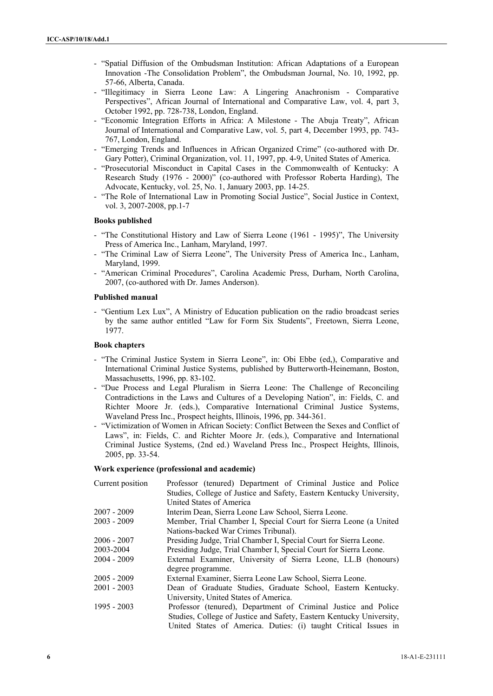- "Spatial Diffusion of the Ombudsman Institution: African Adaptations of a European Innovation -The Consolidation Problem", the Ombudsman Journal, No. 10, 1992, pp. 57-66, Alberta, Canada.
- "Illegitimacy in Sierra Leone Law: A Lingering Anachronism Comparative Perspectives", African Journal of International and Comparative Law, vol. 4, part 3, October 1992, pp. 728-738, London, England.
- "Economic Integration Efforts in Africa: A Milestone The Abuja Treaty", African Journal of International and Comparative Law, vol. 5, part 4, December 1993, pp. 743- 767, London, England.
- "Emerging Trends and Influences in African Organized Crime" (co-authored with Dr. Gary Potter), Criminal Organization, vol. 11, 1997, pp. 4-9, United States of America.
- "Prosecutorial Misconduct in Capital Cases in the Commonwealth of Kentucky: A Research Study (1976 - 2000)" (co-authored with Professor Roberta Harding), The Advocate, Kentucky, vol. 25, No. 1, January 2003, pp. 14-25.
- "The Role of International Law in Promoting Social Justice", Social Justice in Context, vol. 3, 2007-2008, pp.1-7

#### **Books published**

- "The Constitutional History and Law of Sierra Leone (1961 1995)", The University Press of America Inc., Lanham, Maryland, 1997.
- "The Criminal Law of Sierra Leone", The University Press of America Inc., Lanham, Maryland, 1999.
- "American Criminal Procedures", Carolina Academic Press, Durham, North Carolina, 2007, (co-authored with Dr. James Anderson).

#### **Published manual**

- "Gentium Lex Lux", A Ministry of Education publication on the radio broadcast series by the same author entitled "Law for Form Six Students", Freetown, Sierra Leone, 1977.

#### **Book chapters**

- "The Criminal Justice System in Sierra Leone", in: Obi Ebbe (ed,), Comparative and International Criminal Justice Systems, published by Butterworth-Heinemann, Boston, Massachusetts, 1996, pp. 83-102.
- "Due Process and Legal Pluralism in Sierra Leone: The Challenge of Reconciling Contradictions in the Laws and Cultures of a Developing Nation", in: Fields, C. and Richter Moore Jr. (eds.), Comparative International Criminal Justice Systems, Waveland Press Inc., Prospect heights, Illinois, 1996, pp. 344-361.
- "Victimization of Women in African Society: Conflict Between the Sexes and Conflict of Laws", in: Fields, C. and Richter Moore Jr. (eds.), Comparative and International Criminal Justice Systems, (2nd ed.) Waveland Press Inc., Prospect Heights, Illinois, 2005, pp. 33-54.

# **Work experience (professional and academic)**

| Current position | Professor (tenured) Department of Criminal Justice and Police        |  |  |
|------------------|----------------------------------------------------------------------|--|--|
|                  | Studies, College of Justice and Safety, Eastern Kentucky University, |  |  |
|                  | United States of America                                             |  |  |
| $2007 - 2009$    | Interim Dean, Sierra Leone Law School, Sierra Leone.                 |  |  |
| $2003 - 2009$    | Member, Trial Chamber I, Special Court for Sierra Leone (a United    |  |  |
|                  | Nations-backed War Crimes Tribunal).                                 |  |  |
| $2006 - 2007$    | Presiding Judge, Trial Chamber I, Special Court for Sierra Leone.    |  |  |
| 2003-2004        | Presiding Judge, Trial Chamber I, Special Court for Sierra Leone.    |  |  |
| $2004 - 2009$    | External Examiner, University of Sierra Leone, LL.B (honours)        |  |  |
|                  | degree programme.                                                    |  |  |
| $2005 - 2009$    | External Examiner, Sierra Leone Law School, Sierra Leone.            |  |  |
| $2001 - 2003$    | Dean of Graduate Studies, Graduate School, Eastern Kentucky.         |  |  |
|                  | University, United States of America.                                |  |  |
| $1995 - 2003$    | Professor (tenured), Department of Criminal Justice and Police       |  |  |
|                  | Studies, College of Justice and Safety, Eastern Kentucky University, |  |  |
|                  | United States of America. Duties: (i) taught Critical Issues in      |  |  |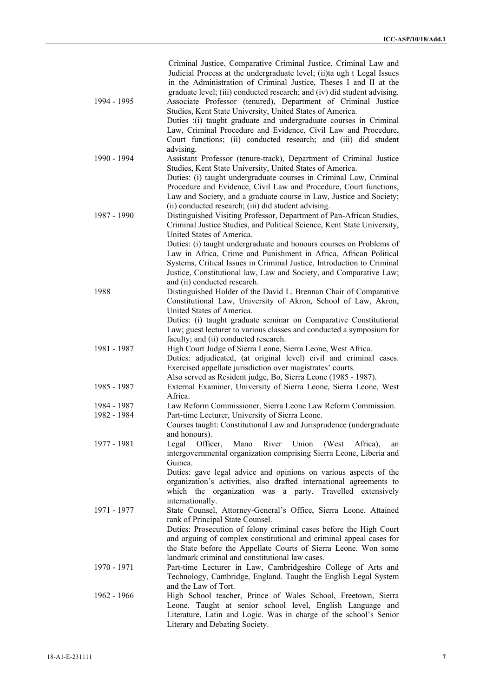|             | Criminal Justice, Comparative Criminal Justice, Criminal Law and         |
|-------------|--------------------------------------------------------------------------|
|             | Judicial Process at the undergraduate level; (ii)ta ugh t Legal Issues   |
|             | in the Administration of Criminal Justice, Theses I and II at the        |
|             | graduate level; (iii) conducted research; and (iv) did student advising. |
| 1994 - 1995 | Associate Professor (tenured), Department of Criminal Justice            |
|             | Studies, Kent State University, United States of America.                |
|             | Duties :(i) taught graduate and undergraduate courses in Criminal        |
|             | Law, Criminal Procedure and Evidence, Civil Law and Procedure,           |
|             | Court functions; (ii) conducted research; and (iii) did student          |
|             | advising.                                                                |
| 1990 - 1994 | Assistant Professor (tenure-track), Department of Criminal Justice       |
|             |                                                                          |
|             | Studies, Kent State University, United States of America.                |
|             | Duties: (i) taught undergraduate courses in Criminal Law, Criminal       |
|             | Procedure and Evidence, Civil Law and Procedure, Court functions,        |
|             | Law and Society, and a graduate course in Law, Justice and Society;      |
|             | (ii) conducted research; (iii) did student advising.                     |
| 1987 - 1990 | Distinguished Visiting Professor, Department of Pan-African Studies,     |
|             | Criminal Justice Studies, and Political Science, Kent State University,  |
|             | United States of America.                                                |
|             | Duties: (i) taught undergraduate and honours courses on Problems of      |
|             | Law in Africa, Crime and Punishment in Africa, African Political         |
|             | Systems, Critical Issues in Criminal Justice, Introduction to Criminal   |
|             | Justice, Constitutional law, Law and Society, and Comparative Law;       |
|             | and (ii) conducted research.                                             |
| 1988        | Distinguished Holder of the David L. Brennan Chair of Comparative        |
|             | Constitutional Law, University of Akron, School of Law, Akron,           |
|             | United States of America.                                                |
|             | Duties: (i) taught graduate seminar on Comparative Constitutional        |
|             | Law; guest lecturer to various classes and conducted a symposium for     |
|             |                                                                          |
|             | faculty; and (ii) conducted research.                                    |
| 1981 - 1987 | High Court Judge of Sierra Leone, Sierra Leone, West Africa.             |
|             | Duties: adjudicated, (at original level) civil and criminal cases.       |
|             | Exercised appellate jurisdiction over magistrates' courts.               |
|             | Also served as Resident judge, Bo, Sierra Leone (1985 - 1987).           |
| 1985 - 1987 | External Examiner, University of Sierra Leone, Sierra Leone, West        |
|             | Africa.                                                                  |
| 1984 - 1987 | Law Reform Commissioner, Sierra Leone Law Reform Commission.             |
| 1982 - 1984 | Part-time Lecturer, University of Sierra Leone.                          |
|             | Courses taught: Constitutional Law and Jurisprudence (undergraduate      |
|             | and honours).                                                            |
| 1977 - 1981 | Officer,<br>Mano<br>River<br>Union<br>Legal<br>(West)<br>Africa),<br>an  |
|             | intergovernmental organization comprising Sierra Leone, Liberia and      |
|             | Guinea.                                                                  |
|             | Duties: gave legal advice and opinions on various aspects of the         |
|             | organization's activities, also drafted international agreements to      |
|             | which the organization was a party. Travelled extensively                |
|             | internationally.                                                         |
| 1971 - 1977 | State Counsel, Attorney-General's Office, Sierra Leone. Attained         |
|             | rank of Principal State Counsel.                                         |
|             |                                                                          |
|             | Duties: Prosecution of felony criminal cases before the High Court       |
|             | and arguing of complex constitutional and criminal appeal cases for      |
|             | the State before the Appellate Courts of Sierra Leone. Won some          |
|             | landmark criminal and constitutional law cases.                          |
| 1970 - 1971 | Part-time Lecturer in Law, Cambridgeshire College of Arts and            |
|             | Technology, Cambridge, England. Taught the English Legal System          |
|             | and the Law of Tort.                                                     |
| 1962 - 1966 | High School teacher, Prince of Wales School, Freetown, Sierra            |
|             | Leone. Taught at senior school level, English Language and               |
|             | Literature, Latin and Logic. Was in charge of the school's Senior        |
|             | Literary and Debating Society.                                           |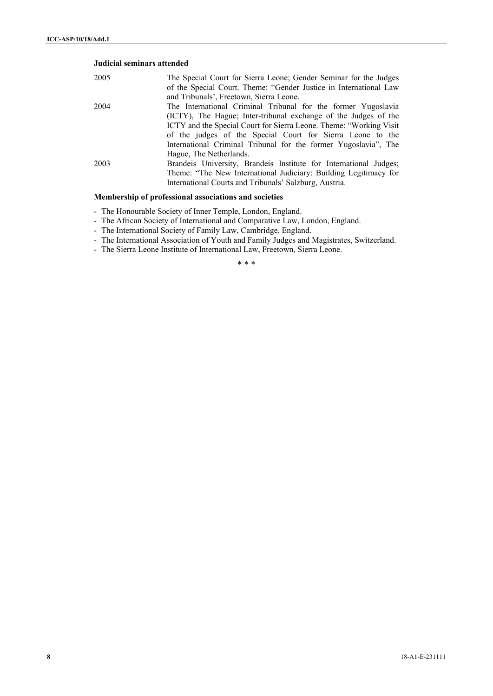# **Judicial seminars attended**

| 2005 | The Special Court for Sierra Leone; Gender Seminar for the Judges<br>of the Special Court. Theme: "Gender Justice in International Law |
|------|----------------------------------------------------------------------------------------------------------------------------------------|
|      | and Tribunals', Freetown, Sierra Leone.                                                                                                |
| 2004 | The International Criminal Tribunal for the former Yugoslavia                                                                          |
|      | (ICTY), The Hague; Inter-tribunal exchange of the Judges of the                                                                        |
|      | ICTY and the Special Court for Sierra Leone. Theme: "Working Visit"                                                                    |
|      | of the judges of the Special Court for Sierra Leone to the                                                                             |
|      | International Criminal Tribunal for the former Yugoslavia", The                                                                        |
|      | Hague, The Netherlands.                                                                                                                |
| 2003 | Brandeis University, Brandeis Institute for International Judges;                                                                      |
|      | Theme: "The New International Judiciary: Building Legitimacy for                                                                       |
|      | International Courts and Tribunals' Salzburg, Austria.                                                                                 |
|      |                                                                                                                                        |

# **Membership of professional associations and societies**

- The Honourable Society of Inner Temple, London, England.
- The African Society of International and Comparative Law, London, England.
- The International Society of Family Law, Cambridge, England.
- The International Association of Youth and Family Judges and Magistrates, Switzerland.
- The Sierra Leone Institute of International Law, Freetown, Sierra Leone.

\* \* \*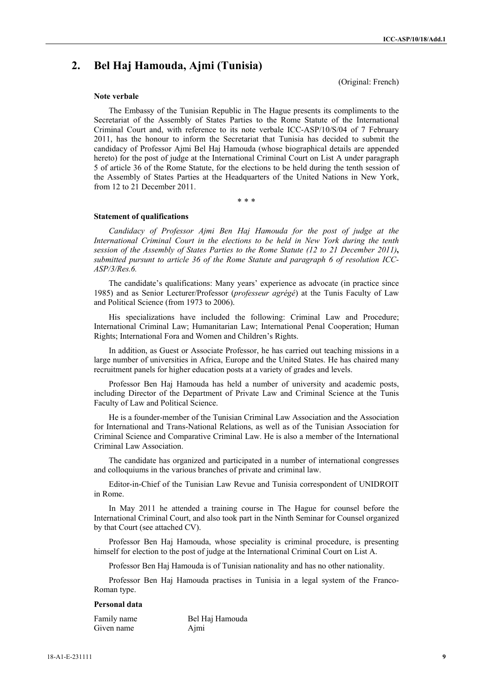(Original: French)

# **2. Bel Haj Hamouda, Ajmi (Tunisia)**

**Note verbale**

The Embassy of the Tunisian Republic in The Hague presents its compliments to the Secretariat of the Assembly of States Parties to the Rome Statute of the International Criminal Court and, with reference to its note verbale ICC-ASP/10/S/04 of 7 February 2011, has the honour to inform the Secretariat that Tunisia has decided to submit the candidacy of Professor Ajmi Bel Haj Hamouda (whose biographical details are appended hereto) for the post of judge at the International Criminal Court on List A under paragraph 5 of article 36 of the Rome Statute, for the elections to be held during the tenth session of the Assembly of States Parties at the Headquarters of the United Nations in New York, from 12 to 21 December 2011.

\* \* \*

#### **Statement of qualifications**

*Candidacy of Professor Ajmi Ben Haj Hamouda for the post of judge at the International Criminal Court in the elections to be held in New York during the tenth session of the Assembly of States Parties to the Rome Statute (12 to 21 December 2011)***,** *submitted pursunt to article 36 of the Rome Statute and paragraph 6 of resolution ICC-ASP/3/Res.6.*

The candidate's qualifications: Many years' experience as advocate (in practice since 1985) and as Senior Lecturer/Professor (*professeur agrégé*) at the Tunis Faculty of Law and Political Science (from 1973 to 2006).

His specializations have included the following: Criminal Law and Procedure; International Criminal Law; Humanitarian Law; International Penal Cooperation; Human Rights; International Fora and Women and Children's Rights.

In addition, as Guest or Associate Professor, he has carried out teaching missions in a large number of universities in Africa, Europe and the United States. He has chaired many recruitment panels for higher education posts at a variety of grades and levels.

Professor Ben Haj Hamouda has held a number of university and academic posts, including Director of the Department of Private Law and Criminal Science at the Tunis Faculty of Law and Political Science.

He is a founder-member of the Tunisian Criminal Law Association and the Association for International and Trans-National Relations, as well as of the Tunisian Association for Criminal Science and Comparative Criminal Law. He is also a member of the International Criminal Law Association.

The candidate has organized and participated in a number of international congresses and colloquiums in the various branches of private and criminal law.

Editor-in-Chief of the Tunisian Law Revue and Tunisia correspondent of UNIDROIT in Rome.

In May 2011 he attended a training course in The Hague for counsel before the International Criminal Court, and also took part in the Ninth Seminar for Counsel organized by that Court (see attached CV).

Professor Ben Haj Hamouda, whose speciality is criminal procedure, is presenting himself for election to the post of judge at the International Criminal Court on List A.

Professor Ben Haj Hamouda is of Tunisian nationality and has no other nationality.

Professor Ben Haj Hamouda practises in Tunisia in a legal system of the Franco-Roman type.

#### **Personal data**

| Family name | Bel Haj Hamouda |
|-------------|-----------------|
| Given name  | Ajmi            |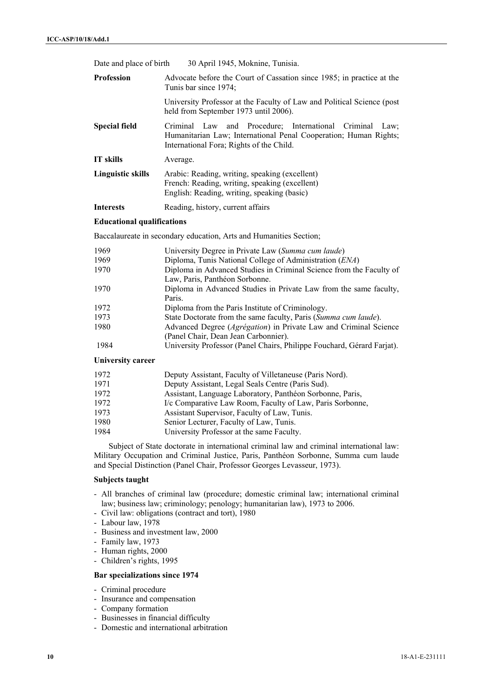| Date and place of birth  | 30 April 1945, Moknine, Tunisia.                                                                                                                                        |  |
|--------------------------|-------------------------------------------------------------------------------------------------------------------------------------------------------------------------|--|
| <b>Profession</b>        | Advocate before the Court of Cassation since 1985; in practice at the<br>Tunis bar since 1974;                                                                          |  |
|                          | University Professor at the Faculty of Law and Political Science (post<br>held from September 1973 until 2006).                                                         |  |
| <b>Special field</b>     | Criminal Law and Procedure: International Criminal Law;<br>Humanitarian Law; International Penal Cooperation; Human Rights;<br>International Fora; Rights of the Child. |  |
| <b>IT</b> skills         | Average.                                                                                                                                                                |  |
| <b>Linguistic skills</b> | Arabic: Reading, writing, speaking (excellent)<br>French: Reading, writing, speaking (excellent)<br>English: Reading, writing, speaking (basic)                         |  |
| <b>Interests</b>         | Reading, history, current affairs                                                                                                                                       |  |

# **Educational qualifications**

Baccalaureate in secondary education, Arts and Humanities Section;

| 1969           | University Degree in Private Law (Summa cum laude)                        |
|----------------|---------------------------------------------------------------------------|
| 1969           | Diploma, Tunis National College of Administration (ENA)                   |
| 1970           | Diploma in Advanced Studies in Criminal Science from the Faculty of       |
|                | Law, Paris, Panthéon Sorbonne.                                            |
| 1970           | Diploma in Advanced Studies in Private Law from the same faculty,         |
|                | Paris.                                                                    |
| 1972           | Diploma from the Paris Institute of Criminology.                          |
| 1973           | State Doctorate from the same faculty, Paris (Summa cum laude).           |
| 1980           | Advanced Degree ( <i>Agrégation</i> ) in Private Law and Criminal Science |
|                | (Panel Chair, Dean Jean Carbonnier).                                      |
| 1984           | University Professor (Panel Chairs, Philippe Fouchard, Gérard Farjat).    |
| $\blacksquare$ |                                                                           |

#### **University career**

| 1972 | Deputy Assistant, Faculty of Villetaneuse (Paris Nord).   |
|------|-----------------------------------------------------------|
| 1971 | Deputy Assistant, Legal Seals Centre (Paris Sud).         |
| 1972 | Assistant, Language Laboratory, Panthéon Sorbonne, Paris, |
| 1972 | I/c Comparative Law Room, Faculty of Law, Paris Sorbonne, |
| 1973 | Assistant Supervisor, Faculty of Law, Tunis.              |
| 1980 | Senior Lecturer, Faculty of Law, Tunis.                   |
| 1984 | University Professor at the same Faculty.                 |

Subject of State doctorate in international criminal law and criminal international law: Military Occupation and Criminal Justice, Paris, Panthéon Sorbonne, Summa cum laude and Special Distinction (Panel Chair, Professor Georges Levasseur, 1973).

#### **Subjects taught**

- All branches of criminal law (procedure; domestic criminal law; international criminal law; business law; criminology; penology; humanitarian law), 1973 to 2006.
- Civil law: obligations (contract and tort), 1980
- Labour law, 1978
- Business and investment law, 2000
- Family law, 1973
- Human rights, 2000
- Children's rights, 1995

# **Bar specializations since 1974**

- Criminal procedure
- Insurance and compensation
- Company formation
- Businesses in financial difficulty
- Domestic and international arbitration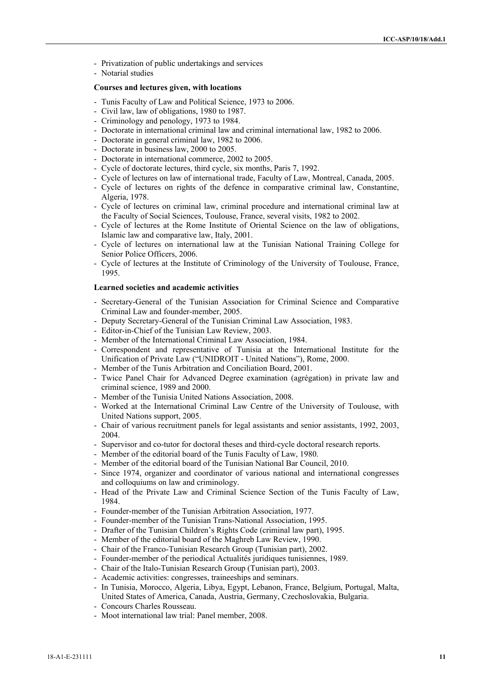- Privatization of public undertakings and services
- Notarial studies

# **Courses and lectures given, with locations**

- Tunis Faculty of Law and Political Science, 1973 to 2006.
- Civil law, law of obligations, 1980 to 1987.
- Criminology and penology, 1973 to 1984.
- Doctorate in international criminal law and criminal international law, 1982 to 2006.
- Doctorate in general criminal law, 1982 to 2006.
- Doctorate in business law, 2000 to 2005.
- Doctorate in international commerce, 2002 to 2005.
- Cycle of doctorate lectures, third cycle, six months, Paris 7, 1992.
- Cycle of lectures on law of international trade, Faculty of Law, Montreal, Canada, 2005.
- Cycle of lectures on rights of the defence in comparative criminal law, Constantine, Algeria, 1978.
- Cycle of lectures on criminal law, criminal procedure and international criminal law at the Faculty of Social Sciences, Toulouse, France, several visits, 1982 to 2002.
- Cycle of lectures at the Rome Institute of Oriental Science on the law of obligations, Islamic law and comparative law, Italy, 2001.
- Cycle of lectures on international law at the Tunisian National Training College for Senior Police Officers, 2006.
- Cycle of lectures at the Institute of Criminology of the University of Toulouse, France, 1995.

### **Learned societies and academic activities**

- Secretary-General of the Tunisian Association for Criminal Science and Comparative Criminal Law and founder-member, 2005.
- Deputy Secretary-General of the Tunisian Criminal Law Association, 1983.
- Editor-in-Chief of the Tunisian Law Review, 2003.
- Member of the International Criminal Law Association, 1984.
- Correspondent and representative of Tunisia at the International Institute for the Unification of Private Law ("UNIDROIT - United Nations"), Rome, 2000.
- Member of the Tunis Arbitration and Conciliation Board, 2001.
- Twice Panel Chair for Advanced Degree examination (agrégation) in private law and criminal science, 1989 and 2000.
- Member of the Tunisia United Nations Association, 2008.
- Worked at the International Criminal Law Centre of the University of Toulouse, with United Nations support, 2005.
- Chair of various recruitment panels for legal assistants and senior assistants, 1992, 2003, 2004.
- Supervisor and co-tutor for doctoral theses and third-cycle doctoral research reports.
- Member of the editorial board of the Tunis Faculty of Law, 1980.
- Member of the editorial board of the Tunisian National Bar Council, 2010.
- Since 1974, organizer and coordinator of various national and international congresses and colloquiums on law and criminology.
- Head of the Private Law and Criminal Science Section of the Tunis Faculty of Law, 1984.
- Founder-member of the Tunisian Arbitration Association, 1977.
- Founder-member of the Tunisian Trans-National Association, 1995.
- Drafter of the Tunisian Children's Rights Code (criminal law part), 1995.
- Member of the editorial board of the Maghreb Law Review, 1990.
- Chair of the Franco-Tunisian Research Group (Tunisian part), 2002.
- Founder-member of the periodical Actualités juridiques tunisiennes, 1989.
- Chair of the Italo-Tunisian Research Group (Tunisian part), 2003.
- Academic activities: congresses, traineeships and seminars.
- In Tunisia, Morocco, Algeria, Libya, Egypt, Lebanon, France, Belgium, Portugal, Malta, United States of America, Canada, Austria, Germany, Czechoslovakia, Bulgaria.
- Concours Charles Rousseau.
- Moot international law trial: Panel member, 2008.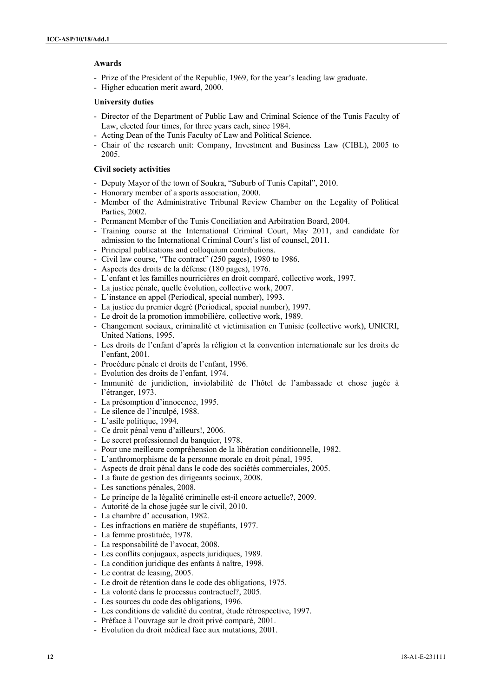### **Awards**

- Prize of the President of the Republic, 1969, for the year's leading law graduate.
- Higher education merit award, 2000.

### **University duties**

- Director of the Department of Public Law and Criminal Science of the Tunis Faculty of Law, elected four times, for three years each, since 1984.
- Acting Dean of the Tunis Faculty of Law and Political Science.
- Chair of the research unit: Company, Investment and Business Law (CIBL), 2005 to 2005.

# **Civil society activities**

- Deputy Mayor of the town of Soukra, "Suburb of Tunis Capital", 2010.
- Honorary member of a sports association, 2000.
- Member of the Administrative Tribunal Review Chamber on the Legality of Political Parties, 2002.
- Permanent Member of the Tunis Conciliation and Arbitration Board, 2004.
- Training course at the International Criminal Court, May 2011, and candidate for admission to the International Criminal Court's list of counsel, 2011.
- Principal publications and colloquium contributions.
- Civil law course, "The contract" (250 pages), 1980 to 1986.
- Aspects des droits de la défense (180 pages), 1976.
- L'enfant et les familles nourricières en droit comparé, collective work, 1997.
- La justice pénale, quelle évolution, collective work, 2007.
- L'instance en appel (Periodical, special number), 1993.
- La justice du premier degré (Periodical, special number), 1997.
- Le droit de la promotion immobilière, collective work, 1989.
- Changement sociaux, criminalité et victimisation en Tunisie (collective work), UNICRI, United Nations, 1995.
- Les droits de l'enfant d'après la réligion et la convention internationale sur les droits de l'enfant, 2001.
- Procédure pénale et droits de l'enfant, 1996.
- Evolution des droits de l'enfant, 1974.
- Immunité de juridiction, inviolabilité de l'hôtel de l'ambassade et chose jugée à l'étranger, 1973.
- La présomption d'innocence, 1995.
- Le silence de l'inculpé, 1988.
- L'asile politique, 1994.
- Ce droit pénal venu d'ailleurs!, 2006.
- Le secret professionnel du banquier, 1978.
- Pour une meilleure compréhension de la libération conditionnelle, 1982.
- L'anthromorphisme de la personne morale en droit pénal, 1995.
- Aspects de droit pénal dans le code des sociétés commerciales, 2005.
- La faute de gestion des dirigeants sociaux, 2008.
- Les sanctions pénales, 2008.
- Le principe de la légalité criminelle est-il encore actuelle?, 2009.
- Autorité de la chose jugée sur le civil, 2010.
- La chambre d' accusation, 1982.
- Les infractions en matière de stupéfiants, 1977.
- La femme prostituée, 1978.
- La responsabilité de l'avocat, 2008.
- Les conflits conjugaux, aspects juridiques, 1989.
- La condition juridique des enfants à naître, 1998.
- Le contrat de leasing, 2005.
- Le droit de rétention dans le code des obligations, 1975.
- La volonté dans le processus contractuel?, 2005.
- Les sources du code des obligations, 1996.
- Les conditions de validité du contrat, étude rétrospective, 1997.
- Préface à l'ouvrage sur le droit privé comparé, 2001. - Evolution du droit médical face aux mutations, 2001.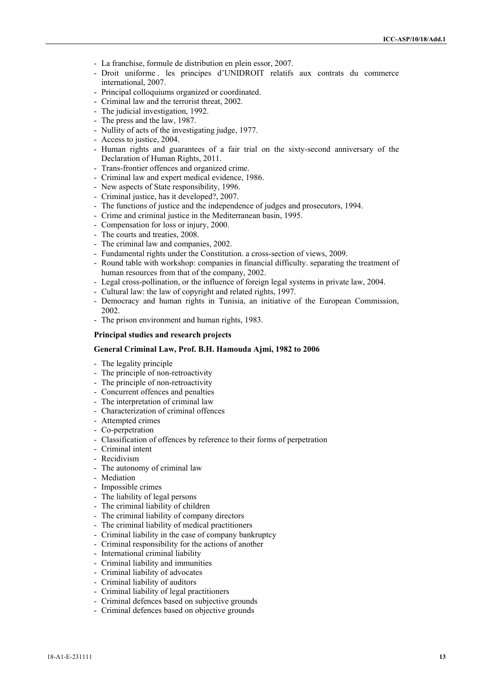- La franchise, formule de distribution en plein essor, 2007.
- Droit uniforme . les principes d'UNIDROIT relatifs aux contrats du commerce international, 2007.
- Principal colloquiums organized or coordinated.
- Criminal law and the terrorist threat, 2002.
- The judicial investigation, 1992.
- The press and the law, 1987.
- Nullity of acts of the investigating judge, 1977.
- Access to justice, 2004.
- Human rights and guarantees of a fair trial on the sixty-second anniversary of the Declaration of Human Rights, 2011.
- Trans-frontier offences and organized crime.
- Criminal law and expert medical evidence, 1986.
- New aspects of State responsibility, 1996.
- Criminal justice, has it developed?, 2007.
- The functions of justice and the independence of judges and prosecutors, 1994.
- Crime and criminal justice in the Mediterranean basin, 1995.
- Compensation for loss or injury, 2000.
- The courts and treaties, 2008.
- The criminal law and companies, 2002.
- Fundamental rights under the Constitution. a cross-section of views, 2009.
- Round table with workshop: companies in financial difficulty. separating the treatment of human resources from that of the company, 2002.
- Legal cross-pollination, or the influence of foreign legal systems in private law, 2004.
- Cultural law: the law of copyright and related rights, 1997.
- Democracy and human rights in Tunisia, an initiative of the European Commission, 2002.
- The prison environment and human rights, 1983.

#### **Principal studies and research projects**

# **General Criminal Law, Prof. B.H. Hamouda Ajmi, 1982 to 2006**

- The legality principle
- The principle of non-retroactivity
- The principle of non-retroactivity
- Concurrent offences and penalties
- The interpretation of criminal law
- Characterization of criminal offences
- Attempted crimes
- Co-perpetration
- Classification of offences by reference to their forms of perpetration
- Criminal intent
- Recidivism
- The autonomy of criminal law
- **Mediation**
- Impossible crimes
- The liability of legal persons
- The criminal liability of children
- The criminal liability of company directors
- The criminal liability of medical practitioners
- Criminal liability in the case of company bankruptcy
- Criminal responsibility for the actions of another
- International criminal liability
- Criminal liability and immunities
- Criminal liability of advocates
- Criminal liability of auditors
- Criminal liability of legal practitioners
- Criminal defences based on subjective grounds
- Criminal defences based on objective grounds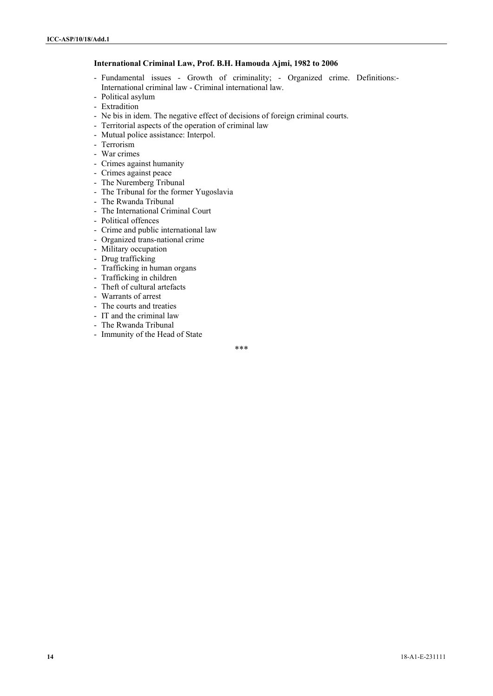### **International Criminal Law, Prof. B.H. Hamouda Ajmi, 1982 to 2006**

- Fundamental issues Growth of criminality; Organized crime. Definitions:- International criminal law - Criminal international law.
- Political asylum
- Extradition
- Ne bis in idem. The negative effect of decisions of foreign criminal courts.
- Territorial aspects of the operation of criminal law
- Mutual police assistance: Interpol.
- Terrorism
- War crimes
- Crimes against humanity
- Crimes against peace
- The Nuremberg Tribunal
- The Tribunal for the former Yugoslavia
- The Rwanda Tribunal
- The International Criminal Court
- Political offences
- Crime and public international law
- Organized trans-national crime
- Military occupation
- Drug trafficking
- Trafficking in human organs
- Trafficking in children
- Theft of cultural artefacts
- Warrants of arrest
- The courts and treaties
- IT and the criminal law
- The Rwanda Tribunal
- Immunity of the Head of State

\*\*\*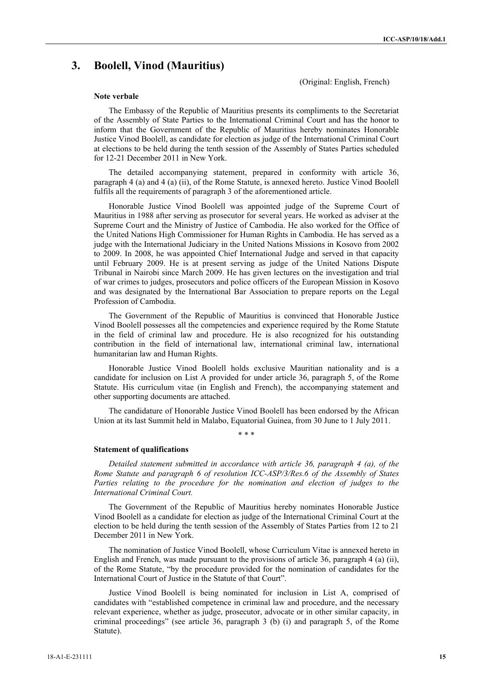# **3. Boolell, Vinod (Mauritius)**

(Original: English, French)

#### **Note verbale**

The Embassy of the Republic of Mauritius presents its compliments to the Secretariat of the Assembly of State Parties to the International Criminal Court and has the honor to inform that the Government of the Republic of Mauritius hereby nominates Honorable Justice Vinod Boolell, as candidate for election as judge of the International Criminal Court at elections to be held during the tenth session of the Assembly of States Parties scheduled for 12-21 December 2011 in New York.

The detailed accompanying statement, prepared in conformity with article 36, paragraph 4 (a) and 4 (a) (ii), of the Rome Statute, is annexed hereto. Justice Vinod Boolell fulfils all the requirements of paragraph 3 of the aforementioned article.

Honorable Justice Vinod Boolell was appointed judge of the Supreme Court of Mauritius in 1988 after serving as prosecutor for several years. He worked as adviser at the Supreme Court and the Ministry of Justice of Cambodia. He also worked for the Office of the United Nations High Commissioner for Human Rights in Cambodia. He has served as a judge with the International Judiciary in the United Nations Missions in Kosovo from 2002 to 2009. In 2008, he was appointed Chief International Judge and served in that capacity until February 2009. He is at present serving as judge of the United Nations Dispute Tribunal in Nairobi since March 2009. He has given lectures on the investigation and trial of war crimes to judges, prosecutors and police officers of the European Mission in Kosovo and was designated by the International Bar Association to prepare reports on the Legal Profession of Cambodia.

The Government of the Republic of Mauritius is convinced that Honorable Justice Vinod Boolell possesses all the competencies and experience required by the Rome Statute in the field of criminal law and procedure. He is also recognized for his outstanding contribution in the field of international law, international criminal law, international humanitarian law and Human Rights.

Honorable Justice Vinod Boolell holds exclusive Mauritian nationality and is a candidate for inclusion on List A provided for under article 36, paragraph 5, of the Rome Statute. His curriculum vitae (in English and French), the accompanying statement and other supporting documents are attached.

The candidature of Honorable Justice Vinod Boolell has been endorsed by the African Union at its last Summit held in Malabo, Equatorial Guinea, from 30 June to 1 July 2011.

\* \* \*

#### **Statement of qualifications**

*Detailed statement submitted in accordance with article 36, paragraph 4 (a), of the Rome Statute and paragraph 6 of resolution ICC-ASP/3/Res.6 of the Assembly of States*  Parties relating to the procedure for the nomination and election of judges to the *International Criminal Court.* 

The Government of the Republic of Mauritius hereby nominates Honorable Justice Vinod Boolell as a candidate for election as judge of the International Criminal Court at the election to be held during the tenth session of the Assembly of States Parties from 12 to 21 December 2011 in New York.

The nomination of Justice Vinod Boolell, whose Curriculum Vitae is annexed hereto in English and French, was made pursuant to the provisions of article 36, paragraph 4 (a) (ii), of the Rome Statute, "by the procedure provided for the nomination of candidates for the International Court of Justice in the Statute of that Court".

Justice Vinod Boolell is being nominated for inclusion in List A, comprised of candidates with "established competence in criminal law and procedure, and the necessary relevant experience, whether as judge, prosecutor, advocate or in other similar capacity, in criminal proceedings" (see article 36, paragraph 3 (b) (i) and paragraph 5, of the Rome Statute).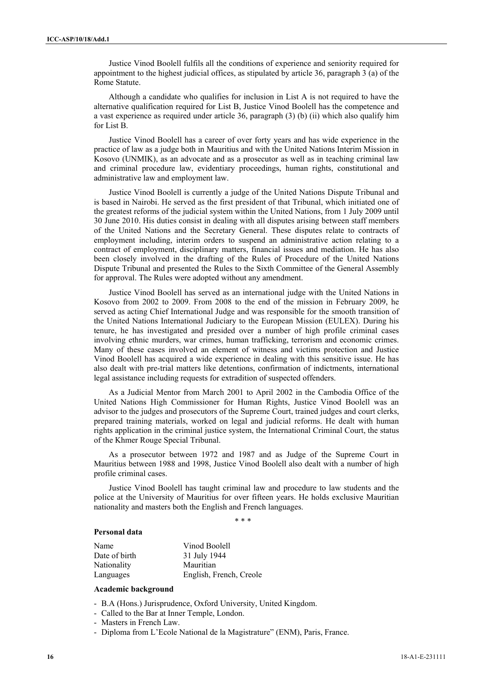Justice Vinod Boolell fulfils all the conditions of experience and seniority required for appointment to the highest judicial offices, as stipulated by article 36, paragraph 3 (a) of the Rome Statute.

Although a candidate who qualifies for inclusion in List A is not required to have the alternative qualification required for List B, Justice Vinod Boolell has the competence and a vast experience as required under article 36, paragraph (3) (b) (ii) which also qualify him for List B.

Justice Vinod Boolell has a career of over forty years and has wide experience in the practice of law as a judge both in Mauritius and with the United Nations Interim Mission in Kosovo (UNMIK), as an advocate and as a prosecutor as well as in teaching criminal law and criminal procedure law, evidentiary proceedings, human rights, constitutional and administrative law and employment law.

Justice Vinod Boolell is currently a judge of the United Nations Dispute Tribunal and is based in Nairobi. He served as the first president of that Tribunal, which initiated one of the greatest reforms of the judicial system within the United Nations, from 1 July 2009 until 30 June 2010. His duties consist in dealing with all disputes arising between staff members of the United Nations and the Secretary General. These disputes relate to contracts of employment including, interim orders to suspend an administrative action relating to a contract of employment, disciplinary matters, financial issues and mediation. He has also been closely involved in the drafting of the Rules of Procedure of the United Nations Dispute Tribunal and presented the Rules to the Sixth Committee of the General Assembly for approval. The Rules were adopted without any amendment.

Justice Vinod Boolell has served as an international judge with the United Nations in Kosovo from 2002 to 2009. From 2008 to the end of the mission in February 2009, he served as acting Chief International Judge and was responsible for the smooth transition of the United Nations International Judiciary to the European Mission (EULEX). During his tenure, he has investigated and presided over a number of high profile criminal cases involving ethnic murders, war crimes, human trafficking, terrorism and economic crimes. Many of these cases involved an element of witness and victims protection and Justice Vinod Boolell has acquired a wide experience in dealing with this sensitive issue. He has also dealt with pre-trial matters like detentions, confirmation of indictments, international legal assistance including requests for extradition of suspected offenders.

As a Judicial Mentor from March 2001 to April 2002 in the Cambodia Office of the United Nations High Commissioner for Human Rights, Justice Vinod Boolell was an advisor to the judges and prosecutors of the Supreme Court, trained judges and court clerks, prepared training materials, worked on legal and judicial reforms. He dealt with human rights application in the criminal justice system, the International Criminal Court, the status of the Khmer Rouge Special Tribunal.

As a prosecutor between 1972 and 1987 and as Judge of the Supreme Court in Mauritius between 1988 and 1998, Justice Vinod Boolell also dealt with a number of high profile criminal cases.

Justice Vinod Boolell has taught criminal law and procedure to law students and the police at the University of Mauritius for over fifteen years. He holds exclusive Mauritian nationality and masters both the English and French languages.

\* \* \*

# **Personal data**

| Name          | Vinod Boolell           |
|---------------|-------------------------|
| Date of birth | 31 July 1944            |
| Nationality   | Mauritian               |
| Languages     | English, French, Creole |

#### **Academic background**

- B.A (Hons.) Jurisprudence, Oxford University, United Kingdom.
- Called to the Bar at Inner Temple, London.
- Masters in French Law.
- Diploma from L'Ecole National de la Magistrature" (ENM), Paris, France.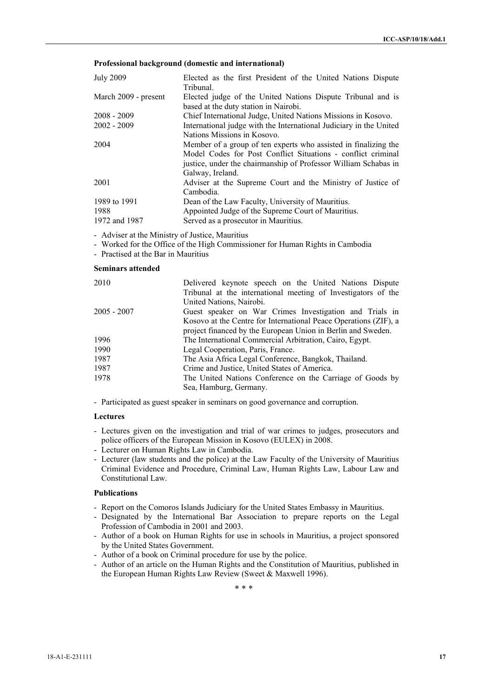## **Professional background (domestic and international)**

| <b>July 2009</b>     | Elected as the first President of the United Nations Dispute<br>Tribunal.                                                                                                                                              |
|----------------------|------------------------------------------------------------------------------------------------------------------------------------------------------------------------------------------------------------------------|
| March 2009 - present | Elected judge of the United Nations Dispute Tribunal and is<br>based at the duty station in Nairobi.                                                                                                                   |
| $2008 - 2009$        | Chief International Judge, United Nations Missions in Kosovo.                                                                                                                                                          |
| $2002 - 2009$        | International judge with the International Judiciary in the United<br>Nations Missions in Kosovo.                                                                                                                      |
| 2004                 | Member of a group of ten experts who assisted in finalizing the<br>Model Codes for Post Conflict Situations - conflict criminal<br>justice, under the chairmanship of Professor William Schabas in<br>Galway, Ireland. |
| 2001                 | Adviser at the Supreme Court and the Ministry of Justice of<br>Cambodia.                                                                                                                                               |
| 1989 to 1991         | Dean of the Law Faculty, University of Mauritius.                                                                                                                                                                      |
| 1988                 | Appointed Judge of the Supreme Court of Mauritius.                                                                                                                                                                     |
| 1972 and 1987        | Served as a prosecutor in Mauritius.                                                                                                                                                                                   |

- Adviser at the Ministry of Justice, Mauritius

- Worked for the Office of the High Commissioner for Human Rights in Cambodia
- Practised at the Bar in Mauritius

### **Seminars attended**

| Delivered keynote speech on the United Nations Dispute<br>Tribunal at the international meeting of Investigators of the |
|-------------------------------------------------------------------------------------------------------------------------|
| United Nations, Nairobi.                                                                                                |
| Guest speaker on War Crimes Investigation and Trials in                                                                 |
| Kosovo at the Centre for International Peace Operations (ZIF), a                                                        |
| project financed by the European Union in Berlin and Sweden.                                                            |
| The International Commercial Arbitration, Cairo, Egypt.                                                                 |
| Legal Cooperation, Paris, France.                                                                                       |
| The Asia Africa Legal Conference, Bangkok, Thailand.                                                                    |
| Crime and Justice, United States of America.                                                                            |
| The United Nations Conference on the Carriage of Goods by                                                               |
| Sea, Hamburg, Germany.                                                                                                  |
|                                                                                                                         |

- Participated as guest speaker in seminars on good governance and corruption.

# **Lectures**

- Lectures given on the investigation and trial of war crimes to judges, prosecutors and police officers of the European Mission in Kosovo (EULEX) in 2008.
- Lecturer on Human Rights Law in Cambodia.
- Lecturer (law students and the police) at the Law Faculty of the University of Mauritius Criminal Evidence and Procedure, Criminal Law, Human Rights Law, Labour Law and Constitutional Law.

# **Publications**

- Report on the Comoros Islands Judiciary for the United States Embassy in Mauritius.
- Designated by the International Bar Association to prepare reports on the Legal Profession of Cambodia in 2001 and 2003.
- Author of a book on Human Rights for use in schools in Mauritius, a project sponsored by the United States Government.
- Author of a book on Criminal procedure for use by the police.
- Author of an article on the Human Rights and the Constitution of Mauritius, published in the European Human Rights Law Review (Sweet & Maxwell 1996).

\* \* \*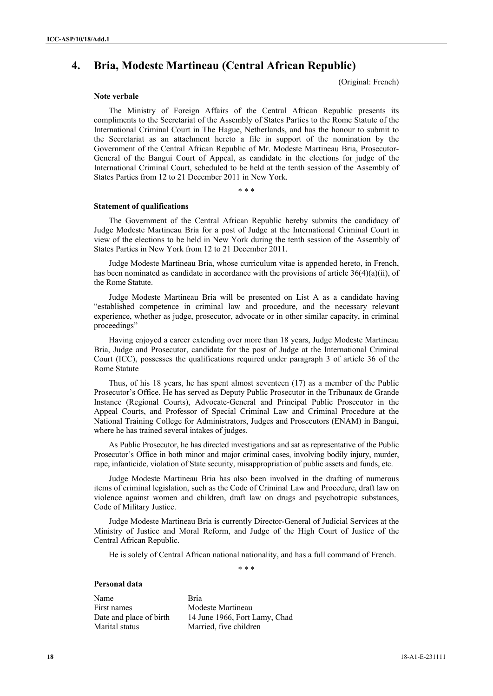# **4. Bria, Modeste Martineau (Central African Republic)**

(Original: French)

#### **Note verbale**

The Ministry of Foreign Affairs of the Central African Republic presents its compliments to the Secretariat of the Assembly of States Parties to the Rome Statute of the International Criminal Court in The Hague, Netherlands, and has the honour to submit to the Secretariat as an attachment hereto a file in support of the nomination by the Government of the Central African Republic of Mr. Modeste Martineau Bria, Prosecutor-General of the Bangui Court of Appeal, as candidate in the elections for judge of the International Criminal Court, scheduled to be held at the tenth session of the Assembly of States Parties from 12 to 21 December 2011 in New York.

\* \* \*

#### **Statement of qualifications**

The Government of the Central African Republic hereby submits the candidacy of Judge Modeste Martineau Bria for a post of Judge at the International Criminal Court in view of the elections to be held in New York during the tenth session of the Assembly of States Parties in New York from 12 to 21 December 2011.

Judge Modeste Martineau Bria, whose curriculum vitae is appended hereto, in French, has been nominated as candidate in accordance with the provisions of article 36(4)(a)(ii), of the Rome Statute.

Judge Modeste Martineau Bria will be presented on List A as a candidate having "established competence in criminal law and procedure, and the necessary relevant experience, whether as judge, prosecutor, advocate or in other similar capacity, in criminal proceedings"

Having enjoyed a career extending over more than 18 years, Judge Modeste Martineau Bria, Judge and Prosecutor, candidate for the post of Judge at the International Criminal Court (ICC), possesses the qualifications required under paragraph 3 of article 36 of the Rome Statute

Thus, of his 18 years, he has spent almost seventeen (17) as a member of the Public Prosecutor's Office. He has served as Deputy Public Prosecutor in the Tribunaux de Grande Instance (Regional Courts), Advocate-General and Principal Public Prosecutor in the Appeal Courts, and Professor of Special Criminal Law and Criminal Procedure at the National Training College for Administrators, Judges and Prosecutors (ENAM) in Bangui, where he has trained several intakes of judges.

As Public Prosecutor, he has directed investigations and sat as representative of the Public Prosecutor's Office in both minor and major criminal cases, involving bodily injury, murder, rape, infanticide, violation of State security, misappropriation of public assets and funds, etc.

Judge Modeste Martineau Bria has also been involved in the drafting of numerous items of criminal legislation, such as the Code of Criminal Law and Procedure, draft law on violence against women and children, draft law on drugs and psychotropic substances, Code of Military Justice.

Judge Modeste Martineau Bria is currently Director-General of Judicial Services at the Ministry of Justice and Moral Reform, and Judge of the High Court of Justice of the Central African Republic.

He is solely of Central African national nationality, and has a full command of French.

\* \* \*

# **Personal data**

Name Bria First names Modeste Martineau Date and place of birth 14 June 1966, Fort Lamy, Chad Marital statusMarried, five children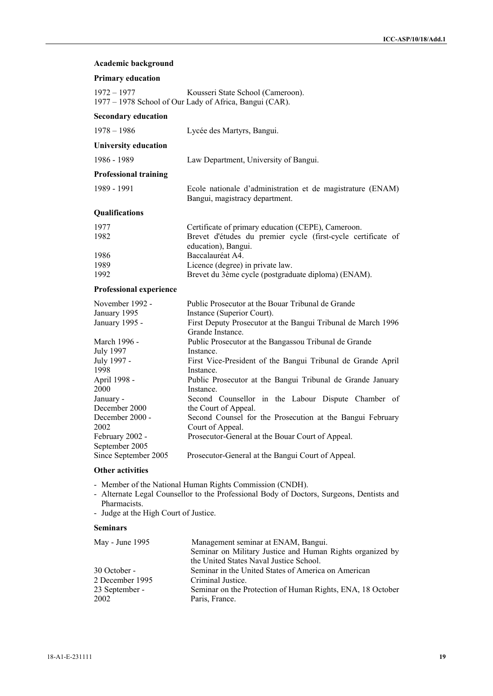|  |  | Academic background |
|--|--|---------------------|
|--|--|---------------------|

| $1972 - 1977$                                             | Kousseri State School (Cameroon).<br>1977 – 1978 School of Our Lady of Africa, Bangui (CAR).                                                                        |
|-----------------------------------------------------------|---------------------------------------------------------------------------------------------------------------------------------------------------------------------|
| <b>Secondary education</b>                                |                                                                                                                                                                     |
| $1978 - 1986$                                             | Lycée des Martyrs, Bangui.                                                                                                                                          |
| <b>University education</b>                               |                                                                                                                                                                     |
| 1986 - 1989                                               | Law Department, University of Bangui.                                                                                                                               |
| <b>Professional training</b>                              |                                                                                                                                                                     |
| 1989 - 1991                                               | Ecole nationale d'administration et de magistrature (ENAM)<br>Bangui, magistracy department.                                                                        |
| Qualifications                                            |                                                                                                                                                                     |
| 1977<br>1982                                              | Certificate of primary education (CEPE), Cameroon.<br>Brevet d'études du premier cycle (first-cycle certificate of<br>education), Bangui.                           |
| 1986<br>1989<br>1992                                      | Baccalauréat A4.<br>Licence (degree) in private law.<br>Brevet du 3ème cycle (postgraduate diploma) (ENAM).                                                         |
| <b>Professional experience</b>                            |                                                                                                                                                                     |
| November 1992 -<br>January 1995<br>January 1995 -         | Public Prosecutor at the Bouar Tribunal de Grande<br>Instance (Superior Court).<br>First Deputy Prosecutor at the Bangui Tribunal de March 1996<br>Grande Instance. |
| March 1996 -<br><b>July 1997</b><br>July 1997 -<br>1998   | Public Prosecutor at the Bangassou Tribunal de Grande<br>Instance.<br>First Vice-President of the Bangui Tribunal de Grande April<br>Instance.                      |
| April 1998 -<br>2000<br>January -                         | Public Prosecutor at the Bangui Tribunal de Grande January<br>Instance.<br>Second Counsellor in the Labour Dispute Chamber of                                       |
| December 2000<br>December 2000 -<br>2002                  | the Court of Appeal.<br>Second Counsel for the Prosecution at the Bangui February<br>Court of Appeal.                                                               |
| February 2002 -<br>September 2005<br>Since September 2005 | Prosecutor-General at the Bouar Court of Appeal.<br>Prosecutor-General at the Bangui Court of Appeal.                                                               |

# **Other activities**

- Member of the National Human Rights Commission (CNDH).
- Alternate Legal Counsellor to the Professional Body of Doctors, Surgeons, Dentists and Pharmacists.
- Judge at the High Court of Justice.

# **Seminars**

| May - June 1995 | Management seminar at ENAM, Bangui.                        |
|-----------------|------------------------------------------------------------|
|                 | Seminar on Military Justice and Human Rights organized by  |
|                 | the United States Naval Justice School.                    |
| 30 October -    | Seminar in the United States of America on American        |
| 2 December 1995 | Criminal Justice.                                          |
| 23 September -  | Seminar on the Protection of Human Rights, ENA, 18 October |
| 2002            | Paris, France.                                             |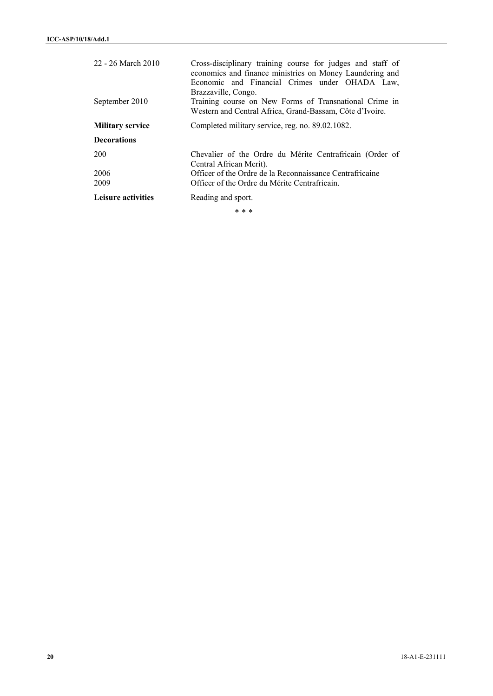| 22 - 26 March 2010<br>September 2010 | Cross-disciplinary training course for judges and staff of<br>economics and finance ministries on Money Laundering and<br>Economic and Financial Crimes under OHADA Law,<br>Brazzaville, Congo.<br>Training course on New Forms of Transnational Crime in<br>Western and Central Africa, Grand-Bassam, Côte d'Ivoire. |
|--------------------------------------|-----------------------------------------------------------------------------------------------------------------------------------------------------------------------------------------------------------------------------------------------------------------------------------------------------------------------|
| <b>Military service</b>              | Completed military service, reg. no. 89.02.1082.                                                                                                                                                                                                                                                                      |
| <b>Decorations</b>                   |                                                                                                                                                                                                                                                                                                                       |
| 200                                  | Chevalier of the Ordre du Mérite Centrafricain (Order of<br>Central African Merit).                                                                                                                                                                                                                                   |
| 2006                                 | Officer of the Ordre de la Reconnaissance Centrafricaine                                                                                                                                                                                                                                                              |
| 2009                                 | Officer of the Ordre du Mérite Centrafricain.                                                                                                                                                                                                                                                                         |
| <b>Leisure activities</b>            | Reading and sport.                                                                                                                                                                                                                                                                                                    |
|                                      | * * *                                                                                                                                                                                                                                                                                                                 |

**20** 18-A1-E-231111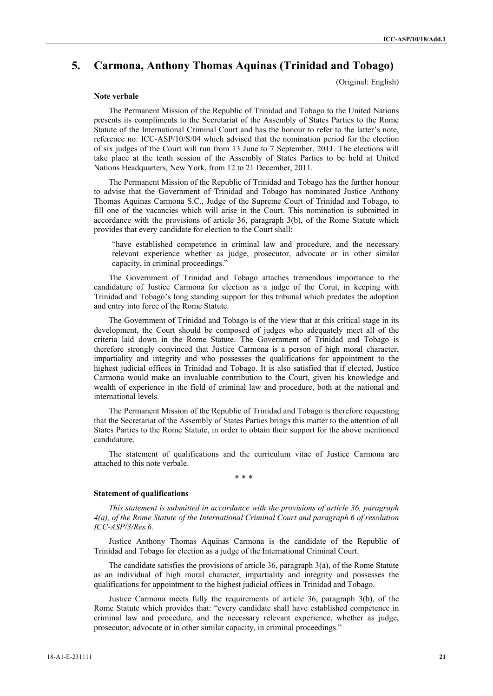# **5. Carmona, Anthony Thomas Aquinas (Trinidad and Tobago)**

(Original: English)

#### **Note verbale**

 The Permanent Mission of the Republic of Trinidad and Tobago to the United Nations presents its compliments to the Secretariat of the Assembly of States Parties to the Rome Statute of the International Criminal Court and has the honour to refer to the latter's note, reference no: ICC-ASP/10/S/04 which advised that the nomination period for the election of six judges of the Court will run from 13 June to 7 September, 2011. The elections will take place at the tenth session of the Assembly of States Parties to be held at United Nations Headquarters, New York, from 12 to 21 December, 2011.

 The Permanent Mission of the Republic of Trinidad and Tobago has the further honour to advise that the Government of Trinidad and Tobago has nominated Justice Anthony Thomas Aquinas Carmona S.C., Judge of the Supreme Court of Trinidad and Tobago, to fill one of the vacancies which will arise in the Court. This nomination is submitted in accordance with the provisions of article 36, paragraph 3(b), of the Rome Statute which provides that every candidate for election to the Court shall:

"have established competence in criminal law and procedure, and the necessary relevant experience whether as judge, prosecutor, advocate or in other similar capacity, in criminal proceedings."

 The Government of Trinidad and Tobago attaches tremendous importance to the candidature of Justice Carmona for election as a judge of the Corut, in keeping with Trinidad and Tobago's long standing support for this tribunal which predates the adoption and entry into force of the Rome Statute.

 The Government of Trinidad and Tobago is of the view that at this critical stage in its development, the Court should be composed of judges who adequately meet all of the criteria laid down in the Rome Statute. The Government of Trinidad and Tobago is therefore strongly convinced that Justice Carmona is a person of high moral character, impartiality and integrity and who possesses the qualifications for appointment to the highest judicial offices in Trinidad and Tobago. It is also satisfied that if elected, Justice Carmona would make an invaluable contribution to the Court, given his knowledge and wealth of experience in the field of criminal law and procedure, both at the national and international levels.

 The Permanent Mission of the Republic of Trinidad and Tobago is therefore requesting that the Secretariat of the Assembly of States Parties brings this matter to the attention of all States Parties to the Rome Statute, in order to obtain their support for the above mentioned candidature.

 The statement of qualifications and the curriculum vitae of Justice Carmona are attached to this note verbale.

\* \* \*

#### **Statement of qualifications**

*This statement is submitted in accordance with the provisions of article 36, paragraph 4(a), of the Rome Statute of the International Criminal Court and paragraph 6 of resolution ICC-ASP/3/Res.6.* 

 Justice Anthony Thomas Aquinas Carmona is the candidate of the Republic of Trinidad and Tobago for election as a judge of the International Criminal Court.

 The candidate satisfies the provisions of article 36, paragraph 3(a), of the Rome Statute as an individual of high moral character, impartiality and integrity and possesses the qualifications for appointment to the highest judicial offices in Trinidad and Tobago.

 Justice Carmona meets fully the requirements of article 36, paragraph 3(b), of the Rome Statute which provides that: "every candidate shall have established competence in criminal law and procedure, and the necessary relevant experience, whether as judge, prosecutor, advocate or in other similar capacity, in criminal proceedings."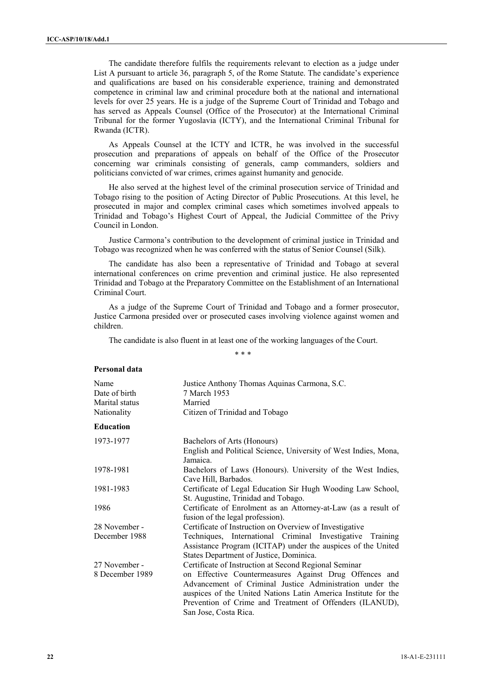The candidate therefore fulfils the requirements relevant to election as a judge under List A pursuant to article 36, paragraph 5, of the Rome Statute. The candidate's experience and qualifications are based on his considerable experience, training and demonstrated competence in criminal law and criminal procedure both at the national and international levels for over 25 years. He is a judge of the Supreme Court of Trinidad and Tobago and has served as Appeals Counsel (Office of the Prosecutor) at the International Criminal Tribunal for the former Yugoslavia (ICTY), and the International Criminal Tribunal for Rwanda (ICTR).

 As Appeals Counsel at the ICTY and ICTR, he was involved in the successful prosecution and preparations of appeals on behalf of the Office of the Prosecutor concerning war criminals consisting of generals, camp commanders, soldiers and politicians convicted of war crimes, crimes against humanity and genocide.

 He also served at the highest level of the criminal prosecution service of Trinidad and Tobago rising to the position of Acting Director of Public Prosecutions. At this level, he prosecuted in major and complex criminal cases which sometimes involved appeals to Trinidad and Tobago's Highest Court of Appeal, the Judicial Committee of the Privy Council in London.

 Justice Carmona's contribution to the development of criminal justice in Trinidad and Tobago was recognized when he was conferred with the status of Senior Counsel (Silk).

 The candidate has also been a representative of Trinidad and Tobago at several international conferences on crime prevention and criminal justice. He also represented Trinidad and Tobago at the Preparatory Committee on the Establishment of an International Criminal Court.

 As a judge of the Supreme Court of Trinidad and Tobago and a former prosecutor, Justice Carmona presided over or prosecuted cases involving violence against women and children.

The candidate is also fluent in at least one of the working languages of the Court.

\* \* \*

## **Personal data**

| Name             | Justice Anthony Thomas Aquinas Carmona, S.C.                                                                                                                                                                                                                              |
|------------------|---------------------------------------------------------------------------------------------------------------------------------------------------------------------------------------------------------------------------------------------------------------------------|
| Date of birth    | 7 March 1953                                                                                                                                                                                                                                                              |
| Marital status   | Married                                                                                                                                                                                                                                                                   |
| Nationality      | Citizen of Trinidad and Tobago                                                                                                                                                                                                                                            |
| <b>Education</b> |                                                                                                                                                                                                                                                                           |
| 1973-1977        | Bachelors of Arts (Honours)                                                                                                                                                                                                                                               |
|                  | English and Political Science, University of West Indies, Mona,<br>Jamaica.                                                                                                                                                                                               |
| 1978-1981        | Bachelors of Laws (Honours). University of the West Indies,<br>Cave Hill, Barbados.                                                                                                                                                                                       |
| 1981-1983        | Certificate of Legal Education Sir Hugh Wooding Law School,<br>St. Augustine, Trinidad and Tobago.                                                                                                                                                                        |
| 1986             | Certificate of Enrolment as an Attorney-at-Law (as a result of<br>fusion of the legal profession).                                                                                                                                                                        |
| 28 November -    | Certificate of Instruction on Overview of Investigative                                                                                                                                                                                                                   |
| December 1988    | Techniques, International Criminal Investigative Training<br>Assistance Program (ICITAP) under the auspices of the United<br>States Department of Justice, Dominica.                                                                                                      |
| 27 November -    | Certificate of Instruction at Second Regional Seminar                                                                                                                                                                                                                     |
| 8 December 1989  | on Effective Countermeasures Against Drug Offences and<br>Advancement of Criminal Justice Administration under the<br>auspices of the United Nations Latin America Institute for the<br>Prevention of Crime and Treatment of Offenders (ILANUD),<br>San Jose, Costa Rica. |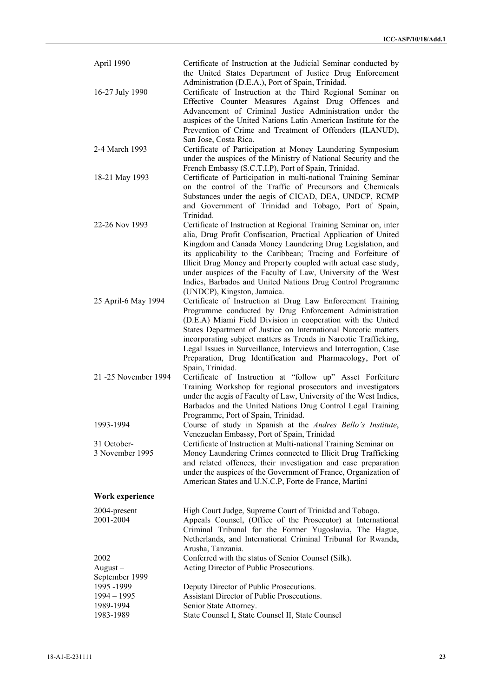| April 1990                           | Certificate of Instruction at the Judicial Seminar conducted by<br>the United States Department of Justice Drug Enforcement                                                                                                                                                                                                                                                                                                                                                                        |
|--------------------------------------|----------------------------------------------------------------------------------------------------------------------------------------------------------------------------------------------------------------------------------------------------------------------------------------------------------------------------------------------------------------------------------------------------------------------------------------------------------------------------------------------------|
| 16-27 July 1990                      | Administration (D.E.A.), Port of Spain, Trinidad.<br>Certificate of Instruction at the Third Regional Seminar on<br>Effective Counter Measures Against Drug Offences and<br>Advancement of Criminal Justice Administration under the<br>auspices of the United Nations Latin American Institute for the<br>Prevention of Crime and Treatment of Offenders (ILANUD),<br>San Jose, Costa Rica.                                                                                                       |
| 2-4 March 1993                       | Certificate of Participation at Money Laundering Symposium<br>under the auspices of the Ministry of National Security and the<br>French Embassy (S.C.T.I.P), Port of Spain, Trinidad.                                                                                                                                                                                                                                                                                                              |
| 18-21 May 1993                       | Certificate of Participation in multi-national Training Seminar<br>on the control of the Traffic of Precursors and Chemicals<br>Substances under the aegis of CICAD, DEA, UNDCP, RCMP<br>and Government of Trinidad and Tobago, Port of Spain,<br>Trinidad.                                                                                                                                                                                                                                        |
| 22-26 Nov 1993                       | Certificate of Instruction at Regional Training Seminar on, inter<br>alia, Drug Profit Confiscation, Practical Application of United<br>Kingdom and Canada Money Laundering Drug Legislation, and<br>its applicability to the Caribbean; Tracing and Forfeiture of<br>Illicit Drug Money and Property coupled with actual case study,<br>under auspices of the Faculty of Law, University of the West<br>Indies, Barbados and United Nations Drug Control Programme<br>(UNDCP), Kingston, Jamaica. |
| 25 April-6 May 1994                  | Certificate of Instruction at Drug Law Enforcement Training<br>Programme conducted by Drug Enforcement Administration<br>(D.E.A) Miami Field Division in cooperation with the United<br>States Department of Justice on International Narcotic matters<br>incorporating subject matters as Trends in Narcotic Trafficking,<br>Legal Issues in Surveillance, Interviews and Interrogation, Case<br>Preparation, Drug Identification and Pharmacology, Port of<br>Spain, Trinidad.                   |
| 21 -25 November 1994                 | Certificate of Instruction at "follow up" Asset Forfeiture<br>Training Workshop for regional prosecutors and investigators<br>under the aegis of Faculty of Law, University of the West Indies,<br>Barbados and the United Nations Drug Control Legal Training<br>Programme, Port of Spain, Trinidad.                                                                                                                                                                                              |
| 1993-1994                            | Course of study in Spanish at the Andres Bello's Institute,<br>Venezuelan Embassy, Port of Spain, Trinidad                                                                                                                                                                                                                                                                                                                                                                                         |
| 31 October-<br>3 November 1995       | Certificate of Instruction at Multi-national Training Seminar on<br>Money Laundering Crimes connected to Illicit Drug Trafficking<br>and related offences, their investigation and case preparation<br>under the auspices of the Government of France, Organization of<br>American States and U.N.C.P, Forte de France, Martini                                                                                                                                                                    |
| Work experience                      |                                                                                                                                                                                                                                                                                                                                                                                                                                                                                                    |
| 2004-present<br>2001-2004            | High Court Judge, Supreme Court of Trinidad and Tobago.<br>Appeals Counsel, (Office of the Prosecutor) at International<br>Criminal Tribunal for the Former Yugoslavia, The Hague,<br>Netherlands, and International Criminal Tribunal for Rwanda,<br>Arusha, Tanzania.                                                                                                                                                                                                                            |
| 2002<br>$August -$<br>September 1999 | Conferred with the status of Senior Counsel (Silk).<br>Acting Director of Public Prosecutions.                                                                                                                                                                                                                                                                                                                                                                                                     |
| 1995 - 1999                          | Deputy Director of Public Prosecutions.                                                                                                                                                                                                                                                                                                                                                                                                                                                            |
| $1994 - 1995$<br>1989-1994           | Assistant Director of Public Prosecutions.<br>Senior State Attorney.                                                                                                                                                                                                                                                                                                                                                                                                                               |
| 1983-1989                            | State Counsel I, State Counsel II, State Counsel                                                                                                                                                                                                                                                                                                                                                                                                                                                   |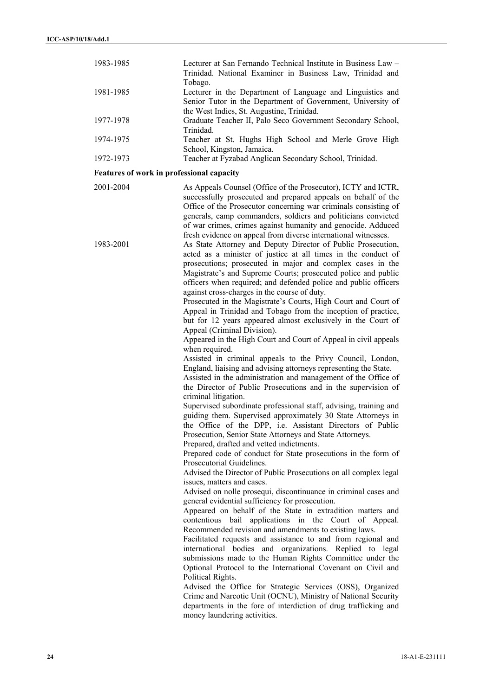| 1983-1985 | Lecturer at San Fernando Technical Institute in Business Law –<br>Trinidad. National Examiner in Business Law, Trinidad and<br>Tobago.                                                                                                                                                                                                                                                               |
|-----------|------------------------------------------------------------------------------------------------------------------------------------------------------------------------------------------------------------------------------------------------------------------------------------------------------------------------------------------------------------------------------------------------------|
| 1981-1985 | Lecturer in the Department of Language and Linguistics and<br>Senior Tutor in the Department of Government, University of<br>the West Indies, St. Augustine, Trinidad.                                                                                                                                                                                                                               |
| 1977-1978 | Graduate Teacher II, Palo Seco Government Secondary School,<br>Trinidad.                                                                                                                                                                                                                                                                                                                             |
| 1974-1975 | Teacher at St. Hughs High School and Merle Grove High<br>School, Kingston, Jamaica.                                                                                                                                                                                                                                                                                                                  |
| 1972-1973 | Teacher at Fyzabad Anglican Secondary School, Trinidad.                                                                                                                                                                                                                                                                                                                                              |
|           | Features of work in professional capacity                                                                                                                                                                                                                                                                                                                                                            |
| 2001-2004 | As Appeals Counsel (Office of the Prosecutor), ICTY and ICTR,<br>successfully prosecuted and prepared appeals on behalf of the<br>Office of the Prosecutor concerning war criminals consisting of<br>generals, camp commanders, soldiers and politicians convicted<br>of war crimes, crimes against humanity and genocide. Adduced<br>fresh evidence on appeal from diverse international witnesses. |
| 1983-2001 | As State Attorney and Deputy Director of Public Prosecution,<br>acted as a minister of justice at all times in the conduct of<br>proceeding proceeded in moior and complex eages in the                                                                                                                                                                                                              |

prosecutions; prosecuted in major and complex cases in the Magistrate's and Supreme Courts; prosecuted police and public officers when required; and defended police and public officers against cross-charges in the course of duty.

 Prosecuted in the Magistrate's Courts, High Court and Court of Appeal in Trinidad and Tobago from the inception of practice, but for 12 years appeared almost exclusively in the Court of Appeal (Criminal Division).

 Appeared in the High Court and Court of Appeal in civil appeals when required.

 Assisted in criminal appeals to the Privy Council, London, England, liaising and advising attorneys representing the State.

 Assisted in the administration and management of the Office of the Director of Public Prosecutions and in the supervision of criminal litigation.

 Supervised subordinate professional staff, advising, training and guiding them. Supervised approximately 30 State Attorneys in the Office of the DPP, i.e. Assistant Directors of Public Prosecution, Senior State Attorneys and State Attorneys. Prepared, drafted and vetted indictments.

 Prepared code of conduct for State prosecutions in the form of Prosecutorial Guidelines.

Advised the Director of Public Prosecutions on all complex legal issues, matters and cases.

Advised on nolle prosequi, discontinuance in criminal cases and general evidential sufficiency for prosecution.

 Appeared on behalf of the State in extradition matters and contentious bail applications in the Court of Appeal. Recommended revision and amendments to existing laws.

 Facilitated requests and assistance to and from regional and international bodies and organizations. Replied to legal submissions made to the Human Rights Committee under the Optional Protocol to the International Covenant on Civil and Political Rights.

 Advised the Office for Strategic Services (OSS), Organized Crime and Narcotic Unit (OCNU), Ministry of National Security departments in the fore of interdiction of drug trafficking and money laundering activities.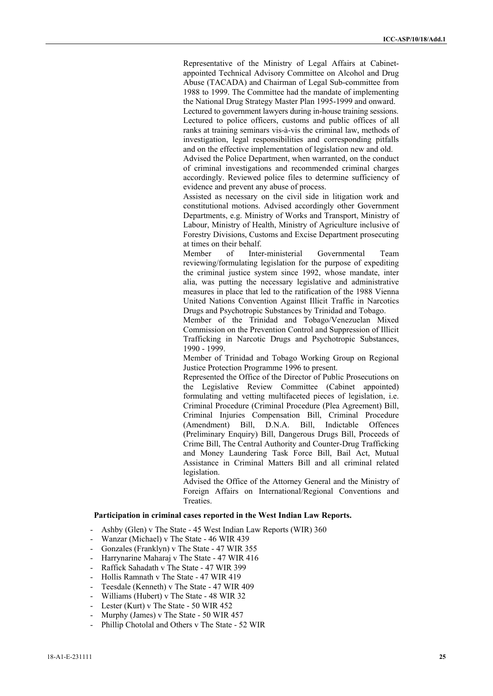Representative of the Ministry of Legal Affairs at Cabinetappointed Technical Advisory Committee on Alcohol and Drug Abuse (TACADA) and Chairman of Legal Sub-committee from 1988 to 1999. The Committee had the mandate of implementing the National Drug Strategy Master Plan 1995-1999 and onward. Lectured to government lawyers during in-house training sessions. Lectured to police officers, customs and public offices of all ranks at training seminars vis-à-vis the criminal law, methods of investigation, legal responsibilities and corresponding pitfalls

and on the effective implementation of legislation new and old. Advised the Police Department, when warranted, on the conduct of criminal investigations and recommended criminal charges accordingly. Reviewed police files to determine sufficiency of evidence and prevent any abuse of process.

 Assisted as necessary on the civil side in litigation work and constitutional motions. Advised accordingly other Government Departments, e.g. Ministry of Works and Transport, Ministry of Labour, Ministry of Health, Ministry of Agriculture inclusive of Forestry Divisions, Customs and Excise Department prosecuting at times on their behalf.

 Member of Inter-ministerial Governmental Team reviewing/formulating legislation for the purpose of expediting the criminal justice system since 1992, whose mandate, inter alia, was putting the necessary legislative and administrative measures in place that led to the ratification of the 1988 Vienna United Nations Convention Against Illicit Traffic in Narcotics Drugs and Psychotropic Substances by Trinidad and Tobago.

 Member of the Trinidad and Tobago/Venezuelan Mixed Commission on the Prevention Control and Suppression of Illicit Trafficking in Narcotic Drugs and Psychotropic Substances, 1990 - 1999.

 Member of Trinidad and Tobago Working Group on Regional Justice Protection Programme 1996 to present.

 Represented the Office of the Director of Public Prosecutions on the Legislative Review Committee (Cabinet appointed) formulating and vetting multifaceted pieces of legislation, i.e. Criminal Procedure (Criminal Procedure (Plea Agreement) Bill, Criminal Injuries Compensation Bill, Criminal Procedure (Amendment) Bill, D.N.A. Bill, Indictable Offences (Preliminary Enquiry) Bill, Dangerous Drugs Bill, Proceeds of Crime Bill, The Central Authority and Counter-Drug Trafficking and Money Laundering Task Force Bill, Bail Act, Mutual Assistance in Criminal Matters Bill and all criminal related legislation.

 Advised the Office of the Attorney General and the Ministry of Foreign Affairs on International/Regional Conventions and Treaties.

### **Participation in criminal cases reported in the West Indian Law Reports.**

- Ashby (Glen) v The State 45 West Indian Law Reports (WIR) 360
- Wanzar (Michael) v The State 46 WIR 439
- Gonzales (Franklyn) v The State 47 WIR 355
- Harrynarine Maharaj v The State 47 WIR 416
- Raffick Sahadath v The State 47 WIR 399
- Hollis Ramnath v The State 47 WIR 419
- Teesdale (Kenneth) v The State 47 WIR 409
- Williams (Hubert) v The State 48 WIR 32
- Lester (Kurt) v The State 50 WIR 452
- Murphy (James) v The State 50 WIR 457
- Phillip Chotolal and Others v The State 52 WIR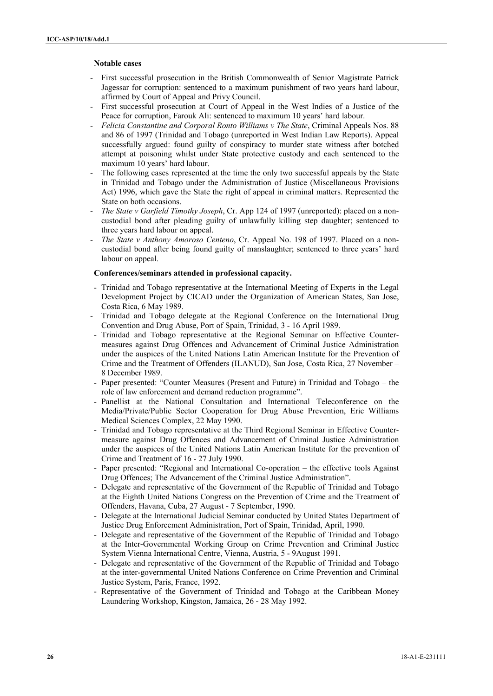# **Notable cases**

- First successful prosecution in the British Commonwealth of Senior Magistrate Patrick Jagessar for corruption: sentenced to a maximum punishment of two years hard labour, affirmed by Court of Appeal and Privy Council.
- First successful prosecution at Court of Appeal in the West Indies of a Justice of the Peace for corruption, Farouk Ali: sentenced to maximum 10 years' hard labour.
- *Felicia Constantine and Corporal Ronto Williams v The State*, Criminal Appeals Nos. 88 and 86 of 1997 (Trinidad and Tobago (unreported in West Indian Law Reports). Appeal successfully argued: found guilty of conspiracy to murder state witness after botched attempt at poisoning whilst under State protective custody and each sentenced to the maximum 10 years' hard labour.
- The following cases represented at the time the only two successful appeals by the State in Trinidad and Tobago under the Administration of Justice (Miscellaneous Provisions Act) 1996, which gave the State the right of appeal in criminal matters. Represented the State on both occasions.
- *The State v Garfield Timothy Joseph*, Cr. App 124 of 1997 (unreported): placed on a noncustodial bond after pleading guilty of unlawfully killing step daughter; sentenced to three years hard labour on appeal.
- The State v Anthony Amoroso Centeno, Cr. Appeal No. 198 of 1997. Placed on a noncustodial bond after being found guilty of manslaughter; sentenced to three years' hard labour on appeal.

#### **Conferences/seminars attended in professional capacity.**

- Trinidad and Tobago representative at the International Meeting of Experts in the Legal Development Project by CICAD under the Organization of American States, San Jose, Costa Rica, 6 May 1989.
- Trinidad and Tobago delegate at the Regional Conference on the International Drug Convention and Drug Abuse, Port of Spain, Trinidad, 3 - 16 April 1989.
- Trinidad and Tobago representative at the Regional Seminar on Effective Countermeasures against Drug Offences and Advancement of Criminal Justice Administration under the auspices of the United Nations Latin American Institute for the Prevention of Crime and the Treatment of Offenders (ILANUD), San Jose, Costa Rica, 27 November – 8 December 1989.
- Paper presented: "Counter Measures (Present and Future) in Trinidad and Tobago the role of law enforcement and demand reduction programme".
- Panellist at the National Consultation and International Teleconference on the Media/Private/Public Sector Cooperation for Drug Abuse Prevention, Eric Williams Medical Sciences Complex, 22 May 1990.
- Trinidad and Tobago representative at the Third Regional Seminar in Effective Countermeasure against Drug Offences and Advancement of Criminal Justice Administration under the auspices of the United Nations Latin American Institute for the prevention of Crime and Treatment of 16 - 27 July 1990.
- Paper presented: "Regional and International Co-operation the effective tools Against Drug Offences; The Advancement of the Criminal Justice Administration".
- Delegate and representative of the Government of the Republic of Trinidad and Tobago at the Eighth United Nations Congress on the Prevention of Crime and the Treatment of Offenders, Havana, Cuba, 27 August - 7 September, 1990.
- Delegate at the International Judicial Seminar conducted by United States Department of Justice Drug Enforcement Administration, Port of Spain, Trinidad, April, 1990.
- Delegate and representative of the Government of the Republic of Trinidad and Tobago at the Inter-Governmental Working Group on Crime Prevention and Criminal Justice System Vienna International Centre, Vienna, Austria, 5 - 9August 1991.
- Delegate and representative of the Government of the Republic of Trinidad and Tobago at the inter-governmental United Nations Conference on Crime Prevention and Criminal Justice System, Paris, France, 1992.
- Representative of the Government of Trinidad and Tobago at the Caribbean Money Laundering Workshop, Kingston, Jamaica, 26 - 28 May 1992.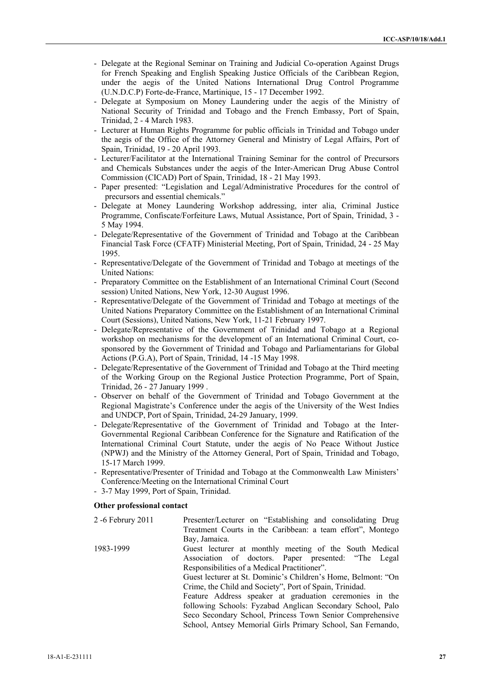- Delegate at the Regional Seminar on Training and Judicial Co-operation Against Drugs for French Speaking and English Speaking Justice Officials of the Caribbean Region, under the aegis of the United Nations International Drug Control Programme (U.N.D.C.P) Forte-de-France, Martinique, 15 - 17 December 1992.
- Delegate at Symposium on Money Laundering under the aegis of the Ministry of National Security of Trinidad and Tobago and the French Embassy, Port of Spain, Trinidad, 2 - 4 March 1983.
- Lecturer at Human Rights Programme for public officials in Trinidad and Tobago under the aegis of the Office of the Attorney General and Ministry of Legal Affairs, Port of Spain, Trinidad, 19 - 20 April 1993.
- Lecturer/Facilitator at the International Training Seminar for the control of Precursors and Chemicals Substances under the aegis of the Inter-American Drug Abuse Control Commission (CICAD) Port of Spain, Trinidad, 18 - 21 May 1993.
- Paper presented: "Legislation and Legal/Administrative Procedures for the control of precursors and essential chemicals."
- Delegate at Money Laundering Workshop addressing, inter alia, Criminal Justice Programme, Confiscate/Forfeiture Laws, Mutual Assistance, Port of Spain, Trinidad, 3 - 5 May 1994.
- Delegate/Representative of the Government of Trinidad and Tobago at the Caribbean Financial Task Force (CFATF) Ministerial Meeting, Port of Spain, Trinidad, 24 - 25 May 1995.
- Representative/Delegate of the Government of Trinidad and Tobago at meetings of the United Nations:
- Preparatory Committee on the Establishment of an International Criminal Court (Second session) United Nations, New York, 12-30 August 1996.
- Representative/Delegate of the Government of Trinidad and Tobago at meetings of the United Nations Preparatory Committee on the Establishment of an International Criminal Court (Sessions), United Nations, New York, 11-21 February 1997.
- Delegate/Representative of the Government of Trinidad and Tobago at a Regional workshop on mechanisms for the development of an International Criminal Court, cosponsored by the Government of Trinidad and Tobago and Parliamentarians for Global Actions (P.G.A), Port of Spain, Trinidad, 14 -15 May 1998.
- Delegate/Representative of the Government of Trinidad and Tobago at the Third meeting of the Working Group on the Regional Justice Protection Programme, Port of Spain, Trinidad, 26 - 27 January 1999 .
- Observer on behalf of the Government of Trinidad and Tobago Government at the Regional Magistrate's Conference under the aegis of the University of the West Indies and UNDCP, Port of Spain, Trinidad, 24-29 January, 1999.
- Delegate/Representative of the Government of Trinidad and Tobago at the Inter-Governmental Regional Caribbean Conference for the Signature and Ratification of the International Criminal Court Statute, under the aegis of No Peace Without Justice (NPWJ) and the Ministry of the Attorney General, Port of Spain, Trinidad and Tobago, 15-17 March 1999.
- Representative/Presenter of Trinidad and Tobago at the Commonwealth Law Ministers' Conference/Meeting on the International Criminal Court
- 3-7 May 1999, Port of Spain, Trinidad.

## **Other professional contact**

| 2 -6 Februry 2011 | Presenter/Lecturer on "Establishing and consolidating Drug    |
|-------------------|---------------------------------------------------------------|
|                   | Treatment Courts in the Caribbean: a team effort", Montego    |
|                   | Bay, Jamaica.                                                 |
| 1983-1999         | Guest lecturer at monthly meeting of the South Medical        |
|                   | Association of doctors. Paper presented: "The Legal           |
|                   | Responsibilities of a Medical Practitioner".                  |
|                   | Guest lecturer at St. Dominic's Children's Home, Belmont: "On |
|                   | Crime, the Child and Society", Port of Spain, Trinidad.       |
|                   | Feature Address speaker at graduation ceremonies in the       |
|                   | following Schools: Fyzabad Anglican Secondary School, Palo    |
|                   | Seco Secondary School, Princess Town Senior Comprehensive     |
|                   | School, Antsey Memorial Girls Primary School, San Fernando,   |
|                   |                                                               |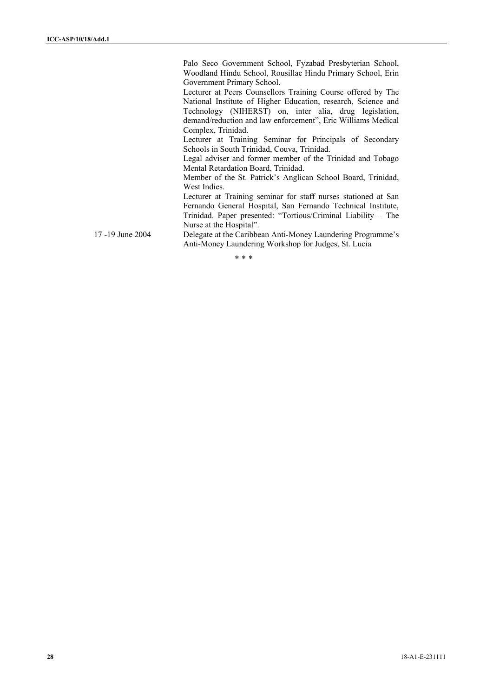Palo Seco Government School, Fyzabad Presbyterian School, Woodland Hindu School, Rousillac Hindu Primary School, Erin Government Primary School.

 Lecturer at Peers Counsellors Training Course offered by The National Institute of Higher Education, research, Science and Technology (NIHERST) on, inter alia, drug legislation, demand/reduction and law enforcement", Eric Williams Medical Complex, Trinidad.

 Lecturer at Training Seminar for Principals of Secondary Schools in South Trinidad, Couva, Trinidad.

 Legal adviser and former member of the Trinidad and Tobago Mental Retardation Board, Trinidad.

 Member of the St. Patrick's Anglican School Board, Trinidad, West Indies.

Lecturer at Training seminar for staff nurses stationed at San Fernando General Hospital, San Fernando Technical Institute, Trinidad. Paper presented: "Tortious/Criminal Liability – The Nurse at the Hospital".

17 -19 June 2004 Delegate at the Caribbean Anti-Money Laundering Programme's Anti-Money Laundering Workshop for Judges, St. Lucia

\* \* \*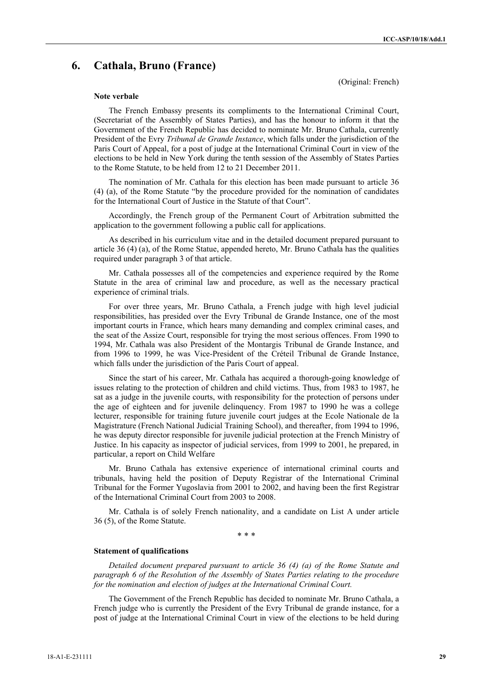# **6. Cathala, Bruno (France)**

(Original: French)

#### **Note verbale**

The French Embassy presents its compliments to the International Criminal Court, (Secretariat of the Assembly of States Parties), and has the honour to inform it that the Government of the French Republic has decided to nominate Mr. Bruno Cathala, currently President of the Evry *Tribunal de Grande Instance*, which falls under the jurisdiction of the Paris Court of Appeal, for a post of judge at the International Criminal Court in view of the elections to be held in New York during the tenth session of the Assembly of States Parties to the Rome Statute, to be held from 12 to 21 December 2011.

The nomination of Mr. Cathala for this election has been made pursuant to article 36 (4) (a), of the Rome Statute "by the procedure provided for the nomination of candidates for the International Court of Justice in the Statute of that Court".

Accordingly, the French group of the Permanent Court of Arbitration submitted the application to the government following a public call for applications.

As described in his curriculum vitae and in the detailed document prepared pursuant to article 36 (4) (a), of the Rome Statue, appended hereto, Mr. Bruno Cathala has the qualities required under paragraph 3 of that article.

Mr. Cathala possesses all of the competencies and experience required by the Rome Statute in the area of criminal law and procedure, as well as the necessary practical experience of criminal trials.

For over three years, Mr. Bruno Cathala, a French judge with high level judicial responsibilities, has presided over the Evry Tribunal de Grande Instance, one of the most important courts in France, which hears many demanding and complex criminal cases, and the seat of the Assize Court, responsible for trying the most serious offences. From 1990 to 1994, Mr. Cathala was also President of the Montargis Tribunal de Grande Instance, and from 1996 to 1999, he was Vice-President of the Créteil Tribunal de Grande Instance, which falls under the jurisdiction of the Paris Court of appeal.

Since the start of his career, Mr. Cathala has acquired a thorough-going knowledge of issues relating to the protection of children and child victims. Thus, from 1983 to 1987, he sat as a judge in the juvenile courts, with responsibility for the protection of persons under the age of eighteen and for juvenile delinquency. From 1987 to 1990 he was a college lecturer, responsible for training future juvenile court judges at the Ecole Nationale de la Magistrature (French National Judicial Training School), and thereafter, from 1994 to 1996, he was deputy director responsible for juvenile judicial protection at the French Ministry of Justice. In his capacity as inspector of judicial services, from 1999 to 2001, he prepared, in particular, a report on Child Welfare

Mr. Bruno Cathala has extensive experience of international criminal courts and tribunals, having held the position of Deputy Registrar of the International Criminal Tribunal for the Former Yugoslavia from 2001 to 2002, and having been the first Registrar of the International Criminal Court from 2003 to 2008.

Mr. Cathala is of solely French nationality, and a candidate on List A under article 36 (5), of the Rome Statute.

\* \* \*

#### **Statement of qualifications**

*Detailed document prepared pursuant to article 36 (4) (a) of the Rome Statute and paragraph 6 of the Resolution of the Assembly of States Parties relating to the procedure for the nomination and election of judges at the International Criminal Court.* 

The Government of the French Republic has decided to nominate Mr. Bruno Cathala, a French judge who is currently the President of the Evry Tribunal de grande instance, for a post of judge at the International Criminal Court in view of the elections to be held during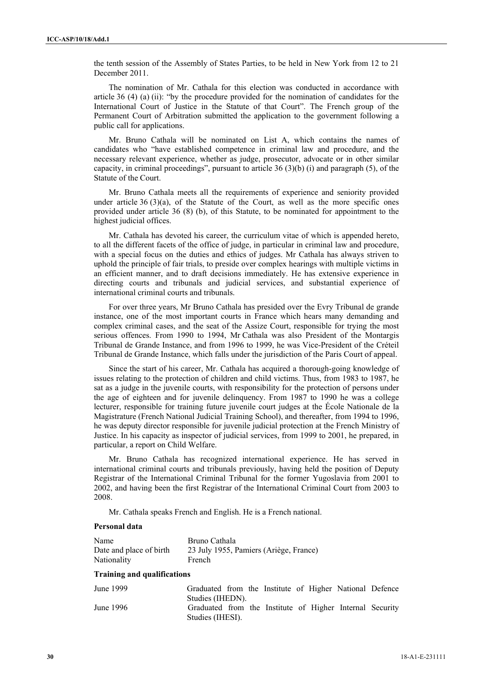the tenth session of the Assembly of States Parties, to be held in New York from 12 to 21 December 2011.

The nomination of Mr. Cathala for this election was conducted in accordance with article 36 (4) (a) (ii): "by the procedure provided for the nomination of candidates for the International Court of Justice in the Statute of that Court". The French group of the Permanent Court of Arbitration submitted the application to the government following a public call for applications.

Mr. Bruno Cathala will be nominated on List A, which contains the names of candidates who "have established competence in criminal law and procedure, and the necessary relevant experience, whether as judge, prosecutor, advocate or in other similar capacity, in criminal proceedings", pursuant to article 36 (3)(b) (i) and paragraph (5), of the Statute of the Court.

Mr. Bruno Cathala meets all the requirements of experience and seniority provided under article  $36 (3)(a)$ , of the Statute of the Court, as well as the more specific ones provided under article 36 (8) (b), of this Statute, to be nominated for appointment to the highest judicial offices.

Mr. Cathala has devoted his career, the curriculum vitae of which is appended hereto, to all the different facets of the office of judge, in particular in criminal law and procedure, with a special focus on the duties and ethics of judges. Mr Cathala has always striven to uphold the principle of fair trials, to preside over complex hearings with multiple victims in an efficient manner, and to draft decisions immediately. He has extensive experience in directing courts and tribunals and judicial services, and substantial experience of international criminal courts and tribunals.

For over three years, Mr Bruno Cathala has presided over the Evry Tribunal de grande instance, one of the most important courts in France which hears many demanding and complex criminal cases, and the seat of the Assize Court, responsible for trying the most serious offences. From 1990 to 1994, Mr Cathala was also President of the Montargis Tribunal de Grande Instance, and from 1996 to 1999, he was Vice-President of the Créteil Tribunal de Grande Instance, which falls under the jurisdiction of the Paris Court of appeal.

Since the start of his career, Mr. Cathala has acquired a thorough-going knowledge of issues relating to the protection of children and child victims. Thus, from 1983 to 1987, he sat as a judge in the juvenile courts, with responsibility for the protection of persons under the age of eighteen and for juvenile delinquency. From 1987 to 1990 he was a college lecturer, responsible for training future juvenile court judges at the École Nationale de la Magistrature (French National Judicial Training School), and thereafter, from 1994 to 1996, he was deputy director responsible for juvenile judicial protection at the French Ministry of Justice. In his capacity as inspector of judicial services, from 1999 to 2001, he prepared, in particular, a report on Child Welfare.

Mr. Bruno Cathala has recognized international experience. He has served in international criminal courts and tribunals previously, having held the position of Deputy Registrar of the International Criminal Tribunal for the former Yugoslavia from 2001 to 2002, and having been the first Registrar of the International Criminal Court from 2003 to 2008.

Mr. Cathala speaks French and English. He is a French national.

#### **Personal data**

| Name                    | Bruno Cathala                          |
|-------------------------|----------------------------------------|
| Date and place of birth | 23 July 1955, Pamiers (Ariège, France) |
| Nationality             | French                                 |

# **Training and qualifications**

| June 1999 | Graduated from the Institute of Higher National Defence  |  |  |  |  |
|-----------|----------------------------------------------------------|--|--|--|--|
|           | Studies (IHEDN).                                         |  |  |  |  |
| June 1996 | Graduated from the Institute of Higher Internal Security |  |  |  |  |
|           | Studies (IHESI).                                         |  |  |  |  |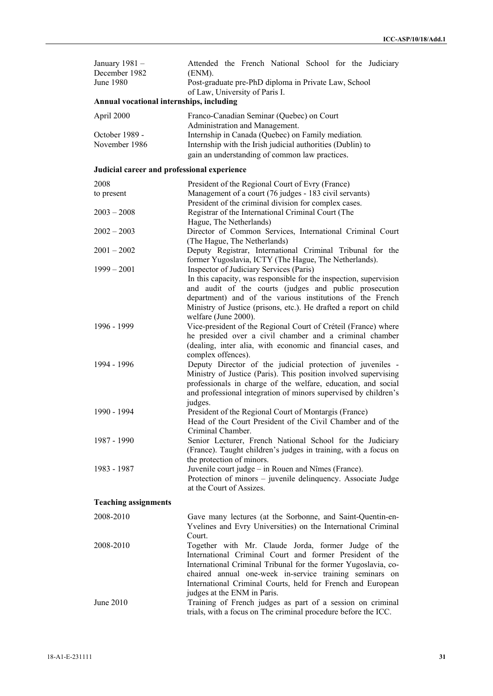| January 1981 -<br>December 1982<br>June 1980 | Attended the French National School for the Judiciary<br>(ENM).<br>Post-graduate pre-PhD diploma in Private Law, School<br>of Law, University of Paris I.                                                                                                                                                                                  |  |  |  |  |  |  |
|----------------------------------------------|--------------------------------------------------------------------------------------------------------------------------------------------------------------------------------------------------------------------------------------------------------------------------------------------------------------------------------------------|--|--|--|--|--|--|
| Annual vocational internships, including     |                                                                                                                                                                                                                                                                                                                                            |  |  |  |  |  |  |
| April 2000                                   | Franco-Canadian Seminar (Quebec) on Court                                                                                                                                                                                                                                                                                                  |  |  |  |  |  |  |
| October 1989 -<br>November 1986              | Administration and Management.<br>Internship in Canada (Quebec) on Family mediation.<br>Internship with the Irish judicial authorities (Dublin) to<br>gain an understanding of common law practices.                                                                                                                                       |  |  |  |  |  |  |
| Judicial career and professional experience  |                                                                                                                                                                                                                                                                                                                                            |  |  |  |  |  |  |
| 2008                                         | President of the Regional Court of Evry (France)                                                                                                                                                                                                                                                                                           |  |  |  |  |  |  |
| to present                                   | Management of a court (76 judges - 183 civil servants)<br>President of the criminal division for complex cases.                                                                                                                                                                                                                            |  |  |  |  |  |  |
| $2003 - 2008$                                | Registrar of the International Criminal Court (The                                                                                                                                                                                                                                                                                         |  |  |  |  |  |  |
| $2002 - 2003$                                | Hague, The Netherlands)<br>Director of Common Services, International Criminal Court<br>(The Hague, The Netherlands)                                                                                                                                                                                                                       |  |  |  |  |  |  |
| $2001 - 2002$                                | Deputy Registrar, International Criminal Tribunal for the                                                                                                                                                                                                                                                                                  |  |  |  |  |  |  |
| $1999 - 2001$                                | former Yugoslavia, ICTY (The Hague, The Netherlands).<br>Inspector of Judiciary Services (Paris)<br>In this capacity, was responsible for the inspection, supervision                                                                                                                                                                      |  |  |  |  |  |  |
|                                              | and audit of the courts (judges and public prosecution<br>department) and of the various institutions of the French<br>Ministry of Justice (prisons, etc.). He drafted a report on child<br>welfare (June 2000).                                                                                                                           |  |  |  |  |  |  |
| 1996 - 1999                                  | Vice-president of the Regional Court of Créteil (France) where<br>he presided over a civil chamber and a criminal chamber<br>(dealing, inter alia, with economic and financial cases, and<br>complex offences).                                                                                                                            |  |  |  |  |  |  |
| 1994 - 1996                                  | Deputy Director of the judicial protection of juveniles -<br>Ministry of Justice (Paris). This position involved supervising<br>professionals in charge of the welfare, education, and social<br>and professional integration of minors supervised by children's                                                                           |  |  |  |  |  |  |
| 1990 - 1994                                  | judges.<br>President of the Regional Court of Montargis (France)<br>Head of the Court President of the Civil Chamber and of the                                                                                                                                                                                                            |  |  |  |  |  |  |
| 1987 - 1990                                  | Criminal Chamber.<br>Senior Lecturer, French National School for the Judiciary<br>(France). Taught children's judges in training, with a focus on                                                                                                                                                                                          |  |  |  |  |  |  |
| 1983 - 1987                                  | the protection of minors.<br>Juvenile court judge – in Rouen and Nîmes (France).<br>Protection of minors – juvenile delinquency. Associate Judge<br>at the Court of Assizes.                                                                                                                                                               |  |  |  |  |  |  |
| <b>Teaching assignments</b>                  |                                                                                                                                                                                                                                                                                                                                            |  |  |  |  |  |  |
| 2008-2010                                    | Gave many lectures (at the Sorbonne, and Saint-Quentin-en-<br>Yvelines and Evry Universities) on the International Criminal<br>Court.                                                                                                                                                                                                      |  |  |  |  |  |  |
| 2008-2010                                    | Together with Mr. Claude Jorda, former Judge of the<br>International Criminal Court and former President of the<br>International Criminal Tribunal for the former Yugoslavia, co-<br>chaired annual one-week in-service training seminars on<br>International Criminal Courts, held for French and European<br>judges at the ENM in Paris. |  |  |  |  |  |  |
| June 2010                                    | Training of French judges as part of a session on criminal<br>trials, with a focus on The criminal procedure before the ICC.                                                                                                                                                                                                               |  |  |  |  |  |  |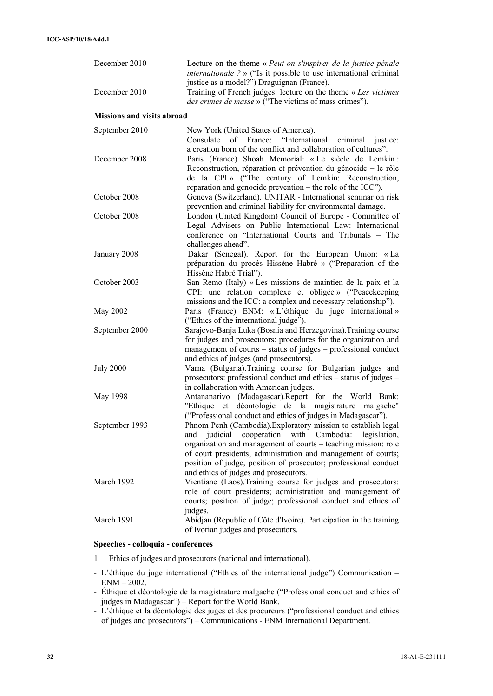| December 2010                     | Lecture on the theme « Peut-on s'inspirer de la justice pénale<br><i>internationale</i> $?$ » ("Is it possible to use international criminal<br>justice as a model?") Draguignan (France). |
|-----------------------------------|--------------------------------------------------------------------------------------------------------------------------------------------------------------------------------------------|
| December 2010                     | Training of French judges: lecture on the theme « Les victimes<br>des crimes de masse » ("The victims of mass crimes").                                                                    |
| <b>Missions and visits abroad</b> |                                                                                                                                                                                            |
| September 2010                    | New York (United States of America).                                                                                                                                                       |
|                                   | of France: "International<br>Consulate<br>criminal justice:                                                                                                                                |
| December 2008                     | a creation born of the conflict and collaboration of cultures".<br>Paris (France) Shoah Memorial: «Le siècle de Lemkin:<br>Reconstruction, réparation et prévention du génocide - le rôle  |
|                                   | de la CPI» ("The century of Lemkin: Reconstruction,                                                                                                                                        |
| October 2008                      | reparation and genocide prevention – the role of the ICC").<br>Geneva (Switzerland). UNITAR - International seminar on risk<br>prevention and criminal liability for environmental damage. |
| October 2008                      | London (United Kingdom) Council of Europe - Committee of<br>Legal Advisers on Public International Law: International                                                                      |
|                                   | conference on "International Courts and Tribunals - The<br>challenges ahead".                                                                                                              |
| January 2008                      | Dakar (Senegal). Report for the European Union: «La                                                                                                                                        |
|                                   | préparation du procès Hissène Habré » ("Preparation of the                                                                                                                                 |
| October 2003                      | Hissène Habré Trial").<br>San Remo (Italy) « Les missions de maintien de la paix et la                                                                                                     |
|                                   | CPI: une relation complexe et obligée » ("Peacekeeping                                                                                                                                     |
|                                   | missions and the ICC: a complex and necessary relationship").                                                                                                                              |
| May 2002                          | Paris (France) ENM: « L'éthique du juge international »                                                                                                                                    |
| September 2000                    | ("Ethics of the international judge").<br>Sarajevo-Banja Luka (Bosnia and Herzegovina). Training course                                                                                    |
|                                   | for judges and prosecutors: procedures for the organization and                                                                                                                            |
|                                   | management of courts – status of judges – professional conduct                                                                                                                             |
|                                   | and ethics of judges (and prosecutors).                                                                                                                                                    |
| <b>July 2000</b>                  | Varna (Bulgaria). Training course for Bulgarian judges and<br>prosecutors: professional conduct and ethics – status of judges –<br>in collaboration with American judges.                  |
| May 1998                          | Antananarivo (Madagascar). Report for the World Bank:<br>et déontologie de la magistrature malgache"<br>"Ethique"                                                                          |
| September 1993                    | ("Professional conduct and ethics of judges in Madagascar").<br>Phnom Penh (Cambodia). Exploratory mission to establish legal                                                              |
|                                   | cooperation with Cambodia:<br>judicial<br>legislation,<br>and                                                                                                                              |
|                                   | organization and management of courts – teaching mission: role                                                                                                                             |
|                                   | of court presidents; administration and management of courts;<br>position of judge, position of prosecutor; professional conduct                                                           |
|                                   | and ethics of judges and prosecutors.                                                                                                                                                      |
| March 1992                        | Vientiane (Laos). Training course for judges and prosecutors:                                                                                                                              |
|                                   | role of court presidents; administration and management of                                                                                                                                 |
|                                   | courts; position of judge; professional conduct and ethics of<br>judges.                                                                                                                   |
| March 1991                        | Abidjan (Republic of Côte d'Ivoire). Participation in the training<br>of Ivorian judges and prosecutors.                                                                                   |

# **Speeches - colloquia - conferences**

- 1. Ethics of judges and prosecutors (national and international).
- L'éthique du juge international ("Ethics of the international judge") Communication ENM – 2002.
- Éthique et déontologie de la magistrature malgache ("Professional conduct and ethics of judges in Madagascar") – Report for the World Bank.
- L'éthique et la déontologie des juges et des procureurs ("professional conduct and ethics of judges and prosecutors") – Communications - ENM International Department.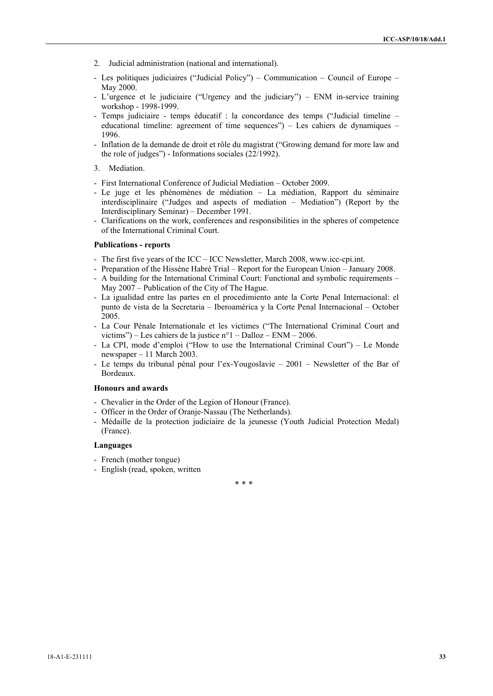- 2. Judicial administration (national and international).
- Les politiques judiciaires ("Judicial Policy") Communication Council of Europe May 2000.
- L'urgence et le judiciaire ("Urgency and the judiciary") ENM in-service training workshop - 1998-1999.
- Temps judiciaire temps éducatif : la concordance des temps ("Judicial timeline educational timeline: agreement of time sequences") – Les cahiers de dynamiques – 1996.
- Inflation de la demande de droit et rôle du magistrat ("Growing demand for more law and the role of judges") - Informations sociales (22/1992).
- 3. Mediation.
- First International Conference of Judicial Mediation October 2009.
- Le juge et les phénomènes de médiation La médiation, Rapport du séminaire interdisciplinaire ("Judges and aspects of mediation – Mediation") (Report by the Interdisciplinary Seminar) – December 1991.
- Clarifications on the work, conferences and responsibilities in the spheres of competence of the International Criminal Court.

#### **Publications - reports**

- The first five years of the ICC ICC Newsletter, March 2008, www.icc-cpi.int.
- Preparation of the Hissène Habré Trial Report for the European Union January 2008.
- A building for the International Criminal Court: Functional and symbolic requirements May 2007 – Publication of the City of The Hague.
- La igualidad entre las partes en el procedimiento ante la Corte Penal Internacional: el punto de vista de la Secretaria – Iberoamérica y la Corte Penal Internacional – October 2005.
- La Cour Pénale Internationale et les victimes ("The International Criminal Court and victims") – Les cahiers de la justice n°1 – Dalloz – ENM – 2006.
- La CPI, mode d'emploi ("How to use the International Criminal Court") Le Monde newspaper – 11 March 2003.
- Le temps du tribunal pénal pour l'ex-Yougoslavie 2001 Newsletter of the Bar of Bordeaux.

# **Honours and awards**

- Chevalier in the Order of the Legion of Honour (France).
- Officer in the Order of Oranje-Nassau (The Netherlands).
- Médaille de la protection judiciaire de la jeunesse (Youth Judicial Protection Medal) (France).

#### **Languages**

- French (mother tongue)
- English (read, spoken, written

 $* * *$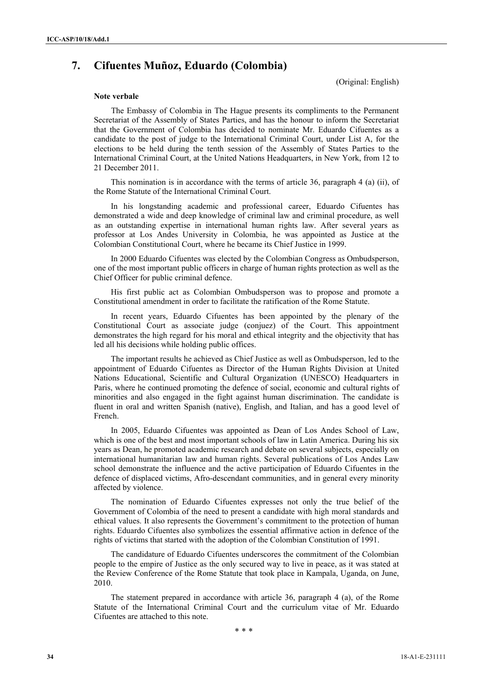# **7. Cifuentes Muñoz, Eduardo (Colombia)**

(Original: English)

#### **Note verbale**

The Embassy of Colombia in The Hague presents its compliments to the Permanent Secretariat of the Assembly of States Parties, and has the honour to inform the Secretariat that the Government of Colombia has decided to nominate Mr. Eduardo Cifuentes as a candidate to the post of judge to the International Criminal Court, under List A, for the elections to be held during the tenth session of the Assembly of States Parties to the International Criminal Court, at the United Nations Headquarters, in New York, from 12 to 21 December 2011.

 This nomination is in accordance with the terms of article 36, paragraph 4 (a) (ii), of the Rome Statute of the International Criminal Court.

 In his longstanding academic and professional career, Eduardo Cifuentes has demonstrated a wide and deep knowledge of criminal law and criminal procedure, as well as an outstanding expertise in international human rights law. After several years as professor at Los Andes University in Colombia, he was appointed as Justice at the Colombian Constitutional Court, where he became its Chief Justice in 1999.

 In 2000 Eduardo Cifuentes was elected by the Colombian Congress as Ombudsperson, one of the most important public officers in charge of human rights protection as well as the Chief Officer for public criminal defence.

 His first public act as Colombian Ombudsperson was to propose and promote a Constitutional amendment in order to facilitate the ratification of the Rome Statute.

 In recent years, Eduardo Cifuentes has been appointed by the plenary of the Constitutional Court as associate judge (conjuez) of the Court. This appointment demonstrates the high regard for his moral and ethical integrity and the objectivity that has led all his decisions while holding public offices.

 The important results he achieved as Chief Justice as well as Ombudsperson, led to the appointment of Eduardo Cifuentes as Director of the Human Rights Division at United Nations Educational, Scientific and Cultural Organization (UNESCO) Headquarters in Paris, where he continued promoting the defence of social, economic and cultural rights of minorities and also engaged in the fight against human discrimination. The candidate is fluent in oral and written Spanish (native), English, and Italian, and has a good level of French.

 In 2005, Eduardo Cifuentes was appointed as Dean of Los Andes School of Law, which is one of the best and most important schools of law in Latin America. During his six years as Dean, he promoted academic research and debate on several subjects, especially on international humanitarian law and human rights. Several publications of Los Andes Law school demonstrate the influence and the active participation of Eduardo Cifuentes in the defence of displaced victims, Afro-descendant communities, and in general every minority affected by violence.

 The nomination of Eduardo Cifuentes expresses not only the true belief of the Government of Colombia of the need to present a candidate with high moral standards and ethical values. It also represents the Government's commitment to the protection of human rights. Eduardo Cifuentes also symbolizes the essential affirmative action in defence of the rights of victims that started with the adoption of the Colombian Constitution of 1991.

 The candidature of Eduardo Cifuentes underscores the commitment of the Colombian people to the empire of Justice as the only secured way to live in peace, as it was stated at the Review Conference of the Rome Statute that took place in Kampala, Uganda, on June, 2010.

 The statement prepared in accordance with article 36, paragraph 4 (a), of the Rome Statute of the International Criminal Court and the curriculum vitae of Mr. Eduardo Cifuentes are attached to this note.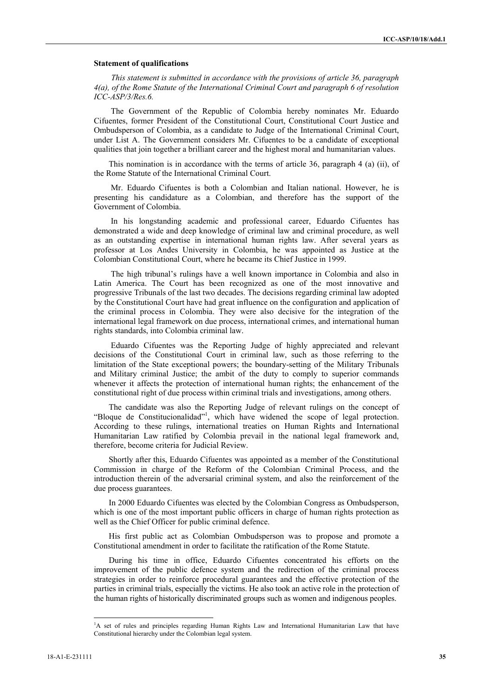#### **Statement of qualifications**

*This statement is submitted in accordance with the provisions of article 36, paragraph 4(a), of the Rome Statute of the International Criminal Court and paragraph 6 of resolution ICC-ASP/3/Res.6.* 

 The Government of the Republic of Colombia hereby nominates Mr. Eduardo Cifuentes, former President of the Constitutional Court, Constitutional Court Justice and Ombudsperson of Colombia, as a candidate to Judge of the International Criminal Court, under List A. The Government considers Mr. Cifuentes to be a candidate of exceptional qualities that join together a brilliant career and the highest moral and humanitarian values.

This nomination is in accordance with the terms of article 36, paragraph 4 (a) (ii), of the Rome Statute of the International Criminal Court.

 Mr. Eduardo Cifuentes is both a Colombian and Italian national. However, he is presenting his candidature as a Colombian, and therefore has the support of the Government of Colombia.

 In his longstanding academic and professional career, Eduardo Cifuentes has demonstrated a wide and deep knowledge of criminal law and criminal procedure, as well as an outstanding expertise in international human rights law. After several years as professor at Los Andes University in Colombia, he was appointed as Justice at the Colombian Constitutional Court, where he became its Chief Justice in 1999.

 The high tribunal's rulings have a well known importance in Colombia and also in Latin America. The Court has been recognized as one of the most innovative and progressive Tribunals of the last two decades. The decisions regarding criminal law adopted by the Constitutional Court have had great influence on the configuration and application of the criminal process in Colombia. They were also decisive for the integration of the international legal framework on due process, international crimes, and international human rights standards, into Colombia criminal law.

 Eduardo Cifuentes was the Reporting Judge of highly appreciated and relevant decisions of the Constitutional Court in criminal law, such as those referring to the limitation of the State exceptional powers; the boundary-setting of the Military Tribunals and Military criminal Justice; the ambit of the duty to comply to superior commands whenever it affects the protection of international human rights; the enhancement of the constitutional right of due process within criminal trials and investigations, among others.

The candidate was also the Reporting Judge of relevant rulings on the concept of "Bloque de Constitucionalidad"<sup>1</sup>, which have widened the scope of legal protection. According to these rulings, international treaties on Human Rights and International Humanitarian Law ratified by Colombia prevail in the national legal framework and, therefore, become criteria for Judicial Review.

Shortly after this, Eduardo Cifuentes was appointed as a member of the Constitutional Commission in charge of the Reform of the Colombian Criminal Process, and the introduction therein of the adversarial criminal system, and also the reinforcement of the due process guarantees.

In 2000 Eduardo Cifuentes was elected by the Colombian Congress as Ombudsperson, which is one of the most important public officers in charge of human rights protection as well as the Chief Officer for public criminal defence.

His first public act as Colombian Ombudsperson was to propose and promote a Constitutional amendment in order to facilitate the ratification of the Rome Statute.

During his time in office, Eduardo Cifuentes concentrated his efforts on the improvement of the public defence system and the redirection of the criminal process strategies in order to reinforce procedural guarantees and the effective protection of the parties in criminal trials, especially the victims. He also took an active role in the protection of the human rights of historically discriminated groups such as women and indigenous peoples.

l

<sup>&</sup>lt;sup>1</sup>A set of rules and principles regarding Human Rights Law and International Humanitarian Law that have Constitutional hierarchy under the Colombian legal system.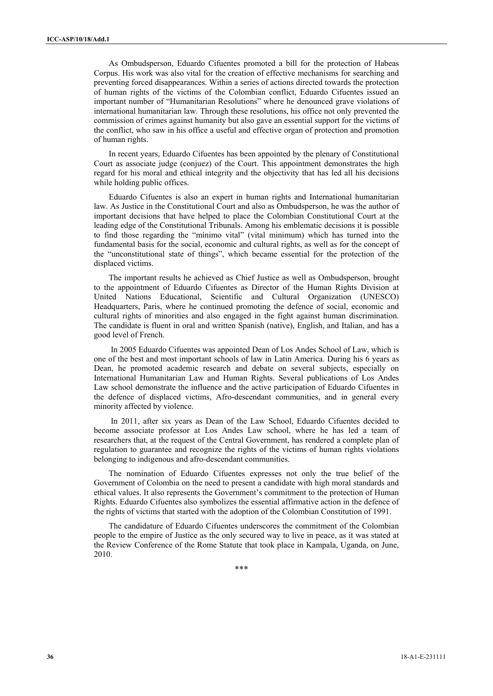As Ombudsperson, Eduardo Cifuentes promoted a bill for the protection of Habeas Corpus. His work was also vital for the creation of effective mechanisms for searching and preventing forced disappearances. Within a series of actions directed towards the protection of human rights of the victims of the Colombian conflict, Eduardo Cifuentes issued an important number of "Humanitarian Resolutions" where he denounced grave violations of international humanitarian law. Through these resolutions, his office not only prevented the commission of crimes against humanity but also gave an essential support for the victims of the conflict, who saw in his office a useful and effective organ of protection and promotion of human rights.

In recent years, Eduardo Cifuentes has been appointed by the plenary of Constitutional Court as associate judge (conjuez) of the Court. This appointment demonstrates the high regard for his moral and ethical integrity and the objectivity that has led all his decisions while holding public offices.

Eduardo Cifuentes is also an expert in human rights and International humanitarian law. As Justice in the Constitutional Court and also as Ombudsperson, he was the author of important decisions that have helped to place the Colombian Constitutional Court at the leading edge of the Constitutional Tribunals. Among his emblematic decisions it is possible to find those regarding the "mínimo vital" (vital minimum) which has turned into the fundamental basis for the social, economic and cultural rights, as well as for the concept of the "unconstitutional state of things", which became essential for the protection of the displaced victims.

The important results he achieved as Chief Justice as well as Ombudsperson, brought to the appointment of Eduardo Cifuentes as Director of the Human Rights Division at United Nations Educational, Scientific and Cultural Organization (UNESCO) Headquarters, Paris, where he continued promoting the defence of social, economic and cultural rights of minorities and also engaged in the fight against human discrimination. The candidate is fluent in oral and written Spanish (native), English, and Italian, and has a good level of French.

 In 2005 Eduardo Cifuentes was appointed Dean of Los Andes School of Law, which is one of the best and most important schools of law in Latin America. During his 6 years as Dean, he promoted academic research and debate on several subjects, especially on International Humanitarian Law and Human Rights. Several publications of Los Andes Law school demonstrate the influence and the active participation of Eduardo Cifuentes in the defence of displaced victims, Afro-descendant communities, and in general every minority affected by violence.

 In 2011, after six years as Dean of the Law School, Eduardo Cifuentes decided to become associate professor at Los Andes Law school, where he has led a team of researchers that, at the request of the Central Government, has rendered a complete plan of regulation to guarantee and recognize the rights of the victims of human rights violations belonging to indigenous and afro-descendant communities.

The nomination of Eduardo Cifuentes expresses not only the true belief of the Government of Colombia on the need to present a candidate with high moral standards and ethical values. It also represents the Government's commitment to the protection of Human Rights. Eduardo Cifuentes also symbolizes the essential affirmative action in the defence of the rights of victims that started with the adoption of the Colombian Constitution of 1991.

The candidature of Eduardo Cifuentes underscores the commitment of the Colombian people to the empire of Justice as the only secured way to live in peace, as it was stated at the Review Conference of the Rome Statute that took place in Kampala, Uganda, on June, 2010.

\*\*\*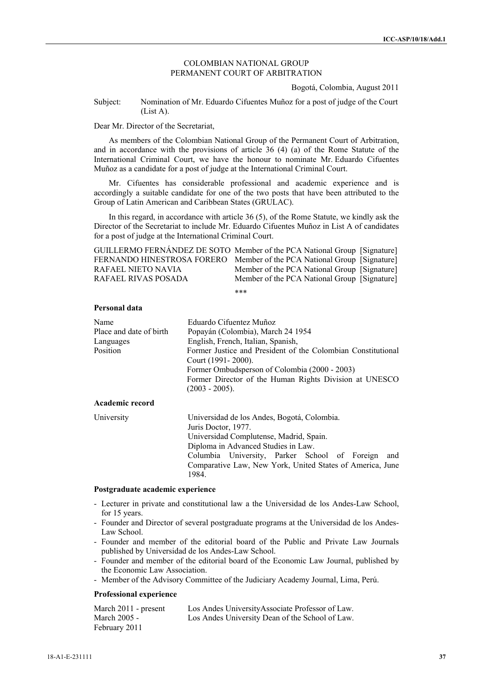## COLOMBIAN NATIONAL GROUP PERMANENT COURT OF ARBITRATION

Bogotá, Colombia, August 2011

Subject: Nomination of Mr. Eduardo Cifuentes Muñoz for a post of judge of the Court (List A).

Dear Mr. Director of the Secretariat,

As members of the Colombian National Group of the Permanent Court of Arbitration, and in accordance with the provisions of article 36 (4) (a) of the Rome Statute of the International Criminal Court, we have the honour to nominate Mr. Eduardo Cifuentes Muñoz as a candidate for a post of judge at the International Criminal Court.

Mr. Cifuentes has considerable professional and academic experience and is accordingly a suitable candidate for one of the two posts that have been attributed to the Group of Latin American and Caribbean States (GRULAC).

In this regard, in accordance with article 36 (5), of the Rome Statute, we kindly ask the Director of the Secretariat to include Mr. Eduardo Cifuentes Muñoz in List A of candidates for a post of judge at the International Criminal Court.

| GUILLERMO FERNÁNDEZ DE SOTO Member of the PCA National Group [Signature] |                                              |  |
|--------------------------------------------------------------------------|----------------------------------------------|--|
| FERNANDO HINESTROSA FORERO Member of the PCA National Group [Signature]  |                                              |  |
| RAFAEL NIETO NAVIA                                                       | Member of the PCA National Group [Signature] |  |
| RAFAEL RIVAS POSADA                                                      | Member of the PCA National Group [Signature] |  |

\*\*\*

## **Personal data**

| Name                    | Eduardo Cifuentez Muñoz                                                                                                                                                                         |  |
|-------------------------|-------------------------------------------------------------------------------------------------------------------------------------------------------------------------------------------------|--|
| Place and date of birth | Popayán (Colombia), March 24 1954                                                                                                                                                               |  |
| Languages               | English, French, Italian, Spanish,                                                                                                                                                              |  |
| Position                | Former Justice and President of the Colombian Constitutional<br>Court (1991 - 2000).<br>Former Ombudsperson of Colombia (2000 - 2003)<br>Former Director of the Human Rights Division at UNESCO |  |
|                         | $(2003 - 2005)$ .                                                                                                                                                                               |  |
| Academic record         |                                                                                                                                                                                                 |  |
| University              | Universidad de los Andes, Bogotá, Colombia.<br>Juris Doctor, 1977.<br>Universidad Complutense, Madrid, Spain.<br>Diploma in Advanced Studies in Law.                                            |  |

Columbia University, Parker School of Foreign and Comparative Law, New York, United States of America, June 1984.

## **Postgraduate academic experience**

- Lecturer in private and constitutional law a the Universidad de los Andes-Law School, for 15 years.
- Founder and Director of several postgraduate programs at the Universidad de los Andes-Law School.
- Founder and member of the editorial board of the Public and Private Law Journals published by Universidad de los Andes-Law School.
- Founder and member of the editorial board of the Economic Law Journal, published by the Economic Law Association.
- Member of the Advisory Committee of the Judiciary Academy Journal, Lima, Perú.

## **Professional experience**

| March 2011 - present | Los Andes UniversityAssociate Professor of Law. |
|----------------------|-------------------------------------------------|
| March 2005 -         | Los Andes University Dean of the School of Law. |
| February 2011        |                                                 |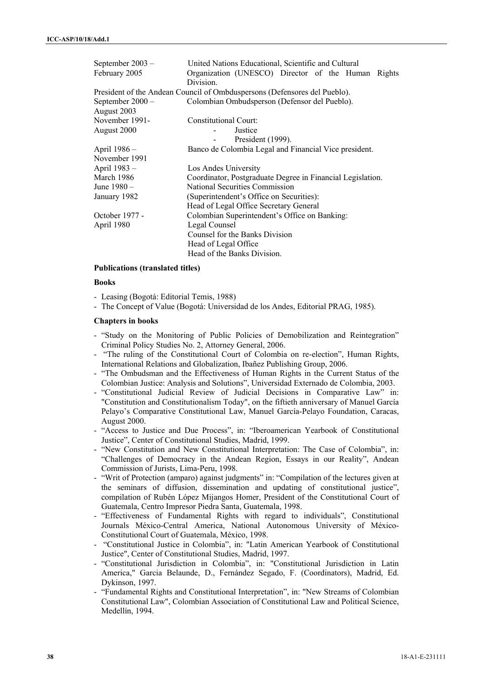| United Nations Educational, Scientific and Cultural                       |
|---------------------------------------------------------------------------|
| Organization (UNESCO) Director of the Human Rights                        |
| Division.                                                                 |
| President of the Andean Council of Ombduspersons (Defensores del Pueblo). |
| Colombian Ombudsperson (Defensor del Pueblo).                             |
|                                                                           |
| Constitutional Court:                                                     |
| Justice                                                                   |
| President (1999).                                                         |
| Banco de Colombia Legal and Financial Vice president.                     |
|                                                                           |
| Los Andes University                                                      |
| Coordinator, Postgraduate Degree in Financial Legislation.                |
| National Securities Commission                                            |
| (Superintendent's Office on Securities):                                  |
| Head of Legal Office Secretary General                                    |
| Colombian Superintendent's Office on Banking:                             |
| Legal Counsel                                                             |
| Counsel for the Banks Division                                            |
| Head of Legal Office                                                      |
| Head of the Banks Division.                                               |
|                                                                           |

#### **Publications (translated titles)**

#### **Books**

- Leasing (Bogotá: Editorial Temis, 1988)

- The Concept of Value (Bogotá: Universidad de los Andes, Editorial PRAG, 1985).

## **Chapters in books**

- "Study on the Monitoring of Public Policies of Demobilization and Reintegration" Criminal Policy Studies No. 2, Attorney General, 2006.
- "The ruling of the Constitutional Court of Colombia on re-election", Human Rights, International Relations and Globalization, Ibañez Publishing Group, 2006.
- "The Ombudsman and the Effectiveness of Human Rights in the Current Status of the Colombian Justice: Analysis and Solutions", Universidad Externado de Colombia, 2003.
- "Constitutional Judicial Review of Judicial Decisions in Comparative Law" in: "Constitution and Constitutionalism Today", on the fiftieth anniversary of Manuel García Pelayo's Comparative Constitutional Law, Manuel García-Pelayo Foundation, Caracas, August 2000.
- "Access to Justice and Due Process", in: "Iberoamerican Yearbook of Constitutional Justice", Center of Constitutional Studies, Madrid, 1999.
- "New Constitution and New Constitutional Interpretation: The Case of Colombia", in: "Challenges of Democracy in the Andean Region, Essays in our Reality", Andean Commission of Jurists, Lima-Peru, 1998.
- "Writ of Protection (amparo) against judgments" in: "Compilation of the lectures given at the seminars of diffusion, dissemination and updating of constitutional justice", compilation of Rubén López Mijangos Homer, President of the Constitutional Court of Guatemala, Centro Impresor Piedra Santa, Guatemala, 1998.
- "Effectiveness of Fundamental Rights with regard to individuals", Constitutional Journals México-Central America, National Autonomous University of México-Constitutional Court of Guatemala, México, 1998.
- "Constitutional Justice in Colombia", in: "Latin American Yearbook of Constitutional Justice", Center of Constitutional Studies, Madrid, 1997.
- "Constitutional Jurisdiction in Colombia", in: "Constitutional Jurisdiction in Latin America," Garcia Belaunde, D., Fernández Segado, F. (Coordinators), Madrid, Ed. Dykinson, 1997.
- "Fundamental Rights and Constitutional Interpretation", in: "New Streams of Colombian Constitutional Law", Colombian Association of Constitutional Law and Political Science, Medellín, 1994.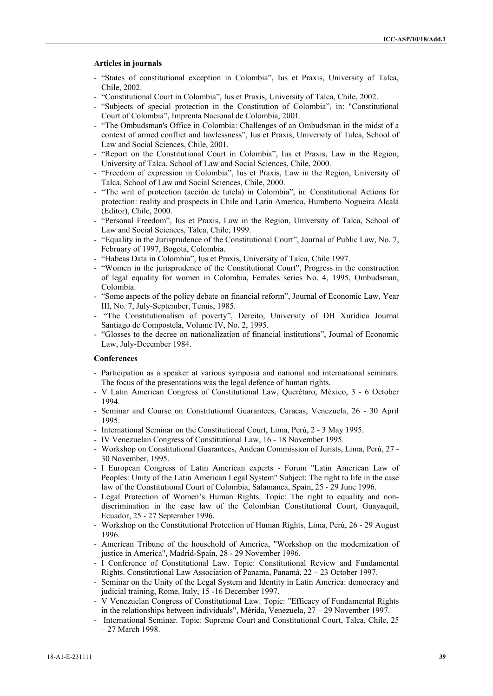#### **Articles in journals**

- "States of constitutional exception in Colombia", Ius et Praxis, University of Talca, Chile, 2002.
- "Constitutional Court in Colombia", Ius et Praxis, University of Talca, Chile, 2002.
- "Subjects of special protection in the Constitution of Colombia", in: "Constitutional Court of Colombia", Imprenta Nacional de Colombia, 2001.
- "The Ombudsman's Office in Colombia: Challenges of an Ombudsman in the midst of a context of armed conflict and lawlessness", Ius et Praxis, University of Talca, School of Law and Social Sciences, Chile, 2001.
- "Report on the Constitutional Court in Colombia", Ius et Praxis, Law in the Region, University of Talca, School of Law and Social Sciences, Chile, 2000.
- "Freedom of expression in Colombia", Ius et Praxis, Law in the Region, University of Talca, School of Law and Social Sciences, Chile, 2000.
- "The writ of protection (acción de tutela) in Colombia", in: Constitutional Actions for protection: reality and prospects in Chile and Latin America, Humberto Nogueira Alcalá (Editor), Chile, 2000.
- "Personal Freedom", Ius et Praxis, Law in the Region, University of Talca, School of Law and Social Sciences, Talca, Chile, 1999.
- "Equality in the Jurisprudence of the Constitutional Court", Journal of Public Law, No. 7, February of 1997, Bogotá, Colombia.
- "Habeas Data in Colombia", Ius et Praxis, University of Talca, Chile 1997.
- "Women in the jurisprudence of the Constitutional Court", Progress in the construction of legal equality for women in Colombia, Females series No. 4, 1995, Ombudsman, Colombia.
- "Some aspects of the policy debate on financial reform", Journal of Economic Law, Year III, No. 7, July-September, Temis, 1985.
- "The Constitutionalism of poverty", Dereito, University of DH Xurídica Journal Santiago de Compostela, Volume IV, No. 2, 1995.
- "Glosses to the decree on nationalization of financial institutions", Journal of Economic Law, July-December 1984.

## **Conferences**

- Participation as a speaker at various symposia and national and international seminars. The focus of the presentations was the legal defence of human rights.
- V Latin American Congress of Constitutional Law, Querétaro, México, 3 6 October 1994.
- Seminar and Course on Constitutional Guarantees, Caracas, Venezuela, 26 30 April 1995.
- International Seminar on the Constitutional Court, Lima, Perú, 2 3 May 1995.
- IV Venezuelan Congress of Constitutional Law, 16 18 November 1995.
- Workshop on Constitutional Guarantees, Andean Commission of Jurists, Lima, Perú, 27 30 November, 1995.
- I European Congress of Latin American experts Forum "Latin American Law of Peoples: Unity of the Latin American Legal System" Subject: The right to life in the case law of the Constitutional Court of Colombia, Salamanca, Spain, 25 - 29 June 1996.
- Legal Protection of Women's Human Rights. Topic: The right to equality and nondiscrimination in the case law of the Colombian Constitutional Court, Guayaquil, Ecuador, 25 - 27 September 1996.
- Workshop on the Constitutional Protection of Human Rights, Lima, Perú, 26 29 August 1996.
- American Tribune of the household of America, "Workshop on the modernization of justice in America", Madrid-Spain, 28 - 29 November 1996.
- I Conference of Constitutional Law. Topic: Constitutional Review and Fundamental Rights. Constitutional Law Association of Panama, Panamá, 22 – 23 October 1997.
- Seminar on the Unity of the Legal System and Identity in Latin America: democracy and judicial training, Rome, Italy, 15 -16 December 1997.
- V Venezuelan Congress of Constitutional Law. Topic: "Efficacy of Fundamental Rights in the relationships between individuals", Mérida, Venezuela, 27 – 29 November 1997.
- International Seminar. Topic: Supreme Court and Constitutional Court, Talca, Chile, 25 – 27 March 1998.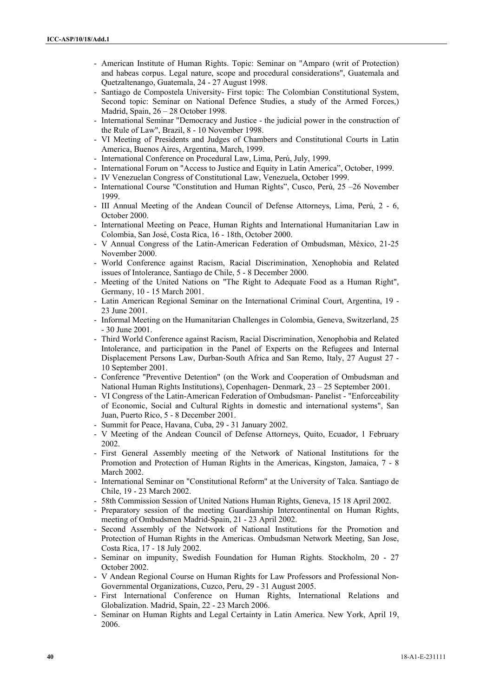- American Institute of Human Rights. Topic: Seminar on "Amparo (writ of Protection) and habeas corpus. Legal nature, scope and procedural considerations", Guatemala and Quetzaltenango, Guatemala, 24 - 27 August 1998.
- Santiago de Compostela University- First topic: The Colombian Constitutional System, Second topic: Seminar on National Defence Studies, a study of the Armed Forces,) Madrid, Spain, 26 – 28 October 1998.
- International Seminar "Democracy and Justice the judicial power in the construction of the Rule of Law", Brazil, 8 - 10 November 1998.
- VI Meeting of Presidents and Judges of Chambers and Constitutional Courts in Latin America, Buenos Aires, Argentina, March, 1999.
- International Conference on Procedural Law, Lima, Perú, July, 1999.
- International Forum on "Access to Justice and Equity in Latin America", October, 1999.
- IV Venezuelan Congress of Constitutional Law, Venezuela, October 1999.
- International Course "Constitution and Human Rights", Cusco, Perú, 25 –26 November 1999.
- III Annual Meeting of the Andean Council of Defense Attorneys, Lima, Perú, 2 6, October 2000.
- International Meeting on Peace, Human Rights and International Humanitarian Law in Colombia, San José, Costa Rica, 16 - 18th, October 2000.
- V Annual Congress of the Latin-American Federation of Ombudsman, México, 21-25 November 2000.
- World Conference against Racism, Racial Discrimination, Xenophobia and Related issues of Intolerance, Santiago de Chile, 5 - 8 December 2000.
- Meeting of the United Nations on "The Right to Adequate Food as a Human Right", Germany, 10 - 15 March 2001.
- Latin American Regional Seminar on the International Criminal Court, Argentina, 19 23 June 2001.
- Informal Meeting on the Humanitarian Challenges in Colombia, Geneva, Switzerland, 25 - 30 June 2001.
- Third World Conference against Racism, Racial Discrimination, Xenophobia and Related Intolerance, and participation in the Panel of Experts on the Refugees and Internal Displacement Persons Law, Durban-South Africa and San Remo, Italy, 27 August 27 - 10 September 2001.
- Conference "Preventive Detention" (on the Work and Cooperation of Ombudsman and National Human Rights Institutions), Copenhagen- Denmark, 23 – 25 September 2001.
- VI Congress of the Latin-American Federation of Ombudsman- Panelist "Enforceability of Economic, Social and Cultural Rights in domestic and international systems", San Juan, Puerto Rico, 5 - 8 December 2001.
- Summit for Peace, Havana, Cuba, 29 31 January 2002.
- V Meeting of the Andean Council of Defense Attorneys, Quito, Ecuador, 1 February 2002.
- First General Assembly meeting of the Network of National Institutions for the Promotion and Protection of Human Rights in the Americas, Kingston, Jamaica, 7 - 8 March 2002.
- International Seminar on "Constitutional Reform" at the University of Talca. Santiago de Chile, 19 - 23 March 2002.
- 58th Commission Session of United Nations Human Rights, Geneva, 15 18 April 2002.
- Preparatory session of the meeting Guardianship Intercontinental on Human Rights, meeting of Ombudsmen Madrid-Spain, 21 - 23 April 2002.
- Second Assembly of the Network of National Institutions for the Promotion and Protection of Human Rights in the Americas. Ombudsman Network Meeting, San Jose, Costa Rica, 17 - 18 July 2002.
- Seminar on impunity, Swedish Foundation for Human Rights. Stockholm, 20 27 October 2002.
- V Andean Regional Course on Human Rights for Law Professors and Professional Non-Governmental Organizations, Cuzco, Peru, 29 - 31 August 2005.
- First International Conference on Human Rights, International Relations and Globalization. Madrid, Spain, 22 - 23 March 2006.
- Seminar on Human Rights and Legal Certainty in Latin America. New York, April 19, 2006.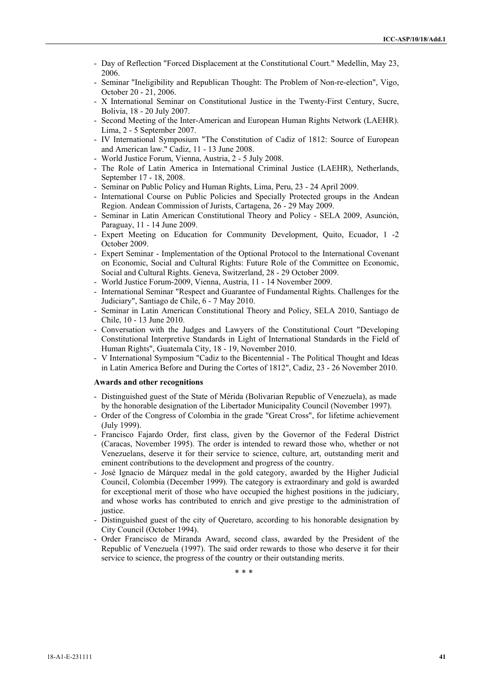- Day of Reflection "Forced Displacement at the Constitutional Court." Medellin, May 23, 2006.
- Seminar "Ineligibility and Republican Thought: The Problem of Non-re-election", Vigo, October 20 - 21, 2006.
- X International Seminar on Constitutional Justice in the Twenty-First Century, Sucre, Bolivia, 18 - 20 July 2007.
- Second Meeting of the Inter-American and European Human Rights Network (LAEHR). Lima, 2 - 5 September 2007.
- IV International Symposium "The Constitution of Cadiz of 1812: Source of European and American law." Cadiz, 11 - 13 June 2008.
- World Justice Forum, Vienna, Austria, 2 5 July 2008.
- The Role of Latin America in International Criminal Justice (LAEHR), Netherlands, September 17 - 18, 2008.
- Seminar on Public Policy and Human Rights, Lima, Peru, 23 24 April 2009.
- International Course on Public Policies and Specially Protected groups in the Andean Region. Andean Commission of Jurists, Cartagena, 26 - 29 May 2009.
- Seminar in Latin American Constitutional Theory and Policy SELA 2009, Asunción, Paraguay, 11 - 14 June 2009.
- Expert Meeting on Education for Community Development, Quito, Ecuador, 1 -2 October 2009.
- Expert Seminar Implementation of the Optional Protocol to the International Covenant on Economic, Social and Cultural Rights: Future Role of the Committee on Economic, Social and Cultural Rights. Geneva, Switzerland, 28 - 29 October 2009.
- World Justice Forum-2009, Vienna, Austria, 11 14 November 2009.
- International Seminar "Respect and Guarantee of Fundamental Rights. Challenges for the Judiciary", Santiago de Chile, 6 - 7 May 2010.
- Seminar in Latin American Constitutional Theory and Policy, SELA 2010, Santiago de Chile, 10 - 13 June 2010.
- Conversation with the Judges and Lawyers of the Constitutional Court "Developing Constitutional Interpretive Standards in Light of International Standards in the Field of Human Rights", Guatemala City, 18 - 19, November 2010.
- V International Symposium "Cadiz to the Bicentennial The Political Thought and Ideas in Latin America Before and During the Cortes of 1812", Cadiz, 23 - 26 November 2010.

#### **Awards and other recognitions**

- Distinguished guest of the State of Mérida (Bolivarian Republic of Venezuela), as made by the honorable designation of the Libertador Municipality Council (November 1997).
- Order of the Congress of Colombia in the grade "Great Cross", for lifetime achievement (July 1999).
- Francisco Fajardo Order, first class, given by the Governor of the Federal District (Caracas, November 1995). The order is intended to reward those who, whether or not Venezuelans, deserve it for their service to science, culture, art, outstanding merit and eminent contributions to the development and progress of the country.
- José Ignacio de Márquez medal in the gold category, awarded by the Higher Judicial Council, Colombia (December 1999). The category is extraordinary and gold is awarded for exceptional merit of those who have occupied the highest positions in the judiciary, and whose works has contributed to enrich and give prestige to the administration of justice.
- Distinguished guest of the city of Queretaro, according to his honorable designation by City Council (October 1994).
- Order Francisco de Miranda Award, second class, awarded by the President of the Republic of Venezuela (1997). The said order rewards to those who deserve it for their service to science, the progress of the country or their outstanding merits.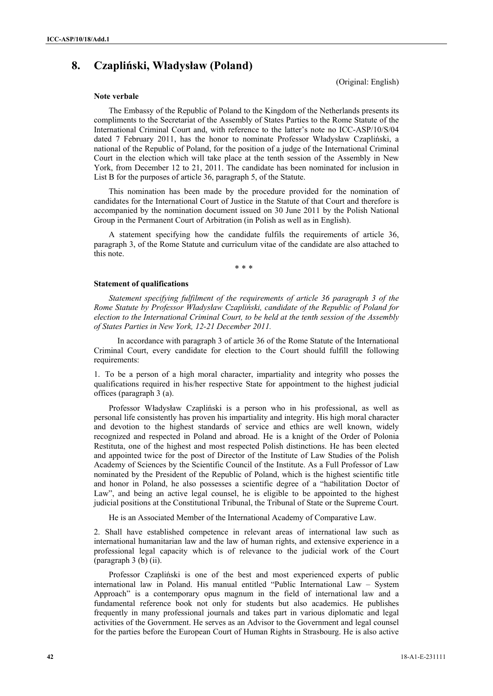# **8. Czapliński, Władysław (Poland)**

(Original: English)

#### **Note verbale**

The Embassy of the Republic of Poland to the Kingdom of the Netherlands presents its compliments to the Secretariat of the Assembly of States Parties to the Rome Statute of the International Criminal Court and, with reference to the latter's note no ICC-ASP/10/S/04 dated 7 February 2011, has the honor to nominate Professor Władysław Czapliński, a national of the Republic of Poland, for the position of a judge of the International Criminal Court in the election which will take place at the tenth session of the Assembly in New York, from December 12 to 21, 2011. The candidate has been nominated for inclusion in List B for the purposes of article 36, paragraph 5, of the Statute.

 This nomination has been made by the procedure provided for the nomination of candidates for the International Court of Justice in the Statute of that Court and therefore is accompanied by the nomination document issued on 30 June 2011 by the Polish National Group in the Permanent Court of Arbitration (in Polish as well as in English).

A statement specifying how the candidate fulfils the requirements of article 36, paragraph 3, of the Rome Statute and curriculum vitae of the candidate are also attached to this note.

\* \* \*

#### **Statement of qualifications**

*Statement specifying fulfilment of the requirements of article 36 paragraph 3 of the Rome Statute by Professor Władysław Czapliński, candidate of the Republic of Poland for election to the International Criminal Court, to be held at the tenth session of the Assembly of States Parties in New York, 12-21 December 2011.* 

 In accordance with paragraph 3 of article 36 of the Rome Statute of the International Criminal Court, every candidate for election to the Court should fulfill the following requirements:

1. To be a person of a high moral character, impartiality and integrity who posses the qualifications required in his/her respective State for appointment to the highest judicial offices (paragraph 3 (a).

Professor Władysław Czapliński is a person who in his professional, as well as personal life consistently has proven his impartiality and integrity. His high moral character and devotion to the highest standards of service and ethics are well known, widely recognized and respected in Poland and abroad. He is a knight of the Order of Polonia Restituta, one of the highest and most respected Polish distinctions. He has been elected and appointed twice for the post of Director of the Institute of Law Studies of the Polish Academy of Sciences by the Scientific Council of the Institute. As a Full Professor of Law nominated by the President of the Republic of Poland, which is the highest scientific title and honor in Poland, he also possesses a scientific degree of a "habilitation Doctor of Law", and being an active legal counsel, he is eligible to be appointed to the highest judicial positions at the Constitutional Tribunal, the Tribunal of State or the Supreme Court.

He is an Associated Member of the International Academy of Comparative Law.

2. Shall have established competence in relevant areas of international law such as international humanitarian law and the law of human rights, and extensive experience in a professional legal capacity which is of relevance to the judicial work of the Court (paragraph 3 (b) (ii).

Professor Czapliński is one of the best and most experienced experts of public international law in Poland. His manual entitled "Public International Law – System Approach" is a contemporary opus magnum in the field of international law and a fundamental reference book not only for students but also academics. He publishes frequently in many professional journals and takes part in various diplomatic and legal activities of the Government. He serves as an Advisor to the Government and legal counsel for the parties before the European Court of Human Rights in Strasbourg. He is also active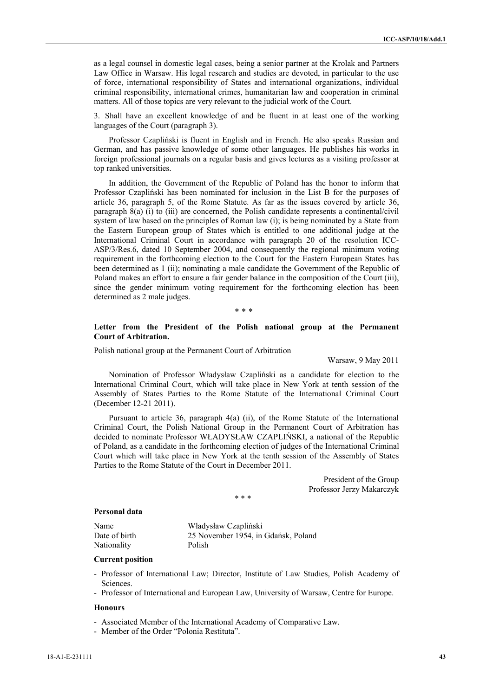as a legal counsel in domestic legal cases, being a senior partner at the Krolak and Partners Law Office in Warsaw. His legal research and studies are devoted, in particular to the use of force, international responsibility of States and international organizations, individual criminal responsibility, international crimes, humanitarian law and cooperation in criminal matters. All of those topics are very relevant to the judicial work of the Court.

3. Shall have an excellent knowledge of and be fluent in at least one of the working languages of the Court (paragraph 3).

Professor Czapliński is fluent in English and in French. He also speaks Russian and German, and has passive knowledge of some other languages. He publishes his works in foreign professional journals on a regular basis and gives lectures as a visiting professor at top ranked universities.

In addition, the Government of the Republic of Poland has the honor to inform that Professor Czapliński has been nominated for inclusion in the List B for the purposes of article 36, paragraph 5, of the Rome Statute. As far as the issues covered by article 36, paragraph 8(a) (i) to (iii) are concerned, the Polish candidate represents a continental/civil system of law based on the principles of Roman law (i); is being nominated by a State from the Eastern European group of States which is entitled to one additional judge at the International Criminal Court in accordance with paragraph 20 of the resolution ICC-ASP/3/Res.6, dated 10 September 2004, and consequently the regional minimum voting requirement in the forthcoming election to the Court for the Eastern European States has been determined as 1 (ii); nominating a male candidate the Government of the Republic of Poland makes an effort to ensure a fair gender balance in the composition of the Court (iii), since the gender minimum voting requirement for the forthcoming election has been determined as 2 male judges.

\* \* \*

## **Letter from the President of the Polish national group at the Permanent Court of Arbitration.**

Polish national group at the Permanent Court of Arbitration

Warsaw, 9 May 2011

Nomination of Professor Władysław Czapliński as a candidate for election to the International Criminal Court, which will take place in New York at tenth session of the Assembly of States Parties to the Rome Statute of the International Criminal Court (December 12-21 2011).

 Pursuant to article 36, paragraph 4(a) (ii), of the Rome Statute of the International Criminal Court, the Polish National Group in the Permanent Court of Arbitration has decided to nominate Professor WŁADYSŁAW CZAPLIŃSKI, a national of the Republic of Poland, as a candidate in the forthcoming election of judges of the International Criminal Court which will take place in New York at the tenth session of the Assembly of States Parties to the Rome Statute of the Court in December 2011.

> President of the Group Professor Jerzy Makarczyk

#### **Personal data**

| Name          | Władysław Czapliński                |
|---------------|-------------------------------------|
| Date of birth | 25 November 1954, in Gdańsk, Poland |
| Nationality   | Polish                              |

 $* * *$ 

#### **Current position**

- Professor of International Law; Director, Institute of Law Studies, Polish Academy of Sciences.
- Professor of International and European Law, University of Warsaw, Centre for Europe.

#### **Honours**

- Associated Member of the International Academy of Comparative Law.
- Member of the Order "Polonia Restituta".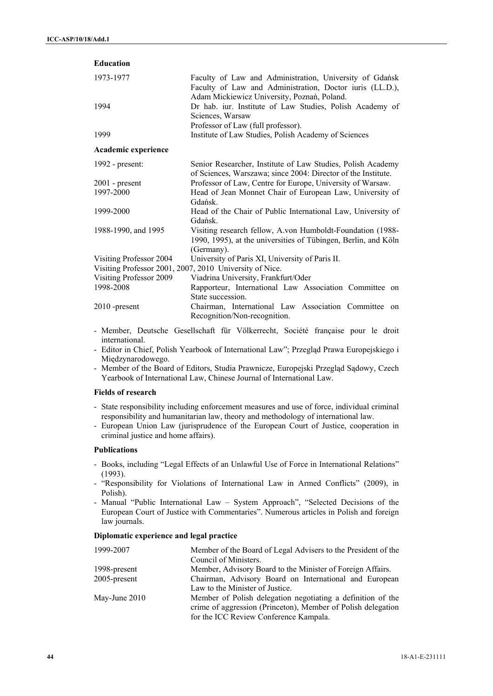| <b>Education</b>                                        |                                                                                                                                                                    |  |
|---------------------------------------------------------|--------------------------------------------------------------------------------------------------------------------------------------------------------------------|--|
| 1973-1977                                               | Faculty of Law and Administration, University of Gdańsk<br>Faculty of Law and Administration, Doctor iuris (LL.D.),<br>Adam Mickiewicz University, Poznań, Poland. |  |
| 1994                                                    | Dr hab. iur. Institute of Law Studies, Polish Academy of<br>Sciences, Warsaw<br>Professor of Law (full professor).                                                 |  |
| 1999                                                    | Institute of Law Studies, Polish Academy of Sciences                                                                                                               |  |
| Academic experience                                     |                                                                                                                                                                    |  |
| 1992 - present:                                         | Senior Researcher, Institute of Law Studies, Polish Academy<br>of Sciences, Warszawa; since 2004: Director of the Institute.                                       |  |
| $2001$ - present                                        | Professor of Law, Centre for Europe, University of Warsaw.                                                                                                         |  |
| 1997-2000                                               | Head of Jean Monnet Chair of European Law, University of<br>Gdańsk                                                                                                 |  |
| 1999-2000                                               | Head of the Chair of Public International Law, University of<br>Gdańsk.                                                                                            |  |
| 1988-1990, and 1995                                     | Visiting research fellow, A.von Humboldt-Foundation (1988-<br>1990, 1995), at the universities of Tübingen, Berlin, and Köln<br>(Germany).                         |  |
| Visiting Professor 2004                                 | University of Paris XI, University of Paris II.                                                                                                                    |  |
| Visiting Professor 2001, 2007, 2010 University of Nice. |                                                                                                                                                                    |  |
| Visiting Professor 2009                                 | Viadrina University, Frankfurt/Oder                                                                                                                                |  |
| 1998-2008                                               | Rapporteur, International Law Association Committee on<br>State succession.                                                                                        |  |
| $2010$ -present                                         | Chairman, International Law Association Committee<br>$\alpha$<br>Recognition/Non-recognition.                                                                      |  |

- Member, Deutsche Gesellschaft für Völkerrecht, Société française pour le droit international.
- Editor in Chief, Polish Yearbook of International Law"; Przegląd Prawa Europejskiego i Międzynarodowego.
- Member of the Board of Editors, Studia Prawnicze, Europejski Przegląd Sądowy, Czech Yearbook of International Law, Chinese Journal of International Law.

## **Fields of research**

- State responsibility including enforcement measures and use of force, individual criminal responsibility and humanitarian law, theory and methodology of international law.
- European Union Law (jurisprudence of the European Court of Justice, cooperation in criminal justice and home affairs).

#### **Publications**

- Books, including "Legal Effects of an Unlawful Use of Force in International Relations" (1993).
- "Responsibility for Violations of International Law in Armed Conflicts" (2009), in Polish).
- Manual "Public International Law System Approach", "Selected Decisions of the European Court of Justice with Commentaries". Numerous articles in Polish and foreign law journals.

#### **Diplomatic experience and legal practice**

| 1999-2007       | Member of the Board of Legal Advisers to the President of the                                                                                                         |
|-----------------|-----------------------------------------------------------------------------------------------------------------------------------------------------------------------|
|                 | Council of Ministers.                                                                                                                                                 |
| 1998-present    | Member, Advisory Board to the Minister of Foreign Affairs.                                                                                                            |
| 2005-present    | Chairman, Advisory Board on International and European                                                                                                                |
|                 | Law to the Minister of Justice.                                                                                                                                       |
| May-June $2010$ | Member of Polish delegation negotiating a definition of the<br>crime of aggression (Princeton), Member of Polish delegation<br>for the ICC Review Conference Kampala. |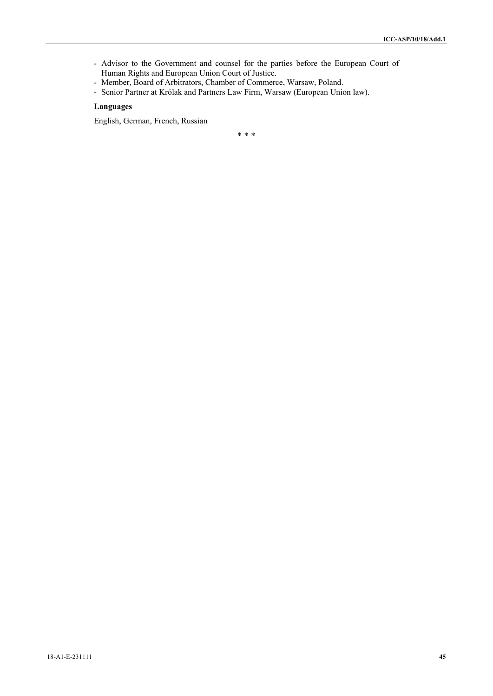- Advisor to the Government and counsel for the parties before the European Court of Human Rights and European Union Court of Justice.
- Member, Board of Arbitrators, Chamber of Commerce, Warsaw, Poland.
- Senior Partner at Królak and Partners Law Firm, Warsaw (European Union law).

## **Languages**

English, German, French, Russian

\* \* \*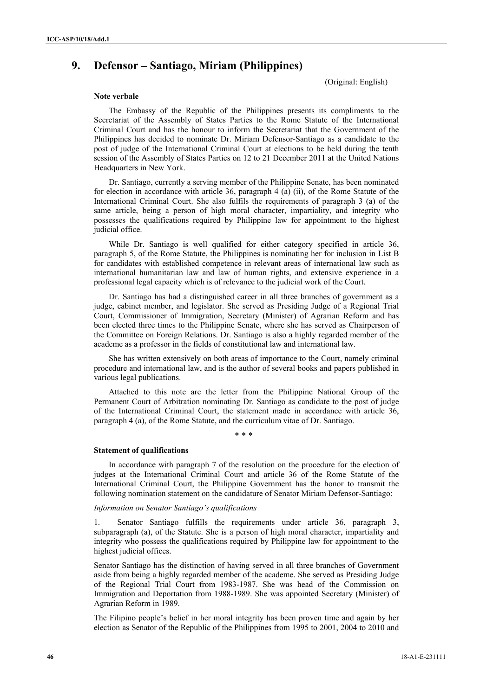# **9. Defensor – Santiago, Miriam (Philippines)**

(Original: English)

#### **Note verbale**

 The Embassy of the Republic of the Philippines presents its compliments to the Secretariat of the Assembly of States Parties to the Rome Statute of the International Criminal Court and has the honour to inform the Secretariat that the Government of the Philippines has decided to nominate Dr. Miriam Defensor-Santiago as a candidate to the post of judge of the International Criminal Court at elections to be held during the tenth session of the Assembly of States Parties on 12 to 21 December 2011 at the United Nations Headquarters in New York.

 Dr. Santiago, currently a serving member of the Philippine Senate, has been nominated for election in accordance with article 36, paragraph 4 (a) (ii), of the Rome Statute of the International Criminal Court. She also fulfils the requirements of paragraph 3 (a) of the same article, being a person of high moral character, impartiality, and integrity who possesses the qualifications required by Philippine law for appointment to the highest judicial office.

 While Dr. Santiago is well qualified for either category specified in article 36, paragraph 5, of the Rome Statute, the Philippines is nominating her for inclusion in List B for candidates with established competence in relevant areas of international law such as international humanitarian law and law of human rights, and extensive experience in a professional legal capacity which is of relevance to the judicial work of the Court.

 Dr. Santiago has had a distinguished career in all three branches of government as a judge, cabinet member, and legislator. She served as Presiding Judge of a Regional Trial Court, Commissioner of Immigration, Secretary (Minister) of Agrarian Reform and has been elected three times to the Philippine Senate, where she has served as Chairperson of the Committee on Foreign Relations. Dr. Santiago is also a highly regarded member of the academe as a professor in the fields of constitutional law and international law.

 She has written extensively on both areas of importance to the Court, namely criminal procedure and international law, and is the author of several books and papers published in various legal publications.

 Attached to this note are the letter from the Philippine National Group of the Permanent Court of Arbitration nominating Dr. Santiago as candidate to the post of judge of the International Criminal Court, the statement made in accordance with article 36, paragraph 4 (a), of the Rome Statute, and the curriculum vitae of Dr. Santiago.

 $* * *$ 

#### **Statement of qualifications**

In accordance with paragraph 7 of the resolution on the procedure for the election of judges at the International Criminal Court and article 36 of the Rome Statute of the International Criminal Court, the Philippine Government has the honor to transmit the following nomination statement on the candidature of Senator Miriam Defensor-Santiago:

#### *Information on Senator Santiago's qualifications*

1. Senator Santiago fulfills the requirements under article 36, paragraph 3, subparagraph (a), of the Statute. She is a person of high moral character, impartiality and integrity who possess the qualifications required by Philippine law for appointment to the highest judicial offices.

Senator Santiago has the distinction of having served in all three branches of Government aside from being a highly regarded member of the academe. She served as Presiding Judge of the Regional Trial Court from 1983-1987. She was head of the Commission on Immigration and Deportation from 1988-1989. She was appointed Secretary (Minister) of Agrarian Reform in 1989.

The Filipino people's belief in her moral integrity has been proven time and again by her election as Senator of the Republic of the Philippines from 1995 to 2001, 2004 to 2010 and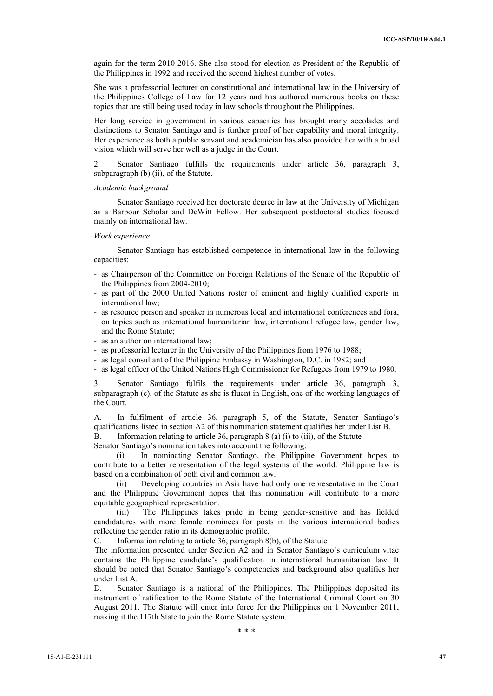again for the term 2010-2016. She also stood for election as President of the Republic of the Philippines in 1992 and received the second highest number of votes.

She was a professorial lecturer on constitutional and international law in the University of the Philippines College of Law for 12 years and has authored numerous books on these topics that are still being used today in law schools throughout the Philippines.

Her long service in government in various capacities has brought many accolades and distinctions to Senator Santiago and is further proof of her capability and moral integrity. Her experience as both a public servant and academician has also provided her with a broad vision which will serve her well as a judge in the Court.

2. Senator Santiago fulfills the requirements under article 36, paragraph 3, subparagraph (b) (ii), of the Statute.

#### *Academic background*

Senator Santiago received her doctorate degree in law at the University of Michigan as a Barbour Scholar and DeWitt Fellow. Her subsequent postdoctoral studies focused mainly on international law.

#### *Work experience*

Senator Santiago has established competence in international law in the following capacities:

- as Chairperson of the Committee on Foreign Relations of the Senate of the Republic of the Philippines from 2004-2010;
- as part of the 2000 United Nations roster of eminent and highly qualified experts in international law;
- as resource person and speaker in numerous local and international conferences and fora, on topics such as international humanitarian law, international refugee law, gender law, and the Rome Statute;
- as an author on international law;
- as professorial lecturer in the University of the Philippines from 1976 to 1988;
- as legal consultant of the Philippine Embassy in Washington, D.C. in 1982; and
- as legal officer of the United Nations High Commissioner for Refugees from 1979 to 1980.

3. Senator Santiago fulfils the requirements under article 36, paragraph 3, subparagraph (c), of the Statute as she is fluent in English, one of the working languages of the Court.

A. In fulfilment of article 36, paragraph 5, of the Statute, Senator Santiago's qualifications listed in section A2 of this nomination statement qualifies her under List B.

B. Information relating to article 36, paragraph 8 (a) (i) to (iii), of the Statute

Senator Santiago's nomination takes into account the following:

(i) In nominating Senator Santiago, the Philippine Government hopes to contribute to a better representation of the legal systems of the world. Philippine law is based on a combination of both civil and common law.

(ii) Developing countries in Asia have had only one representative in the Court and the Philippine Government hopes that this nomination will contribute to a more equitable geographical representation.

(iii) The Philippines takes pride in being gender-sensitive and has fielded candidatures with more female nominees for posts in the various international bodies reflecting the gender ratio in its demographic profile.

C. Information relating to article 36, paragraph 8(b), of the Statute

The information presented under Section A2 and in Senator Santiago's curriculum vitae contains the Philippine candidate's qualification in international humanitarian law. It should be noted that Senator Santiago's competencies and background also qualifies her under List A.

D. Senator Santiago is a national of the Philippines. The Philippines deposited its instrument of ratification to the Rome Statute of the International Criminal Court on 30 August 2011. The Statute will enter into force for the Philippines on 1 November 2011, making it the 117th State to join the Rome Statute system.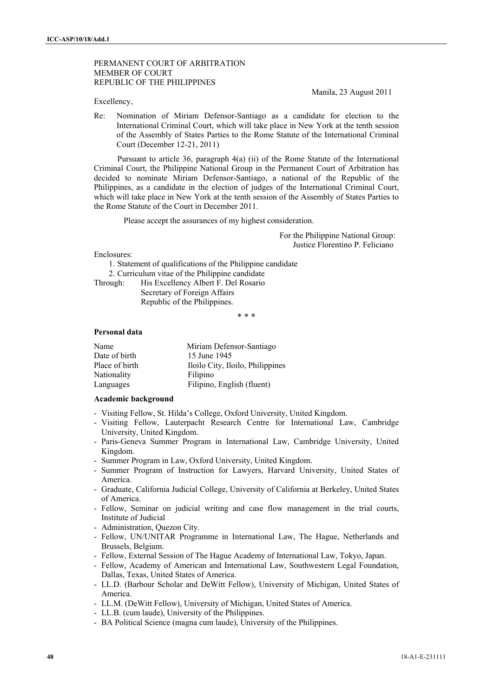## PERMANENT COURT OF ARBITRATION MEMBER OF COURT REPUBLIC OF THE PHILIPPINES

Excellency,

Manila, 23 August 2011

Re: Nomination of Miriam Defensor-Santiago as a candidate for election to the International Criminal Court, which will take place in New York at the tenth session of the Assembly of States Parties to the Rome Statute of the International Criminal Court (December 12-21, 2011)

Pursuant to article 36, paragraph 4(a) (ii) of the Rome Statute of the International Criminal Court, the Philippine National Group in the Permanent Court of Arbitration has decided to nominate Miriam Defensor-Santiago, a national of the Republic of the Philippines, as a candidate in the election of judges of the International Criminal Court, which will take place in New York at the tenth session of the Assembly of States Parties to the Rome Statute of the Court in December 2011.

Please accept the assurances of my highest consideration.

For the Philippine National Group: Justice Florentino P. Feliciano

Enclosures:

1. Statement of qualifications of the Philippine candidate

2. Curriculum vitae of the Philippine candidate

Through: His Excellency Albert F. Del Rosario

 Secretary of Foreign Affairs Republic of the Philippines.

\* \* \*

## **Personal data**

| Name           | Miriam Defensor-Santiago         |
|----------------|----------------------------------|
| Date of birth  | 15 June 1945                     |
| Place of birth | Iloilo City, Iloilo, Philippines |
| Nationality    | Filipino                         |
| Languages      | Filipino, English (fluent)       |

### **Academic background**

- Visiting Fellow, St. Hilda's College, Oxford University, United Kingdom.
- Visiting Fellow, Lauterpacht Research Centre for International Law, Cambridge University, United Kingdom.
- Paris-Geneva Summer Program in International Law, Cambridge University, United Kingdom.
- Summer Program in Law, Oxford University, United Kingdom.
- Summer Program of Instruction for Lawyers, Harvard University, United States of America.
- Graduate, California Judicial College, University of California at Berkeley, United States of America.
- Fellow, Seminar on judicial writing and case flow management in the trial courts, Institute of Judicial
- Administration, Quezon City.
- Fellow, UN/UNITAR Programme in International Law, The Hague, Netherlands and Brussels, Belgium.
- Fellow, External Session of The Hague Academy of International Law, Tokyo, Japan.
- Fellow, Academy of American and International Law, Southwestern Legal Foundation, Dallas, Texas, United States of America.
- LL.D. (Barbour Scholar and DeWitt Fellow), University of Michigan, United States of America.
- LL.M. (DeWitt Fellow), University of Michigan, United States of America.
- LL.B. (cum laude), University of the Philippines.
- BA Political Science (magna cum laude), University of the Philippines.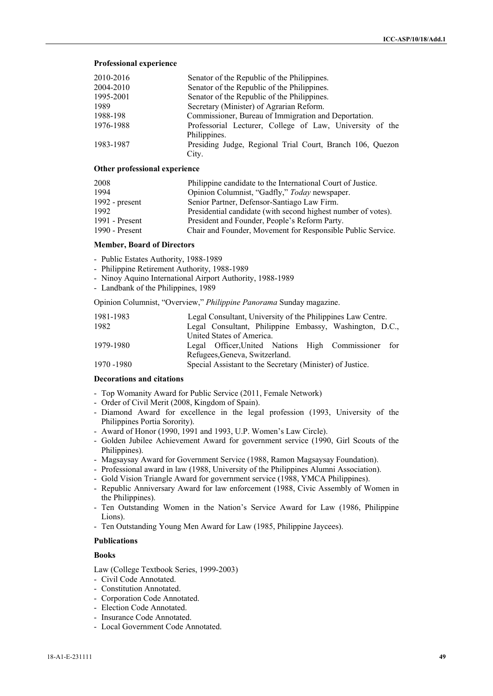#### **Professional experience**

| 2010-2016 | Senator of the Republic of the Philippines.                              |
|-----------|--------------------------------------------------------------------------|
| 2004-2010 | Senator of the Republic of the Philippines.                              |
| 1995-2001 | Senator of the Republic of the Philippines.                              |
| 1989      | Secretary (Minister) of Agrarian Reform.                                 |
| 1988-198  | Commissioner, Bureau of Immigration and Deportation.                     |
| 1976-1988 | Professorial Lecturer, College of Law, University of the<br>Philippines. |
| 1983-1987 | Presiding Judge, Regional Trial Court, Branch 106, Quezon                |
|           | City.                                                                    |

#### **Other professional experience**

| 2008             | Philippine candidate to the International Court of Justice.   |
|------------------|---------------------------------------------------------------|
| 1994             | Opinion Columnist, "Gadfly," Today newspaper.                 |
| 1992 - $present$ | Senior Partner, Defensor-Santiago Law Firm.                   |
| 1992             | Presidential candidate (with second highest number of votes). |
| 1991 - Present   | President and Founder, People's Reform Party.                 |
| 1990 - Present   | Chair and Founder, Movement for Responsible Public Service.   |

#### **Member, Board of Directors**

- Public Estates Authority, 1988-1989
- Philippine Retirement Authority, 1988-1989
- Ninoy Aquino International Airport Authority, 1988-1989
- Landbank of the Philippines, 1989

Opinion Columnist, "Overview," *Philippine Panorama* Sunday magazine.

| 1981-1983   | Legal Consultant, University of the Philippines Law Centre. |  |
|-------------|-------------------------------------------------------------|--|
| 1982        | Legal Consultant, Philippine Embassy, Washington, D.C.,     |  |
|             | United States of America.                                   |  |
| 1979-1980   | Legal Officer, United Nations High Commissioner for         |  |
|             | Refugees, Geneva, Switzerland.                              |  |
| 1970 - 1980 | Special Assistant to the Secretary (Minister) of Justice.   |  |

#### **Decorations and citations**

- Top Womanity Award for Public Service (2011, Female Network)
- Order of Civil Merit (2008, Kingdom of Spain).
- Diamond Award for excellence in the legal profession (1993, University of the Philippines Portia Sorority).
- Award of Honor (1990, 1991 and 1993, U.P. Women's Law Circle).
- Golden Jubilee Achievement Award for government service (1990, Girl Scouts of the Philippines).
- Magsaysay Award for Government Service (1988, Ramon Magsaysay Foundation).
- Professional award in law (1988, University of the Philippines Alumni Association).
- Gold Vision Triangle Award for government service (1988, YMCA Philippines).
- Republic Anniversary Award for law enforcement (1988, Civic Assembly of Women in the Philippines).
- Ten Outstanding Women in the Nation's Service Award for Law (1986, Philippine Lions).
- Ten Outstanding Young Men Award for Law (1985, Philippine Jaycees).

## **Publications**

## **Books**

Law (College Textbook Series, 1999-2003)

- Civil Code Annotated.
- Constitution Annotated.
- Corporation Code Annotated.
- Election Code Annotated.
- Insurance Code Annotated.
- Local Government Code Annotated.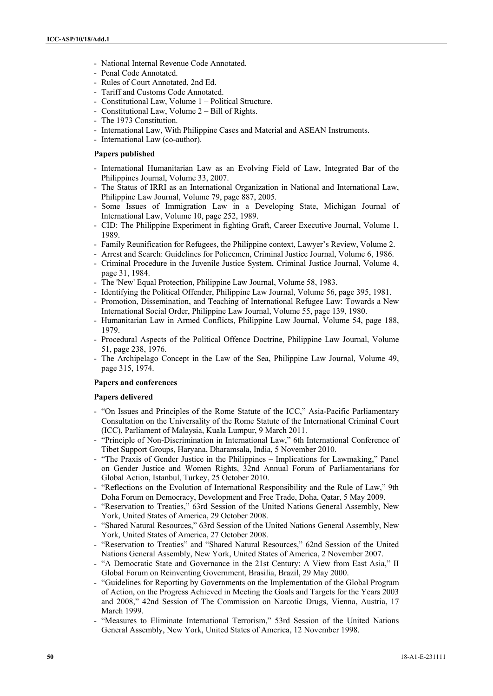- National Internal Revenue Code Annotated.
- Penal Code Annotated.
- Rules of Court Annotated, 2nd Ed.
- Tariff and Customs Code Annotated.
- Constitutional Law, Volume 1 Political Structure.
- Constitutional Law, Volume 2 Bill of Rights.
- The 1973 Constitution.
- International Law, With Philippine Cases and Material and ASEAN Instruments.
- International Law (co-author).

## **Papers published**

- International Humanitarian Law as an Evolving Field of Law, Integrated Bar of the Philippines Journal, Volume 33, 2007.
- The Status of IRRI as an International Organization in National and International Law, Philippine Law Journal, Volume 79, page 887, 2005.
- Some Issues of Immigration Law in a Developing State, Michigan Journal of International Law, Volume 10, page 252, 1989.
- CID: The Philippine Experiment in fighting Graft, Career Executive Journal, Volume 1, 1989.
- Family Reunification for Refugees, the Philippine context, Lawyer's Review, Volume 2.
- Arrest and Search: Guidelines for Policemen, Criminal Justice Journal, Volume 6, 1986.
- Criminal Procedure in the Juvenile Justice System, Criminal Justice Journal, Volume 4, page 31, 1984.
- The 'New' Equal Protection, Philippine Law Journal, Volume 58, 1983.
- Identifying the Political Offender, Philippine Law Journal, Volume 56, page 395, 1981.
- Promotion, Dissemination, and Teaching of International Refugee Law: Towards a New International Social Order, Philippine Law Journal, Volume 55, page 139, 1980.
- Humanitarian Law in Armed Conflicts, Philippine Law Journal, Volume 54, page 188, 1979.
- Procedural Aspects of the Political Offence Doctrine, Philippine Law Journal, Volume 51, page 238, 1976.
- The Archipelago Concept in the Law of the Sea, Philippine Law Journal, Volume 49, page 315, 1974.

#### **Papers and conferences**

#### **Papers delivered**

- "On Issues and Principles of the Rome Statute of the ICC," Asia-Pacific Parliamentary Consultation on the Universality of the Rome Statute of the International Criminal Court (ICC), Parliament of Malaysia, Kuala Lumpur, 9 March 2011.
- "Principle of Non-Discrimination in International Law," 6th International Conference of Tibet Support Groups, Haryana, Dharamsala, India, 5 November 2010.
- "The Praxis of Gender Justice in the Philippines Implications for Lawmaking," Panel on Gender Justice and Women Rights, 32nd Annual Forum of Parliamentarians for Global Action, Istanbul, Turkey, 25 October 2010.
- "Reflections on the Evolution of International Responsibility and the Rule of Law," 9th Doha Forum on Democracy, Development and Free Trade, Doha, Qatar, 5 May 2009.
- "Reservation to Treaties," 63rd Session of the United Nations General Assembly, New York, United States of America, 29 October 2008.
- "Shared Natural Resources," 63rd Session of the United Nations General Assembly, New York, United States of America, 27 October 2008.
- "Reservation to Treaties" and "Shared Natural Resources," 62nd Session of the United Nations General Assembly, New York, United States of America, 2 November 2007.
- "A Democratic State and Governance in the 21st Century: A View from East Asia," II Global Forum on Reinventing Government, Brasilia, Brazil, 29 May 2000.
- "Guidelines for Reporting by Governments on the Implementation of the Global Program of Action, on the Progress Achieved in Meeting the Goals and Targets for the Years 2003 and 2008," 42nd Session of The Commission on Narcotic Drugs, Vienna, Austria, 17 March 1999.
- "Measures to Eliminate International Terrorism," 53rd Session of the United Nations General Assembly, New York, United States of America, 12 November 1998.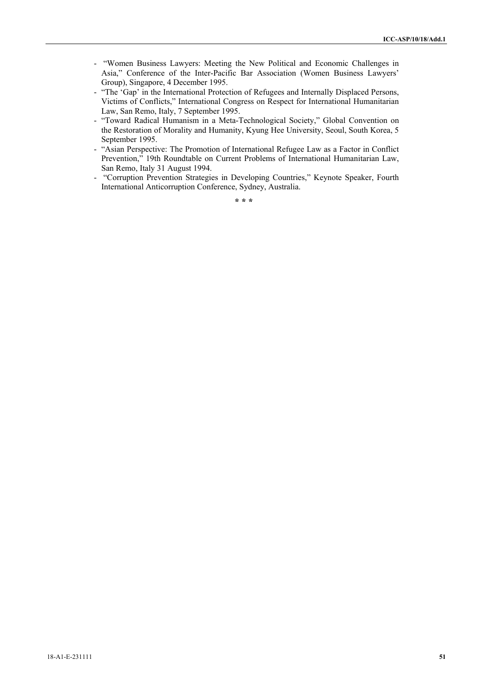- "Women Business Lawyers: Meeting the New Political and Economic Challenges in Asia," Conference of the Inter-Pacific Bar Association (Women Business Lawyers' Group), Singapore, 4 December 1995.
- "The 'Gap' in the International Protection of Refugees and Internally Displaced Persons, Victims of Conflicts," International Congress on Respect for International Humanitarian Law, San Remo, Italy, 7 September 1995.
- "Toward Radical Humanism in a Meta-Technological Society," Global Convention on the Restoration of Morality and Humanity, Kyung Hee University, Seoul, South Korea, 5 September 1995.
- "Asian Perspective: The Promotion of International Refugee Law as a Factor in Conflict Prevention," 19th Roundtable on Current Problems of International Humanitarian Law, San Remo, Italy 31 August 1994.
- "Corruption Prevention Strategies in Developing Countries," Keynote Speaker, Fourth International Anticorruption Conference, Sydney, Australia.

**\* \* \***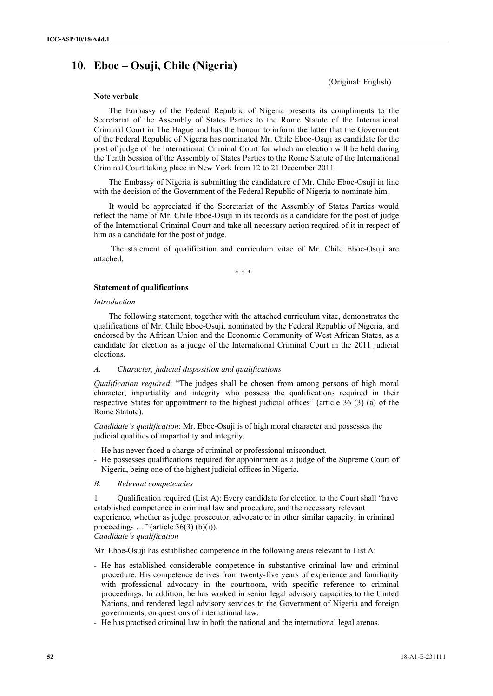# **10. Eboe – Osuji, Chile (Nigeria)**

(Original: English)

## **Note verbale**

The Embassy of the Federal Republic of Nigeria presents its compliments to the Secretariat of the Assembly of States Parties to the Rome Statute of the International Criminal Court in The Hague and has the honour to inform the latter that the Government of the Federal Republic of Nigeria has nominated Mr. Chile Eboe-Osuji as candidate for the post of judge of the International Criminal Court for which an election will be held during the Tenth Session of the Assembly of States Parties to the Rome Statute of the International Criminal Court taking place in New York from 12 to 21 December 2011.

The Embassy of Nigeria is submitting the candidature of Mr. Chile Eboe-Osuji in line with the decision of the Government of the Federal Republic of Nigeria to nominate him.

It would be appreciated if the Secretariat of the Assembly of States Parties would reflect the name of Mr. Chile Eboe-Osuji in its records as a candidate for the post of judge of the International Criminal Court and take all necessary action required of it in respect of him as a candidate for the post of judge.

 The statement of qualification and curriculum vitae of Mr. Chile Eboe-Osuji are attached.

\* \* \*

## **Statement of qualifications**

## *Introduction*

The following statement, together with the attached curriculum vitae, demonstrates the qualifications of Mr. Chile Eboe-Osuji, nominated by the Federal Republic of Nigeria, and endorsed by the African Union and the Economic Community of West African States, as a candidate for election as a judge of the International Criminal Court in the 2011 judicial elections.

### *A. Character, judicial disposition and qualifications*

*Qualification required*: "The judges shall be chosen from among persons of high moral character, impartiality and integrity who possess the qualifications required in their respective States for appointment to the highest judicial offices" (article 36 (3) (a) of the Rome Statute).

*Candidate's qualification*: Mr. Eboe-Osuji is of high moral character and possesses the judicial qualities of impartiality and integrity.

- He has never faced a charge of criminal or professional misconduct.
- He possesses qualifications required for appointment as a judge of the Supreme Court of Nigeria, being one of the highest judicial offices in Nigeria.
- *B. Relevant competencies*

1. Qualification required (List A): Every candidate for election to the Court shall "have established competence in criminal law and procedure, and the necessary relevant experience, whether as judge, prosecutor, advocate or in other similar capacity, in criminal proceedings  $\ldots$ " (article 36(3) (b)(i)). *Candidate's qualification*

Mr. Eboe-Osuji has established competence in the following areas relevant to List A:

- He has established considerable competence in substantive criminal law and criminal procedure. His competence derives from twenty-five years of experience and familiarity with professional advocacy in the courtroom, with specific reference to criminal proceedings. In addition, he has worked in senior legal advisory capacities to the United Nations, and rendered legal advisory services to the Government of Nigeria and foreign governments, on questions of international law.
- He has practised criminal law in both the national and the international legal arenas.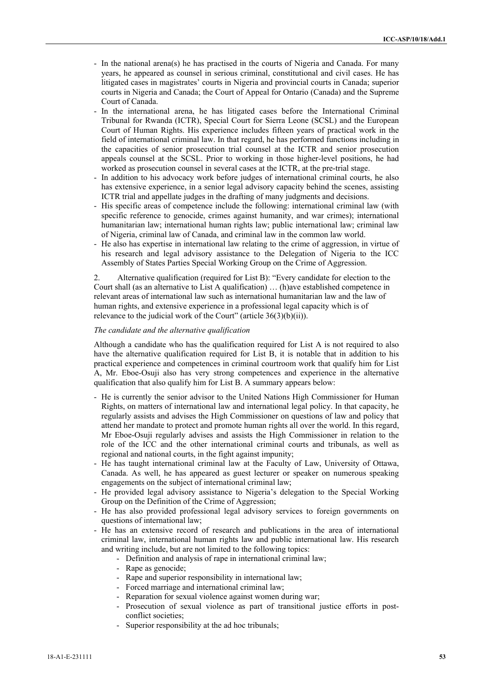- In the national arena(s) he has practised in the courts of Nigeria and Canada. For many years, he appeared as counsel in serious criminal, constitutional and civil cases. He has litigated cases in magistrates' courts in Nigeria and provincial courts in Canada; superior courts in Nigeria and Canada; the Court of Appeal for Ontario (Canada) and the Supreme Court of Canada.
- In the international arena, he has litigated cases before the International Criminal Tribunal for Rwanda (ICTR), Special Court for Sierra Leone (SCSL) and the European Court of Human Rights. His experience includes fifteen years of practical work in the field of international criminal law. In that regard, he has performed functions including in the capacities of senior prosecution trial counsel at the ICTR and senior prosecution appeals counsel at the SCSL. Prior to working in those higher-level positions, he had worked as prosecution counsel in several cases at the ICTR, at the pre-trial stage.
- In addition to his advocacy work before judges of international criminal courts, he also has extensive experience, in a senior legal advisory capacity behind the scenes, assisting ICTR trial and appellate judges in the drafting of many judgments and decisions.
- His specific areas of competence include the following: international criminal law (with specific reference to genocide, crimes against humanity, and war crimes); international humanitarian law; international human rights law; public international law; criminal law of Nigeria, criminal law of Canada, and criminal law in the common law world.
- He also has expertise in international law relating to the crime of aggression, in virtue of his research and legal advisory assistance to the Delegation of Nigeria to the ICC Assembly of States Parties Special Working Group on the Crime of Aggression.

2. Alternative qualification (required for List B): "Every candidate for election to the Court shall (as an alternative to List A qualification) … (h)ave established competence in relevant areas of international law such as international humanitarian law and the law of human rights, and extensive experience in a professional legal capacity which is of relevance to the judicial work of the Court" (article 36(3)(b)(ii)).

## *The candidate and the alternative qualification*

Although a candidate who has the qualification required for List A is not required to also have the alternative qualification required for List B, it is notable that in addition to his practical experience and competences in criminal courtroom work that qualify him for List A, Mr. Eboe-Osuji also has very strong competences and experience in the alternative qualification that also qualify him for List B. A summary appears below:

- He is currently the senior advisor to the United Nations High Commissioner for Human Rights, on matters of international law and international legal policy. In that capacity, he regularly assists and advises the High Commissioner on questions of law and policy that attend her mandate to protect and promote human rights all over the world. In this regard, Mr Eboe-Osuji regularly advises and assists the High Commissioner in relation to the role of the ICC and the other international criminal courts and tribunals, as well as regional and national courts, in the fight against impunity;
- He has taught international criminal law at the Faculty of Law, University of Ottawa, Canada. As well, he has appeared as guest lecturer or speaker on numerous speaking engagements on the subject of international criminal law;
- He provided legal advisory assistance to Nigeria's delegation to the Special Working Group on the Definition of the Crime of Aggression;
- He has also provided professional legal advisory services to foreign governments on questions of international law;
- He has an extensive record of research and publications in the area of international criminal law, international human rights law and public international law. His research and writing include, but are not limited to the following topics:
	- Definition and analysis of rape in international criminal law;
	- Rape as genocide;
	- Rape and superior responsibility in international law;
	- Forced marriage and international criminal law;
	- Reparation for sexual violence against women during war;
	- Prosecution of sexual violence as part of transitional justice efforts in postconflict societies;
	- Superior responsibility at the ad hoc tribunals;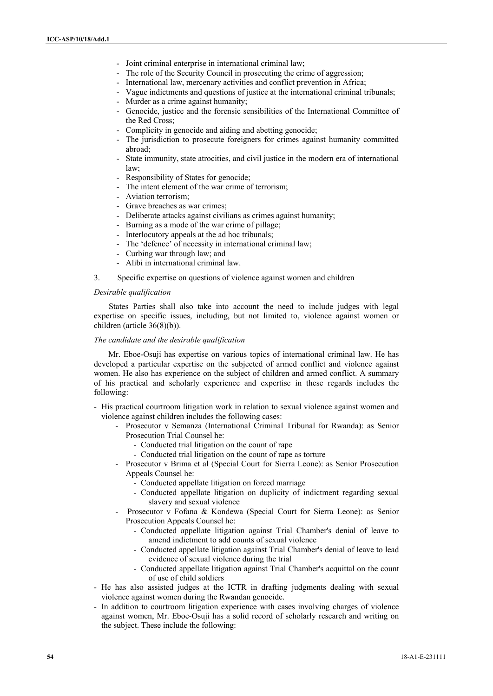- Joint criminal enterprise in international criminal law;
- The role of the Security Council in prosecuting the crime of aggression;
- International law, mercenary activities and conflict prevention in Africa;
- Vague indictments and questions of justice at the international criminal tribunals;
- Murder as a crime against humanity;
- Genocide, justice and the forensic sensibilities of the International Committee of the Red Cross;
- Complicity in genocide and aiding and abetting genocide;
- The jurisdiction to prosecute foreigners for crimes against humanity committed abroad;
- State immunity, state atrocities, and civil justice in the modern era of international law;
- Responsibility of States for genocide;
- The intent element of the war crime of terrorism:
- Aviation terrorism;
- Grave breaches as war crimes;
- Deliberate attacks against civilians as crimes against humanity;
- Burning as a mode of the war crime of pillage;
- Interlocutory appeals at the ad hoc tribunals;
- The 'defence' of necessity in international criminal law;
- Curbing war through law; and
- Alibi in international criminal law.
- 3. Specific expertise on questions of violence against women and children

#### *Desirable qualification*

States Parties shall also take into account the need to include judges with legal expertise on specific issues, including, but not limited to, violence against women or children (article 36(8)(b)).

## *The candidate and the desirable qualification*

Mr. Eboe-Osuji has expertise on various topics of international criminal law. He has developed a particular expertise on the subjected of armed conflict and violence against women. He also has experience on the subject of children and armed conflict. A summary of his practical and scholarly experience and expertise in these regards includes the following:

- His practical courtroom litigation work in relation to sexual violence against women and violence against children includes the following cases:
	- Prosecutor v Semanza (International Criminal Tribunal for Rwanda): as Senior Prosecution Trial Counsel he:
		- Conducted trial litigation on the count of rape
		- Conducted trial litigation on the count of rape as torture
	- Prosecutor v Brima et al (Special Court for Sierra Leone): as Senior Prosecution Appeals Counsel he:
		- Conducted appellate litigation on forced marriage
		- Conducted appellate litigation on duplicity of indictment regarding sexual slavery and sexual violence
	- Prosecutor v Fofana & Kondewa (Special Court for Sierra Leone): as Senior Prosecution Appeals Counsel he:
		- Conducted appellate litigation against Trial Chamber's denial of leave to amend indictment to add counts of sexual violence
		- Conducted appellate litigation against Trial Chamber's denial of leave to lead evidence of sexual violence during the trial
		- Conducted appellate litigation against Trial Chamber's acquittal on the count of use of child soldiers
- He has also assisted judges at the ICTR in drafting judgments dealing with sexual violence against women during the Rwandan genocide.
- In addition to courtroom litigation experience with cases involving charges of violence against women, Mr. Eboe-Osuji has a solid record of scholarly research and writing on the subject. These include the following: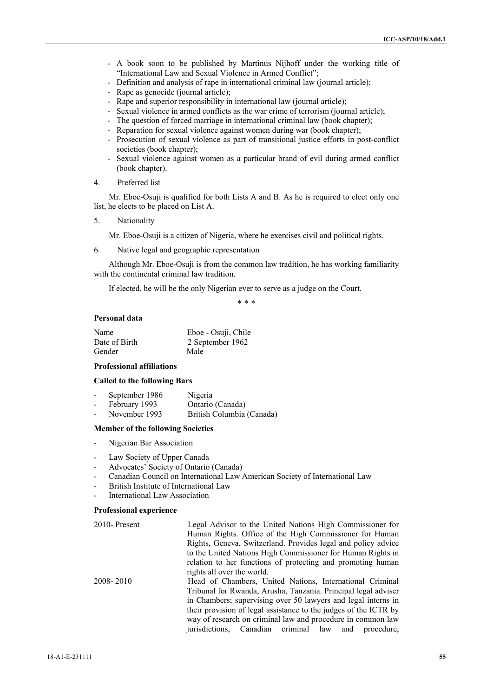- A book soon to be published by Martinus Nijhoff under the working title of "International Law and Sexual Violence in Armed Conflict";
- Definition and analysis of rape in international criminal law (journal article);
- Rape as genocide (journal article);
- Rape and superior responsibility in international law (journal article);
- Sexual violence in armed conflicts as the war crime of terrorism (journal article);
- The question of forced marriage in international criminal law (book chapter);
- Reparation for sexual violence against women during war (book chapter);
- Prosecution of sexual violence as part of transitional justice efforts in post-conflict societies (book chapter);
- Sexual violence against women as a particular brand of evil during armed conflict (book chapter).
- 4. Preferred list

Mr. Eboe-Osuji is qualified for both Lists A and B. As he is required to elect only one list, he elects to be placed on List A.

5. Nationality

Mr. Eboe-Osuji is a citizen of Nigeria, where he exercises civil and political rights.

6. Native legal and geographic representation

Although Mr. Eboe-Osuji is from the common law tradition, he has working familiarity with the continental criminal law tradition.

If elected, he will be the only Nigerian ever to serve as a judge on the Court.

\* \* \*

#### **Personal data**

| Name          | Eboe - Osuji, Chile |
|---------------|---------------------|
| Date of Birth | 2 September 1962    |
| Gender        | Male                |

## **Professional affiliations**

#### **Called to the following Bars**

| $\blacksquare$           | September 1986 | Nigeria                   |
|--------------------------|----------------|---------------------------|
| $\sim$                   | February 1993  | Ontario (Canada)          |
| $\overline{\phantom{0}}$ | November 1993  | British Columbia (Canada) |

#### **Member of the following Societies**

- Nigerian Bar Association
- Law Society of Upper Canada
- Advocates' Society of Ontario (Canada)
- Canadian Council on International Law American Society of International Law
- British Institute of International Law
- International Law Association

## **Professional experience**

| 2010-Present | Legal Advisor to the United Nations High Commissioner for        |
|--------------|------------------------------------------------------------------|
|              | Human Rights. Office of the High Commissioner for Human          |
|              | Rights, Geneva, Switzerland. Provides legal and policy advice    |
|              | to the United Nations High Commissioner for Human Rights in      |
|              | relation to her functions of protecting and promoting human      |
|              | rights all over the world.                                       |
| 2008-2010    | Head of Chambers, United Nations, International Criminal         |
|              | Tribunal for Rwanda, Arusha, Tanzania. Principal legal adviser   |
|              | in Chambers; supervising over 50 lawyers and legal interns in    |
|              | their provision of legal assistance to the judges of the ICTR by |
|              | way of research on criminal law and procedure in common law      |
|              | jurisdictions, Canadian criminal law and<br>procedure.           |
|              |                                                                  |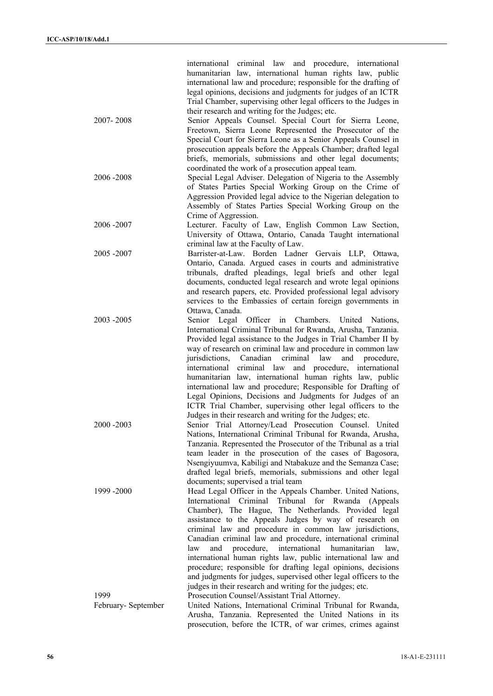|                    | international criminal law and procedure, international            |
|--------------------|--------------------------------------------------------------------|
|                    | humanitarian law, international human rights law, public           |
|                    | international law and procedure; responsible for the drafting of   |
|                    | legal opinions, decisions and judgments for judges of an ICTR      |
|                    | Trial Chamber, supervising other legal officers to the Judges in   |
|                    | their research and writing for the Judges; etc.                    |
| 2007-2008          | Senior Appeals Counsel. Special Court for Sierra Leone,            |
|                    | Freetown, Sierra Leone Represented the Prosecutor of the           |
|                    | Special Court for Sierra Leone as a Senior Appeals Counsel in      |
|                    | prosecution appeals before the Appeals Chamber; drafted legal      |
|                    | briefs, memorials, submissions and other legal documents;          |
|                    | coordinated the work of a prosecution appeal team.                 |
| 2006-2008          | Special Legal Adviser. Delegation of Nigeria to the Assembly       |
|                    | of States Parties Special Working Group on the Crime of            |
|                    | Aggression Provided legal advice to the Nigerian delegation to     |
|                    | Assembly of States Parties Special Working Group on the            |
|                    |                                                                    |
|                    | Crime of Aggression.                                               |
| 2006 - 2007        | Lecturer. Faculty of Law, English Common Law Section,              |
|                    | University of Ottawa, Ontario, Canada Taught international         |
|                    | criminal law at the Faculty of Law.                                |
| 2005 - 2007        | Barrister-at-Law. Borden Ladner Gervais LLP, Ottawa,               |
|                    | Ontario, Canada. Argued cases in courts and administrative         |
|                    | tribunals, drafted pleadings, legal briefs and other legal         |
|                    | documents, conducted legal research and wrote legal opinions       |
|                    | and research papers, etc. Provided professional legal advisory     |
|                    | services to the Embassies of certain foreign governments in        |
|                    | Ottawa, Canada.                                                    |
| 2003 - 2005        | Senior Legal Officer<br>Chambers.<br>in<br>United<br>Nations.      |
|                    | International Criminal Tribunal for Rwanda, Arusha, Tanzania.      |
|                    | Provided legal assistance to the Judges in Trial Chamber II by     |
|                    | way of research on criminal law and procedure in common law        |
|                    | jurisdictions,<br>Canadian<br>criminal<br>law<br>and<br>procedure, |
|                    | international criminal law<br>and procedure, international         |
|                    | humanitarian law, international human rights law, public           |
|                    | international law and procedure; Responsible for Drafting of       |
|                    | Legal Opinions, Decisions and Judgments for Judges of an           |
|                    | ICTR Trial Chamber, supervising other legal officers to the        |
|                    | Judges in their research and writing for the Judges; etc.          |
| 2000 - 2003        | Senior Trial Attorney/Lead Prosecution Counsel. United             |
|                    | Nations, International Criminal Tribunal for Rwanda, Arusha,       |
|                    | Tanzania. Represented the Prosecutor of the Tribunal as a trial    |
|                    | team leader in the prosecution of the cases of Bagosora,           |
|                    | Nsengiyuumva, Kabiligi and Ntabakuze and the Semanza Case;         |
|                    | drafted legal briefs, memorials, submissions and other legal       |
|                    |                                                                    |
|                    | documents; supervised a trial team                                 |
| 1999 - 2000        | Head Legal Officer in the Appeals Chamber. United Nations,         |
|                    | International Criminal<br>Tribunal for Rwanda<br>(Appeals)         |
|                    | Chamber), The Hague, The Netherlands. Provided legal               |
|                    | assistance to the Appeals Judges by way of research on             |
|                    | criminal law and procedure in common law jurisdictions,            |
|                    | Canadian criminal law and procedure, international criminal        |
|                    | procedure,<br>international humanitarian<br>law<br>and<br>law,     |
|                    | international human rights law, public international law and       |
|                    | procedure; responsible for drafting legal opinions, decisions      |
|                    | and judgments for judges, supervised other legal officers to the   |
|                    | judges in their research and writing for the judges; etc.          |
| 1999               | Prosecution Counsel/Assistant Trial Attorney.                      |
| February-September | United Nations, International Criminal Tribunal for Rwanda,        |
|                    | Arusha, Tanzania. Represented the United Nations in its            |
|                    | prosecution, before the ICTR, of war crimes, crimes against        |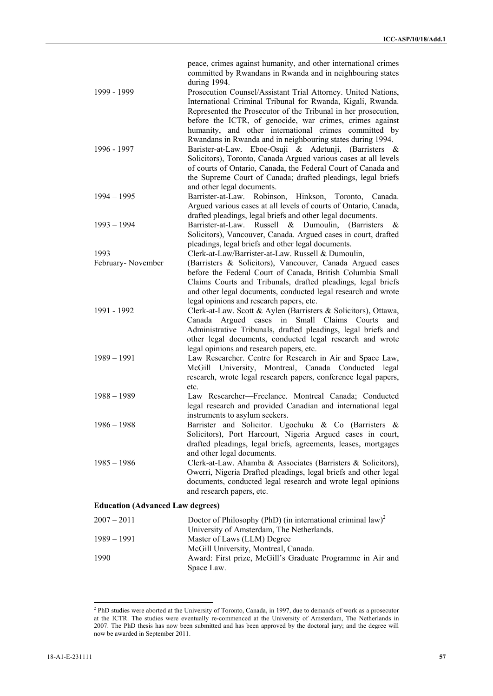| 1999 - 1999                             | peace, crimes against humanity, and other international crimes<br>committed by Rwandans in Rwanda and in neighbouring states<br>during 1994.<br>Prosecution Counsel/Assistant Trial Attorney. United Nations,<br>International Criminal Tribunal for Rwanda, Kigali, Rwanda.<br>Represented the Prosecutor of the Tribunal in her prosecution,<br>before the ICTR, of genocide, war crimes, crimes against |
|-----------------------------------------|------------------------------------------------------------------------------------------------------------------------------------------------------------------------------------------------------------------------------------------------------------------------------------------------------------------------------------------------------------------------------------------------------------|
| 1996 - 1997                             | humanity, and other international crimes committed by<br>Rwandans in Rwanda and in neighbouring states during 1994.<br>Barister-at-Law. Eboe-Osuji & Adetunji, (Barristers &<br>Solicitors), Toronto, Canada Argued various cases at all levels<br>of courts of Ontario, Canada, the Federal Court of Canada and<br>the Supreme Court of Canada; drafted pleadings, legal briefs                           |
| $1994 - 1995$                           | and other legal documents.<br>Barrister-at-Law. Robinson, Hinkson, Toronto, Canada.<br>Argued various cases at all levels of courts of Ontario, Canada,                                                                                                                                                                                                                                                    |
| $1993 - 1994$                           | drafted pleadings, legal briefs and other legal documents.<br>Barrister-at-Law. Russell & Dumoulin, (Barristers<br>&<br>Solicitors), Vancouver, Canada. Argued cases in court, drafted<br>pleadings, legal briefs and other legal documents.                                                                                                                                                               |
| 1993                                    | Clerk-at-Law/Barrister-at-Law. Russell & Dumoulin,                                                                                                                                                                                                                                                                                                                                                         |
| February-November                       | (Barristers & Solicitors), Vancouver, Canada Argued cases<br>before the Federal Court of Canada, British Columbia Small<br>Claims Courts and Tribunals, drafted pleadings, legal briefs<br>and other legal documents, conducted legal research and wrote                                                                                                                                                   |
| 1991 - 1992                             | legal opinions and research papers, etc.<br>Clerk-at-Law. Scott & Aylen (Barristers & Solicitors), Ottawa,<br>Canada Argued cases in<br>Small<br>Claims<br>Courts<br>and<br>Administrative Tribunals, drafted pleadings, legal briefs and<br>other legal documents, conducted legal research and wrote                                                                                                     |
| $1989 - 1991$                           | legal opinions and research papers, etc.<br>Law Researcher. Centre for Research in Air and Space Law,<br>McGill University, Montreal, Canada Conducted legal<br>research, wrote legal research papers, conference legal papers,<br>etc.                                                                                                                                                                    |
| $1988 - 1989$                           | Law Researcher-Freelance. Montreal Canada; Conducted<br>legal research and provided Canadian and international legal<br>instruments to asylum seekers.                                                                                                                                                                                                                                                     |
| $1986 - 1988$                           | Barrister and Solicitor. Ugochuku & Co (Barristers &<br>Solicitors), Port Harcourt, Nigeria Argued cases in court,<br>drafted pleadings, legal briefs, agreements, leases, mortgages<br>and other legal documents.                                                                                                                                                                                         |
| $1985 - 1986$                           | Clerk-at-Law. Ahamba & Associates (Barristers & Solicitors),<br>Owerri, Nigeria Drafted pleadings, legal briefs and other legal<br>documents, conducted legal research and wrote legal opinions<br>and research papers, etc.                                                                                                                                                                               |
| <b>Education (Advanced Law degrees)</b> |                                                                                                                                                                                                                                                                                                                                                                                                            |
| $2007 - 2011$                           | Doctor of Philosophy (PhD) (in international criminal law) <sup>2</sup>                                                                                                                                                                                                                                                                                                                                    |
| $1989 - 1991$                           | University of Amsterdam, The Netherlands.<br>Master of Laws (LLM) Degree                                                                                                                                                                                                                                                                                                                                   |
| 1990                                    | McGill University, Montreal, Canada.<br>Award: First prize, McGill's Graduate Programme in Air and<br>Space Law.                                                                                                                                                                                                                                                                                           |

 2 PhD studies were aborted at the University of Toronto, Canada, in 1997, due to demands of work as a prosecutor at the ICTR. The studies were eventually re-commenced at the University of Amsterdam, The Netherlands in 2007. The PhD thesis has now been submitted and has been approved by the doctoral jury; and the degree will now be awarded in September 2011.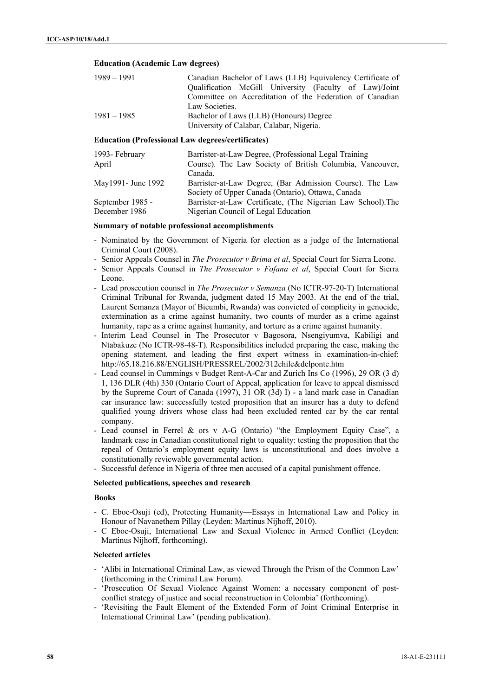#### **Education (Academic Law degrees)**

| $1989 - 1991$ | Canadian Bachelor of Laws (LLB) Equivalency Certificate of |
|---------------|------------------------------------------------------------|
|               | Qualification McGill University (Faculty of Law)/Joint     |
|               | Committee on Accreditation of the Federation of Canadian   |
|               | Law Societies.                                             |
| $1981 - 1985$ | Bachelor of Laws (LLB) (Honours) Degree                    |
|               | University of Calabar, Calabar, Nigeria.                   |

## **Education (Professional Law degrees/certificates)**

| 1993- February      | Barrister-at-Law Degree, (Professional Legal Training)       |
|---------------------|--------------------------------------------------------------|
| April               | Course). The Law Society of British Columbia, Vancouver,     |
|                     | Canada.                                                      |
| May1991 - June 1992 | Barrister-at-Law Degree, (Bar Admission Course). The Law     |
|                     | Society of Upper Canada (Ontario), Ottawa, Canada            |
| September 1985 -    | Barrister-at-Law Certificate, (The Nigerian Law School). The |
| December 1986       | Nigerian Council of Legal Education                          |

## **Summary of notable professional accomplishments**

- Nominated by the Government of Nigeria for election as a judge of the International Criminal Court (2008).
- Senior Appeals Counsel in *The Prosecutor v Brima et al*, Special Court for Sierra Leone.
- Senior Appeals Counsel in *The Prosecutor v Fofana et al*, Special Court for Sierra Leone.
- Lead prosecution counsel in *The Prosecutor v Semanza* (No ICTR-97-20-T) International Criminal Tribunal for Rwanda, judgment dated 15 May 2003. At the end of the trial, Laurent Semanza (Mayor of Bicumbi, Rwanda) was convicted of complicity in genocide, extermination as a crime against humanity, two counts of murder as a crime against humanity, rape as a crime against humanity, and torture as a crime against humanity.
- Interim Lead Counsel in The Prosecutor v Bagosora, Nsengiyumva, Kabiligi and Ntabakuze (No ICTR-98-48-T). Responsibilities included preparing the case, making the opening statement, and leading the first expert witness in examination-in-chief: http://65.18.216.88/ENGLISH/PRESSREL/2002/312chile&delponte.htm
- Lead counsel in Cummings v Budget Rent-A-Car and Zurich Ins Co (1996), 29 OR (3 d) 1, 136 DLR (4th) 330 (Ontario Court of Appeal, application for leave to appeal dismissed by the Supreme Court of Canada (1997), 31 OR (3d) I) - a land mark case in Canadian car insurance law: successfully tested proposition that an insurer has a duty to defend qualified young drivers whose class had been excluded rented car by the car rental company.
- Lead counsel in Ferrel & ors v A-G (Ontario) "the Employment Equity Case", a landmark case in Canadian constitutional right to equality: testing the proposition that the repeal of Ontario's employment equity laws is unconstitutional and does involve a constitutionally reviewable governmental action.
- Successful defence in Nigeria of three men accused of a capital punishment offence.

## **Selected publications, speeches and research**

#### **Books**

- C. Eboe-Osuji (ed), Protecting Humanity—Essays in International Law and Policy in Honour of Navanethem Pillay (Leyden: Martinus Nijhoff, 2010).
- C Eboe-Osuji, International Law and Sexual Violence in Armed Conflict (Leyden: Martinus Nijhoff, forthcoming).

## **Selected articles**

- 'Alibi in International Criminal Law, as viewed Through the Prism of the Common Law' (forthcoming in the Criminal Law Forum).
- 'Prosecution Of Sexual Violence Against Women: a necessary component of postconflict strategy of justice and social reconstruction in Colombia' (forthcoming).
- 'Revisiting the Fault Element of the Extended Form of Joint Criminal Enterprise in International Criminal Law' (pending publication).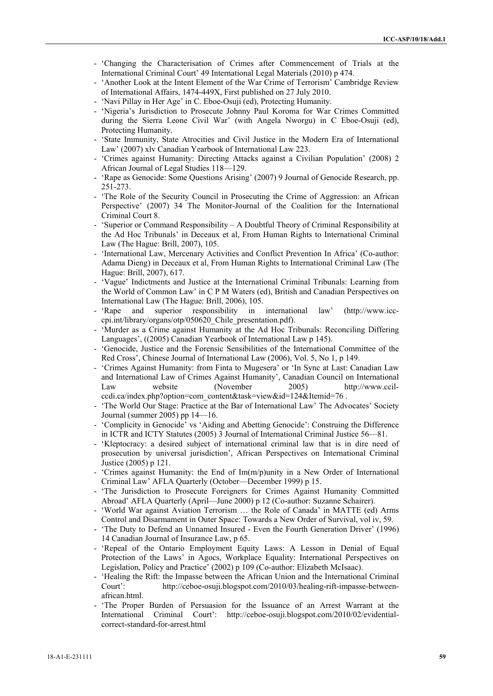- 'Changing the Characterisation of Crimes after Commencement of Trials at the International Criminal Court' 49 International Legal Materials (2010) p 474.
- 'Another Look at the Intent Element of the War Crime of Terrorism' Cambridge Review of International Affairs, 1474-449X, First published on 27 July 2010.
- 'Navi Pillay in Her Age' in C. Eboe-Osuji (ed), Protecting Humanity.
- 'Nigeria's Jurisdiction to Prosecute Johnny Paul Koroma for War Crimes Committed during the Sierra Leone Civil War' (with Angela Nworgu) in C Eboe-Osuji (ed), Protecting Humanity.
- 'State Immunity, State Atrocities and Civil Justice in the Modern Era of International Law' (2007) xlv Canadian Yearbook of International Law 223.
- 'Crimes against Humanity: Directing Attacks against a Civilian Population' (2008) 2 African Journal of Legal Studies 118—129.
- 'Rape as Genocide: Some Questions Arising' (2007) 9 Journal of Genocide Research, pp. 251-273.
- 'The Role of the Security Council in Prosecuting the Crime of Aggression: an African Perspective' (2007) 34 The Monitor-Journal of the Coalition for the International Criminal Court 8.
- 'Superior or Command Responsibility A Doubtful Theory of Criminal Responsibility at the Ad Hoc Tribunals' in Deceaux et al, From Human Rights to International Criminal Law (The Hague: Brill, 2007), 105.
- 'International Law, Mercenary Activities and Conflict Prevention In Africa' (Co-author: Adama Dieng) in Deceaux et al, From Human Rights to International Criminal Law (The Hague: Brill, 2007), 617.
- 'Vague' Indictments and Justice at the International Criminal Tribunals: Learning from the World of Common Law' in C P M Waters (ed), British and Canadian Perspectives on International Law (The Hague: Brill, 2006), 105.
- 'Rape and superior responsibility in international law' (http://www.icccpi.int/library/organs/otp/050620\_Chile\_presentation.pdf).
- 'Murder as a Crime against Humanity at the Ad Hoc Tribunals: Reconciling Differing Languages', ((2005) Canadian Yearbook of International Law p 145).
- 'Genocide, Justice and the Forensic Sensibilities of the International Committee of the Red Cross', Chinese Journal of International Law (2006), Vol. 5, No 1, p 149.
- 'Crimes Against Humanity: from Finta to Mugesera' or 'In Sync at Last: Canadian Law and International Law of Crimes Against Humanity', Canadian Council on International Law website (November 2005) http://www.ccilccdi.ca/index.php?option=com\_content&task=view&id=124&Itemid=76.
- 'The World Our Stage: Practice at the Bar of International Law' The Advocates' Society Journal (summer 2005) pp 14—16.
- 'Complicity in Genocide' vs 'Aiding and Abetting Genocide': Construing the Difference in ICTR and ICTY Statutes (2005) 3 Journal of International Criminal Justice 56—81.
- 'Kleptocracy: a desired subject of international criminal law that is in dire need of prosecution by universal jurisdiction', African Perspectives on International Criminal Justice (2005) p 121.
- 'Crimes against Humanity: the End of  $Im(m/p)$ unity in a New Order of International Criminal Law' AFLA Quarterly (October—December 1999) p 15.
- 'The Jurisdiction to Prosecute Foreigners for Crimes Against Humanity Committed Abroad' AFLA Quarterly (April—June 2000) p 12 (Co-author: Suzanne Schairer).
- 'World War against Aviation Terrorism … the Role of Canada' in MATTE (ed) Arms Control and Disarmament in Outer Space: Towards a New Order of Survival, vol iv, 59.
- 'The Duty to Defend an Unnamed Insured Even the Fourth Generation Driver' (1996) 14 Canadian Journal of Insurance Law, p 65.
- 'Repeal of the Ontario Employment Equity Laws: A Lesson in Denial of Equal Protection of the Laws' in Agocs, Workplace Equality: International Perspectives on Legislation, Policy and Practice' (2002) p 109 (Co-author: Elizabeth McIsaac).
- 'Healing the Rift: the Impasse between the African Union and the International Criminal Court': http://ceboe-osuji.blogspot.com/2010/03/healing-rift-impasse-betweenafrican.html.
- 'The Proper Burden of Persuasion for the Issuance of an Arrest Warrant at the International Criminal Court': http://ceboe-osuji.blogspot.com/2010/02/evidentialcorrect-standard-for-arrest.html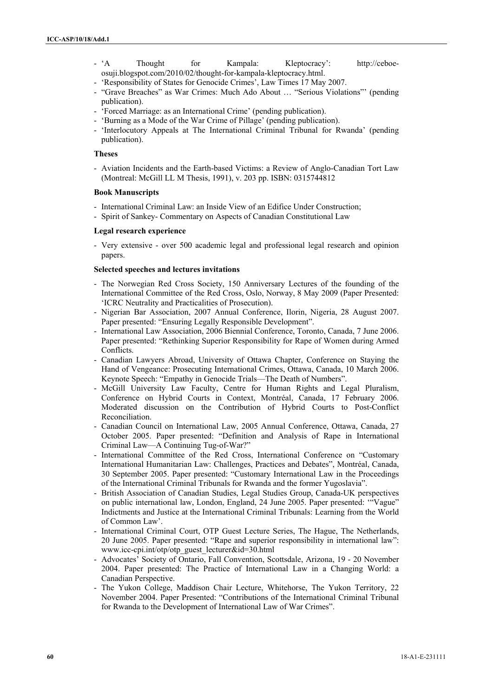- 'A Thought for Kampala: Kleptocracy': http://ceboeosuji.blogspot.com/2010/02/thought-for-kampala-kleptocracy.html.

- 'Responsibility of States for Genocide Crimes', Law Times 17 May 2007.

- "Grave Breaches" as War Crimes: Much Ado About … "Serious Violations"' (pending publication).
- 'Forced Marriage: as an International Crime' (pending publication).
- 'Burning as a Mode of the War Crime of Pillage' (pending publication).
- 'Interlocutory Appeals at The International Criminal Tribunal for Rwanda' (pending publication).

#### **Theses**

- Aviation Incidents and the Earth-based Victims: a Review of Anglo-Canadian Tort Law (Montreal: McGill LL M Thesis, 1991), v. 203 pp. ISBN: 0315744812

#### **Book Manuscripts**

- International Criminal Law: an Inside View of an Edifice Under Construction;
- Spirit of Sankey- Commentary on Aspects of Canadian Constitutional Law

#### **Legal research experience**

- Very extensive - over 500 academic legal and professional legal research and opinion papers.

## **Selected speeches and lectures invitations**

- The Norwegian Red Cross Society, 150 Anniversary Lectures of the founding of the International Committee of the Red Cross, Oslo, Norway, 8 May 2009 (Paper Presented: 'ICRC Neutrality and Practicalities of Prosecution).
- Nigerian Bar Association, 2007 Annual Conference, Ilorin, Nigeria, 28 August 2007. Paper presented: "Ensuring Legally Responsible Development".
- International Law Association, 2006 Biennial Conference, Toronto, Canada, 7 June 2006. Paper presented: "Rethinking Superior Responsibility for Rape of Women during Armed Conflicts.
- Canadian Lawyers Abroad, University of Ottawa Chapter, Conference on Staying the Hand of Vengeance: Prosecuting International Crimes, Ottawa, Canada, 10 March 2006. Keynote Speech: "Empathy in Genocide Trials—The Death of Numbers".
- McGill University Law Faculty, Centre for Human Rights and Legal Pluralism, Conference on Hybrid Courts in Context, Montréal, Canada, 17 February 2006. Moderated discussion on the Contribution of Hybrid Courts to Post-Conflict Reconciliation.
- Canadian Council on International Law, 2005 Annual Conference, Ottawa, Canada, 27 October 2005. Paper presented: "Definition and Analysis of Rape in International Criminal Law—A Continuing Tug-of-War?"
- International Committee of the Red Cross, International Conference on "Customary International Humanitarian Law: Challenges, Practices and Debates", Montréal, Canada, 30 September 2005. Paper presented: "Customary International Law in the Proceedings of the International Criminal Tribunals for Rwanda and the former Yugoslavia".
- British Association of Canadian Studies, Legal Studies Group, Canada-UK perspectives on public international law, London, England, 24 June 2005. Paper presented: '"Vague" Indictments and Justice at the International Criminal Tribunals: Learning from the World of Common Law'.
- International Criminal Court, OTP Guest Lecture Series, The Hague, The Netherlands, 20 June 2005. Paper presented: "Rape and superior responsibility in international law": www.icc-cpi.int/otp/otp\_guest\_lecturer&id=30.html
- Advocates' Society of Ontario, Fall Convention, Scottsdale, Arizona, 19 20 November 2004. Paper presented: The Practice of International Law in a Changing World: a Canadian Perspective.
- The Yukon College, Maddison Chair Lecture, Whitehorse, The Yukon Territory, 22 November 2004. Paper Presented: "Contributions of the International Criminal Tribunal for Rwanda to the Development of International Law of War Crimes".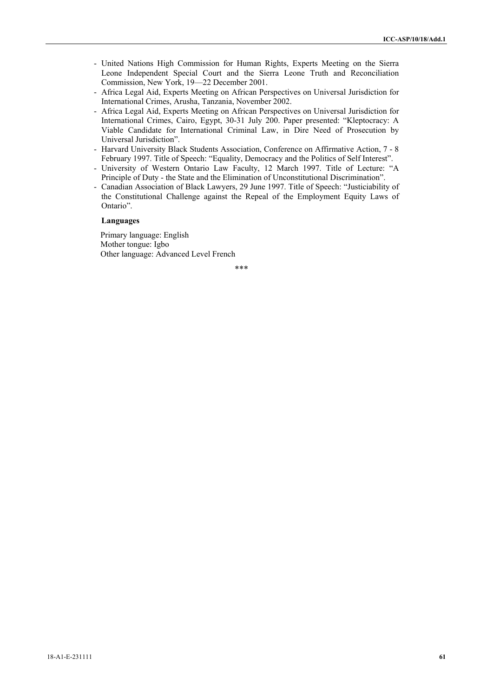- United Nations High Commission for Human Rights, Experts Meeting on the Sierra Leone Independent Special Court and the Sierra Leone Truth and Reconciliation Commission, New York, 19—22 December 2001.
- Africa Legal Aid, Experts Meeting on African Perspectives on Universal Jurisdiction for International Crimes, Arusha, Tanzania, November 2002.
- Africa Legal Aid, Experts Meeting on African Perspectives on Universal Jurisdiction for International Crimes, Cairo, Egypt, 30-31 July 200. Paper presented: "Kleptocracy: A Viable Candidate for International Criminal Law, in Dire Need of Prosecution by Universal Jurisdiction".
- Harvard University Black Students Association, Conference on Affirmative Action, 7 8 February 1997. Title of Speech: "Equality, Democracy and the Politics of Self Interest".
- University of Western Ontario Law Faculty, 12 March 1997. Title of Lecture: "A Principle of Duty - the State and the Elimination of Unconstitutional Discrimination".
- Canadian Association of Black Lawyers, 29 June 1997. Title of Speech: "Justiciability of the Constitutional Challenge against the Repeal of the Employment Equity Laws of Ontario".

#### **Languages**

Primary language: English Mother tongue: Igbo Other language: Advanced Level French

\*\*\*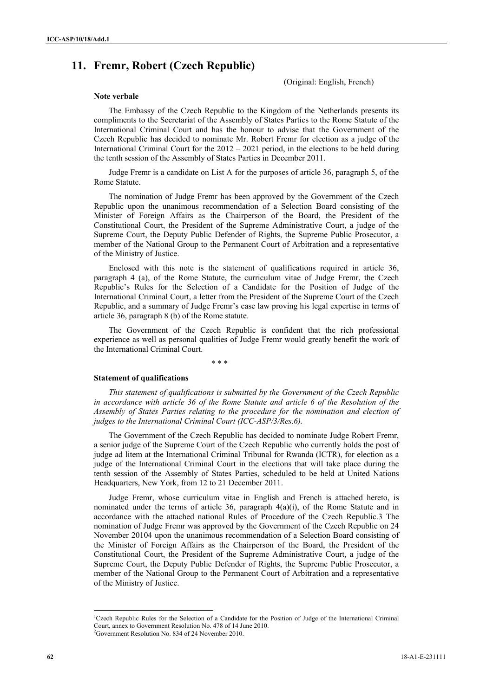# **11. Fremr, Robert (Czech Republic)**

(Original: English, French)

#### **Note verbale**

The Embassy of the Czech Republic to the Kingdom of the Netherlands presents its compliments to the Secretariat of the Assembly of States Parties to the Rome Statute of the International Criminal Court and has the honour to advise that the Government of the Czech Republic has decided to nominate Mr. Robert Fremr for election as a judge of the International Criminal Court for the 2012 – 2021 period, in the elections to be held during the tenth session of the Assembly of States Parties in December 2011.

Judge Fremr is a candidate on List A for the purposes of article 36, paragraph 5, of the Rome Statute.

The nomination of Judge Fremr has been approved by the Government of the Czech Republic upon the unanimous recommendation of a Selection Board consisting of the Minister of Foreign Affairs as the Chairperson of the Board, the President of the Constitutional Court, the President of the Supreme Administrative Court, a judge of the Supreme Court, the Deputy Public Defender of Rights, the Supreme Public Prosecutor, a member of the National Group to the Permanent Court of Arbitration and a representative of the Ministry of Justice.

Enclosed with this note is the statement of qualifications required in article 36, paragraph 4 (a), of the Rome Statute, the curriculum vitae of Judge Fremr, the Czech Republic's Rules for the Selection of a Candidate for the Position of Judge of the International Criminal Court, a letter from the President of the Supreme Court of the Czech Republic, and a summary of Judge Fremr's case law proving his legal expertise in terms of article 36, paragraph 8 (b) of the Rome statute.

The Government of the Czech Republic is confident that the rich professional experience as well as personal qualities of Judge Fremr would greatly benefit the work of the International Criminal Court.

\* \* \*

#### **Statement of qualifications**

*This statement of qualifications is submitted by the Government of the Czech Republic in accordance with article 36 of the Rome Statute and article 6 of the Resolution of the Assembly of States Parties relating to the procedure for the nomination and election of judges to the International Criminal Court (ICC-ASP/3/Res.6).* 

The Government of the Czech Republic has decided to nominate Judge Robert Fremr, a senior judge of the Supreme Court of the Czech Republic who currently holds the post of judge ad litem at the International Criminal Tribunal for Rwanda (ICTR), for election as a judge of the International Criminal Court in the elections that will take place during the tenth session of the Assembly of States Parties, scheduled to be held at United Nations Headquarters, New York, from 12 to 21 December 2011.

Judge Fremr, whose curriculum vitae in English and French is attached hereto, is nominated under the terms of article 36, paragraph 4(a)(i), of the Rome Statute and in accordance with the attached national Rules of Procedure of the Czech Republic.3 The nomination of Judge Fremr was approved by the Government of the Czech Republic on 24 November 20104 upon the unanimous recommendation of a Selection Board consisting of the Minister of Foreign Affairs as the Chairperson of the Board, the President of the Constitutional Court, the President of the Supreme Administrative Court, a judge of the Supreme Court, the Deputy Public Defender of Rights, the Supreme Public Prosecutor, a member of the National Group to the Permanent Court of Arbitration and a representative of the Ministry of Justice.

l

<sup>&</sup>lt;sup>1</sup>Czech Republic Rules for the Selection of a Candidate for the Position of Judge of the International Criminal Court, annex to Government Resolution No. 478 of 14 June 2010. 2

<sup>&</sup>lt;sup>2</sup>Government Resolution No. 834 of 24 November 2010.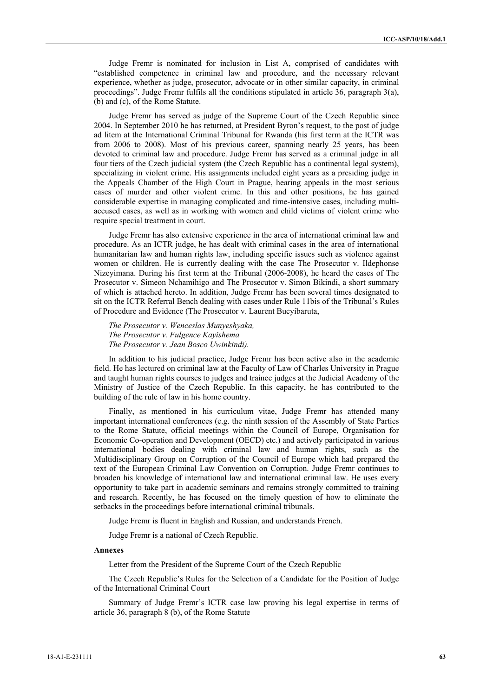Judge Fremr is nominated for inclusion in List A, comprised of candidates with "established competence in criminal law and procedure, and the necessary relevant experience, whether as judge, prosecutor, advocate or in other similar capacity, in criminal proceedings". Judge Fremr fulfils all the conditions stipulated in article 36, paragraph 3(a), (b) and (c), of the Rome Statute.

Judge Fremr has served as judge of the Supreme Court of the Czech Republic since 2004. In September 2010 he has returned, at President Byron's request, to the post of judge ad litem at the International Criminal Tribunal for Rwanda (his first term at the ICTR was from 2006 to 2008). Most of his previous career, spanning nearly 25 years, has been devoted to criminal law and procedure. Judge Fremr has served as a criminal judge in all four tiers of the Czech judicial system (the Czech Republic has a continental legal system), specializing in violent crime. His assignments included eight years as a presiding judge in the Appeals Chamber of the High Court in Prague, hearing appeals in the most serious cases of murder and other violent crime. In this and other positions, he has gained considerable expertise in managing complicated and time-intensive cases, including multiaccused cases, as well as in working with women and child victims of violent crime who require special treatment in court.

Judge Fremr has also extensive experience in the area of international criminal law and procedure. As an ICTR judge, he has dealt with criminal cases in the area of international humanitarian law and human rights law, including specific issues such as violence against women or children. He is currently dealing with the case The Prosecutor v. Ildephonse Nizeyimana. During his first term at the Tribunal (2006-2008), he heard the cases of The Prosecutor v. Simeon Nchamihigo and The Prosecutor v. Simon Bikindi, a short summary of which is attached hereto. In addition, Judge Fremr has been several times designated to sit on the ICTR Referral Bench dealing with cases under Rule 11bis of the Tribunal's Rules of Procedure and Evidence (The Prosecutor v. Laurent Bucyibaruta,

*The Prosecutor v. Wenceslas Munyeshyaka, The Prosecutor v. Fulgence Kayishema The Prosecutor v. Jean Bosco Uwinkindi).* 

In addition to his judicial practice, Judge Fremr has been active also in the academic field. He has lectured on criminal law at the Faculty of Law of Charles University in Prague and taught human rights courses to judges and trainee judges at the Judicial Academy of the Ministry of Justice of the Czech Republic. In this capacity, he has contributed to the building of the rule of law in his home country.

Finally, as mentioned in his curriculum vitae, Judge Fremr has attended many important international conferences (e.g. the ninth session of the Assembly of State Parties to the Rome Statute, official meetings within the Council of Europe, Organisation for Economic Co-operation and Development (OECD) etc.) and actively participated in various international bodies dealing with criminal law and human rights, such as the Multidisciplinary Group on Corruption of the Council of Europe which had prepared the text of the European Criminal Law Convention on Corruption. Judge Fremr continues to broaden his knowledge of international law and international criminal law. He uses every opportunity to take part in academic seminars and remains strongly committed to training and research. Recently, he has focused on the timely question of how to eliminate the setbacks in the proceedings before international criminal tribunals.

Judge Fremr is fluent in English and Russian, and understands French.

Judge Fremr is a national of Czech Republic.

## **Annexes**

Letter from the President of the Supreme Court of the Czech Republic

The Czech Republic's Rules for the Selection of a Candidate for the Position of Judge of the International Criminal Court

Summary of Judge Fremr's ICTR case law proving his legal expertise in terms of article 36, paragraph 8 (b), of the Rome Statute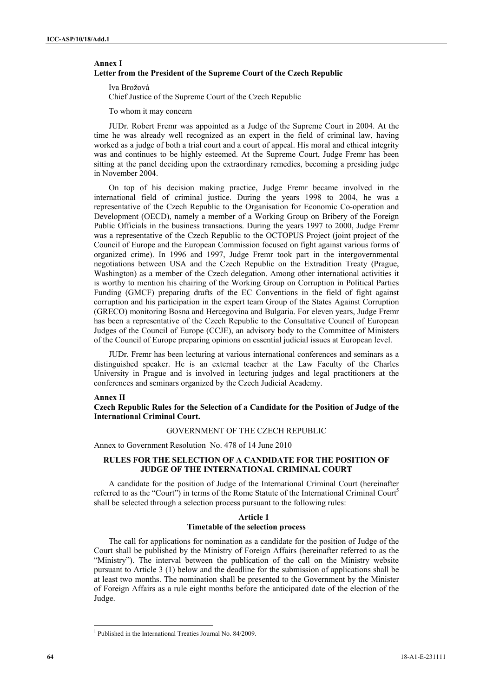## **Annex I Letter from the President of the Supreme Court of the Czech Republic**

Iva Brožová

Chief Justice of the Supreme Court of the Czech Republic

To whom it may concern

JUDr. Robert Fremr was appointed as a Judge of the Supreme Court in 2004. At the time he was already well recognized as an expert in the field of criminal law, having worked as a judge of both a trial court and a court of appeal. His moral and ethical integrity was and continues to be highly esteemed. At the Supreme Court, Judge Fremr has been sitting at the panel deciding upon the extraordinary remedies, becoming a presiding judge in November 2004.

On top of his decision making practice, Judge Fremr became involved in the international field of criminal justice. During the years 1998 to 2004, he was a representative of the Czech Republic to the Organisation for Economic Co-operation and Development (OECD), namely a member of a Working Group on Bribery of the Foreign Public Officials in the business transactions. During the years 1997 to 2000, Judge Fremr was a representative of the Czech Republic to the OCTOPUS Project (joint project of the Council of Europe and the European Commission focused on fight against various forms of organized crime). In 1996 and 1997, Judge Fremr took part in the intergovernmental negotiations between USA and the Czech Republic on the Extradition Treaty (Prague, Washington) as a member of the Czech delegation. Among other international activities it is worthy to mention his chairing of the Working Group on Corruption in Political Parties Funding (GMCF) preparing drafts of the EC Conventions in the field of fight against corruption and his participation in the expert team Group of the States Against Corruption (GRECO) monitoring Bosna and Hercegovina and Bulgaria. For eleven years, Judge Fremr has been a representative of the Czech Republic to the Consultative Council of European Judges of the Council of Europe (CCJE), an advisory body to the Committee of Ministers of the Council of Europe preparing opinions on essential judicial issues at European level.

JUDr. Fremr has been lecturing at various international conferences and seminars as a distinguished speaker. He is an external teacher at the Law Faculty of the Charles University in Prague and is involved in lecturing judges and legal practitioners at the conferences and seminars organized by the Czech Judicial Academy.

#### **Annex II**

**Czech Republic Rules for the Selection of a Candidate for the Position of Judge of the International Criminal Court.** 

## GOVERNMENT OF THE CZECH REPUBLIC

Annex to Government Resolution No. 478 of 14 June 2010

## **RULES FOR THE SELECTION OF A CANDIDATE FOR THE POSITION OF JUDGE OF THE INTERNATIONAL CRIMINAL COURT**

A candidate for the position of Judge of the International Criminal Court (hereinafter referred to as the "Court") in terms of the Rome Statute of the International Criminal Court<sup>5</sup> shall be selected through a selection process pursuant to the following rules:

#### **Article 1 Timetable of the selection process**

The call for applications for nomination as a candidate for the position of Judge of the Court shall be published by the Ministry of Foreign Affairs (hereinafter referred to as the "Ministry"). The interval between the publication of the call on the Ministry website pursuant to Article 3 (1) below and the deadline for the submission of applications shall be at least two months. The nomination shall be presented to the Government by the Minister of Foreign Affairs as a rule eight months before the anticipated date of the election of the Judge.

l

<sup>&</sup>lt;sup>1</sup> Published in the International Treaties Journal No. 84/2009.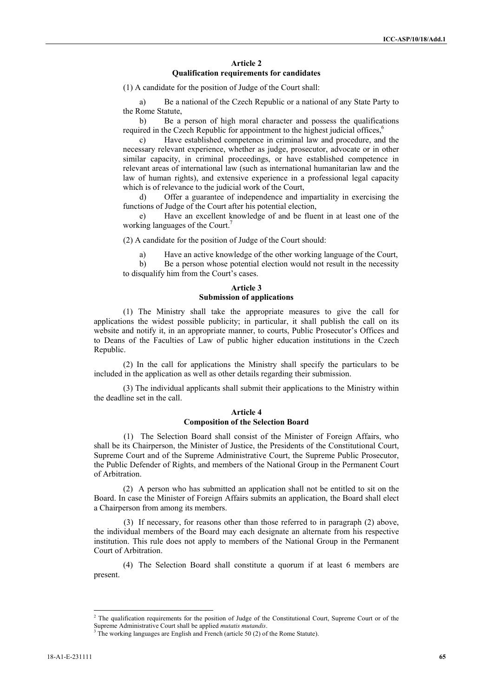## **Article 2 Qualification requirements for candidates**

(1) A candidate for the position of Judge of the Court shall:

a) Be a national of the Czech Republic or a national of any State Party to the Rome Statute,

b) Be a person of high moral character and possess the qualifications required in the Czech Republic for appointment to the highest judicial offices,<sup>6</sup>

c) Have established competence in criminal law and procedure, and the necessary relevant experience, whether as judge, prosecutor, advocate or in other similar capacity, in criminal proceedings, or have established competence in relevant areas of international law (such as international humanitarian law and the law of human rights), and extensive experience in a professional legal capacity which is of relevance to the judicial work of the Court,

d) Offer a guarantee of independence and impartiality in exercising the functions of Judge of the Court after his potential election,

e) Have an excellent knowledge of and be fluent in at least one of the working languages of the Court.<sup>7</sup>

(2) A candidate for the position of Judge of the Court should:

a) Have an active knowledge of the other working language of the Court,

b) Be a person whose potential election would not result in the necessity to disqualify him from the Court's cases.

## **Article 3 Submission of applications**

(1) The Ministry shall take the appropriate measures to give the call for applications the widest possible publicity; in particular, it shall publish the call on its website and notify it, in an appropriate manner, to courts, Public Prosecutor's Offices and to Deans of the Faculties of Law of public higher education institutions in the Czech Republic.

(2) In the call for applications the Ministry shall specify the particulars to be included in the application as well as other details regarding their submission.

(3) The individual applicants shall submit their applications to the Ministry within the deadline set in the call.

#### **Article 4 Composition of the Selection Board**

(1) The Selection Board shall consist of the Minister of Foreign Affairs, who shall be its Chairperson, the Minister of Justice, the Presidents of the Constitutional Court, Supreme Court and of the Supreme Administrative Court, the Supreme Public Prosecutor, the Public Defender of Rights, and members of the National Group in the Permanent Court of Arbitration.

(2) A person who has submitted an application shall not be entitled to sit on the Board. In case the Minister of Foreign Affairs submits an application, the Board shall elect a Chairperson from among its members.

(3) If necessary, for reasons other than those referred to in paragraph (2) above, the individual members of the Board may each designate an alternate from his respective institution. This rule does not apply to members of the National Group in the Permanent Court of Arbitration.

(4) The Selection Board shall constitute a quorum if at least 6 members are present.

l

<sup>&</sup>lt;sup>2</sup> The qualification requirements for the position of Judge of the Constitutional Court, Supreme Court or of the Supreme Administrative Court shall be applied *mutatis mutandis*. 3

 $3$  The working languages are English and French (article 50 (2) of the Rome Statute).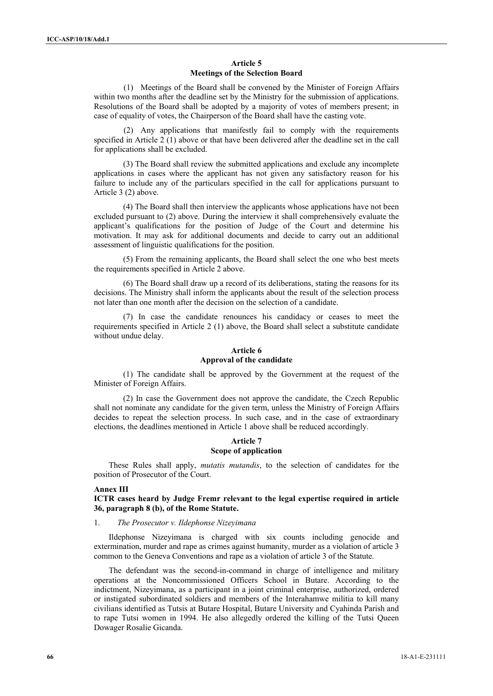## **Article 5 Meetings of the Selection Board**

(1) Meetings of the Board shall be convened by the Minister of Foreign Affairs within two months after the deadline set by the Ministry for the submission of applications. Resolutions of the Board shall be adopted by a majority of votes of members present; in case of equality of votes, the Chairperson of the Board shall have the casting vote.

(2) Any applications that manifestly fail to comply with the requirements specified in Article  $2(1)$  above or that have been delivered after the deadline set in the call for applications shall be excluded.

(3) The Board shall review the submitted applications and exclude any incomplete applications in cases where the applicant has not given any satisfactory reason for his failure to include any of the particulars specified in the call for applications pursuant to Article 3 (2) above.

(4) The Board shall then interview the applicants whose applications have not been excluded pursuant to (2) above. During the interview it shall comprehensively evaluate the applicant's qualifications for the position of Judge of the Court and determine his motivation. It may ask for additional documents and decide to carry out an additional assessment of linguistic qualifications for the position.

(5) From the remaining applicants, the Board shall select the one who best meets the requirements specified in Article 2 above.

(6) The Board shall draw up a record of its deliberations, stating the reasons for its decisions. The Ministry shall inform the applicants about the result of the selection process not later than one month after the decision on the selection of a candidate.

(7) In case the candidate renounces his candidacy or ceases to meet the requirements specified in Article 2 (1) above, the Board shall select a substitute candidate without undue delay.

## **Article 6 Approval of the candidate**

(1) The candidate shall be approved by the Government at the request of the Minister of Foreign Affairs.

(2) In case the Government does not approve the candidate, the Czech Republic shall not nominate any candidate for the given term, unless the Ministry of Foreign Affairs decides to repeat the selection process. In such case, and in the case of extraordinary elections, the deadlines mentioned in Article 1 above shall be reduced accordingly.

# **Article 7**

# **Scope of application**

These Rules shall apply, *mutatis mutandis*, to the selection of candidates for the position of Prosecutor of the Court.

#### **Annex III**

**ICTR cases heard by Judge Fremr relevant to the legal expertise required in article 36, paragraph 8 (b), of the Rome Statute.** 

## 1. *The Prosecutor v. Ildephonse Nizeyimana*

Ildephonse Nizeyimana is charged with six counts including genocide and extermination, murder and rape as crimes against humanity, murder as a violation of article 3 common to the Geneva Conventions and rape as a violation of article 3 of the Statute.

The defendant was the second-in-command in charge of intelligence and military operations at the Noncommissioned Officers School in Butare. According to the indictment, Nizeyimana, as a participant in a joint criminal enterprise, authorized, ordered or instigated subordinated soldiers and members of the Interahamwe militia to kill many civilians identified as Tutsis at Butare Hospital, Butare University and Cyahinda Parish and to rape Tutsi women in 1994. He also allegedly ordered the killing of the Tutsi Queen Dowager Rosalie Gicanda.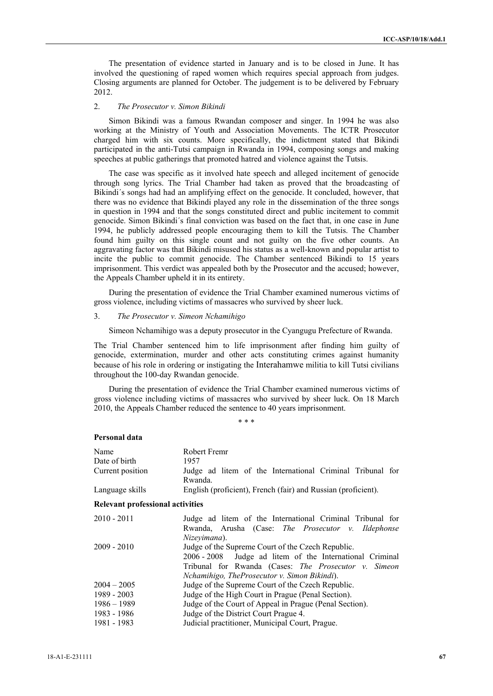The presentation of evidence started in January and is to be closed in June. It has involved the questioning of raped women which requires special approach from judges. Closing arguments are planned for October. The judgement is to be delivered by February 2012.

## 2. *The Prosecutor v. Simon Bikindi*

Simon Bikindi was a famous Rwandan composer and singer. In 1994 he was also working at the Ministry of Youth and Association Movements. The ICTR Prosecutor charged him with six counts. More specifically, the indictment stated that Bikindi participated in the anti-Tutsi campaign in Rwanda in 1994, composing songs and making speeches at public gatherings that promoted hatred and violence against the Tutsis.

The case was specific as it involved hate speech and alleged incitement of genocide through song lyrics. The Trial Chamber had taken as proved that the broadcasting of Bikindi´s songs had had an amplifying effect on the genocide. It concluded, however, that there was no evidence that Bikindi played any role in the dissemination of the three songs in question in 1994 and that the songs constituted direct and public incitement to commit genocide. Simon Bikindi´s final conviction was based on the fact that, in one case in June 1994, he publicly addressed people encouraging them to kill the Tutsis. The Chamber found him guilty on this single count and not guilty on the five other counts. An aggravating factor was that Bikindi misused his status as a well-known and popular artist to incite the public to commit genocide. The Chamber sentenced Bikindi to 15 years imprisonment. This verdict was appealed both by the Prosecutor and the accused; however, the Appeals Chamber upheld it in its entirety.

During the presentation of evidence the Trial Chamber examined numerous victims of gross violence, including victims of massacres who survived by sheer luck.

## 3. *The Prosecutor v. Simeon Nchamihigo*

Simeon Nchamihigo was a deputy prosecutor in the Cyangugu Prefecture of Rwanda.

The Trial Chamber sentenced him to life imprisonment after finding him guilty of genocide, extermination, murder and other acts constituting crimes against humanity because of his role in ordering or instigating the Interahamwe militia to kill Tutsi civilians throughout the 100-day Rwandan genocide.

During the presentation of evidence the Trial Chamber examined numerous victims of gross violence including victims of massacres who survived by sheer luck. On 18 March 2010, the Appeals Chamber reduced the sentence to 40 years imprisonment.

\* \* \*

### **Personal data**

| Name                                    | Robert Fremr                                                                                                                                                                                                             |
|-----------------------------------------|--------------------------------------------------------------------------------------------------------------------------------------------------------------------------------------------------------------------------|
| Date of birth                           | 1957                                                                                                                                                                                                                     |
| Current position                        | Judge ad litem of the International Criminal Tribunal for<br>Rwanda.                                                                                                                                                     |
| Language skills                         | English (proficient), French (fair) and Russian (proficient).                                                                                                                                                            |
| <b>Relevant professional activities</b> |                                                                                                                                                                                                                          |
| $2010 - 2011$                           | Judge ad litem of the International Criminal Tribunal for<br>Rwanda, Arusha (Case: The Prosecutor v. Ildephonse<br>Nizevimana).                                                                                          |
| $2009 - 2010$                           | Judge of the Supreme Court of the Czech Republic.<br>Judge ad litem of the International Criminal<br>2006 - 2008<br>Tribunal for Rwanda (Cases: The Prosecutor v. Simeon<br>Nchamihigo, TheProsecutor v. Simon Bikindi). |
| $2004 - 2005$                           | Judge of the Supreme Court of the Czech Republic.                                                                                                                                                                        |
| 1989 - 2003                             | Judge of the High Court in Prague (Penal Section).                                                                                                                                                                       |
| $1986 - 1989$                           | Judge of the Court of Appeal in Prague (Penal Section).                                                                                                                                                                  |
| 1983 - 1986                             | Judge of the District Court Prague 4.                                                                                                                                                                                    |
| 1981 - 1983                             | Judicial practitioner, Municipal Court, Prague.                                                                                                                                                                          |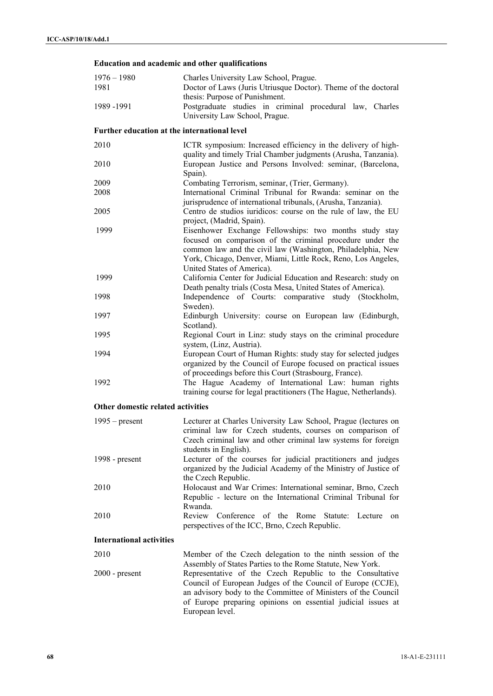## **Education and academic and other qualifications**

| $1976 - 1980$<br>1981                        | Charles University Law School, Prague.<br>Doctor of Laws (Juris Utriusque Doctor). Theme of the doctoral                                                                                                                                                                          |
|----------------------------------------------|-----------------------------------------------------------------------------------------------------------------------------------------------------------------------------------------------------------------------------------------------------------------------------------|
| 1989 - 1991                                  | thesis: Purpose of Punishment.<br>Postgraduate studies in criminal procedural law, Charles<br>University Law School, Prague.                                                                                                                                                      |
| Further education at the international level |                                                                                                                                                                                                                                                                                   |
| 2010                                         | ICTR symposium: Increased efficiency in the delivery of high-                                                                                                                                                                                                                     |
| 2010                                         | quality and timely Trial Chamber judgments (Arusha, Tanzania).<br>European Justice and Persons Involved: seminar, (Barcelona,                                                                                                                                                     |
| 2009                                         | Spain).<br>Combating Terrorism, seminar, (Trier, Germany).                                                                                                                                                                                                                        |
| 2008                                         | International Criminal Tribunal for Rwanda: seminar on the<br>jurisprudence of international tribunals, (Arusha, Tanzania).                                                                                                                                                       |
| 2005                                         | Centro de studios iuridicos: course on the rule of law, the EU<br>project, (Madrid, Spain).                                                                                                                                                                                       |
| 1999                                         | Eisenhower Exchange Fellowships: two months study stay<br>focused on comparison of the criminal procedure under the<br>common law and the civil law (Washington, Philadelphia, New<br>York, Chicago, Denver, Miami, Little Rock, Reno, Los Angeles,<br>United States of America). |
| 1999                                         | California Center for Judicial Education and Research: study on<br>Death penalty trials (Costa Mesa, United States of America).                                                                                                                                                   |
| 1998                                         | Independence of Courts: comparative study (Stockholm,<br>Sweden).                                                                                                                                                                                                                 |
| 1997                                         | Edinburgh University: course on European law (Edinburgh,<br>Scotland).                                                                                                                                                                                                            |
| 1995                                         | Regional Court in Linz: study stays on the criminal procedure<br>system, (Linz, Austria).                                                                                                                                                                                         |
| 1994                                         | European Court of Human Rights: study stay for selected judges<br>organized by the Council of Europe focused on practical issues<br>of proceedings before this Court (Strasbourg, France).                                                                                        |
| 1992                                         | The Hague Academy of International Law: human rights<br>training course for legal practitioners (The Hague, Netherlands).                                                                                                                                                         |
| Other domestic related activities            |                                                                                                                                                                                                                                                                                   |
| $1995$ – present                             | Lecturer at Charles University Law School, Prague (lectures on<br>criminal law for Czech students, courses on comparison of<br>Czech criminal law and other criminal law systems for foreign<br>students in English).                                                             |
| 1998 - $present$                             | Lecturer of the courses for judicial practitioners and judges<br>organized by the Judicial Academy of the Ministry of Justice of<br>the Czech Republic.                                                                                                                           |
| 2010                                         | Holocaust and War Crimes: International seminar, Brno, Czech<br>Republic - lecture on the International Criminal Tribunal for<br>Rwanda.                                                                                                                                          |
| 2010                                         | Review Conference of the Rome<br>Statute:<br>Lecture<br>on<br>perspectives of the ICC, Brno, Czech Republic.                                                                                                                                                                      |
| <b>International activities</b>              |                                                                                                                                                                                                                                                                                   |
| 2010                                         | Member of the Czech delegation to the ninth session of the<br>Assembly of States Parties to the Rome Statute, New York.                                                                                                                                                           |
| $2000$ - present                             | Representative of the Czech Republic to the Consultative<br>Council of European Judges of the Council of Europe (CCJE),<br>an advisory body to the Committee of Ministers of the Council<br>of Europe preparing opinions on essential judicial issues at<br>European level.       |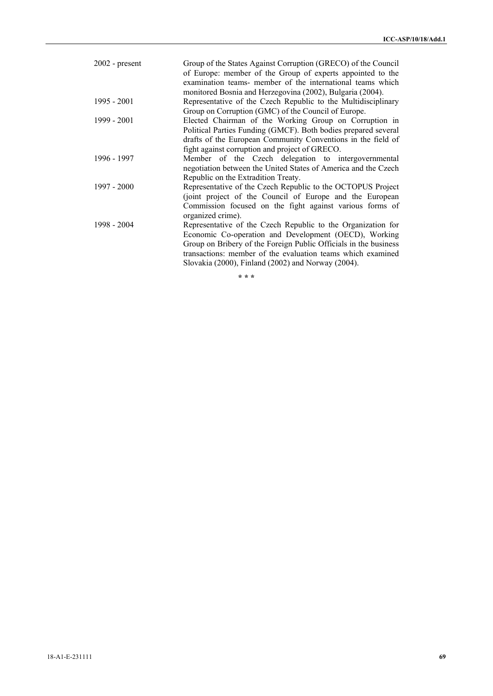| $2002$ - present | Group of the States Against Corruption (GRECO) of the Council<br>of Europe: member of the Group of experts appointed to the |
|------------------|-----------------------------------------------------------------------------------------------------------------------------|
|                  | examination teams- member of the international teams which                                                                  |
|                  | monitored Bosnia and Herzegovina (2002), Bulgaria (2004).                                                                   |
| $1995 - 2001$    | Representative of the Czech Republic to the Multidisciplinary                                                               |
|                  | Group on Corruption (GMC) of the Council of Europe.                                                                         |
| $1999 - 2001$    | Elected Chairman of the Working Group on Corruption in                                                                      |
|                  | Political Parties Funding (GMCF). Both bodies prepared several                                                              |
|                  | drafts of the European Community Conventions in the field of                                                                |
|                  | fight against corruption and project of GRECO.                                                                              |
| 1996 - 1997      | Member of the Czech delegation to intergovernmental                                                                         |
|                  | negotiation between the United States of America and the Czech                                                              |
|                  | Republic on the Extradition Treaty.                                                                                         |
| $1997 - 2000$    | Representative of the Czech Republic to the OCTOPUS Project                                                                 |
|                  | (joint project of the Council of Europe and the European                                                                    |
|                  | Commission focused on the fight against various forms of                                                                    |
|                  | organized crime).                                                                                                           |
| 1998 - 2004      | Representative of the Czech Republic to the Organization for                                                                |
|                  | Economic Co-operation and Development (OECD), Working                                                                       |
|                  | Group on Bribery of the Foreign Public Officials in the business                                                            |
|                  | transactions: member of the evaluation teams which examined                                                                 |
|                  | Slovakia (2000), Finland (2002) and Norway (2004).                                                                          |
|                  |                                                                                                                             |

**\* \* \***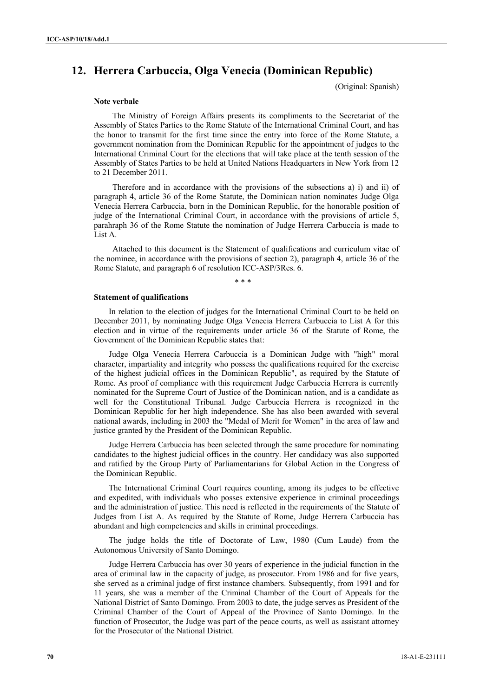# **12. Herrera Carbuccia, Olga Venecia (Dominican Republic)**

(Original: Spanish)

#### **Note verbale**

The Ministry of Foreign Affairs presents its compliments to the Secretariat of the Assembly of States Parties to the Rome Statute of the International Criminal Court, and has the honor to transmit for the first time since the entry into force of the Rome Statute, a government nomination from the Dominican Republic for the appointment of judges to the International Criminal Court for the elections that will take place at the tenth session of the Assembly of States Parties to be held at United Nations Headquarters in New York from 12 to 21 December 2011.

Therefore and in accordance with the provisions of the subsections a) i) and ii) of paragraph 4, article 36 of the Rome Statute, the Dominican nation nominates Judge Olga Venecia Herrera Carbuccia, born in the Dominican Republic, for the honorable position of judge of the International Criminal Court, in accordance with the provisions of article 5, parahraph 36 of the Rome Statute the nomination of Judge Herrera Carbuccia is made to List A.

Attached to this document is the Statement of qualifications and curriculum vitae of the nominee, in accordance with the provisions of section 2), paragraph 4, article 36 of the Rome Statute, and paragraph 6 of resolution ICC-ASP/3Res. 6.

\* \* \*

#### **Statement of qualifications**

In relation to the election of judges for the International Criminal Court to be held on December 2011, by nominating Judge Olga Venecia Herrera Carbuccia to List A for this election and in virtue of the requirements under article 36 of the Statute of Rome, the Government of the Dominican Republic states that:

Judge Olga Venecia Herrera Carbuccia is a Dominican Judge with "high" moral character, impartiality and integrity who possess the qualifications required for the exercise of the highest judicial offices in the Dominican Republic", as required by the Statute of Rome. As proof of compliance with this requirement Judge Carbuccia Herrera is currently nominated for the Supreme Court of Justice of the Dominican nation, and is a candidate as well for the Constitutional Tribunal. Judge Carbuccia Herrera is recognized in the Dominican Republic for her high independence. She has also been awarded with several national awards, including in 2003 the "Medal of Merit for Women" in the area of law and justice granted by the President of the Dominican Republic.

Judge Herrera Carbuccia has been selected through the same procedure for nominating candidates to the highest judicial offices in the country. Her candidacy was also supported and ratified by the Group Party of Parliamentarians for Global Action in the Congress of the Dominican Republic.

The International Criminal Court requires counting, among its judges to be effective and expedited, with individuals who posses extensive experience in criminal proceedings and the administration of justice. This need is reflected in the requirements of the Statute of Judges from List A. As required by the Statute of Rome, Judge Herrera Carbuccia has abundant and high competencies and skills in criminal proceedings.

The judge holds the title of Doctorate of Law, 1980 (Cum Laude) from the Autonomous University of Santo Domingo.

Judge Herrera Carbuccia has over 30 years of experience in the judicial function in the area of criminal law in the capacity of judge, as prosecutor. From 1986 and for five years, she served as a criminal judge of first instance chambers. Subsequently, from 1991 and for 11 years, she was a member of the Criminal Chamber of the Court of Appeals for the National District of Santo Domingo. From 2003 to date, the judge serves as President of the Criminal Chamber of the Court of Appeal of the Province of Santo Domingo. In the function of Prosecutor, the Judge was part of the peace courts, as well as assistant attorney for the Prosecutor of the National District.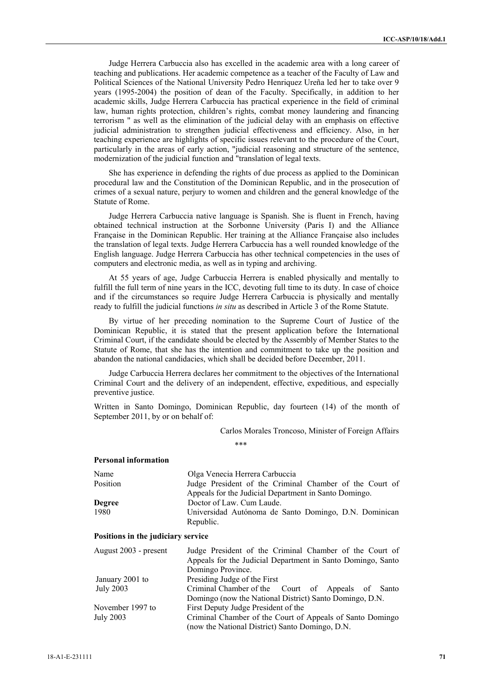Judge Herrera Carbuccia also has excelled in the academic area with a long career of teaching and publications. Her academic competence as a teacher of the Faculty of Law and Political Sciences of the National University Pedro Henriquez Ureña led her to take over 9 years (1995-2004) the position of dean of the Faculty. Specifically, in addition to her academic skills, Judge Herrera Carbuccia has practical experience in the field of criminal law, human rights protection, children's rights, combat money laundering and financing terrorism " as well as the elimination of the judicial delay with an emphasis on effective judicial administration to strengthen judicial effectiveness and efficiency. Also, in her teaching experience are highlights of specific issues relevant to the procedure of the Court, particularly in the areas of early action, "judicial reasoning and structure of the sentence, modernization of the judicial function and "translation of legal texts.

She has experience in defending the rights of due process as applied to the Dominican procedural law and the Constitution of the Dominican Republic, and in the prosecution of crimes of a sexual nature, perjury to women and children and the general knowledge of the Statute of Rome.

Judge Herrera Carbuccia native language is Spanish. She is fluent in French, having obtained technical instruction at the Sorbonne University (Paris I) and the Alliance Française in the Dominican Republic. Her training at the Alliance Française also includes the translation of legal texts. Judge Herrera Carbuccia has a well rounded knowledge of the English language. Judge Herrera Carbuccia has other technical competencies in the uses of computers and electronic media, as well as in typing and archiving.

At 55 years of age, Judge Carbuccia Herrera is enabled physically and mentally to fulfill the full term of nine years in the ICC, devoting full time to its duty. In case of choice and if the circumstances so require Judge Herrera Carbuccia is physically and mentally ready to fulfill the judicial functions *in situ* as described in Article 3 of the Rome Statute.

By virtue of her preceding nomination to the Supreme Court of Justice of the Dominican Republic, it is stated that the present application before the International Criminal Court, if the candidate should be elected by the Assembly of Member States to the Statute of Rome, that she has the intention and commitment to take up the position and abandon the national candidacies, which shall be decided before December, 2011.

Judge Carbuccia Herrera declares her commitment to the objectives of the International Criminal Court and the delivery of an independent, effective, expeditious, and especially preventive justice.

Written in Santo Domingo, Dominican Republic, day fourteen (14) of the month of September 2011, by or on behalf of:

Carlos Morales Troncoso, Minister of Foreign Affairs

\*\*\*

## **Personal information**

| Name          | Olga Venecia Herrera Carbuccia                                     |
|---------------|--------------------------------------------------------------------|
| Position      | Judge President of the Criminal Chamber of the Court of            |
|               | Appeals for the Judicial Department in Santo Domingo.              |
| <b>Degree</b> | Doctor of Law. Cum Laude.                                          |
| 1980          | Universidad Autónoma de Santo Domingo, D.N. Dominican<br>Republic. |

## **Positions in the judiciary service**

| August 2003 - present | Judge President of the Criminal Chamber of the Court of     |
|-----------------------|-------------------------------------------------------------|
|                       | Appeals for the Judicial Department in Santo Domingo, Santo |
|                       | Domingo Province.                                           |
| January 2001 to       | Presiding Judge of the First                                |
| July 2003             | Criminal Chamber of the Court of Appeals of Santo           |
|                       | Domingo (now the National District) Santo Domingo, D.N.     |
| November 1997 to      | First Deputy Judge President of the                         |
| July 2003             | Criminal Chamber of the Court of Appeals of Santo Domingo   |
|                       | (now the National District) Santo Domingo, D.N.             |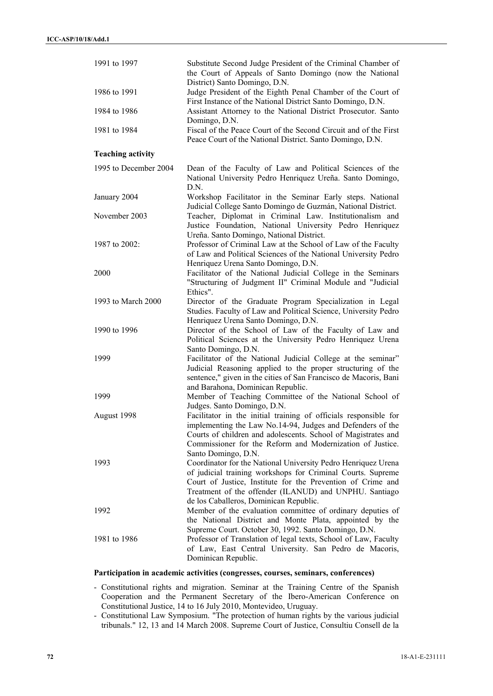| 1991 to 1997             | Substitute Second Judge President of the Criminal Chamber of<br>the Court of Appeals of Santo Domingo (now the National<br>District) Santo Domingo, D.N.                                                                                                                                        |
|--------------------------|-------------------------------------------------------------------------------------------------------------------------------------------------------------------------------------------------------------------------------------------------------------------------------------------------|
| 1986 to 1991             | Judge President of the Eighth Penal Chamber of the Court of<br>First Instance of the National District Santo Domingo, D.N.                                                                                                                                                                      |
| 1984 to 1986             | Assistant Attorney to the National District Prosecutor. Santo<br>Domingo, D.N.                                                                                                                                                                                                                  |
| 1981 to 1984             | Fiscal of the Peace Court of the Second Circuit and of the First<br>Peace Court of the National District. Santo Domingo, D.N.                                                                                                                                                                   |
| <b>Teaching activity</b> |                                                                                                                                                                                                                                                                                                 |
| 1995 to December 2004    | Dean of the Faculty of Law and Political Sciences of the<br>National University Pedro Henriquez Ureña. Santo Domingo,<br>D.N.                                                                                                                                                                   |
| January 2004             | Workshop Facilitator in the Seminar Early steps. National<br>Judicial College Santo Domingo de Guzmán, National District.                                                                                                                                                                       |
| November 2003            | Teacher, Diplomat in Criminal Law. Institutionalism and<br>Justice Foundation, National University Pedro Henriquez<br>Ureña. Santo Domingo, National District.                                                                                                                                  |
| 1987 to 2002:            | Professor of Criminal Law at the School of Law of the Faculty<br>of Law and Political Sciences of the National University Pedro<br>Henriquez Urena Santo Domingo, D.N.                                                                                                                          |
| 2000                     | Facilitator of the National Judicial College in the Seminars<br>"Structuring of Judgment II" Criminal Module and "Judicial<br>Ethics".                                                                                                                                                          |
| 1993 to March 2000       | Director of the Graduate Program Specialization in Legal<br>Studies. Faculty of Law and Political Science, University Pedro<br>Henriquez Urena Santo Domingo, D.N.                                                                                                                              |
| 1990 to 1996             | Director of the School of Law of the Faculty of Law and<br>Political Sciences at the University Pedro Henriquez Urena<br>Santo Domingo, D.N.                                                                                                                                                    |
| 1999                     | Facilitator of the National Judicial College at the seminar"<br>Judicial Reasoning applied to the proper structuring of the<br>sentence," given in the cities of San Francisco de Macoris, Bani<br>and Barahona, Dominican Republic.                                                            |
| 1999                     | Member of Teaching Committee of the National School of<br>Judges. Santo Domingo, D.N.                                                                                                                                                                                                           |
| August 1998              | Facilitator in the initial training of officials responsible for<br>implementing the Law No.14-94, Judges and Defenders of the<br>Courts of children and adolescents. School of Magistrates and<br>Commissioner for the Reform and Modernization of Justice.<br>Santo Domingo, D.N.             |
| 1993                     | Coordinator for the National University Pedro Henriquez Urena<br>of judicial training workshops for Criminal Courts. Supreme<br>Court of Justice, Institute for the Prevention of Crime and<br>Treatment of the offender (ILANUD) and UNPHU. Santiago<br>de los Caballeros, Dominican Republic. |
| 1992                     | Member of the evaluation committee of ordinary deputies of<br>the National District and Monte Plata, appointed by the<br>Supreme Court. October 30, 1992. Santo Domingo, D.N.                                                                                                                   |
| 1981 to 1986             | Professor of Translation of legal texts, School of Law, Faculty<br>of Law, East Central University. San Pedro de Macoris,<br>Dominican Republic.                                                                                                                                                |

## **Participation in academic activities (congresses, courses, seminars, conferences)**

- Constitutional rights and migration. Seminar at the Training Centre of the Spanish Cooperation and the Permanent Secretary of the Ibero-American Conference on Constitutional Justice, 14 to 16 July 2010, Montevideo, Uruguay.

- Constitutional Law Symposium. "The protection of human rights by the various judicial tribunals." 12, 13 and 14 March 2008. Supreme Court of Justice, Consultiu Consell de la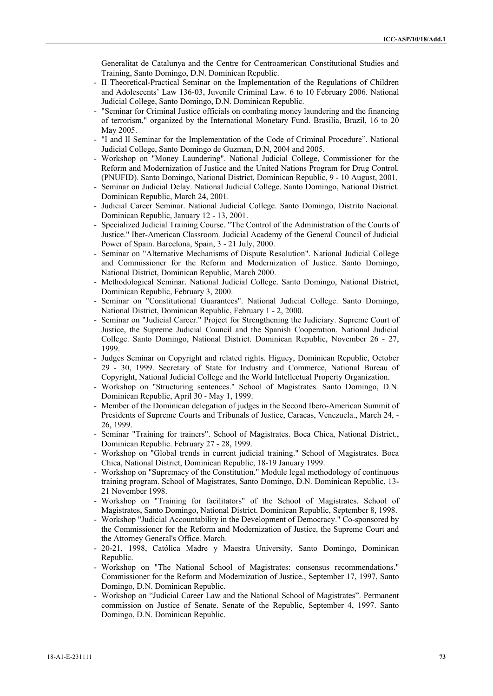Generalitat de Catalunya and the Centre for Centroamerican Constitutional Studies and Training, Santo Domingo, D.N. Dominican Republic.

- II Theoretical-Practical Seminar on the Implementation of the Regulations of Children and Adolescents' Law 136-03, Juvenile Criminal Law. 6 to 10 February 2006. National Judicial College, Santo Domingo, D.N. Dominican Republic.
- "Seminar for Criminal Justice officials on combating money laundering and the financing of terrorism," organized by the International Monetary Fund. Brasilia, Brazil, 16 to 20 May 2005.
- "I and II Seminar for the Implementation of the Code of Criminal Procedure". National Judicial College, Santo Domingo de Guzman, D.N, 2004 and 2005.
- Workshop on "Money Laundering". National Judicial College, Commissioner for the Reform and Modernization of Justice and the United Nations Program for Drug Control. (PNUFID). Santo Domingo, National District, Dominican Republic, 9 - 10 August, 2001.
- Seminar on Judicial Delay. National Judicial College. Santo Domingo, National District. Dominican Republic, March 24, 2001.
- Judicial Career Seminar. National Judicial College. Santo Domingo, Distrito Nacional. Dominican Republic, January 12 - 13, 2001.
- Specialized Judicial Training Course. "The Control of the Administration of the Courts of Justice." Iber-American Classroom. Judicial Academy of the General Council of Judicial Power of Spain. Barcelona, Spain, 3 - 21 July, 2000.
- Seminar on "Alternative Mechanisms of Dispute Resolution". National Judicial College and Commissioner for the Reform and Modernization of Justice. Santo Domingo, National District, Dominican Republic, March 2000.
- Methodological Seminar. National Judicial College. Santo Domingo, National District, Dominican Republic, February 3, 2000.
- Seminar on "Constitutional Guarantees". National Judicial College. Santo Domingo, National District, Dominican Republic, February 1 - 2, 2000.
- Seminar on "Judicial Career." Project for Strengthening the Judiciary. Supreme Court of Justice, the Supreme Judicial Council and the Spanish Cooperation. National Judicial College. Santo Domingo, National District. Dominican Republic, November 26 - 27, 1999.
- Judges Seminar on Copyright and related rights. Higuey, Dominican Republic, October 29 - 30, 1999. Secretary of State for Industry and Commerce, National Bureau of Copyright, National Judicial College and the World Intellectual Property Organization.
- Workshop on "Structuring sentences." School of Magistrates. Santo Domingo, D.N. Dominican Republic, April 30 - May 1, 1999.
- Member of the Dominican delegation of judges in the Second Ibero-American Summit of Presidents of Supreme Courts and Tribunals of Justice, Caracas, Venezuela., March 24, - 26, 1999.
- Seminar "Training for trainers". School of Magistrates. Boca Chica, National District., Dominican Republic. February 27 - 28, 1999.
- Workshop on "Global trends in current judicial training." School of Magistrates. Boca Chica, National District, Dominican Republic, 18-19 January 1999.
- Workshop on "Supremacy of the Constitution." Module legal methodology of continuous training program. School of Magistrates, Santo Domingo, D.N. Dominican Republic, 13- 21 November 1998.
- Workshop on "Training for facilitators" of the School of Magistrates. School of Magistrates, Santo Domingo, National District. Dominican Republic, September 8, 1998.
- Workshop "Judicial Accountability in the Development of Democracy." Co-sponsored by the Commissioner for the Reform and Modernization of Justice, the Supreme Court and the Attorney General's Office. March.
- 20-21, 1998, Católica Madre y Maestra University, Santo Domingo, Dominican Republic.
- Workshop on "The National School of Magistrates: consensus recommendations." Commissioner for the Reform and Modernization of Justice., September 17, 1997, Santo Domingo, D.N. Dominican Republic.
- Workshop on "Judicial Career Law and the National School of Magistrates". Permanent commission on Justice of Senate. Senate of the Republic, September 4, 1997. Santo Domingo, D.N. Dominican Republic.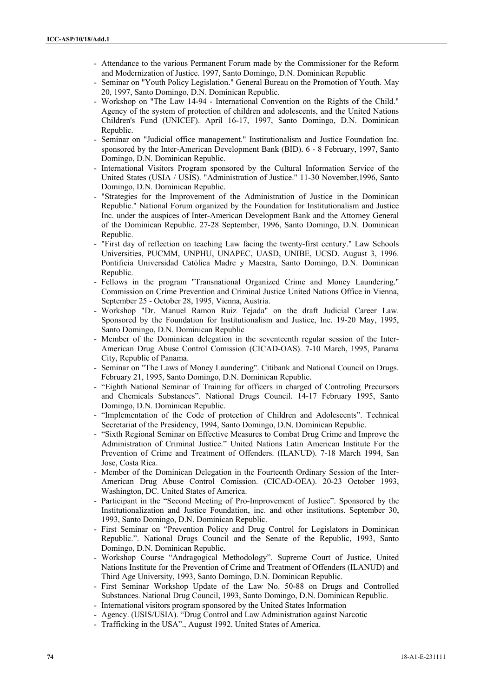- Attendance to the various Permanent Forum made by the Commissioner for the Reform and Modernization of Justice. 1997, Santo Domingo, D.N. Dominican Republic
- Seminar on "Youth Policy Legislation." General Bureau on the Promotion of Youth. May 20, 1997, Santo Domingo, D.N. Dominican Republic.
- Workshop on "The Law 14-94 International Convention on the Rights of the Child." Agency of the system of protection of children and adolescents, and the United Nations Children's Fund (UNICEF). April 16-17, 1997, Santo Domingo, D.N. Dominican Republic.
- Seminar on "Judicial office management." Institutionalism and Justice Foundation Inc. sponsored by the Inter-American Development Bank (BID). 6 - 8 February, 1997, Santo Domingo, D.N. Dominican Republic.
- International Visitors Program sponsored by the Cultural Information Service of the United States (USIA / USIS). "Administration of Justice." 11-30 November,1996, Santo Domingo, D.N. Dominican Republic.
- "Strategies for the Improvement of the Administration of Justice in the Dominican Republic." National Forum organized by the Foundation for Institutionalism and Justice Inc. under the auspices of Inter-American Development Bank and the Attorney General of the Dominican Republic. 27-28 September, 1996, Santo Domingo, D.N. Dominican Republic.
- "First day of reflection on teaching Law facing the twenty-first century." Law Schools Universities, PUCMM, UNPHU, UNAPEC, UASD, UNIBE, UCSD. August 3, 1996. Pontificia Universidad Católica Madre y Maestra, Santo Domingo, D.N. Dominican Republic.
- Fellows in the program "Transnational Organized Crime and Money Laundering." Commission on Crime Prevention and Criminal Justice United Nations Office in Vienna, September 25 - October 28, 1995, Vienna, Austria.
- Workshop "Dr. Manuel Ramon Ruiz Tejada" on the draft Judicial Career Law. Sponsored by the Foundation for Institutionalism and Justice, Inc. 19-20 May, 1995, Santo Domingo, D.N. Dominican Republic
- Member of the Dominican delegation in the seventeenth regular session of the Inter-American Drug Abuse Control Comission (CICAD-OAS). 7-10 March, 1995, Panama City, Republic of Panama.
- Seminar on "The Laws of Money Laundering". Citibank and National Council on Drugs. February 21, 1995, Santo Domingo, D.N. Dominican Republic.
- "Eighth National Seminar of Training for officers in charged of Controling Precursors and Chemicals Substances". National Drugs Council. 14-17 February 1995, Santo Domingo, D.N. Dominican Republic.
- "Implementation of the Code of protection of Children and Adolescents". Technical Secretariat of the Presidency, 1994, Santo Domingo, D.N. Dominican Republic.
- "Sixth Regional Seminar on Effective Measures to Combat Drug Crime and Improve the Administration of Criminal Justice." United Nations Latin American Institute For the Prevention of Crime and Treatment of Offenders. (ILANUD). 7-18 March 1994, San Jose, Costa Rica.
- Member of the Dominican Delegation in the Fourteenth Ordinary Session of the Inter-American Drug Abuse Control Comission. (CICAD-OEA). 20-23 October 1993, Washington, DC. United States of America.
- Participant in the "Second Meeting of Pro-Improvement of Justice". Sponsored by the Institutionalization and Justice Foundation, inc. and other institutions. September 30, 1993, Santo Domingo, D.N. Dominican Republic.
- First Seminar on "Prevention Policy and Drug Control for Legislators in Dominican Republic.". National Drugs Council and the Senate of the Republic, 1993, Santo Domingo, D.N. Dominican Republic.
- Workshop Course "Andragogical Methodology". Supreme Court of Justice, United Nations Institute for the Prevention of Crime and Treatment of Offenders (ILANUD) and Third Age University, 1993, Santo Domingo, D.N. Dominican Republic.
- First Seminar Workshop Update of the Law No. 50-88 on Drugs and Controlled Substances. National Drug Council, 1993, Santo Domingo, D.N. Dominican Republic.
- International visitors program sponsored by the United States Information
- Agency. (USIS/USIA). "Drug Control and Law Administration against Narcotic
- Trafficking in the USA"., August 1992. United States of America.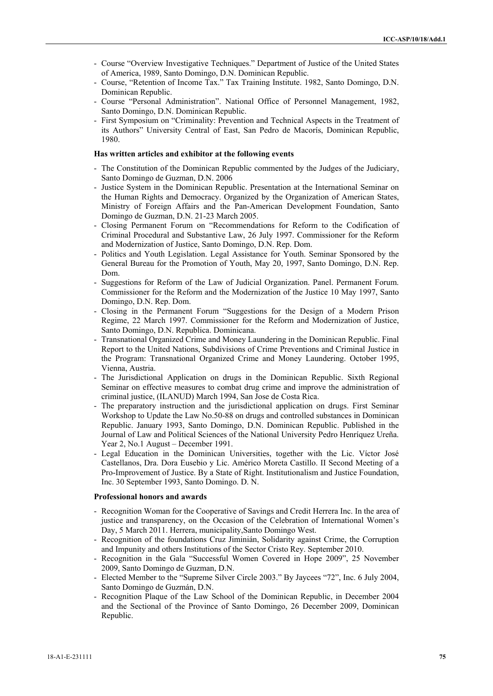- Course "Overview Investigative Techniques." Department of Justice of the United States of America, 1989, Santo Domingo, D.N. Dominican Republic.
- Course, "Retention of Income Tax." Tax Training Institute. 1982, Santo Domingo, D.N. Dominican Republic.
- Course "Personal Administration". National Office of Personnel Management, 1982, Santo Domingo, D.N. Dominican Republic.
- First Symposium on "Criminality: Prevention and Technical Aspects in the Treatment of its Authors" University Central of East, San Pedro de Macorís, Dominican Republic, 1980.

#### **Has written articles and exhibitor at the following events**

- The Constitution of the Dominican Republic commented by the Judges of the Judiciary, Santo Domingo de Guzman, D.N. 2006
- Justice System in the Dominican Republic. Presentation at the International Seminar on the Human Rights and Democracy. Organized by the Organization of American States, Ministry of Foreign Affairs and the Pan-American Development Foundation, Santo Domingo de Guzman, D.N. 21-23 March 2005.
- Closing Permanent Forum on "Recommendations for Reform to the Codification of Criminal Procedural and Substantive Law, 26 July 1997. Commissioner for the Reform and Modernization of Justice, Santo Domingo, D.N. Rep. Dom.
- Politics and Youth Legislation. Legal Assistance for Youth. Seminar Sponsored by the General Bureau for the Promotion of Youth, May 20, 1997, Santo Domingo, D.N. Rep. Dom.
- Suggestions for Reform of the Law of Judicial Organization. Panel. Permanent Forum. Commissioner for the Reform and the Modernization of the Justice 10 May 1997, Santo Domingo, D.N. Rep. Dom.
- Closing in the Permanent Forum "Suggestions for the Design of a Modern Prison Regime, 22 March 1997. Commissioner for the Reform and Modernization of Justice, Santo Domingo, D.N. Republica. Dominicana.
- Transnational Organized Crime and Money Laundering in the Dominican Republic. Final Report to the United Nations, Subdivisions of Crime Preventions and Criminal Justice in the Program: Transnational Organized Crime and Money Laundering. October 1995, Vienna, Austria.
- The Jurisdictional Application on drugs in the Dominican Republic. Sixth Regional Seminar on effective measures to combat drug crime and improve the administration of criminal justice, (ILANUD) March 1994, San Jose de Costa Rica.
- The preparatory instruction and the jurisdictional application on drugs. First Seminar Workshop to Update the Law No.50-88 on drugs and controlled substances in Dominican Republic. January 1993, Santo Domingo, D.N. Dominican Republic. Published in the Journal of Law and Political Sciences of the National University Pedro Henríquez Ureña. Year 2, No.1 August – December 1991.
- Legal Education in the Dominican Universities, together with the Lic. Víctor José Castellanos, Dra. Dora Eusebio y Lic. Américo Moreta Castillo. II Second Meeting of a Pro-Improvement of Justice. By a State of Right. Institutionalism and Justice Foundation, Inc. 30 September 1993, Santo Domingo. D. N.

#### **Professional honors and awards**

- Recognition Woman for the Cooperative of Savings and Credit Herrera Inc. In the area of justice and transparency, on the Occasion of the Celebration of International Women's Day, 5 March 2011. Herrera, municipality,Santo Domingo West.
- Recognition of the foundations Cruz Jiminián, Solidarity against Crime, the Corruption and Impunity and others Institutions of the Sector Cristo Rey. September 2010.
- Recognition in the Gala "Successful Women Covered in Hope 2009", 25 November 2009, Santo Domingo de Guzman, D.N.
- Elected Member to the "Supreme Silver Circle 2003." By Jaycees "72", Inc. 6 July 2004, Santo Domingo de Guzmán, D.N.
- Recognition Plaque of the Law School of the Dominican Republic, in December 2004 and the Sectional of the Province of Santo Domingo, 26 December 2009, Dominican Republic.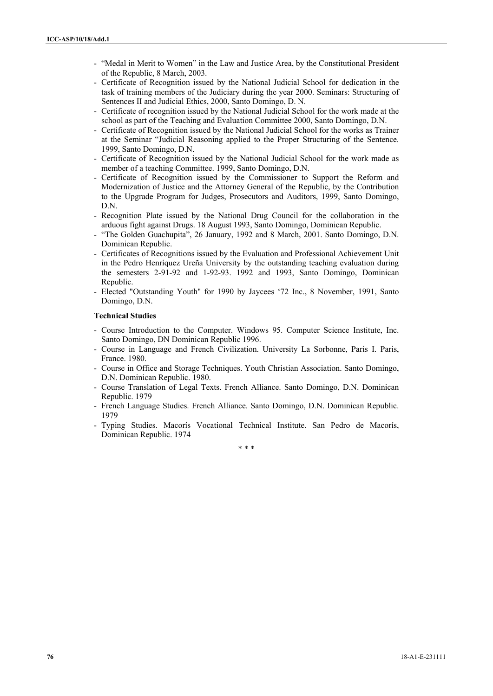- "Medal in Merit to Women" in the Law and Justice Area, by the Constitutional President of the Republic, 8 March, 2003.
- Certificate of Recognition issued by the National Judicial School for dedication in the task of training members of the Judiciary during the year 2000. Seminars: Structuring of Sentences II and Judicial Ethics, 2000, Santo Domingo, D. N.
- Certificate of recognition issued by the National Judicial School for the work made at the school as part of the Teaching and Evaluation Committee 2000, Santo Domingo, D.N.
- Certificate of Recognition issued by the National Judicial School for the works as Trainer at the Seminar "Judicial Reasoning applied to the Proper Structuring of the Sentence. 1999, Santo Domingo, D.N.
- Certificate of Recognition issued by the National Judicial School for the work made as member of a teaching Committee. 1999, Santo Domingo, D.N.
- Certificate of Recognition issued by the Commissioner to Support the Reform and Modernization of Justice and the Attorney General of the Republic, by the Contribution to the Upgrade Program for Judges, Prosecutors and Auditors, 1999, Santo Domingo, D.N.
- Recognition Plate issued by the National Drug Council for the collaboration in the arduous fight against Drugs. 18 August 1993, Santo Domingo, Dominican Republic.
- "The Golden Guachupita", 26 January, 1992 and 8 March, 2001. Santo Domingo, D.N. Dominican Republic.
- Certificates of Recognitions issued by the Evaluation and Professional Achievement Unit in the Pedro Henríquez Ureña University by the outstanding teaching evaluation during the semesters 2-91-92 and 1-92-93. 1992 and 1993, Santo Domingo, Dominican Republic.
- Elected "Outstanding Youth" for 1990 by Jaycees '72 Inc., 8 November, 1991, Santo Domingo, D.N.

#### **Technical Studies**

- Course Introduction to the Computer. Windows 95. Computer Science Institute, Inc. Santo Domingo, DN Dominican Republic 1996.
- Course in Language and French Civilization. University La Sorbonne, Paris I. Paris, France. 1980.
- Course in Office and Storage Techniques. Youth Christian Association. Santo Domingo, D.N. Dominican Republic. 1980.
- Course Translation of Legal Texts. French Alliance. Santo Domingo, D.N. Dominican Republic. 1979
- French Language Studies. French Alliance. Santo Domingo, D.N. Dominican Republic. 1979
- Typing Studies. Macorís Vocational Technical Institute. San Pedro de Macorís, Dominican Republic. 1974

\* \* \*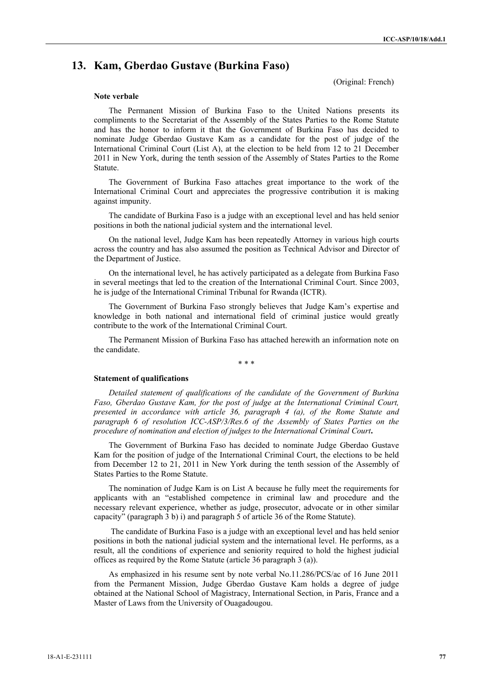# **13. Kam, Gberdao Gustave (Burkina Faso)**

(Original: French)

#### **Note verbale**

The Permanent Mission of Burkina Faso to the United Nations presents its compliments to the Secretariat of the Assembly of the States Parties to the Rome Statute and has the honor to inform it that the Government of Burkina Faso has decided to nominate Judge Gberdao Gustave Kam as a candidate for the post of judge of the International Criminal Court (List A), at the election to be held from 12 to 21 December 2011 in New York, during the tenth session of the Assembly of States Parties to the Rome Statute.

The Government of Burkina Faso attaches great importance to the work of the International Criminal Court and appreciates the progressive contribution it is making against impunity.

The candidate of Burkina Faso is a judge with an exceptional level and has held senior positions in both the national judicial system and the international level.

On the national level, Judge Kam has been repeatedly Attorney in various high courts across the country and has also assumed the position as Technical Advisor and Director of the Department of Justice.

On the international level, he has actively participated as a delegate from Burkina Faso in several meetings that led to the creation of the International Criminal Court. Since 2003, he is judge of the International Criminal Tribunal for Rwanda (ICTR).

The Government of Burkina Faso strongly believes that Judge Kam's expertise and knowledge in both national and international field of criminal justice would greatly contribute to the work of the International Criminal Court.

The Permanent Mission of Burkina Faso has attached herewith an information note on the candidate.

\* \* \*

#### **Statement of qualifications**

*Detailed statement of qualifications of the candidate of the Government of Burkina Faso, Gberdao Gustave Kam, for the post of judge at the International Criminal Court, presented in accordance with article 36, paragraph 4 (a), of the Rome Statute and paragraph 6 of resolution ICC-ASP/3/Res.6 of the Assembly of States Parties on the procedure of nomination and election of judges to the International Criminal Court***.**

The Government of Burkina Faso has decided to nominate Judge Gberdao Gustave Kam for the position of judge of the International Criminal Court, the elections to be held from December 12 to 21, 2011 in New York during the tenth session of the Assembly of States Parties to the Rome Statute.

The nomination of Judge Kam is on List A because he fully meet the requirements for applicants with an "established competence in criminal law and procedure and the necessary relevant experience, whether as judge, prosecutor, advocate or in other similar capacity" (paragraph 3 b) i) and paragraph 5 of article 36 of the Rome Statute).

 The candidate of Burkina Faso is a judge with an exceptional level and has held senior positions in both the national judicial system and the international level. He performs, as a result, all the conditions of experience and seniority required to hold the highest judicial offices as required by the Rome Statute (article 36 paragraph 3 (a)).

As emphasized in his resume sent by note verbal No.11.286/PCS/ac of 16 June 2011 from the Permanent Mission, Judge Gberdao Gustave Kam holds a degree of judge obtained at the National School of Magistracy, International Section, in Paris, France and a Master of Laws from the University of Ouagadougou.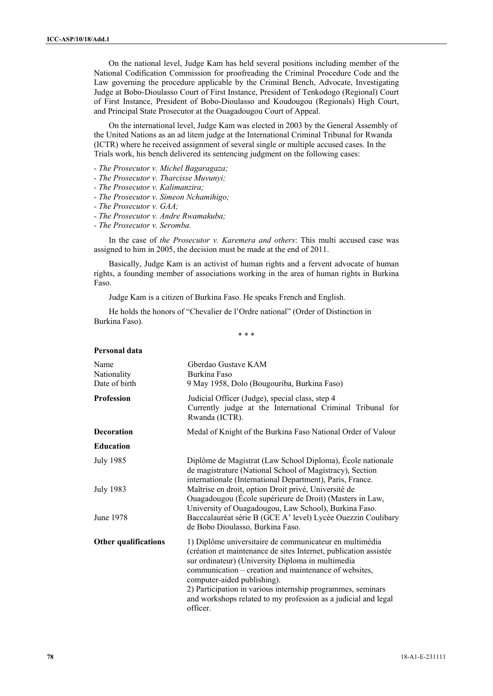On the national level, Judge Kam has held several positions including member of the National Codification Commission for proofreading the Criminal Procedure Code and the Law governing the procedure applicable by the Criminal Bench, Advocate, Investigating Judge at Bobo-Dioulasso Court of First Instance, President of Tenkodogo (Regional) Court of First Instance, President of Bobo-Dioulasso and Koudougou (Regionals) High Court, and Principal State Prosecutor at the Ouagadougou Court of Appeal.

On the international level, Judge Kam was elected in 2003 by the General Assembly of the United Nations as an ad litem judge at the International Criminal Tribunal for Rwanda (ICTR) where he received assignment of several single or multiple accused cases. In the Trials work, his bench delivered its sentencing judgment on the following cases:

- *The Prosecutor v. Michel Bagaragaza;*
- *The Prosecutor v. Tharcisse Muvunyi;*
- *The Prosecutor v. Kalimanzira;*
- *The Prosecutor v. Simeon Nchamihigo;*
- *The Prosecutor v. GAA;*

**Personal data**

- *The Prosecutor v. Andre Rwamakuba;*
- *The Prosecutor v. Seromba.*

In the case of *the Prosecutor v. Karemera and others*: This multi accused case was assigned to him in 2005, the decision must be made at the end of 2011.

Basically, Judge Kam is an activist of human rights and a fervent advocate of human rights, a founding member of associations working in the area of human rights in Burkina Faso.

Judge Kam is a citizen of Burkina Faso. He speaks French and English.

He holds the honors of "Chevalier de l'Ordre national" (Order of Distinction in Burkina Faso).

\* \* \*

| Name<br>Nationality<br>Date of birth | Gberdao Gustave KAM<br>Burkina Faso<br>9 May 1958, Dolo (Bougouriba, Burkina Faso)                                                                                                                                                                                                                                                                                                                                    |
|--------------------------------------|-----------------------------------------------------------------------------------------------------------------------------------------------------------------------------------------------------------------------------------------------------------------------------------------------------------------------------------------------------------------------------------------------------------------------|
| <b>Profession</b>                    | Judicial Officer (Judge), special class, step 4<br>Currently judge at the International Criminal Tribunal for<br>Rwanda (ICTR).                                                                                                                                                                                                                                                                                       |
| <b>Decoration</b>                    | Medal of Knight of the Burkina Faso National Order of Valour                                                                                                                                                                                                                                                                                                                                                          |
| <b>Education</b>                     |                                                                                                                                                                                                                                                                                                                                                                                                                       |
| July 1985                            | Diplôme de Magistrat (Law School Diploma), École nationale<br>de magistrature (National School of Magistracy), Section<br>internationale (International Department), Paris, France.                                                                                                                                                                                                                                   |
| <b>July 1983</b>                     | Maîtrise en droit, option Droit privé, Université de<br>Ouagadougou (École supérieure de Droit) (Masters in Law,<br>University of Ouagadougou, Law School), Burkina Faso.                                                                                                                                                                                                                                             |
| June 1978                            | Bacccalauréat série B (GCE A' level) Lycée Ouezzin Coulibary<br>de Bobo Dioulasso, Burkina Faso.                                                                                                                                                                                                                                                                                                                      |
| <b>Other qualifications</b>          | 1) Diplôme universitaire de communicateur en multimédia<br>(création et maintenance de sites Internet, publication assistée<br>sur ordinateur) (University Diploma in multimedia<br>communication – creation and maintenance of websites,<br>computer-aided publishing).<br>2) Participation in various internship programmes, seminars<br>and workshops related to my profession as a judicial and legal<br>officer. |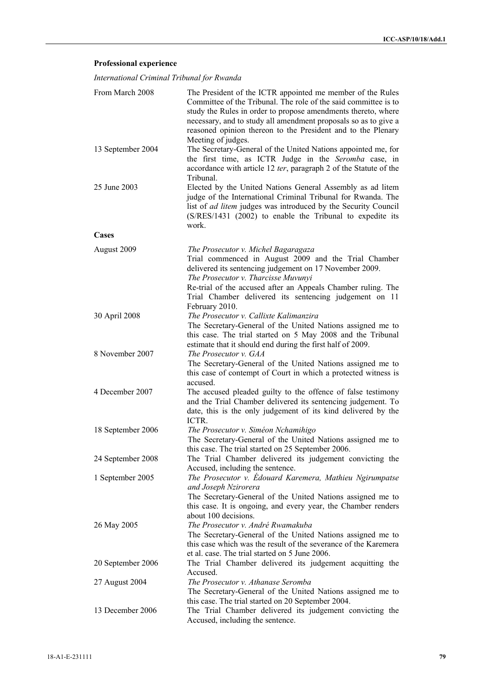# **Professional experience**

*International Criminal Tribunal for Rwanda* 

| From March 2008   | The President of the ICTR appointed me member of the Rules<br>Committee of the Tribunal. The role of the said committee is to<br>study the Rules in order to propose amendments thereto, where<br>necessary, and to study all amendment proposals so as to give a<br>reasoned opinion thereon to the President and to the Plenary<br>Meeting of judges. |
|-------------------|---------------------------------------------------------------------------------------------------------------------------------------------------------------------------------------------------------------------------------------------------------------------------------------------------------------------------------------------------------|
| 13 September 2004 | The Secretary-General of the United Nations appointed me, for<br>the first time, as ICTR Judge in the Seromba case, in<br>accordance with article 12 ter, paragraph 2 of the Statute of the<br>Tribunal.                                                                                                                                                |
| 25 June 2003      | Elected by the United Nations General Assembly as ad litem<br>judge of the International Criminal Tribunal for Rwanda. The<br>list of <i>ad litem</i> judges was introduced by the Security Council<br>(S/RES/1431 (2002) to enable the Tribunal to expedite its<br>work.                                                                               |
| Cases             |                                                                                                                                                                                                                                                                                                                                                         |
| August 2009       | The Prosecutor v. Michel Bagaragaza<br>Trial commenced in August 2009 and the Trial Chamber<br>delivered its sentencing judgement on 17 November 2009.<br>The Prosecutor v. Tharcisse Muvunyi<br>Re-trial of the accused after an Appeals Chamber ruling. The<br>Trial Chamber delivered its sentencing judgement on 11<br>February 2010.               |
| 30 April 2008     | The Prosecutor v. Callixte Kalimanzira<br>The Secretary-General of the United Nations assigned me to<br>this case. The trial started on 5 May 2008 and the Tribunal<br>estimate that it should end during the first half of 2009.                                                                                                                       |
| 8 November 2007   | The Prosecutor v. GAA<br>The Secretary-General of the United Nations assigned me to<br>this case of contempt of Court in which a protected witness is<br>accused.                                                                                                                                                                                       |
| 4 December 2007   | The accused pleaded guilty to the offence of false testimony<br>and the Trial Chamber delivered its sentencing judgement. To<br>date, this is the only judgement of its kind delivered by the<br>ICTR.                                                                                                                                                  |
| 18 September 2006 | The Prosecutor v. Siméon Nchamihigo<br>The Secretary-General of the United Nations assigned me to<br>this case. The trial started on 25 September 2006.                                                                                                                                                                                                 |
| 24 September 2008 | The Trial Chamber delivered its judgement convicting the<br>Accused, including the sentence.                                                                                                                                                                                                                                                            |
| 1 September 2005  | The Prosecutor v. Edouard Karemera, Mathieu Ngirumpatse<br>and Joseph Nzirorera<br>The Secretary-General of the United Nations assigned me to<br>this case. It is ongoing, and every year, the Chamber renders<br>about 100 decisions.                                                                                                                  |
| 26 May 2005       | The Prosecutor v. André Rwamakuba<br>The Secretary-General of the United Nations assigned me to<br>this case which was the result of the severance of the Karemera<br>et al. case. The trial started on 5 June 2006.                                                                                                                                    |
| 20 September 2006 | The Trial Chamber delivered its judgement acquitting the<br>Accused.                                                                                                                                                                                                                                                                                    |
| 27 August 2004    | The Prosecutor v. Athanase Seromba<br>The Secretary-General of the United Nations assigned me to<br>this case. The trial started on 20 September 2004.                                                                                                                                                                                                  |
| 13 December 2006  | The Trial Chamber delivered its judgement convicting the<br>Accused, including the sentence.                                                                                                                                                                                                                                                            |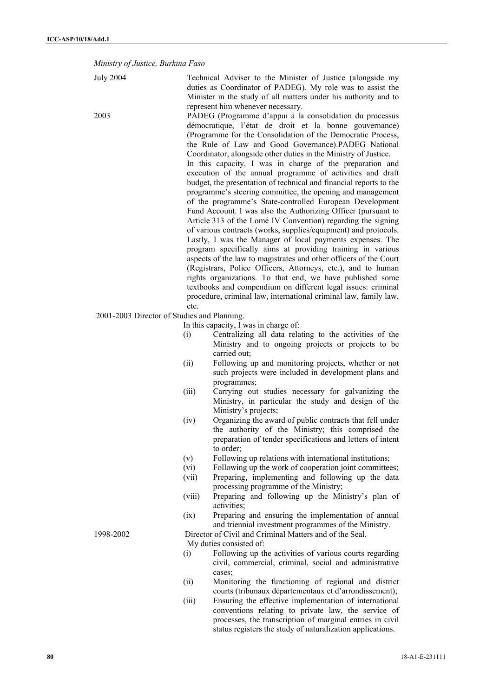*Ministry of Justice, Burkina Faso* 

| <b>July 2004</b>                            |        | Technical Adviser to the Minister of Justice (alongside my<br>duties as Coordinator of PADEG). My role was to assist the  |
|---------------------------------------------|--------|---------------------------------------------------------------------------------------------------------------------------|
|                                             |        | Minister in the study of all matters under his authority and to                                                           |
|                                             |        | represent him whenever necessary.                                                                                         |
| 2003                                        |        | PADEG (Programme d'appui à la consolidation du processus                                                                  |
|                                             |        | démocratique, l'état de droit et la bonne gouvernance)                                                                    |
|                                             |        | (Programme for the Consolidation of the Democratic Process,                                                               |
|                                             |        | the Rule of Law and Good Governance).PADEG National                                                                       |
|                                             |        | Coordinator, alongside other duties in the Ministry of Justice.                                                           |
|                                             |        | In this capacity, I was in charge of the preparation and<br>execution of the annual programme of activities and draft     |
|                                             |        | budget, the presentation of technical and financial reports to the                                                        |
|                                             |        | programme's steering committee, the opening and management                                                                |
|                                             |        | of the programme's State-controlled European Development                                                                  |
|                                             |        | Fund Account. I was also the Authorizing Officer (pursuant to                                                             |
|                                             |        | Article 313 of the Lomé IV Convention) regarding the signing                                                              |
|                                             |        | of various contracts (works, supplies/equipment) and protocols.                                                           |
|                                             |        | Lastly, I was the Manager of local payments expenses. The                                                                 |
|                                             |        | program specifically aims at providing training in various                                                                |
|                                             |        | aspects of the law to magistrates and other officers of the Court                                                         |
|                                             |        | (Registrars, Police Officers, Attorneys, etc.), and to human                                                              |
|                                             |        | rights organizations. To that end, we have published some<br>textbooks and compendium on different legal issues: criminal |
|                                             |        | procedure, criminal law, international criminal law, family law,                                                          |
|                                             | etc.   |                                                                                                                           |
| 2001-2003 Director of Studies and Planning. |        |                                                                                                                           |
|                                             |        | In this capacity, I was in charge of:                                                                                     |
|                                             | (i)    | Centralizing all data relating to the activities of the                                                                   |
|                                             |        | Ministry and to ongoing projects or projects to be                                                                        |
|                                             |        | carried out;                                                                                                              |
|                                             | (ii)   | Following up and monitoring projects, whether or not                                                                      |
|                                             |        | such projects were included in development plans and                                                                      |
|                                             | (iii)  | programmes;<br>Carrying out studies necessary for galvanizing the                                                         |
|                                             |        | Ministry, in particular the study and design of the                                                                       |
|                                             |        | Ministry's projects;                                                                                                      |
|                                             | (iv)   | Organizing the award of public contracts that fell under                                                                  |
|                                             |        | the authority of the Ministry; this comprised the                                                                         |
|                                             |        | preparation of tender specifications and letters of intent                                                                |
|                                             |        | to order;                                                                                                                 |
|                                             | (v)    | Following up relations with international institutions;                                                                   |
|                                             | (vi)   | Following up the work of cooperation joint committees;                                                                    |
|                                             | (vii)  | Preparing, implementing and following up the data<br>processing programme of the Ministry;                                |
|                                             | (viii) | Preparing and following up the Ministry's plan of                                                                         |
|                                             |        | activities;                                                                                                               |
|                                             | (ix)   | Preparing and ensuring the implementation of annual                                                                       |
|                                             |        | and triennial investment programmes of the Ministry.                                                                      |
| 1998-2002                                   |        | Director of Civil and Criminal Matters and of the Seal.                                                                   |
|                                             |        | My duties consisted of:                                                                                                   |
|                                             | (i)    | Following up the activities of various courts regarding                                                                   |
|                                             |        | civil, commercial, criminal, social and administrative                                                                    |
|                                             |        | cases;                                                                                                                    |
|                                             | (ii)   | Monitoring the functioning of regional and district                                                                       |
|                                             |        | courts (tribunaux départementaux et d'arrondissement);                                                                    |
|                                             | (iii)  | Ensuring the effective implementation of international<br>conventions relating to private law, the service of             |
|                                             |        | processes, the transcription of marginal entries in civil                                                                 |
|                                             |        | status registers the study of naturalization applications.                                                                |
|                                             |        |                                                                                                                           |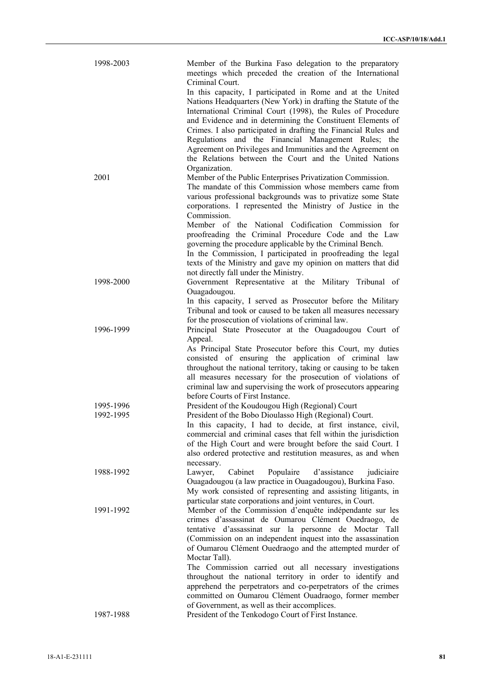| 1998-2003              | Member of the Burkina Faso delegation to the preparatory<br>meetings which preceded the creation of the International<br>Criminal Court.                                                                                                                                                                                                                                             |
|------------------------|--------------------------------------------------------------------------------------------------------------------------------------------------------------------------------------------------------------------------------------------------------------------------------------------------------------------------------------------------------------------------------------|
|                        | In this capacity, I participated in Rome and at the United<br>Nations Headquarters (New York) in drafting the Statute of the<br>International Criminal Court (1998), the Rules of Procedure<br>and Evidence and in determining the Constituent Elements of<br>Crimes. I also participated in drafting the Financial Rules and<br>Regulations and the Financial Management Rules; the |
|                        | Agreement on Privileges and Immunities and the Agreement on<br>the Relations between the Court and the United Nations                                                                                                                                                                                                                                                                |
| 2001                   | Organization.<br>Member of the Public Enterprises Privatization Commission.<br>The mandate of this Commission whose members came from<br>various professional backgrounds was to privatize some State                                                                                                                                                                                |
|                        | corporations. I represented the Ministry of Justice in the<br>Commission.<br>Member of the National Codification Commission for                                                                                                                                                                                                                                                      |
|                        | proofreading the Criminal Procedure Code and the Law<br>governing the procedure applicable by the Criminal Bench.<br>In the Commission, I participated in proofreading the legal<br>texts of the Ministry and gave my opinion on matters that did                                                                                                                                    |
| 1998-2000              | not directly fall under the Ministry.<br>Government Representative at the Military Tribunal of<br>Ouagadougou.                                                                                                                                                                                                                                                                       |
|                        | In this capacity, I served as Prosecutor before the Military<br>Tribunal and took or caused to be taken all measures necessary<br>for the prosecution of violations of criminal law.                                                                                                                                                                                                 |
| 1996-1999              | Principal State Prosecutor at the Ouagadougou Court of<br>Appeal.                                                                                                                                                                                                                                                                                                                    |
|                        | As Principal State Prosecutor before this Court, my duties<br>consisted of ensuring the application of criminal law<br>throughout the national territory, taking or causing to be taken<br>all measures necessary for the prosecution of violations of<br>criminal law and supervising the work of prosecutors appearing<br>before Courts of First Instance.                         |
| 1995-1996<br>1992-1995 | President of the Koudougou High (Regional) Court<br>President of the Bobo Dioulasso High (Regional) Court.                                                                                                                                                                                                                                                                           |
|                        | In this capacity, I had to decide, at first instance, civil,<br>commercial and criminal cases that fell within the jurisdiction<br>of the High Court and were brought before the said Court. I<br>also ordered protective and restitution measures, as and when<br>necessary.                                                                                                        |
| 1988-1992              | Cabinet<br>Populaire<br>d'assistance<br>Lawyer,<br>judiciaire<br>Ouagadougou (a law practice in Ouagadougou), Burkina Faso.<br>My work consisted of representing and assisting litigants, in<br>particular state corporations and joint ventures, in Court.                                                                                                                          |
| 1991-1992              | Member of the Commission d'enquête indépendante sur les<br>crimes d'assassinat de Oumarou Clément Ouedraogo, de<br>tentative d'assassinat sur la personne de Moctar Tall<br>(Commission on an independent inquest into the assassination<br>of Oumarou Clément Ouedraogo and the attempted murder of<br>Moctar Tall).<br>The Commission carried out all necessary investigations     |
|                        | throughout the national territory in order to identify and<br>apprehend the perpetrators and co-perpetrators of the crimes<br>committed on Oumarou Clément Ouadraogo, former member                                                                                                                                                                                                  |
| 1987-1988              | of Government, as well as their accomplices.<br>President of the Tenkodogo Court of First Instance.                                                                                                                                                                                                                                                                                  |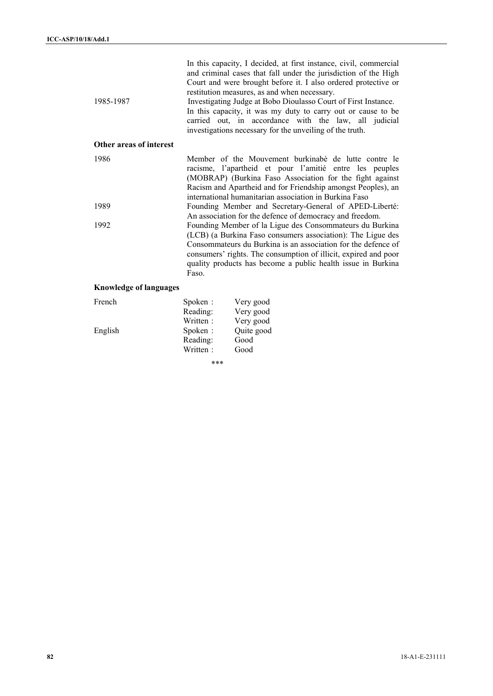| 1985-1987                     |                                 | In this capacity, I decided, at first instance, civil, commercial<br>and criminal cases that fall under the jurisdiction of the High<br>Court and were brought before it. I also ordered protective or<br>restitution measures, as and when necessary.<br>Investigating Judge at Bobo Dioulasso Court of First Instance.<br>In this capacity, it was my duty to carry out or cause to be<br>carried out, in accordance with the law, all judicial<br>investigations necessary for the unveiling of the truth. |
|-------------------------------|---------------------------------|---------------------------------------------------------------------------------------------------------------------------------------------------------------------------------------------------------------------------------------------------------------------------------------------------------------------------------------------------------------------------------------------------------------------------------------------------------------------------------------------------------------|
| Other areas of interest       |                                 |                                                                                                                                                                                                                                                                                                                                                                                                                                                                                                               |
| 1986                          |                                 | Member of the Mouvement burkinabé de lutte contre le<br>racisme, l'apartheid et pour l'amitié entre les peuples<br>(MOBRAP) (Burkina Faso Association for the fight against<br>Racism and Apartheid and for Friendship amongst Peoples), an<br>international humanitarian association in Burkina Faso                                                                                                                                                                                                         |
| 1989                          |                                 | Founding Member and Secretary-General of APED-Liberté:<br>An association for the defence of democracy and freedom.                                                                                                                                                                                                                                                                                                                                                                                            |
| 1992                          | Faso.                           | Founding Member of la Ligue des Consommateurs du Burkina<br>(LCB) (a Burkina Faso consumers association): The Ligue des<br>Consommateurs du Burkina is an association for the defence of<br>consumers' rights. The consumption of illicit, expired and poor<br>quality products has become a public health issue in Burkina                                                                                                                                                                                   |
| <b>Knowledge of languages</b> |                                 |                                                                                                                                                                                                                                                                                                                                                                                                                                                                                                               |
| French                        | Spoken:<br>Reading:<br>Written: | Very good<br>Very good<br>Very good                                                                                                                                                                                                                                                                                                                                                                                                                                                                           |
| English                       | Spoken:<br>Reading:             | Quite good<br>Good                                                                                                                                                                                                                                                                                                                                                                                                                                                                                            |

Written : Good

\*\*\*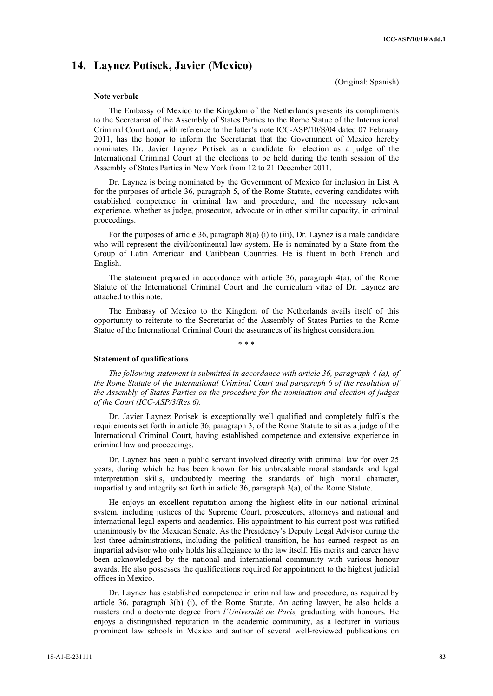# **14. Laynez Potisek, Javier (Mexico)**

(Original: Spanish)

### **Note verbale**

The Embassy of Mexico to the Kingdom of the Netherlands presents its compliments to the Secretariat of the Assembly of States Parties to the Rome Statue of the International Criminal Court and, with reference to the latter's note ICC-ASP/10/S/04 dated 07 February 2011, has the honor to inform the Secretariat that the Government of Mexico hereby nominates Dr. Javier Laynez Potisek as a candidate for election as a judge of the International Criminal Court at the elections to be held during the tenth session of the Assembly of States Parties in New York from 12 to 21 December 2011.

Dr. Laynez is being nominated by the Government of Mexico for inclusion in List A for the purposes of article 36, paragraph 5, of the Rome Statute, covering candidates with established competence in criminal law and procedure, and the necessary relevant experience, whether as judge, prosecutor, advocate or in other similar capacity, in criminal proceedings.

For the purposes of article 36, paragraph 8(a) (i) to (iii), Dr. Laynez is a male candidate who will represent the civil/continental law system. He is nominated by a State from the Group of Latin American and Caribbean Countries. He is fluent in both French and English.

The statement prepared in accordance with article 36, paragraph 4(a), of the Rome Statute of the International Criminal Court and the curriculum vitae of Dr. Laynez are attached to this note.

The Embassy of Mexico to the Kingdom of the Netherlands avails itself of this opportunity to reiterate to the Secretariat of the Assembly of States Parties to the Rome Statue of the International Criminal Court the assurances of its highest consideration.

\* \* \*

#### **Statement of qualifications**

*The following statement is submitted in accordance with article 36, paragraph 4 (a), of the Rome Statute of the International Criminal Court and paragraph 6 of the resolution of the Assembly of States Parties on the procedure for the nomination and election of judges of the Court (ICC-ASP/3/Res.6).* 

Dr. Javier Laynez Potisek is exceptionally well qualified and completely fulfils the requirements set forth in article 36, paragraph 3, of the Rome Statute to sit as a judge of the International Criminal Court, having established competence and extensive experience in criminal law and proceedings.

Dr. Laynez has been a public servant involved directly with criminal law for over 25 years, during which he has been known for his unbreakable moral standards and legal interpretation skills, undoubtedly meeting the standards of high moral character, impartiality and integrity set forth in article 36, paragraph 3(a), of the Rome Statute.

He enjoys an excellent reputation among the highest elite in our national criminal system, including justices of the Supreme Court, prosecutors, attorneys and national and international legal experts and academics. His appointment to his current post was ratified unanimously by the Mexican Senate. As the Presidency's Deputy Legal Advisor during the last three administrations, including the political transition, he has earned respect as an impartial advisor who only holds his allegiance to the law itself. His merits and career have been acknowledged by the national and international community with various honour awards. He also possesses the qualifications required for appointment to the highest judicial offices in Mexico.

Dr. Laynez has established competence in criminal law and procedure, as required by article 36, paragraph 3(b) (i), of the Rome Statute. An acting lawyer, he also holds a masters and a doctorate degree from *l´Université de Paris,* graduating with honours*.* He enjoys a distinguished reputation in the academic community, as a lecturer in various prominent law schools in Mexico and author of several well-reviewed publications on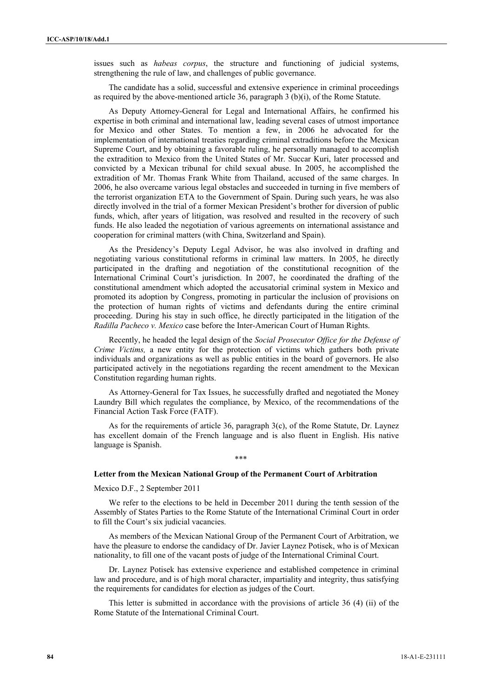issues such as *habeas corpus*, the structure and functioning of judicial systems, strengthening the rule of law, and challenges of public governance.

The candidate has a solid, successful and extensive experience in criminal proceedings as required by the above-mentioned article 36, paragraph 3 (b)(i), of the Rome Statute.

As Deputy Attorney-General for Legal and International Affairs, he confirmed his expertise in both criminal and international law, leading several cases of utmost importance for Mexico and other States. To mention a few, in 2006 he advocated for the implementation of international treaties regarding criminal extraditions before the Mexican Supreme Court, and by obtaining a favorable ruling, he personally managed to accomplish the extradition to Mexico from the United States of Mr. Succar Kuri, later processed and convicted by a Mexican tribunal for child sexual abuse. In 2005, he accomplished the extradition of Mr. Thomas Frank White from Thailand, accused of the same charges. In 2006, he also overcame various legal obstacles and succeeded in turning in five members of the terrorist organization ETA to the Government of Spain. During such years, he was also directly involved in the trial of a former Mexican President's brother for diversion of public funds, which, after years of litigation, was resolved and resulted in the recovery of such funds. He also leaded the negotiation of various agreements on international assistance and cooperation for criminal matters (with China, Switzerland and Spain).

As the Presidency's Deputy Legal Advisor, he was also involved in drafting and negotiating various constitutional reforms in criminal law matters. In 2005, he directly participated in the drafting and negotiation of the constitutional recognition of the International Criminal Court's jurisdiction. In 2007, he coordinated the drafting of the constitutional amendment which adopted the accusatorial criminal system in Mexico and promoted its adoption by Congress, promoting in particular the inclusion of provisions on the protection of human rights of victims and defendants during the entire criminal proceeding. During his stay in such office, he directly participated in the litigation of the *Radilla Pacheco v. Mexico* case before the Inter-American Court of Human Rights.

Recently, he headed the legal design of the *Social Prosecutor Office for the Defense of Crime Victims,* a new entity for the protection of victims which gathers both private individuals and organizations as well as public entities in the board of governors. He also participated actively in the negotiations regarding the recent amendment to the Mexican Constitution regarding human rights.

As Attorney-General for Tax Issues, he successfully drafted and negotiated the Money Laundry Bill which regulates the compliance, by Mexico, of the recommendations of the Financial Action Task Force (FATF).

As for the requirements of article 36, paragraph  $3(c)$ , of the Rome Statute, Dr. Laynez has excellent domain of the French language and is also fluent in English. His native language is Spanish.

## **Letter from the Mexican National Group of the Permanent Court of Arbitration**

\*\*\*

Mexico D.F., 2 September 2011

We refer to the elections to be held in December 2011 during the tenth session of the Assembly of States Parties to the Rome Statute of the International Criminal Court in order to fill the Court's six judicial vacancies.

As members of the Mexican National Group of the Permanent Court of Arbitration, we have the pleasure to endorse the candidacy of Dr. Javier Laynez Potisek, who is of Mexican nationality, to fill one of the vacant posts of judge of the International Criminal Court.

Dr. Laynez Potisek has extensive experience and established competence in criminal law and procedure, and is of high moral character, impartiality and integrity, thus satisfying the requirements for candidates for election as judges of the Court.

This letter is submitted in accordance with the provisions of article 36 (4) (ii) of the Rome Statute of the International Criminal Court.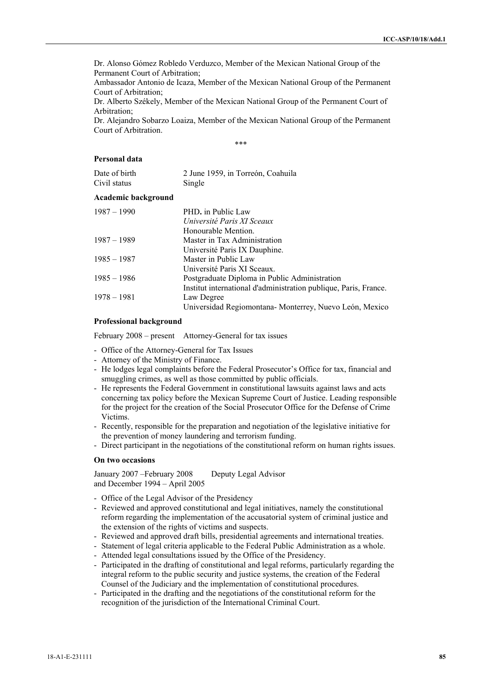Dr. Alonso Gómez Robledo Verduzco, Member of the Mexican National Group of the Permanent Court of Arbitration;

Ambassador Antonio de Icaza, Member of the Mexican National Group of the Permanent Court of Arbitration;

Dr. Alberto Székely, Member of the Mexican National Group of the Permanent Court of Arbitration;

Dr. Alejandro Sobarzo Loaiza, Member of the Mexican National Group of the Permanent Court of Arbitration.

\*\*\*

## **Personal data**

| Date of birth | 2 June 1959, in Torreón, Coahuila |
|---------------|-----------------------------------|
| Civil status  | Single                            |

#### **Academic background**

| $1987 - 1990$ | PHD. in Public Law                                               |
|---------------|------------------------------------------------------------------|
|               | Université Paris XI Sceaux                                       |
|               | Honourable Mention.                                              |
| 1987 – 1989   | Master in Tax Administration                                     |
|               | Université Paris IX Dauphine.                                    |
| $1985 - 1987$ | Master in Public Law                                             |
|               | Université Paris XI Sceaux.                                      |
| $1985 - 1986$ | Postgraduate Diploma in Public Administration                    |
|               | Institut international d'administration publique, Paris, France. |
| $1978 - 1981$ | Law Degree                                                       |
|               | Universidad Regiomontana-Monterrey, Nuevo León, Mexico           |

## **Professional background**

February 2008 – present Attorney-General for tax issues

- Office of the Attorney-General for Tax Issues
- Attorney of the Ministry of Finance.
- He lodges legal complaints before the Federal Prosecutor's Office for tax, financial and smuggling crimes, as well as those committed by public officials.
- He represents the Federal Government in constitutional lawsuits against laws and acts concerning tax policy before the Mexican Supreme Court of Justice. Leading responsible for the project for the creation of the Social Prosecutor Office for the Defense of Crime Victims.
- Recently, responsible for the preparation and negotiation of the legislative initiative for the prevention of money laundering and terrorism funding.
- Direct participant in the negotiations of the constitutional reform on human rights issues.

#### **On two occasions**

January 2007 –February 2008 Deputy Legal Advisor and December 1994 – April 2005

- Office of the Legal Advisor of the Presidency
- Reviewed and approved constitutional and legal initiatives, namely the constitutional reform regarding the implementation of the accusatorial system of criminal justice and the extension of the rights of victims and suspects.
- Reviewed and approved draft bills, presidential agreements and international treaties.
- Statement of legal criteria applicable to the Federal Public Administration as a whole.
- Attended legal consultations issued by the Office of the Presidency.
- Participated in the drafting of constitutional and legal reforms, particularly regarding the integral reform to the public security and justice systems, the creation of the Federal Counsel of the Judiciary and the implementation of constitutional procedures.
- Participated in the drafting and the negotiations of the constitutional reform for the recognition of the jurisdiction of the International Criminal Court.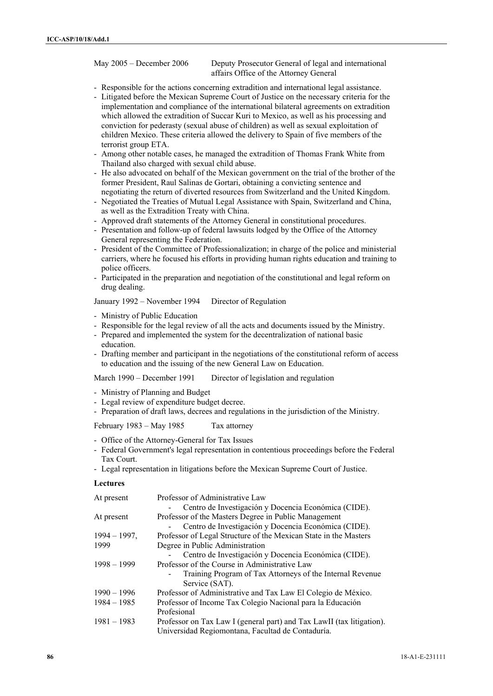May 2005 – December 2006 Deputy Prosecutor General of legal and international affairs Office of the Attorney General

- Responsible for the actions concerning extradition and international legal assistance.
- Litigated before the Mexican Supreme Court of Justice on the necessary criteria for the implementation and compliance of the international bilateral agreements on extradition which allowed the extradition of Succar Kuri to Mexico, as well as his processing and conviction for pederasty (sexual abuse of children) as well as sexual exploitation of children Mexico. These criteria allowed the delivery to Spain of five members of the terrorist group ETA.
- Among other notable cases, he managed the extradition of Thomas Frank White from Thailand also charged with sexual child abuse.
- He also advocated on behalf of the Mexican government on the trial of the brother of the former President, Raul Salinas de Gortari, obtaining a convicting sentence and negotiating the return of diverted resources from Switzerland and the United Kingdom.
- Negotiated the Treaties of Mutual Legal Assistance with Spain, Switzerland and China, as well as the Extradition Treaty with China.
- Approved draft statements of the Attorney General in constitutional procedures.
- Presentation and follow-up of federal lawsuits lodged by the Office of the Attorney General representing the Federation.
- President of the Committee of Professionalization; in charge of the police and ministerial carriers, where he focused his efforts in providing human rights education and training to police officers.
- Participated in the preparation and negotiation of the constitutional and legal reform on drug dealing.

January 1992 – November 1994 Director of Regulation

- Ministry of Public Education
- Responsible for the legal review of all the acts and documents issued by the Ministry.
- Prepared and implemented the system for the decentralization of national basic education.
- Drafting member and participant in the negotiations of the constitutional reform of access to education and the issuing of the new General Law on Education.

March 1990 – December 1991 Director of legislation and regulation

- Ministry of Planning and Budget
- Legal review of expenditure budget decree.
- Preparation of draft laws, decrees and regulations in the jurisdiction of the Ministry.

February 1983 – May 1985 Tax attorney

- Office of the Attorney-General for Tax Issues
- Federal Government's legal representation in contentious proceedings before the Federal Tax Court.
- Legal representation in litigations before the Mexican Supreme Court of Justice.

## **Lectures**

| At present      | Professor of Administrative Law                                       |
|-----------------|-----------------------------------------------------------------------|
|                 | Centro de Investigación y Docencia Económica (CIDE).                  |
| At present      | Professor of the Masters Degree in Public Management                  |
|                 | Centro de Investigación y Docencia Económica (CIDE).                  |
| $1994 - 1997$ , | Professor of Legal Structure of the Mexican State in the Masters      |
| 1999            | Degree in Public Administration                                       |
|                 | Centro de Investigación y Docencia Económica (CIDE).                  |
| $1998 - 1999$   | Professor of the Course in Administrative Law                         |
|                 | Training Program of Tax Attorneys of the Internal Revenue             |
|                 | Service (SAT).                                                        |
| $1990 - 1996$   | Professor of Administrative and Tax Law El Colegio de México.         |
| $1984 - 1985$   | Professor of Income Tax Colegio Nacional para la Educación            |
|                 | Profesional                                                           |
| $1981 - 1983$   | Professor on Tax Law I (general part) and Tax LawII (tax litigation). |
|                 | Universidad Regiomontana, Facultad de Contaduría.                     |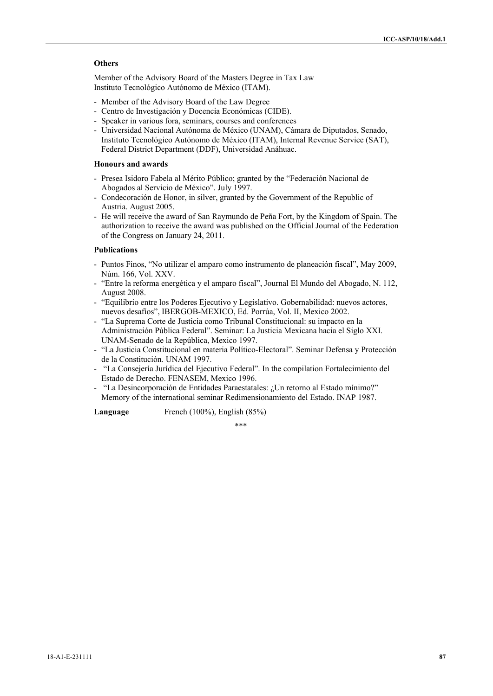# **Others**

Member of the Advisory Board of the Masters Degree in Tax Law Instituto Tecnológico Autónomo de México (ITAM).

- Member of the Advisory Board of the Law Degree
- Centro de Investigación y Docencia Económicas (CIDE).
- Speaker in various fora, seminars, courses and conferences
- Universidad Nacional Autónoma de México (UNAM), Cámara de Diputados, Senado, Instituto Tecnológico Autónomo de México (ITAM), Internal Revenue Service (SAT), Federal District Department (DDF), Universidad Anáhuac.

## **Honours and awards**

- Presea Isidoro Fabela al Mérito Público; granted by the "Federación Nacional de Abogados al Servicio de México". July 1997.
- Condecoración de Honor, in silver, granted by the Government of the Republic of Austria. August 2005.
- He will receive the award of San Raymundo de Peña Fort, by the Kingdom of Spain. The authorization to receive the award was published on the Official Journal of the Federation of the Congress on January 24, 2011.

## **Publications**

- Puntos Finos, "No utilizar el amparo como instrumento de planeación fiscal", May 2009, Núm. 166, Vol. XXV.
- "Entre la reforma energética y el amparo fiscal", Journal El Mundo del Abogado, N. 112, August 2008.
- "Equilibrio entre los Poderes Ejecutivo y Legislativo. Gobernabilidad: nuevos actores, nuevos desafíos", IBERGOB-MEXICO, Ed. Porrúa, Vol. II, Mexico 2002.
- "La Suprema Corte de Justicia como Tribunal Constitucional: su impacto en la Administración Pública Federal". Seminar: La Justicia Mexicana hacia el Siglo XXI. UNAM-Senado de la República, Mexico 1997.
- "La Justicia Constitucional en materia Político-Electoral". Seminar Defensa y Protección de la Constitución. UNAM 1997.
- "La Consejería Jurídica del Ejecutivo Federal". In the compilation Fortalecimiento del Estado de Derecho. FENASEM, Mexico 1996.
- "La Desincorporación de Entidades Paraestatales: ¿Un retorno al Estado mínimo?" Memory of the international seminar Redimensionamiento del Estado. INAP 1987.

**Language** French (100%), English (85%)

\*\*\*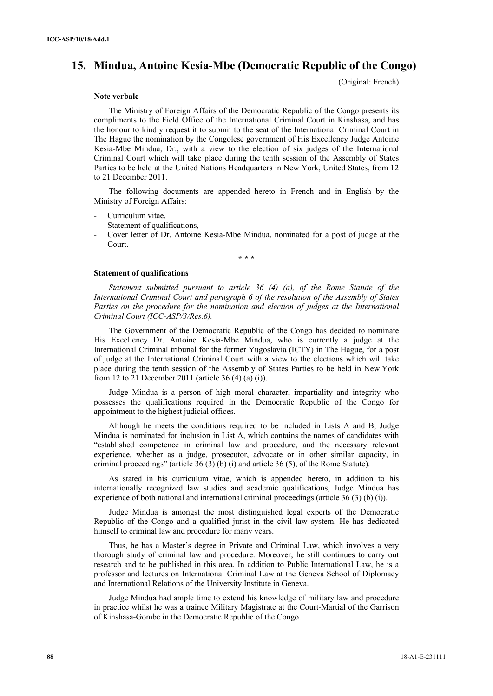# **15. Mindua, Antoine Kesia-Mbe (Democratic Republic of the Congo)**

(Original: French)

### **Note verbale**

The Ministry of Foreign Affairs of the Democratic Republic of the Congo presents its compliments to the Field Office of the International Criminal Court in Kinshasa, and has the honour to kindly request it to submit to the seat of the International Criminal Court in The Hague the nomination by the Congolese government of His Excellency Judge Antoine Kesia-Mbe Mindua, Dr., with a view to the election of six judges of the International Criminal Court which will take place during the tenth session of the Assembly of States Parties to be held at the United Nations Headquarters in New York, United States, from 12 to 21 December 2011.

The following documents are appended hereto in French and in English by the Ministry of Foreign Affairs:

- Curriculum vitae.
- Statement of qualifications,
- Cover letter of Dr. Antoine Kesia-Mbe Mindua, nominated for a post of judge at the Court.

**\* \* \*** 

#### **Statement of qualifications**

*Statement submitted pursuant to article 36 (4) (a), of the Rome Statute of the International Criminal Court and paragraph 6 of the resolution of the Assembly of States Parties on the procedure for the nomination and election of judges at the International Criminal Court (ICC-ASP/3/Res.6).*

The Government of the Democratic Republic of the Congo has decided to nominate His Excellency Dr. Antoine Kesia-Mbe Mindua, who is currently a judge at the International Criminal tribunal for the former Yugoslavia (ICTY) in The Hague, for a post of judge at the International Criminal Court with a view to the elections which will take place during the tenth session of the Assembly of States Parties to be held in New York from 12 to 21 December 2011 (article 36 (4) (a) (i)).

Judge Mindua is a person of high moral character, impartiality and integrity who possesses the qualifications required in the Democratic Republic of the Congo for appointment to the highest judicial offices.

Although he meets the conditions required to be included in Lists A and B, Judge Mindua is nominated for inclusion in List A, which contains the names of candidates with "established competence in criminal law and procedure, and the necessary relevant experience, whether as a judge, prosecutor, advocate or in other similar capacity, in criminal proceedings" (article 36 (3) (b) (i) and article 36 (5), of the Rome Statute).

As stated in his curriculum vitae, which is appended hereto, in addition to his internationally recognized law studies and academic qualifications, Judge Mindua has experience of both national and international criminal proceedings (article 36 (3) (b) (i)).

Judge Mindua is amongst the most distinguished legal experts of the Democratic Republic of the Congo and a qualified jurist in the civil law system. He has dedicated himself to criminal law and procedure for many years.

Thus, he has a Master's degree in Private and Criminal Law, which involves a very thorough study of criminal law and procedure. Moreover, he still continues to carry out research and to be published in this area. In addition to Public International Law, he is a professor and lectures on International Criminal Law at the Geneva School of Diplomacy and International Relations of the University Institute in Geneva.

Judge Mindua had ample time to extend his knowledge of military law and procedure in practice whilst he was a trainee Military Magistrate at the Court-Martial of the Garrison of Kinshasa-Gombe in the Democratic Republic of the Congo.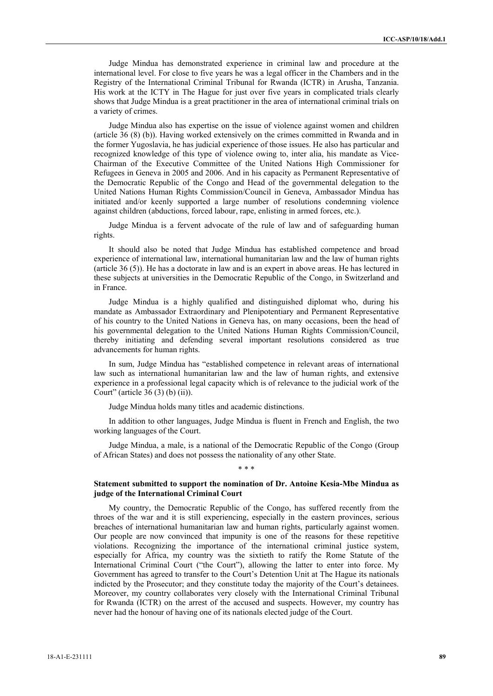Judge Mindua has demonstrated experience in criminal law and procedure at the international level. For close to five years he was a legal officer in the Chambers and in the Registry of the International Criminal Tribunal for Rwanda (ICTR) in Arusha, Tanzania. His work at the ICTY in The Hague for just over five years in complicated trials clearly shows that Judge Mindua is a great practitioner in the area of international criminal trials on a variety of crimes.

Judge Mindua also has expertise on the issue of violence against women and children (article 36 (8) (b)). Having worked extensively on the crimes committed in Rwanda and in the former Yugoslavia, he has judicial experience of those issues. He also has particular and recognized knowledge of this type of violence owing to, inter alia, his mandate as Vice-Chairman of the Executive Committee of the United Nations High Commissioner for Refugees in Geneva in 2005 and 2006. And in his capacity as Permanent Representative of the Democratic Republic of the Congo and Head of the governmental delegation to the United Nations Human Rights Commission/Council in Geneva, Ambassador Mindua has initiated and/or keenly supported a large number of resolutions condemning violence against children (abductions, forced labour, rape, enlisting in armed forces, etc.).

Judge Mindua is a fervent advocate of the rule of law and of safeguarding human rights.

It should also be noted that Judge Mindua has established competence and broad experience of international law, international humanitarian law and the law of human rights (article 36 (5)). He has a doctorate in law and is an expert in above areas. He has lectured in these subjects at universities in the Democratic Republic of the Congo, in Switzerland and in France.

Judge Mindua is a highly qualified and distinguished diplomat who, during his mandate as Ambassador Extraordinary and Plenipotentiary and Permanent Representative of his country to the United Nations in Geneva has, on many occasions, been the head of his governmental delegation to the United Nations Human Rights Commission/Council, thereby initiating and defending several important resolutions considered as true advancements for human rights.

In sum, Judge Mindua has "established competence in relevant areas of international law such as international humanitarian law and the law of human rights, and extensive experience in a professional legal capacity which is of relevance to the judicial work of the Court" (article 36 (3) (b) (ii)).

Judge Mindua holds many titles and academic distinctions.

In addition to other languages, Judge Mindua is fluent in French and English, the two working languages of the Court.

Judge Mindua, a male, is a national of the Democratic Republic of the Congo (Group of African States) and does not possess the nationality of any other State. \* \* \*

## **Statement submitted to support the nomination of Dr. Antoine Kesia-Mbe Mindua as judge of the International Criminal Court**

My country, the Democratic Republic of the Congo, has suffered recently from the throes of the war and it is still experiencing, especially in the eastern provinces, serious breaches of international humanitarian law and human rights, particularly against women. Our people are now convinced that impunity is one of the reasons for these repetitive violations. Recognizing the importance of the international criminal justice system, especially for Africa, my country was the sixtieth to ratify the Rome Statute of the International Criminal Court ("the Court"), allowing the latter to enter into force. My Government has agreed to transfer to the Court's Detention Unit at The Hague its nationals indicted by the Prosecutor; and they constitute today the majority of the Court's detainees. Moreover, my country collaborates very closely with the International Criminal Tribunal for Rwanda (ICTR) on the arrest of the accused and suspects. However, my country has never had the honour of having one of its nationals elected judge of the Court.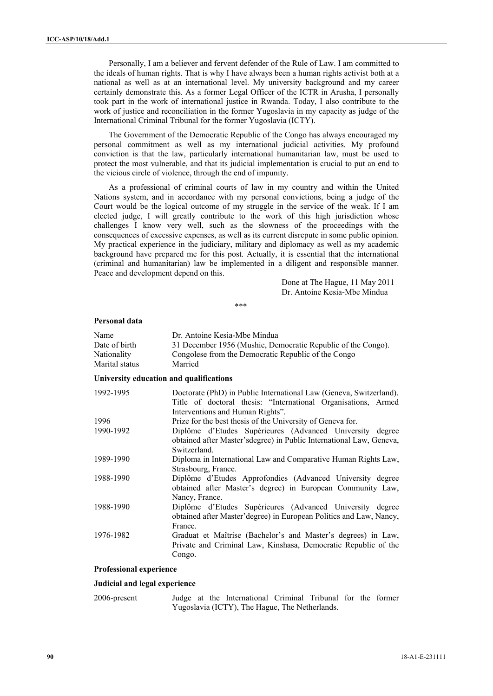Personally, I am a believer and fervent defender of the Rule of Law. I am committed to the ideals of human rights. That is why I have always been a human rights activist both at a national as well as at an international level. My university background and my career certainly demonstrate this. As a former Legal Officer of the ICTR in Arusha, I personally took part in the work of international justice in Rwanda. Today, I also contribute to the work of justice and reconciliation in the former Yugoslavia in my capacity as judge of the International Criminal Tribunal for the former Yugoslavia (ICTY).

The Government of the Democratic Republic of the Congo has always encouraged my personal commitment as well as my international judicial activities. My profound conviction is that the law, particularly international humanitarian law, must be used to protect the most vulnerable, and that its judicial implementation is crucial to put an end to the vicious circle of violence, through the end of impunity.

As a professional of criminal courts of law in my country and within the United Nations system, and in accordance with my personal convictions, being a judge of the Court would be the logical outcome of my struggle in the service of the weak. If I am elected judge, I will greatly contribute to the work of this high jurisdiction whose challenges I know very well, such as the slowness of the proceedings with the consequences of excessive expenses, as well as its current disrepute in some public opinion. My practical experience in the judiciary, military and diplomacy as well as my academic background have prepared me for this post. Actually, it is essential that the international (criminal and humanitarian) law be implemented in a diligent and responsible manner. Peace and development depend on this.

> Done at The Hague, 11 May 2011 Dr. Antoine Kesia-Mbe Mindua

\*\*\*

## **Personal data**

| Name           | Dr. Antoine Kesia-Mbe Mindua                                                                                                              |
|----------------|-------------------------------------------------------------------------------------------------------------------------------------------|
| Date of birth  | 31 December 1956 (Mushie, Democratic Republic of the Congo).                                                                              |
| Nationality    | Congolese from the Democratic Republic of the Congo                                                                                       |
| Marital status | Married                                                                                                                                   |
|                | University education and qualifications                                                                                                   |
| 1992-1995      | Doctorate (PhD) in Public International Law (Geneva, Switzerland).<br>Title of doctoral thesis: "International Organisations, Armed       |
| 1996           | Interventions and Human Rights".<br>Prize for the best thesis of the University of Geneva for.                                            |
| 1990-1992      | Diplôme d'Etudes Supérieures (Advanced University degree                                                                                  |
|                | obtained after Master's degree) in Public International Law, Geneva,<br>Switzerland.                                                      |
| 1989-1990      | Diploma in International Law and Comparative Human Rights Law,                                                                            |
|                | Strasbourg, France.                                                                                                                       |
| 1988-1990      | Diplôme d'Etudes Approfondies (Advanced University degree<br>obtained after Master's degree) in European Community Law,                   |
|                | Nancy, France.                                                                                                                            |
| 1988-1990      | Diplôme d'Etudes Supérieures (Advanced University degree<br>obtained after Master' degree) in European Politics and Law, Nancy,           |
|                | France.                                                                                                                                   |
| 1976-1982      | Graduat et Maîtrise (Bachelor's and Master's degrees) in Law,<br>Private and Criminal Law, Kinshasa, Democratic Republic of the<br>Congo. |

## **Professional experience**

#### **Judicial and legal experience**

2006-present Judge at the International Criminal Tribunal for the former Yugoslavia (ICTY), The Hague, The Netherlands.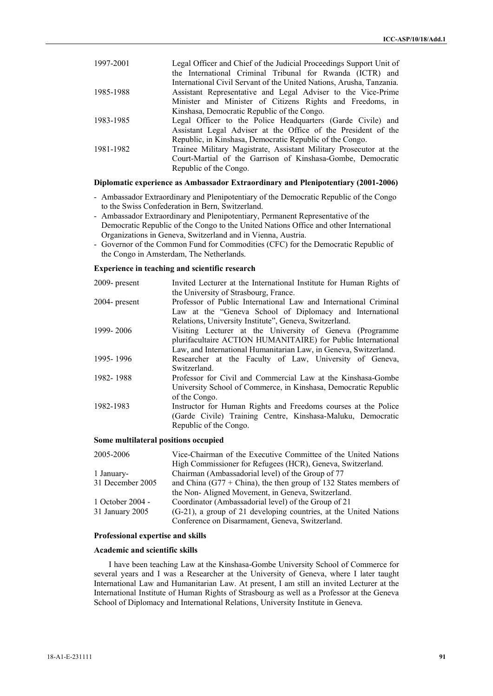| 1997-2001 | Legal Officer and Chief of the Judicial Proceedings Support Unit of  |
|-----------|----------------------------------------------------------------------|
|           | the International Criminal Tribunal for Rwanda (ICTR) and            |
|           | International Civil Servant of the United Nations, Arusha, Tanzania. |
| 1985-1988 | Assistant Representative and Legal Adviser to the Vice-Prime         |
|           | Minister and Minister of Citizens Rights and Freedoms, in            |
|           | Kinshasa, Democratic Republic of the Congo.                          |
| 1983-1985 | Legal Officer to the Police Headquarters (Garde Civile) and          |
|           | Assistant Legal Adviser at the Office of the President of the        |
|           | Republic, in Kinshasa, Democratic Republic of the Congo.             |
| 1981-1982 | Trainee Military Magistrate, Assistant Military Prosecutor at the    |
|           | Court-Martial of the Garrison of Kinshasa-Gombe, Democratic          |
|           | Republic of the Congo.                                               |

### **Diplomatic experience as Ambassador Extraordinary and Plenipotentiary (2001-2006)**

- Ambassador Extraordinary and Plenipotentiary of the Democratic Republic of the Congo to the Swiss Confederation in Bern, Switzerland.
- Ambassador Extraordinary and Plenipotentiary, Permanent Representative of the Democratic Republic of the Congo to the United Nations Office and other International Organizations in Geneva, Switzerland and in Vienna, Austria.
- Governor of the Common Fund for Commodities (CFC) for the Democratic Republic of the Congo in Amsterdam, The Netherlands.

## **Experience in teaching and scientific research**

| 2009- present | Invited Lecturer at the International Institute for Human Rights of |
|---------------|---------------------------------------------------------------------|
|               | the University of Strasbourg, France.                               |
| 2004- present | Professor of Public International Law and International Criminal    |
|               | Law at the "Geneva School of Diplomacy and International            |
|               | Relations, University Institute", Geneva, Switzerland.              |
| 1999-2006     | Visiting Lecturer at the University of Geneva (Programme            |
|               | plurifacultaire ACTION HUMANITAIRE) for Public International        |
|               | Law, and International Humanitarian Law, in Geneva, Switzerland.    |
| 1995-1996     | Researcher at the Faculty of Law, University of Geneva,             |
|               | Switzerland.                                                        |
| 1982-1988     | Professor for Civil and Commercial Law at the Kinshasa-Gombe        |
|               | University School of Commerce, in Kinshasa, Democratic Republic     |
|               | of the Congo.                                                       |
| 1982-1983     | Instructor for Human Rights and Freedoms courses at the Police      |
|               | (Garde Civile) Training Centre, Kinshasa-Maluku, Democratic         |
|               | Republic of the Congo.                                              |
|               |                                                                     |

# **Some multilateral positions occupied**

| 2005-2006        | Vice-Chairman of the Executive Committee of the United Nations       |
|------------------|----------------------------------------------------------------------|
|                  | High Commissioner for Refugees (HCR), Geneva, Switzerland.           |
| 1 January-       | Chairman (Ambassadorial level) of the Group of 77                    |
| 31 December 2005 | and China (G77 + China), the then group of 132 States members of     |
|                  | the Non-Aligned Movement, in Geneva, Switzerland.                    |
| 1 October 2004 - | Coordinator (Ambassadorial level) of the Group of 21                 |
| 31 January 2005  | $(G-21)$ , a group of 21 developing countries, at the United Nations |
|                  | Conference on Disarmament, Geneva, Switzerland.                      |

### **Professional expertise and skills**

## **Academic and scientific skills**

I have been teaching Law at the Kinshasa-Gombe University School of Commerce for several years and I was a Researcher at the University of Geneva, where I later taught International Law and Humanitarian Law. At present, I am still an invited Lecturer at the International Institute of Human Rights of Strasbourg as well as a Professor at the Geneva School of Diplomacy and International Relations, University Institute in Geneva.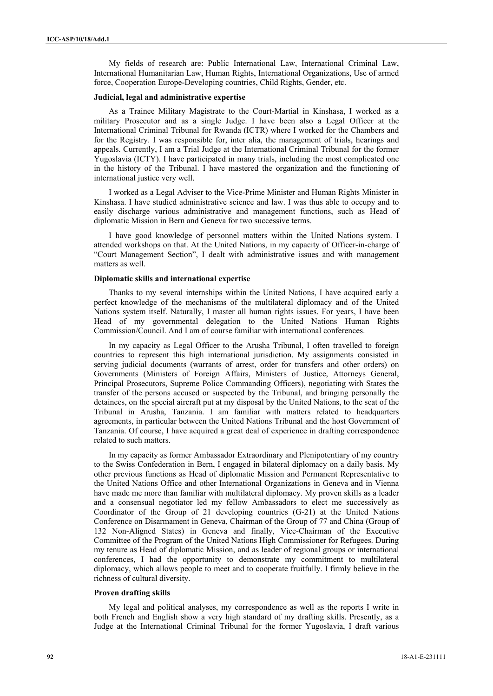My fields of research are: Public International Law, International Criminal Law, International Humanitarian Law, Human Rights, International Organizations, Use of armed force, Cooperation Europe-Developing countries, Child Rights, Gender, etc.

#### **Judicial, legal and administrative expertise**

As a Trainee Military Magistrate to the Court-Martial in Kinshasa, I worked as a military Prosecutor and as a single Judge. I have been also a Legal Officer at the International Criminal Tribunal for Rwanda (ICTR) where I worked for the Chambers and for the Registry. I was responsible for, inter alia, the management of trials, hearings and appeals. Currently, I am a Trial Judge at the International Criminal Tribunal for the former Yugoslavia (ICTY). I have participated in many trials, including the most complicated one in the history of the Tribunal. I have mastered the organization and the functioning of international justice very well.

I worked as a Legal Adviser to the Vice-Prime Minister and Human Rights Minister in Kinshasa. I have studied administrative science and law. I was thus able to occupy and to easily discharge various administrative and management functions, such as Head of diplomatic Mission in Bern and Geneva for two successive terms.

I have good knowledge of personnel matters within the United Nations system. I attended workshops on that. At the United Nations, in my capacity of Officer-in-charge of "Court Management Section", I dealt with administrative issues and with management matters as well.

## **Diplomatic skills and international expertise**

Thanks to my several internships within the United Nations, I have acquired early a perfect knowledge of the mechanisms of the multilateral diplomacy and of the United Nations system itself. Naturally, I master all human rights issues. For years, I have been Head of my governmental delegation to the United Nations Human Rights Commission/Council. And I am of course familiar with international conferences.

In my capacity as Legal Officer to the Arusha Tribunal, I often travelled to foreign countries to represent this high international jurisdiction. My assignments consisted in serving judicial documents (warrants of arrest, order for transfers and other orders) on Governments (Ministers of Foreign Affairs, Ministers of Justice, Attorneys General, Principal Prosecutors, Supreme Police Commanding Officers), negotiating with States the transfer of the persons accused or suspected by the Tribunal, and bringing personally the detainees, on the special aircraft put at my disposal by the United Nations, to the seat of the Tribunal in Arusha, Tanzania. I am familiar with matters related to headquarters agreements, in particular between the United Nations Tribunal and the host Government of Tanzania. Of course, I have acquired a great deal of experience in drafting correspondence related to such matters.

In my capacity as former Ambassador Extraordinary and Plenipotentiary of my country to the Swiss Confederation in Bern, I engaged in bilateral diplomacy on a daily basis. My other previous functions as Head of diplomatic Mission and Permanent Representative to the United Nations Office and other International Organizations in Geneva and in Vienna have made me more than familiar with multilateral diplomacy. My proven skills as a leader and a consensual negotiator led my fellow Ambassadors to elect me successively as Coordinator of the Group of 21 developing countries (G-21) at the United Nations Conference on Disarmament in Geneva, Chairman of the Group of 77 and China (Group of 132 Non-Aligned States) in Geneva and finally, Vice-Chairman of the Executive Committee of the Program of the United Nations High Commissioner for Refugees. During my tenure as Head of diplomatic Mission, and as leader of regional groups or international conferences, I had the opportunity to demonstrate my commitment to multilateral diplomacy, which allows people to meet and to cooperate fruitfully. I firmly believe in the richness of cultural diversity.

## **Proven drafting skills**

My legal and political analyses, my correspondence as well as the reports I write in both French and English show a very high standard of my drafting skills. Presently, as a Judge at the International Criminal Tribunal for the former Yugoslavia, I draft various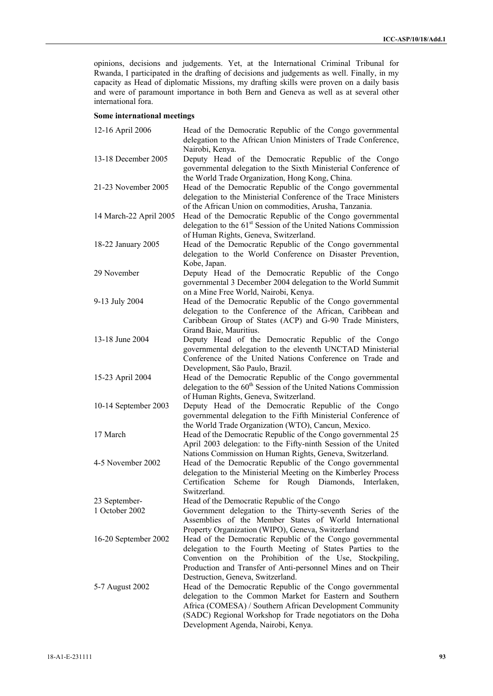opinions, decisions and judgements. Yet, at the International Criminal Tribunal for Rwanda, I participated in the drafting of decisions and judgements as well. Finally, in my capacity as Head of diplomatic Missions, my drafting skills were proven on a daily basis and were of paramount importance in both Bern and Geneva as well as at several other international fora.

# **Some international meetings**

| 12-16 April 2006       | Head of the Democratic Republic of the Congo governmental<br>delegation to the African Union Ministers of Trade Conference,<br>Nairobi, Kenya.                                                                                                                                         |
|------------------------|----------------------------------------------------------------------------------------------------------------------------------------------------------------------------------------------------------------------------------------------------------------------------------------|
| 13-18 December 2005    | Deputy Head of the Democratic Republic of the Congo<br>governmental delegation to the Sixth Ministerial Conference of<br>the World Trade Organization, Hong Kong, China.                                                                                                               |
| 21-23 November 2005    | Head of the Democratic Republic of the Congo governmental<br>delegation to the Ministerial Conference of the Trace Ministers<br>of the African Union on commodities, Arusha, Tanzania.                                                                                                 |
| 14 March-22 April 2005 | Head of the Democratic Republic of the Congo governmental<br>delegation to the 61 <sup>st</sup> Session of the United Nations Commission<br>of Human Rights, Geneva, Switzerland.                                                                                                      |
| 18-22 January 2005     | Head of the Democratic Republic of the Congo governmental<br>delegation to the World Conference on Disaster Prevention,<br>Kobe, Japan.                                                                                                                                                |
| 29 November            | Deputy Head of the Democratic Republic of the Congo<br>governmental 3 December 2004 delegation to the World Summit<br>on a Mine Free World, Nairobi, Kenya.                                                                                                                            |
| 9-13 July 2004         | Head of the Democratic Republic of the Congo governmental<br>delegation to the Conference of the African, Caribbean and<br>Caribbean Group of States (ACP) and G-90 Trade Ministers,                                                                                                   |
| 13-18 June 2004        | Grand Baie, Mauritius.<br>Deputy Head of the Democratic Republic of the Congo<br>governmental delegation to the eleventh UNCTAD Ministerial<br>Conference of the United Nations Conference on Trade and                                                                                |
| 15-23 April 2004       | Development, São Paulo, Brazil.<br>Head of the Democratic Republic of the Congo governmental<br>delegation to the 60 <sup>th</sup> Session of the United Nations Commission<br>of Human Rights, Geneva, Switzerland.                                                                   |
| 10-14 September 2003   | Deputy Head of the Democratic Republic of the Congo<br>governmental delegation to the Fifth Ministerial Conference of<br>the World Trade Organization (WTO), Cancun, Mexico.                                                                                                           |
| 17 March               | Head of the Democratic Republic of the Congo governmental 25<br>April 2003 delegation: to the Fifty-ninth Session of the United<br>Nations Commission on Human Rights, Geneva, Switzerland.                                                                                            |
| 4-5 November 2002      | Head of the Democratic Republic of the Congo governmental<br>delegation to the Ministerial Meeting on the Kimberley Process<br>Certification<br>Scheme<br>for<br>Rough Diamonds,<br>Interlaken,<br>Switzerland.                                                                        |
| 23 September-          | Head of the Democratic Republic of the Congo                                                                                                                                                                                                                                           |
| 1 October 2002         | Government delegation to the Thirty-seventh Series of the<br>Assemblies of the Member States of World International<br>Property Organization (WIPO), Geneva, Switzerland                                                                                                               |
| 16-20 September 2002   | Head of the Democratic Republic of the Congo governmental<br>delegation to the Fourth Meeting of States Parties to the<br>Convention on the Prohibition of the Use, Stockpiling,<br>Production and Transfer of Anti-personnel Mines and on Their<br>Destruction, Geneva, Switzerland.  |
| 5-7 August 2002        | Head of the Democratic Republic of the Congo governmental<br>delegation to the Common Market for Eastern and Southern<br>Africa (COMESA) / Southern African Development Community<br>(SADC) Regional Workshop for Trade negotiators on the Doha<br>Development Agenda, Nairobi, Kenya. |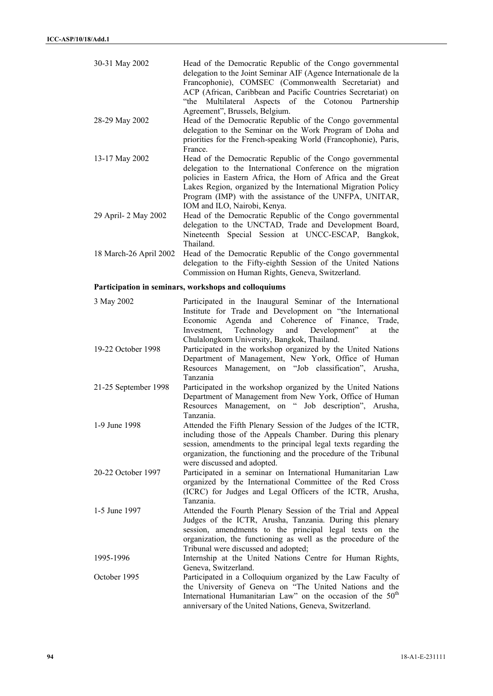| 30-31 May 2002                                       | Head of the Democratic Republic of the Congo governmental<br>delegation to the Joint Seminar AIF (Agence Internationale de la<br>Francophonie), COMSEC (Commonwealth Secretariat) and<br>ACP (African, Caribbean and Pacific Countries Secretariat) on<br>Multilateral Aspects of the Cotonou Partnership<br>"the<br>Agreement", Brussels, Belgium.  |  |
|------------------------------------------------------|------------------------------------------------------------------------------------------------------------------------------------------------------------------------------------------------------------------------------------------------------------------------------------------------------------------------------------------------------|--|
| 28-29 May 2002                                       | Head of the Democratic Republic of the Congo governmental<br>delegation to the Seminar on the Work Program of Doha and<br>priorities for the French-speaking World (Francophonie), Paris,<br>France.                                                                                                                                                 |  |
| 13-17 May 2002                                       | Head of the Democratic Republic of the Congo governmental<br>delegation to the International Conference on the migration<br>policies in Eastern Africa, the Horn of Africa and the Great<br>Lakes Region, organized by the International Migration Policy<br>Program (IMP) with the assistance of the UNFPA, UNITAR,<br>IOM and ILO, Nairobi, Kenya. |  |
| 29 April- 2 May 2002                                 | Head of the Democratic Republic of the Congo governmental<br>delegation to the UNCTAD, Trade and Development Board,<br>Nineteenth Special Session at UNCC-ESCAP, Bangkok,<br>Thailand.                                                                                                                                                               |  |
| 18 March-26 April 2002                               | Head of the Democratic Republic of the Congo governmental<br>delegation to the Fifty-eighth Session of the United Nations<br>Commission on Human Rights, Geneva, Switzerland.                                                                                                                                                                        |  |
| Participation in seminars, workshops and colloquiums |                                                                                                                                                                                                                                                                                                                                                      |  |
| 3 May 2002                                           | Participated in the Inaugural Seminar of the International<br>Institute for Trade and Development on "the International<br>Economic Agenda and Coherence of Finance,<br>Trade,<br>Technology<br>and Development"<br>Investment,<br>the<br>at<br>Chulalongkorn University, Bangkok, Thailand.                                                         |  |
| 19-22 October 1998                                   | Participated in the workshop organized by the United Nations                                                                                                                                                                                                                                                                                         |  |

- Department of Management, New York, Office of Human Resources Management, on "Job classification", Arusha, Tanzania
- 21-25 September 1998 Participated in the workshop organized by the United Nations Department of Management from New York, Office of Human Resources Management, on " Job description", Arusha, Tanzania.
- 1-9 June 1998 Attended the Fifth Plenary Session of the Judges of the ICTR, including those of the Appeals Chamber. During this plenary session, amendments to the principal legal texts regarding the organization, the functioning and the procedure of the Tribunal were discussed and adopted.
- 20-22 October 1997 Participated in a seminar on International Humanitarian Law organized by the International Committee of the Red Cross (ICRC) for Judges and Legal Officers of the ICTR, Arusha, Tanzania.
- 1-5 June 1997 Attended the Fourth Plenary Session of the Trial and Appeal Judges of the ICTR, Arusha, Tanzania. During this plenary session, amendments to the principal legal texts on the organization, the functioning as well as the procedure of the Tribunal were discussed and adopted;
- 1995-1996 Internship at the United Nations Centre for Human Rights, Geneva, Switzerland.
- October 1995 Participated in a Colloquium organized by the Law Faculty of the University of Geneva on "The United Nations and the International Humanitarian Law" on the occasion of the  $50<sup>th</sup>$ anniversary of the United Nations, Geneva, Switzerland.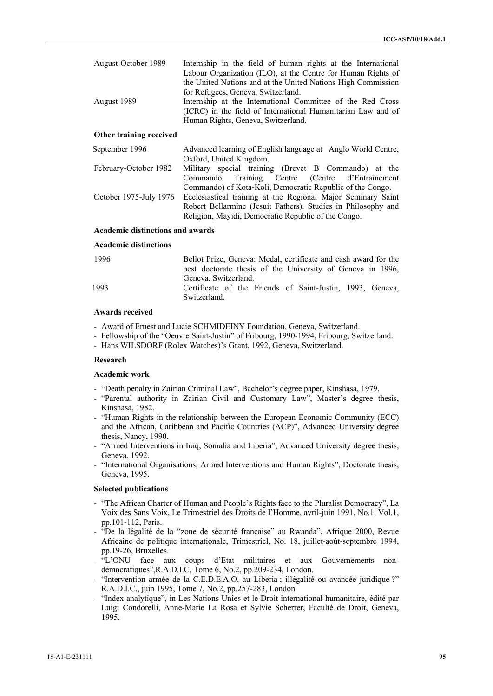| August-October 1989 | Internship in the field of human rights at the International<br>Labour Organization (ILO), at the Centre for Human Rights of                                     |
|---------------------|------------------------------------------------------------------------------------------------------------------------------------------------------------------|
|                     | the United Nations and at the United Nations High Commission<br>for Refugees, Geneva, Switzerland.                                                               |
| August 1989         | Internship at the International Committee of the Red Cross<br>(ICRC) in the field of International Humanitarian Law and of<br>Human Rights, Geneva, Switzerland. |

# **Other training received**

| Advanced learning of English language at Anglo World Centre,                        |
|-------------------------------------------------------------------------------------|
| Oxford, United Kingdom.                                                             |
| Military special training (Brevet B Commando) at the                                |
| Commando Training Centre (Centre d'Entraînement                                     |
| Commando) of Kota-Koli, Democratic Republic of the Congo.                           |
| October 1975-July 1976 Ecclesiastical training at the Regional Major Seminary Saint |
| Robert Bellarmine (Jesuit Fathers). Studies in Philosophy and                       |
| Religion, Mayidi, Democratic Republic of the Congo.                                 |
|                                                                                     |

# **Academic distinctions and awards**

# **Academic distinctions**

| 1996 | Bellot Prize, Geneva: Medal, certificate and cash award for the           |
|------|---------------------------------------------------------------------------|
|      | best doctorate thesis of the University of Geneva in 1996,                |
|      | Geneva, Switzerland.                                                      |
| 1993 | Certificate of the Friends of Saint-Justin, 1993, Geneva,<br>Switzerland. |

## **Awards received**

- Award of Ernest and Lucie SCHMIDEINY Foundation, Geneva, Switzerland.
- Fellowship of the "Oeuvre Saint-Justin" of Fribourg, 1990-1994, Fribourg, Switzerland.
- Hans WILSDORF (Rolex Watches)'s Grant, 1992, Geneva, Switzerland.

## **Research**

## **Academic work**

- "Death penalty in Zairian Criminal Law", Bachelor's degree paper, Kinshasa, 1979.
- "Parental authority in Zairian Civil and Customary Law", Master's degree thesis, Kinshasa, 1982.
- "Human Rights in the relationship between the European Economic Community (ECC) and the African, Caribbean and Pacific Countries (ACP)", Advanced University degree thesis, Nancy, 1990.
- "Armed Interventions in Iraq, Somalia and Liberia", Advanced University degree thesis, Geneva, 1992.
- "International Organisations, Armed Interventions and Human Rights", Doctorate thesis, Geneva, 1995.

## **Selected publications**

- "The African Charter of Human and People's Rights face to the Pluralist Democracy", La Voix des Sans Voix, Le Trimestriel des Droits de l'Homme, avril-juin 1991, No.1, Vol.1, pp.101-112, Paris.
- "De la légalité de la "zone de sécurité française" au Rwanda", Afrique 2000, Revue Africaine de politique internationale, Trimestriel, No. 18, juillet-août-septembre 1994, pp.19-26, Bruxelles.
- "L'ONU face aux coups d'Etat militaires et aux Gouvernements nondémocratiques",R.A.D.I.C, Tome 6, No.2, pp.209-234, London.
- "Intervention armée de la C.E.D.E.A.O. au Liberia ; illégalité ou avancée juridique ?" R.A.D.I.C., juin 1995, Tome 7, No.2, pp.257-283, London.
- "Index analytique", in Les Nations Unies et le Droit international humanitaire, édité par Luigi Condorelli, Anne-Marie La Rosa et Sylvie Scherrer, Faculté de Droit, Geneva, 1995.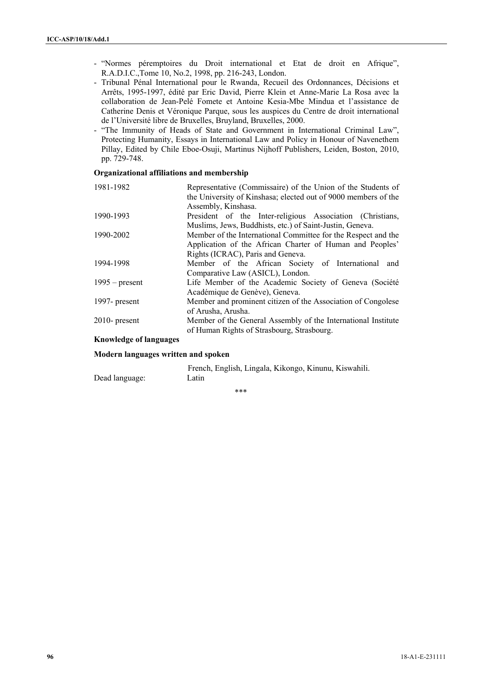- "Normes péremptoires du Droit international et Etat de droit en Afrique", R.A.D.I.C.,Tome 10, No.2, 1998, pp. 216-243, London.
- Tribunal Pénal International pour le Rwanda, Recueil des Ordonnances, Décisions et Arrêts, 1995-1997, édité par Eric David, Pierre Klein et Anne-Marie La Rosa avec la collaboration de Jean-Pelé Fomete et Antoine Kesia-Mbe Mindua et l'assistance de Catherine Denis et Véronique Parque, sous les auspices du Centre de droit international de l'Université libre de Bruxelles, Bruyland, Bruxelles, 2000.
- "The Immunity of Heads of State and Government in International Criminal Law", Protecting Humanity, Essays in International Law and Policy in Honour of Navenethem Pillay, Edited by Chile Eboe-Osuji, Martinus Nijhoff Publishers, Leiden, Boston, 2010, pp. 729-748.

## **Organizational affiliations and membership**

| 1981-1982        | Representative (Commissaire) of the Union of the Students of   |
|------------------|----------------------------------------------------------------|
|                  | the University of Kinshasa; elected out of 9000 members of the |
|                  | Assembly, Kinshasa.                                            |
| 1990-1993        | President of the Inter-religious Association (Christians,      |
|                  | Muslims, Jews, Buddhists, etc.) of Saint-Justin, Geneva.       |
| 1990-2002        | Member of the International Committee for the Respect and the  |
|                  | Application of the African Charter of Human and Peoples'       |
|                  | Rights (ICRAC), Paris and Geneva.                              |
| 1994-1998        | Member of the African Society of International<br>and          |
|                  | Comparative Law (ASICL), London.                               |
| $1995$ – present | Life Member of the Academic Society of Geneva (Société         |
|                  | Académique de Genève), Geneva.                                 |
| 1997- present    | Member and prominent citizen of the Association of Congolese   |
|                  | of Arusha, Arusha.                                             |
| $2010$ - present | Member of the General Assembly of the International Institute  |
|                  | of Human Rights of Strasbourg, Strasbourg.                     |
|                  |                                                                |

# **Knowledge of languages**

## **Modern languages written and spoken**

|                | French, English, Lingala, Kikongo, Kinunu, Kiswahili. |
|----------------|-------------------------------------------------------|
| Dead language: | Latin                                                 |

 $***$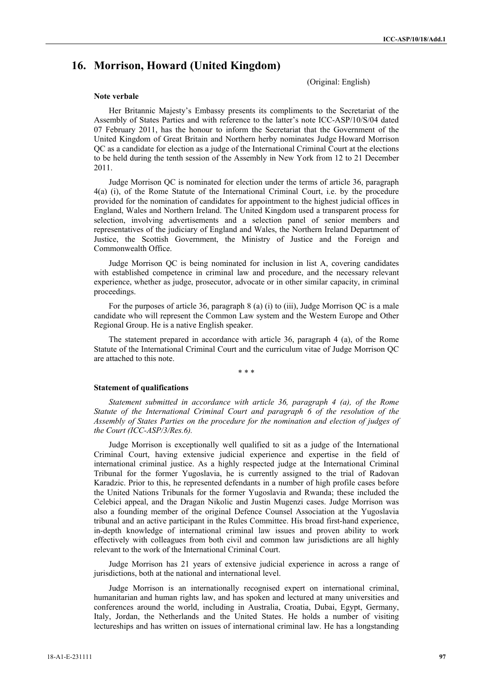# **16. Morrison, Howard (United Kingdom)**

(Original: English)

#### **Note verbale**

Her Britannic Majesty's Embassy presents its compliments to the Secretariat of the Assembly of States Parties and with reference to the latter's note ICC-ASP/10/S/04 dated 07 February 2011, has the honour to inform the Secretariat that the Government of the United Kingdom of Great Britain and Northern herby nominates Judge Howard Morrison QC as a candidate for election as a judge of the International Criminal Court at the elections to be held during the tenth session of the Assembly in New York from 12 to 21 December 2011.

Judge Morrison QC is nominated for election under the terms of article 36, paragraph 4(a) (i), of the Rome Statute of the International Criminal Court, i.e. by the procedure provided for the nomination of candidates for appointment to the highest judicial offices in England, Wales and Northern Ireland. The United Kingdom used a transparent process for selection, involving advertisements and a selection panel of senior members and representatives of the judiciary of England and Wales, the Northern Ireland Department of Justice, the Scottish Government, the Ministry of Justice and the Foreign and Commonwealth Office.

Judge Morrison QC is being nominated for inclusion in list A, covering candidates with established competence in criminal law and procedure, and the necessary relevant experience, whether as judge, prosecutor, advocate or in other similar capacity, in criminal proceedings.

For the purposes of article 36, paragraph 8 (a) (i) to (iii), Judge Morrison QC is a male candidate who will represent the Common Law system and the Western Europe and Other Regional Group. He is a native English speaker.

The statement prepared in accordance with article 36, paragraph 4 (a), of the Rome Statute of the International Criminal Court and the curriculum vitae of Judge Morrison QC are attached to this note.

\* \* \*

#### **Statement of qualifications**

*Statement submitted in accordance with article 36, paragraph 4 (a), of the Rome Statute of the International Criminal Court and paragraph 6 of the resolution of the Assembly of States Parties on the procedure for the nomination and election of judges of the Court (ICC-ASP/3/Res.6).*

Judge Morrison is exceptionally well qualified to sit as a judge of the International Criminal Court, having extensive judicial experience and expertise in the field of international criminal justice. As a highly respected judge at the International Criminal Tribunal for the former Yugoslavia, he is currently assigned to the trial of Radovan Karadzic. Prior to this, he represented defendants in a number of high profile cases before the United Nations Tribunals for the former Yugoslavia and Rwanda; these included the Celebici appeal, and the Dragan Nikolic and Justin Mugenzi cases. Judge Morrison was also a founding member of the original Defence Counsel Association at the Yugoslavia tribunal and an active participant in the Rules Committee. His broad first-hand experience, in-depth knowledge of international criminal law issues and proven ability to work effectively with colleagues from both civil and common law jurisdictions are all highly relevant to the work of the International Criminal Court.

Judge Morrison has 21 years of extensive judicial experience in across a range of jurisdictions, both at the national and international level.

Judge Morrison is an internationally recognised expert on international criminal, humanitarian and human rights law, and has spoken and lectured at many universities and conferences around the world, including in Australia, Croatia, Dubai, Egypt, Germany, Italy, Jordan, the Netherlands and the United States. He holds a number of visiting lectureships and has written on issues of international criminal law. He has a longstanding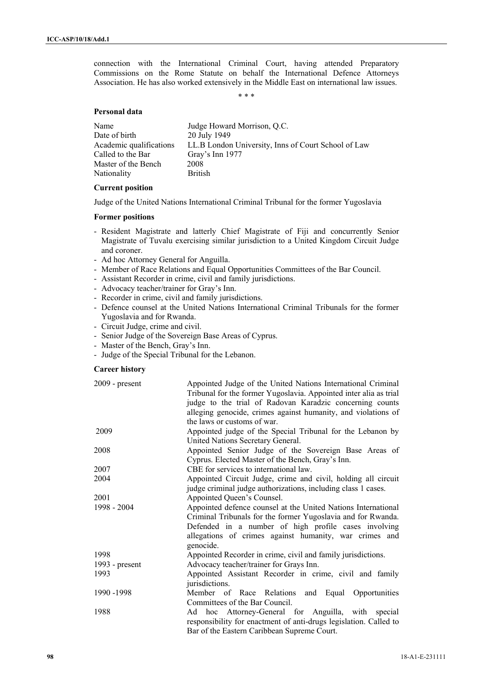connection with the International Criminal Court, having attended Preparatory Commissions on the Rome Statute on behalf the International Defence Attorneys Association. He has also worked extensively in the Middle East on international law issues.

\* \* \*

### **Personal data**

| Name                    | Judge Howard Morrison, Q.C.                         |
|-------------------------|-----------------------------------------------------|
| Date of birth           | 20 July 1949                                        |
| Academic qualifications | LL.B London University, Inns of Court School of Law |
| Called to the Bar       | Gray's Inn 1977                                     |
| Master of the Bench     | 2008                                                |
| <b>Nationality</b>      | <b>British</b>                                      |
|                         |                                                     |

# **Current position**

Judge of the United Nations International Criminal Tribunal for the former Yugoslavia

## **Former positions**

- Resident Magistrate and latterly Chief Magistrate of Fiji and concurrently Senior Magistrate of Tuvalu exercising similar jurisdiction to a United Kingdom Circuit Judge and coroner.
- Ad hoc Attorney General for Anguilla.
- Member of Race Relations and Equal Opportunities Committees of the Bar Council.
- Assistant Recorder in crime, civil and family jurisdictions.
- Advocacy teacher/trainer for Gray's Inn.
- Recorder in crime, civil and family jurisdictions.
- Defence counsel at the United Nations International Criminal Tribunals for the former Yugoslavia and for Rwanda.
- Circuit Judge, crime and civil.
- Senior Judge of the Sovereign Base Areas of Cyprus.
- Master of the Bench, Gray's Inn.
- Judge of the Special Tribunal for the Lebanon.

## **Career history**

| $2009$ - present | Appointed Judge of the United Nations International Criminal      |
|------------------|-------------------------------------------------------------------|
|                  | Tribunal for the former Yugoslavia. Appointed inter alia as trial |
|                  | judge to the trial of Radovan Karadzic concerning counts          |
|                  | alleging genocide, crimes against humanity, and violations of     |
|                  | the laws or customs of war.                                       |
| 2009             | Appointed judge of the Special Tribunal for the Lebanon by        |
|                  | United Nations Secretary General.                                 |
| 2008             | Appointed Senior Judge of the Sovereign Base Areas of             |
|                  | Cyprus. Elected Master of the Bench, Gray's Inn.                  |
| 2007             | CBE for services to international law.                            |
| 2004             | Appointed Circuit Judge, crime and civil, holding all circuit     |
|                  | judge criminal judge authorizations, including class 1 cases.     |
| 2001             | Appointed Queen's Counsel.                                        |
| 1998 - 2004      | Appointed defence counsel at the United Nations International     |
|                  | Criminal Tribunals for the former Yugoslavia and for Rwanda.      |
|                  | Defended in a number of high profile cases involving              |
|                  | allegations of crimes against humanity, war crimes and            |
|                  | genocide.                                                         |
| 1998             | Appointed Recorder in crime, civil and family jurisdictions.      |
| 1993 - $present$ | Advocacy teacher/trainer for Grays Inn.                           |
| 1993             | Appointed Assistant Recorder in crime, civil and family           |
|                  | jurisdictions.                                                    |
| 1990 - 1998      | Member of Race Relations<br>and Equal Opportunities               |
|                  | Committees of the Bar Council.                                    |
| 1988             | Ad hoc Attorney-General for Anguilla, with special                |
|                  | responsibility for enactment of anti-drugs legislation. Called to |
|                  | Bar of the Eastern Caribbean Supreme Court.                       |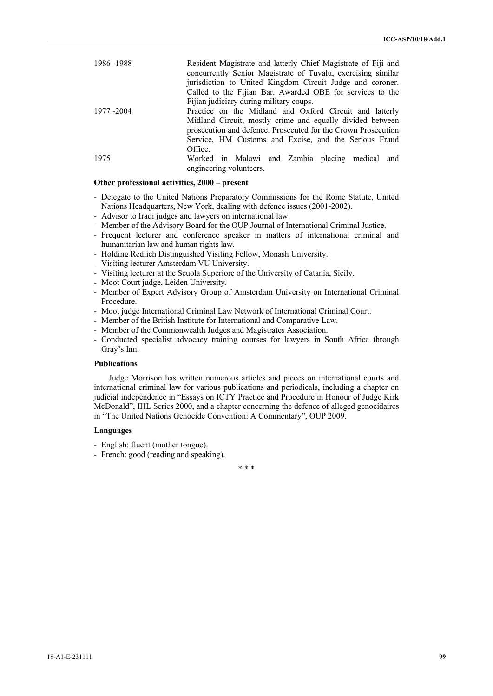| 1986 - 1988 | Resident Magistrate and latterly Chief Magistrate of Fiji and<br>concurrently Senior Magistrate of Tuvalu, exercising similar |
|-------------|-------------------------------------------------------------------------------------------------------------------------------|
|             | jurisdiction to United Kingdom Circuit Judge and coroner.                                                                     |
|             | Called to the Fijian Bar. Awarded OBE for services to the                                                                     |
|             | Fijian judiciary during military coups.                                                                                       |
| 1977 -2004  | Practice on the Midland and Oxford Circuit and latterly                                                                       |
|             | Midland Circuit, mostly crime and equally divided between<br>prosecution and defence. Prosecuted for the Crown Prosecution    |
|             | Service, HM Customs and Excise, and the Serious Fraud                                                                         |
|             | Office.                                                                                                                       |
| 1975        | Worked in Malawi and Zambia placing medical and<br>engineering volunteers.                                                    |

### **Other professional activities, 2000 – present**

- Delegate to the United Nations Preparatory Commissions for the Rome Statute, United Nations Headquarters, New York, dealing with defence issues (2001-2002).
- Advisor to Iraqi judges and lawyers on international law.
- Member of the Advisory Board for the OUP Journal of International Criminal Justice.
- Frequent lecturer and conference speaker in matters of international criminal and humanitarian law and human rights law.
- Holding Redlich Distinguished Visiting Fellow, Monash University.
- Visiting lecturer Amsterdam VU University.
- Visiting lecturer at the Scuola Superiore of the University of Catania, Sicily.
- Moot Court judge, Leiden University.
- Member of Expert Advisory Group of Amsterdam University on International Criminal Procedure.
- Moot judge International Criminal Law Network of International Criminal Court.
- Member of the British Institute for International and Comparative Law.
- Member of the Commonwealth Judges and Magistrates Association.
- Conducted specialist advocacy training courses for lawyers in South Africa through Gray's Inn.

## **Publications**

Judge Morrison has written numerous articles and pieces on international courts and international criminal law for various publications and periodicals, including a chapter on judicial independence in "Essays on ICTY Practice and Procedure in Honour of Judge Kirk McDonald", IHL Series 2000, and a chapter concerning the defence of alleged genocidaires in "The United Nations Genocide Convention: A Commentary", OUP 2009.

## **Languages**

- English: fluent (mother tongue).
- French: good (reading and speaking).

\* \* \*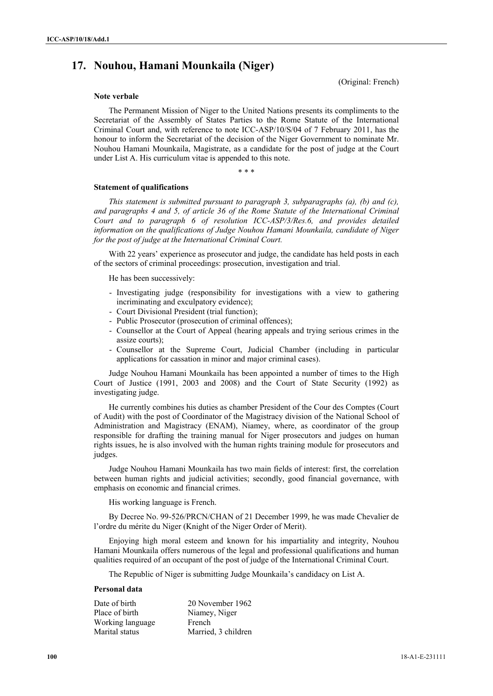# **17. Nouhou, Hamani Mounkaila (Niger)**

(Original: French)

## **Note verbale**

The Permanent Mission of Niger to the United Nations presents its compliments to the Secretariat of the Assembly of States Parties to the Rome Statute of the International Criminal Court and, with reference to note ICC-ASP/10/S/04 of 7 February 2011, has the honour to inform the Secretariat of the decision of the Niger Government to nominate Mr. Nouhou Hamani Mounkaila, Magistrate, as a candidate for the post of judge at the Court under List A. His curriculum vitae is appended to this note.

\* \* \*

#### **Statement of qualifications**

*This statement is submitted pursuant to paragraph 3, subparagraphs (a), (b) and (c), and paragraphs 4 and 5, of article 36 of the Rome Statute of the International Criminal Court and to paragraph 6 of resolution ICC-ASP/3/Res.6, and provides detailed information on the qualifications of Judge Nouhou Hamani Mounkaila, candidate of Niger for the post of judge at the International Criminal Court.* 

With 22 years' experience as prosecutor and judge, the candidate has held posts in each of the sectors of criminal proceedings: prosecution, investigation and trial.

He has been successively:

- Investigating judge (responsibility for investigations with a view to gathering incriminating and exculpatory evidence);
- Court Divisional President (trial function);
- Public Prosecutor (prosecution of criminal offences);
- Counsellor at the Court of Appeal (hearing appeals and trying serious crimes in the assize courts);
- Counsellor at the Supreme Court, Judicial Chamber (including in particular applications for cassation in minor and major criminal cases).

Judge Nouhou Hamani Mounkaila has been appointed a number of times to the High Court of Justice (1991, 2003 and 2008) and the Court of State Security (1992) as investigating judge.

He currently combines his duties as chamber President of the Cour des Comptes (Court of Audit) with the post of Coordinator of the Magistracy division of the National School of Administration and Magistracy (ENAM), Niamey, where, as coordinator of the group responsible for drafting the training manual for Niger prosecutors and judges on human rights issues, he is also involved with the human rights training module for prosecutors and judges.

Judge Nouhou Hamani Mounkaila has two main fields of interest: first, the correlation between human rights and judicial activities; secondly, good financial governance, with emphasis on economic and financial crimes.

His working language is French.

By Decree No. 99-526/PRCN/CHAN of 21 December 1999, he was made Chevalier de l'ordre du mérite du Niger (Knight of the Niger Order of Merit).

Enjoying high moral esteem and known for his impartiality and integrity, Nouhou Hamani Mounkaila offers numerous of the legal and professional qualifications and human qualities required of an occupant of the post of judge of the International Criminal Court.

The Republic of Niger is submitting Judge Mounkaila's candidacy on List A.

#### **Personal data**

| Date of birth    | 20 November 1962    |
|------------------|---------------------|
| Place of birth   | Niamey, Niger       |
| Working language | French              |
| Marital status   | Married, 3 children |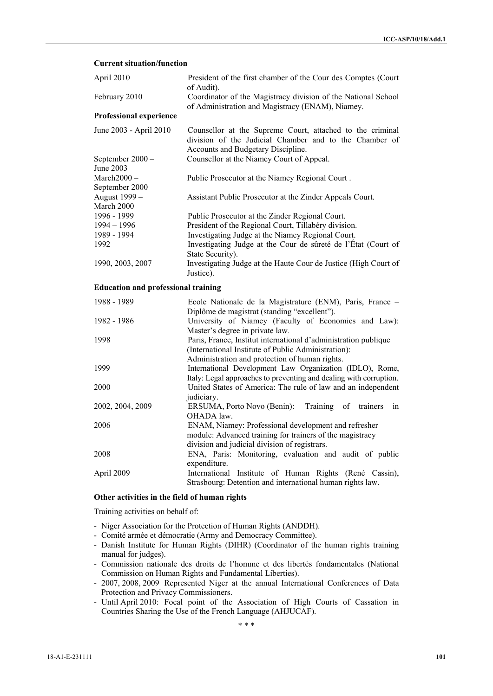### **Current situation/function**

| April 2010                                          | President of the first chamber of the Cour des Comptes (Court<br>of Audit).                                                                                                                                                   |
|-----------------------------------------------------|-------------------------------------------------------------------------------------------------------------------------------------------------------------------------------------------------------------------------------|
| February 2010                                       | Coordinator of the Magistracy division of the National School<br>of Administration and Magistracy (ENAM), Niamey.                                                                                                             |
| <b>Professional experience</b>                      |                                                                                                                                                                                                                               |
| June 2003 - April 2010                              | Counsellor at the Supreme Court, attached to the criminal<br>division of the Judicial Chamber and to the Chamber of<br>Accounts and Budgetary Discipline.                                                                     |
| September 2000 -<br>June 2003                       | Counsellor at the Niamey Court of Appeal.                                                                                                                                                                                     |
| $March2000 -$<br>September 2000                     | Public Prosecutor at the Niamey Regional Court.                                                                                                                                                                               |
| August 1999 -<br>March 2000                         | Assistant Public Prosecutor at the Zinder Appeals Court.                                                                                                                                                                      |
| 1996 - 1999<br>$1994 - 1996$<br>1989 - 1994<br>1992 | Public Prosecutor at the Zinder Regional Court.<br>President of the Regional Court, Tillabéry division.<br>Investigating Judge at the Niamey Regional Court.<br>Investigating Judge at the Cour de sûreté de l'État (Court of |
| 1990, 2003, 2007                                    | State Security).<br>Investigating Judge at the Haute Cour de Justice (High Court of<br>Justice).                                                                                                                              |
| <b>Education and professional training</b>          |                                                                                                                                                                                                                               |
| 1988 - 1989                                         | Ecole Nationale de la Magistrature (ENM), Paris, France -<br>Diplôme de magistrat (standing "excellent").                                                                                                                     |
| 1982 - 1986                                         | University of Niamey (Faculty of Economics and Law):<br>Master's degree in private law.                                                                                                                                       |
| 1998                                                | Paris, France, Institut international d'administration publique<br>(International Institute of Public Administration):<br>Administration and protection of human rights.                                                      |
| 1999                                                | International Development Law Organization (IDLO), Rome,<br>Italy: Legal approaches to preventing and dealing with corruption.                                                                                                |
| 2000                                                | United States of America: The rule of law and an independent<br>judiciary.                                                                                                                                                    |
| 2002, 2004, 2009                                    | ERSUMA, Porto Novo (Benin):<br>Training<br>of<br>trainers<br>in<br>OHADA law.                                                                                                                                                 |
| 2006                                                | ENAM, Niamey: Professional development and refresher<br>module: Advanced training for trainers of the magistracy<br>division and judicial division of registrars.                                                             |
| 2008                                                | ENA, Paris: Monitoring, evaluation and audit of public<br>expenditure.                                                                                                                                                        |
| April 2009                                          | International Institute of Human Rights (René Cassin),<br>Strasbourg: Detention and international human rights law.                                                                                                           |

## **Other activities in the field of human rights**

Training activities on behalf of:

- Niger Association for the Protection of Human Rights (ANDDH).

- Comité armée et démocratie (Army and Democracy Committee).
- Danish Institute for Human Rights (DIHR) (Coordinator of the human rights training manual for judges).
- Commission nationale des droits de l'homme et des libertés fondamentales (National Commission on Human Rights and Fundamental Liberties).
- 2007, 2008, 2009 Represented Niger at the annual International Conferences of Data Protection and Privacy Commissioners.
- Until April 2010: Focal point of the Association of High Courts of Cassation in Countries Sharing the Use of the French Language (AHJUCAF).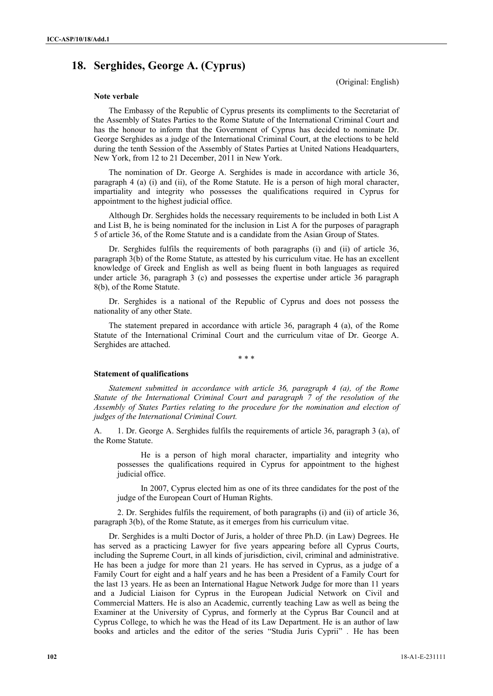# **18. Serghides, George A. (Cyprus)**

(Original: English)

### **Note verbale**

The Embassy of the Republic of Cyprus presents its compliments to the Secretariat of the Assembly of States Parties to the Rome Statute of the International Criminal Court and has the honour to inform that the Government of Cyprus has decided to nominate Dr. George Serghides as a judge of the International Criminal Court, at the elections to be held during the tenth Session of the Assembly of States Parties at United Nations Headquarters, New York, from 12 to 21 December, 2011 in New York.

The nomination of Dr. George A. Serghides is made in accordance with article 36, paragraph 4 (a) (i) and (ii), of the Rome Statute. He is a person of high moral character, impartiality and integrity who possesses the qualifications required in Cyprus for appointment to the highest judicial office.

Although Dr. Serghides holds the necessary requirements to be included in both List A and List B, he is being nominated for the inclusion in List A for the purposes of paragraph 5 of article 36, of the Rome Statute and is a candidate from the Asian Group of States.

Dr. Serghides fulfils the requirements of both paragraphs (i) and (ii) of article 36, paragraph 3(b) of the Rome Statute, as attested by his curriculum vitae. He has an excellent knowledge of Greek and English as well as being fluent in both languages as required under article 36, paragraph 3 (c) and possesses the expertise under article 36 paragraph 8(b), of the Rome Statute.

Dr. Serghides is a national of the Republic of Cyprus and does not possess the nationality of any other State.

The statement prepared in accordance with article 36, paragraph 4 (a), of the Rome Statute of the International Criminal Court and the curriculum vitae of Dr. George A. Serghides are attached.

\* \* \*

#### **Statement of qualifications**

*Statement submitted in accordance with article 36, paragraph 4 (a), of the Rome Statute of the International Criminal Court and paragraph 7 of the resolution of the Assembly of States Parties relating to the procedure for the nomination and election of judges of the International Criminal Court.*

A. 1. Dr. George A. Serghides fulfils the requirements of article 36, paragraph 3 (a), of the Rome Statute.

He is a person of high moral character, impartiality and integrity who possesses the qualifications required in Cyprus for appointment to the highest judicial office.

In 2007, Cyprus elected him as one of its three candidates for the post of the judge of the European Court of Human Rights.

 2. Dr. Serghides fulfils the requirement, of both paragraphs (i) and (ii) of article 36, paragraph 3(b), of the Rome Statute, as it emerges from his curriculum vitae.

Dr. Serghides is a multi Doctor of Juris, a holder of three Ph.D. (in Law) Degrees. He has served as a practicing Lawyer for five years appearing before all Cyprus Courts, including the Supreme Court, in all kinds of jurisdiction, civil, criminal and administrative. He has been a judge for more than 21 years. He has served in Cyprus, as a judge of a Family Court for eight and a half years and he has been a President of a Family Court for the last 13 years. He as been an International Hague Network Judge for more than 11 years and a Judicial Liaison for Cyprus in the European Judicial Network on Civil and Commercial Matters. He is also an Academic, currently teaching Law as well as being the Examiner at the University of Cyprus, and formerly at the Cyprus Bar Council and at Cyprus College, to which he was the Head of its Law Department. He is an author of law books and articles and the editor of the series "Studia Juris Cyprii" *.* He has been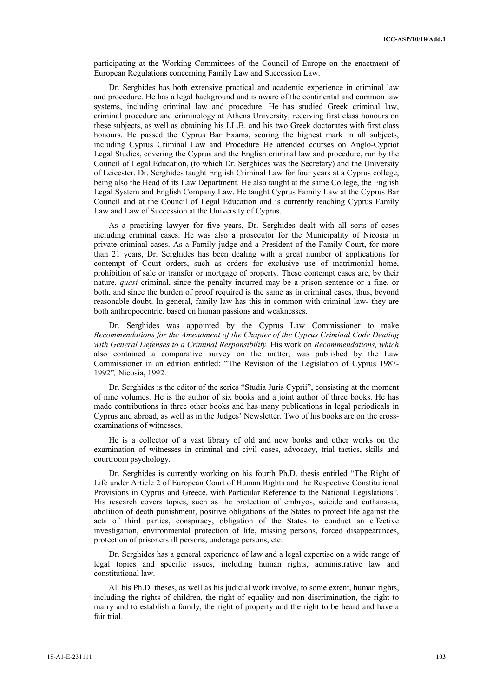participating at the Working Committees of the Council of Europe on the enactment of European Regulations concerning Family Law and Succession Law.

Dr. Serghides has both extensive practical and academic experience in criminal law and procedure. He has a legal background and is aware of the continental and common law systems, including criminal law and procedure. He has studied Greek criminal law, criminal procedure and criminology at Athens University, receiving first class honours on these subjects, as well as obtaining his LL.B. and his two Greek doctorates with first class honours. He passed the Cyprus Bar Exams, scoring the highest mark in all subjects, including Cyprus Criminal Law and Procedure He attended courses on Anglo-Cypriot Legal Studies, covering the Cyprus and the English criminal law and procedure, run by the Council of Legal Education, (to which Dr. Serghides was the Secretary) and the University of Leicester. Dr. Serghides taught English Criminal Law for four years at a Cyprus college, being also the Head of its Law Department. He also taught at the same College, the English Legal System and English Company Law. He taught Cyprus Family Law at the Cyprus Bar Council and at the Council of Legal Education and is currently teaching Cyprus Family Law and Law of Succession at the University of Cyprus.

As a practising lawyer for five years, Dr. Serghides dealt with all sorts of cases including criminal cases. He was also a prosecutor for the Municipality of Nicosia in private criminal cases. As a Family judge and a President of the Family Court, for more than 21 years, Dr. Serghides has been dealing with a great number of applications for contempt of Court orders, such as orders for exclusive use of matrimonial home, prohibition of sale or transfer or mortgage of property. These contempt cases are, by their nature, *quasi* criminal, since the penalty incurred may be a prison sentence or a fine, or both, and since the burden of proof required is the same as in criminal cases, thus, beyond reasonable doubt. In general, family law has this in common with criminal law- they are both anthropocentric, based on human passions and weaknesses.

Dr. Serghides was appointed by the Cyprus Law Commissioner to make *Recommendations for the Amendment of the Chapter of the Cyprus Criminal Code Dealing with General Defenses to a Criminal Responsibility.* His work on *Recommendations, which* also contained a comparative survey on the matter, was published by the Law Commissioner in an edition entitled: "The Revision of the Legislation of Cyprus 1987- 1992"*,* Nicosia, 1992.

Dr. Serghides is the editor of the series "Studia Juris Cyprii", consisting at the moment of nine volumes. He is the author of six books and a joint author of three books. He has made contributions in three other books and has many publications in legal periodicals in Cyprus and abroad, as well as in the Judges' Newsletter. Two of his books are on the crossexaminations of witnesses.

He is a collector of a vast library of old and new books and other works on the examination of witnesses in criminal and civil cases, advocacy, trial tactics, skills and courtroom psychology.

Dr. Serghides is currently working on his fourth Ph.D. thesis entitled "The Right of Life under Article 2 of European Court of Human Rights and the Respective Constitutional Provisions in Cyprus and Greece, with Particular Reference to the National Legislations"*.*  His research covers topics, such as the protection of embryos, suicide and euthanasia, abolition of death punishment, positive obligations of the States to protect life against the acts of third parties, conspiracy, obligation of the States to conduct an effective investigation, environmental protection of life, missing persons, forced disappearances, protection of prisoners ill persons, underage persons, etc.

Dr. Serghides has a general experience of law and a legal expertise on a wide range of legal topics and specific issues, including human rights, administrative law and constitutional law.

All his Ph.D. theses, as well as his judicial work involve, to some extent, human rights, including the rights of children, the right of equality and non discrimination, the right to marry and to establish a family, the right of property and the right to be heard and have a fair trial.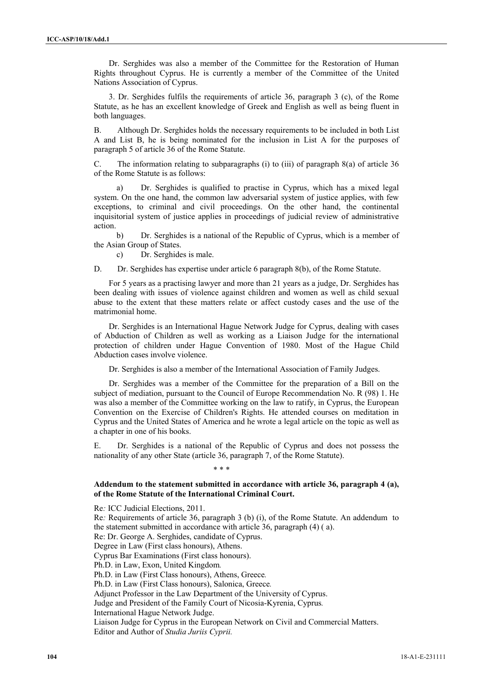Dr. Serghides was also a member of the Committee for the Restoration of Human Rights throughout Cyprus. He is currently a member of the Committee of the United Nations Association of Cyprus.

3. Dr. Serghides fulfils the requirements of article 36, paragraph 3 (c), of the Rome Statute, as he has an excellent knowledge of Greek and English as well as being fluent in both languages.

B. Although Dr. Serghides holds the necessary requirements to be included in both List A and List B, he is being nominated for the inclusion in List A for the purposes of paragraph 5 of article 36 of the Rome Statute.

C. The information relating to subparagraphs (i) to (iii) of paragraph  $8(a)$  of article 36 of the Rome Statute is as follows:

a) Dr. Serghides is qualified to practise in Cyprus, which has a mixed legal system. On the one hand, the common law adversarial system of justice applies, with few exceptions, to criminal and civil proceedings. On the other hand, the continental inquisitorial system of justice applies in proceedings of judicial review of administrative action.

b) Dr. Serghides is a national of the Republic of Cyprus, which is a member of the Asian Group of States.

c) Dr. Serghides is male.

D. Dr. Serghides has expertise under article 6 paragraph 8(b), of the Rome Statute.

For 5 years as a practising lawyer and more than 21 years as a judge, Dr. Serghides has been dealing with issues of violence against children and women as well as child sexual abuse to the extent that these matters relate or affect custody cases and the use of the matrimonial home.

Dr. Serghides is an International Hague Network Judge for Cyprus, dealing with cases of Abduction of Children as well as working as a Liaison Judge for the international protection of children under Hague Convention of 1980. Most of the Hague Child Abduction cases involve violence.

Dr. Serghides is also a member of the International Association of Family Judges.

Dr. Serghides was a member of the Committee for the preparation of a Bill on the subject of mediation, pursuant to the Council of Europe Recommendation No. R (98) 1. He was also a member of the Committee working on the law to ratify, in Cyprus, the European Convention on the Exercise of Children's Rights. He attended courses on meditation in Cyprus and the United States of America and he wrote a legal article on the topic as well as a chapter in one of his books.

E. Dr. Serghides is a national of the Republic of Cyprus and does not possess the nationality of any other State (article 36, paragraph 7, of the Rome Statute).

#### \* \* \*

## **Addendum to the statement submitted in accordance with article 36, paragraph 4 (a), of the Rome Statute of the International Criminal Court.**

Re*:* ICC Judicial Elections, 2011. Re*:* Requirements of article 36, paragraph 3 (b) (i), of the Rome Statute. An addendumto the statement submitted in accordance with article 36, paragraph (4) ( a). Re: Dr. George A. Serghides, candidate of Cyprus. Degree in Law (First class honours), Athens. Cyprus Bar Examinations (First class honours). Ph.D. in Law, Exon, United Kingdom*.* Ph.D. in Law (First Class honours), Athens, Greece*.*  Ph.D. in Law (First Class honours), Salonica, Greece*.*  Adjunct Professor in the Law Department of the University of Cyprus. Judge and President of the Family Court of Nicosia-Kyrenia, Cyprus*.*  International Hague Network Judge. Liaison Judge for Cyprus in the European Network on Civil and Commercial Matters. Editor and Author of *Studia Juriis Cyprii.*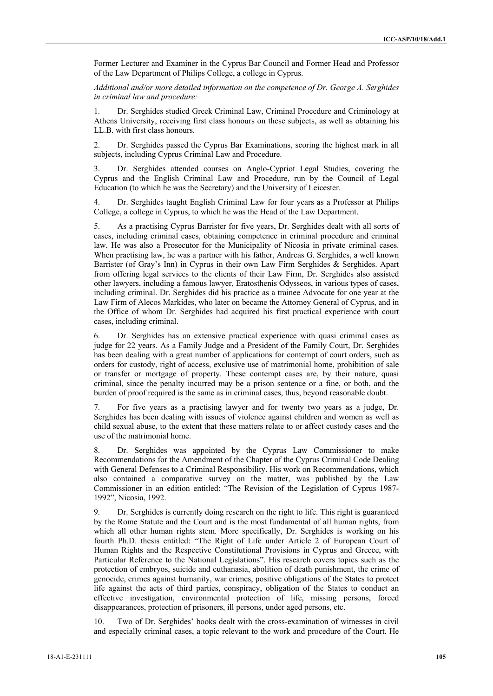Former Lecturer and Examiner in the Cyprus Bar Council and Former Head and Professor of the Law Department of Philips College, a college in Cyprus.

*Additional and/or more detailed information on the competence of Dr. George A. Serghides in criminal law and procedure:* 

1. Dr. Serghides studied Greek Criminal Law, Criminal Procedure and Criminology at Athens University, receiving first class honours on these subjects, as well as obtaining his LL.B. with first class honours.

2. Dr. Serghides passed the Cyprus Bar Examinations, scoring the highest mark in all subjects, including Cyprus Criminal Law and Procedure.

3. Dr. Serghides attended courses on Anglo-Cypriot Legal Studies, covering the Cyprus and the English Criminal Law and Procedure, run by the Council of Legal Education (to which he was the Secretary) and the University of Leicester.

Dr. Serghides taught English Criminal Law for four years as a Professor at Philips College, a college in Cyprus, to which he was the Head of the Law Department.

5. As a practising Cyprus Barrister for five years, Dr. Serghides dealt with all sorts of cases, including criminal cases, obtaining competence in criminal procedure and criminal law. He was also a Prosecutor for the Municipality of Nicosia in private criminal cases. When practising law, he was a partner with his father, Andreas G. Serghides, a well known Barrister (of Gray's Inn) in Cyprus in their own Law Firm Serghides & Serghides. Apart from offering legal services to the clients of their Law Firm, Dr. Serghides also assisted other lawyers, including a famous lawyer, Eratosthenis Odysseos, in various types of cases, including criminal. Dr. Serghides did his practice as a trainee Advocate for one year at the Law Firm of Alecos Markides, who later on became the Attorney General of Cyprus, and in the Office of whom Dr. Serghides had acquired his first practical experience with court cases, including criminal.

6. Dr. Serghides has an extensive practical experience with quasi criminal cases as judge for 22 years. As a Family Judge and a President of the Family Court, Dr. Serghides has been dealing with a great number of applications for contempt of court orders, such as orders for custody, right of access, exclusive use of matrimonial home, prohibition of sale or transfer or mortgage of property. These contempt cases are, by their nature, quasi criminal, since the penalty incurred may be a prison sentence or a fine, or both, and the burden of proof required is the same as in criminal cases, thus, beyond reasonable doubt.

7. For five years as a practising lawyer and for twenty two years as a judge, Dr. Serghides has been dealing with issues of violence against children and women as well as child sexual abuse, to the extent that these matters relate to or affect custody cases and the use of the matrimonial home.

8. Dr. Serghides was appointed by the Cyprus Law Commissioner to make Recommendations for the Amendment of the Chapter of the Cyprus Criminal Code Dealing with General Defenses to a Criminal Responsibility. His work on Recommendations, which also contained a comparative survey on the matter, was published by the Law Commissioner in an edition entitled: "The Revision of the Legislation of Cyprus 1987- 1992", Nicosia, 1992.

9. Dr. Serghides is currently doing research on the right to life. This right is guaranteed by the Rome Statute and the Court and is the most fundamental of all human rights, from which all other human rights stem. More specifically, Dr. Serghides is working on his fourth Ph.D. thesis entitled: "The Right of Life under Article 2 of European Court of Human Rights and the Respective Constitutional Provisions in Cyprus and Greece, with Particular Reference to the National Legislations". His research covers topics such as the protection of embryos, suicide and euthanasia, abolition of death punishment, the crime of genocide, crimes against humanity, war crimes, positive obligations of the States to protect life against the acts of third parties, conspiracy, obligation of the States to conduct an effective investigation, environmental protection of life, missing persons, forced disappearances, protection of prisoners, ill persons, under aged persons, etc.

Two of Dr. Serghides' books dealt with the cross-examination of witnesses in civil and especially criminal cases, a topic relevant to the work and procedure of the Court. He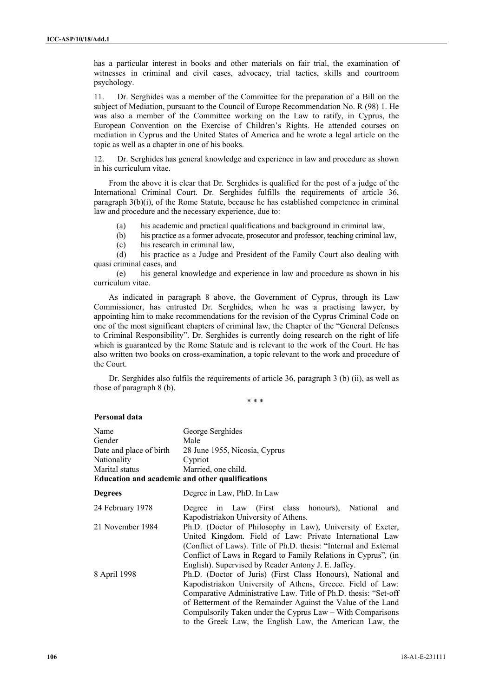has a particular interest in books and other materials on fair trial, the examination of witnesses in criminal and civil cases, advocacy, trial tactics, skills and courtroom psychology.

11. Dr. Serghides was a member of the Committee for the preparation of a Bill on the subject of Mediation, pursuant to the Council of Europe Recommendation No. R (98) 1. He was also a member of the Committee working on the Law to ratify, in Cyprus, the European Convention on the Exercise of Children's Rights. He attended courses on mediation in Cyprus and the United States of America and he wrote a legal article on the topic as well as a chapter in one of his books.

12. Dr. Serghides has general knowledge and experience in law and procedure as shown in his curriculum vitae.

From the above it is clear that Dr. Serghides is qualified for the post of a judge of the International Criminal Court. Dr. Serghides fulfills the requirements of article 36, paragraph 3(b)(i), of the Rome Statute, because he has established competence in criminal law and procedure and the necessary experience, due to:

(a) his academic and practical qualifications and background in criminal law,

(b) his practice as a former advocate, prosecutor and professor, teaching criminal law,

(c) his research in criminal law,

(d) his practice as a Judge and President of the Family Court also dealing with quasi criminal cases, and

(e) his general knowledge and experience in law and procedure as shown in his curriculum vitae.

As indicated in paragraph 8 above, the Government of Cyprus, through its Law Commissioner, has entrusted Dr. Serghides, when he was a practising lawyer, by appointing him to make recommendations for the revision of the Cyprus Criminal Code on one of the most significant chapters of criminal law, the Chapter of the "General Defenses to Criminal Responsibility". Dr. Serghides is currently doing research on the right of life which is guaranteed by the Rome Statute and is relevant to the work of the Court. He has also written two books on cross-examination, a topic relevant to the work and procedure of the Court.

Dr. Serghides also fulfils the requirements of article 36, paragraph 3 (b) (ii), as well as those of paragraph 8 (b).

\* \* \*

## **Personal data**

| Name<br>Gender<br>Date and place of birth<br><b>Nationality</b><br>Marital status | George Serghides<br>Male<br>28 June 1955, Nicosia, Cyprus<br>Cypriot<br>Married, one child.<br><b>Education and academic and other qualifications</b>                                                                                                                                                                                                                                  |
|-----------------------------------------------------------------------------------|----------------------------------------------------------------------------------------------------------------------------------------------------------------------------------------------------------------------------------------------------------------------------------------------------------------------------------------------------------------------------------------|
| <b>Degrees</b>                                                                    | Degree in Law, PhD. In Law                                                                                                                                                                                                                                                                                                                                                             |
| 24 February 1978                                                                  | Degree in Law (First class honours), National<br>and<br>Kapodistriakon University of Athens.                                                                                                                                                                                                                                                                                           |
| 21 November 1984                                                                  | Ph.D. (Doctor of Philosophy in Law), University of Exeter,<br>United Kingdom. Field of Law: Private International Law<br>(Conflict of Laws). Title of Ph.D. thesis: "Internal and External"<br>Conflict of Laws in Regard to Family Relations in Cyprus", (in<br>English). Supervised by Reader Antony J. E. Jaffey.                                                                   |
| 8 April 1998                                                                      | Ph.D. (Doctor of Juris) (First Class Honours), National and<br>Kapodistriakon University of Athens, Greece. Field of Law:<br>Comparative Administrative Law. Title of Ph.D. thesis: "Set-off<br>of Betterment of the Remainder Against the Value of the Land<br>Compulsorily Taken under the Cyprus Law – With Comparisons<br>to the Greek Law, the English Law, the American Law, the |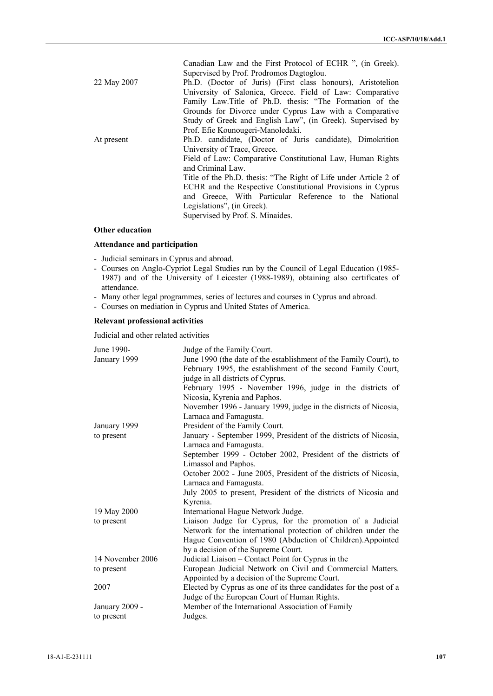|             | Canadian Law and the First Protocol of ECHR ", (in Greek).       |
|-------------|------------------------------------------------------------------|
|             | Supervised by Prof. Prodromos Dagtoglou.                         |
| 22 May 2007 | Ph.D. (Doctor of Juris) (First class honours), Aristotelion      |
|             | University of Salonica, Greece. Field of Law: Comparative        |
|             | Family Law.Title of Ph.D. thesis: "The Formation of the          |
|             | Grounds for Divorce under Cyprus Law with a Comparative          |
|             | Study of Greek and English Law", (in Greek). Supervised by       |
|             | Prof. Efie Kounougeri-Manoledaki.                                |
| At present  | Ph.D. candidate, (Doctor of Juris candidate), Dimokrition        |
|             | University of Trace, Greece.                                     |
|             | Field of Law: Comparative Constitutional Law, Human Rights       |
|             | and Criminal Law.                                                |
|             | Title of the Ph.D. thesis: "The Right of Life under Article 2 of |
|             | ECHR and the Respective Constitutional Provisions in Cyprus      |
|             | and Greece, With Particular Reference to the National            |
|             | Legislations", (in Greek).                                       |
|             | Supervised by Prof. S. Minaides.                                 |
|             |                                                                  |

# **Other education**

# **Attendance and participation**

- Judicial seminars in Cyprus and abroad.
- Courses on Anglo-Cypriot Legal Studies run by the Council of Legal Education (1985- 1987) and of the University of Leicester (1988-1989), obtaining also certificates of attendance.
- Many other legal programmes, series of lectures and courses in Cyprus and abroad.
- Courses on mediation in Cyprus and United States of America.

# **Relevant professional activities**

Judicial and other related activities

| June 1990-       | Judge of the Family Court.                                         |
|------------------|--------------------------------------------------------------------|
| January 1999     | June 1990 (the date of the establishment of the Family Court), to  |
|                  | February 1995, the establishment of the second Family Court,       |
|                  | judge in all districts of Cyprus.                                  |
|                  | February 1995 - November 1996, judge in the districts of           |
|                  | Nicosia, Kyrenia and Paphos.                                       |
|                  | November 1996 - January 1999, judge in the districts of Nicosia,   |
|                  | Larnaca and Famagusta.                                             |
| January 1999     | President of the Family Court.                                     |
| to present       | January - September 1999, President of the districts of Nicosia,   |
|                  | Larnaca and Famagusta.                                             |
|                  | September 1999 - October 2002, President of the districts of       |
|                  | Limassol and Paphos.                                               |
|                  | October 2002 - June 2005, President of the districts of Nicosia,   |
|                  | Larnaca and Famagusta.                                             |
|                  | July 2005 to present, President of the districts of Nicosia and    |
|                  | Kyrenia.                                                           |
| 19 May 2000      | International Hague Network Judge.                                 |
| to present       | Liaison Judge for Cyprus, for the promotion of a Judicial          |
|                  | Network for the international protection of children under the     |
|                  | Hague Convention of 1980 (Abduction of Children). Appointed        |
|                  | by a decision of the Supreme Court.                                |
| 14 November 2006 | Judicial Liaison - Contact Point for Cyprus in the                 |
| to present       | European Judicial Network on Civil and Commercial Matters.         |
|                  | Appointed by a decision of the Supreme Court.                      |
| 2007             | Elected by Cyprus as one of its three candidates for the post of a |
|                  | Judge of the European Court of Human Rights.                       |
| January 2009 -   | Member of the International Association of Family                  |
| to present       | Judges.                                                            |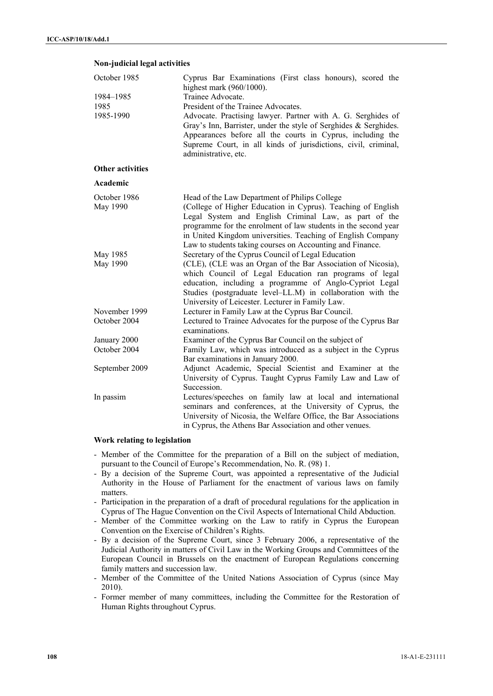## **Non-judicial legal activities**

| October 1985            | Cyprus Bar Examinations (First class honours), scored the<br>highest mark $(960/1000)$ .                                                                                                                                 |
|-------------------------|--------------------------------------------------------------------------------------------------------------------------------------------------------------------------------------------------------------------------|
| 1984-1985               | Trainee Advocate.                                                                                                                                                                                                        |
| 1985                    | President of the Trainee Advocates.                                                                                                                                                                                      |
| 1985-1990               | Advocate. Practising lawyer. Partner with A. G. Serghides of                                                                                                                                                             |
|                         | Gray's Inn, Barrister, under the style of Serghides & Serghides.<br>Appearances before all the courts in Cyprus, including the<br>Supreme Court, in all kinds of jurisdictions, civil, criminal,<br>administrative, etc. |
| <b>Other activities</b> |                                                                                                                                                                                                                          |
| Academic                |                                                                                                                                                                                                                          |
| October 1986            | Head of the Law Department of Philips College                                                                                                                                                                            |
| May 1990                | (College of Higher Education in Cyprus). Teaching of English<br>Legal System and English Criminal Law, as part of the                                                                                                    |
|                         | programme for the enrolment of law students in the second year                                                                                                                                                           |
|                         | in United Kingdom universities. Teaching of English Company                                                                                                                                                              |
|                         | Law to students taking courses on Accounting and Finance.                                                                                                                                                                |
| May 1985                | Secretary of the Cyprus Council of Legal Education                                                                                                                                                                       |
| May 1990                | (CLE), (CLE was an Organ of the Bar Association of Nicosia),                                                                                                                                                             |
|                         | which Council of Legal Education ran programs of legal<br>education, including a programme of Anglo-Cypriot Legal                                                                                                        |
|                         | Studies (postgraduate level-LL.M) in collaboration with the                                                                                                                                                              |
|                         | University of Leicester. Lecturer in Family Law.                                                                                                                                                                         |
| November 1999           | Lecturer in Family Law at the Cyprus Bar Council.                                                                                                                                                                        |
| October 2004            | Lectured to Trainee Advocates for the purpose of the Cyprus Bar<br>examinations.                                                                                                                                         |
| January 2000            | Examiner of the Cyprus Bar Council on the subject of                                                                                                                                                                     |
| October 2004            | Family Law, which was introduced as a subject in the Cyprus                                                                                                                                                              |
|                         | Bar examinations in January 2000.<br>Adjunct Academic, Special Scientist and Examiner at the                                                                                                                             |
| September 2009          | University of Cyprus. Taught Cyprus Family Law and Law of                                                                                                                                                                |
|                         | Succession.                                                                                                                                                                                                              |
| In passim               | Lectures/speeches on family law at local and international                                                                                                                                                               |
|                         | seminars and conferences, at the University of Cyprus, the                                                                                                                                                               |
|                         | University of Nicosia, the Welfare Office, the Bar Associations                                                                                                                                                          |
|                         | in Cyprus, the Athens Bar Association and other venues.                                                                                                                                                                  |

## **Work relating to legislation**

- Member of the Committee for the preparation of a Bill on the subject of mediation, pursuant to the Council of Europe's Recommendation, No. R. (98) 1.
- By a decision of the Supreme Court, was appointed a representative of the Judicial Authority in the House of Parliament for the enactment of various laws on family matters.
- Participation in the preparation of a draft of procedural regulations for the application in Cyprus of The Hague Convention on the Civil Aspects of International Child Abduction.
- Member of the Committee working on the Law to ratify in Cyprus the European Convention on the Exercise of Children's Rights.
- By a decision of the Supreme Court, since 3 February 2006, a representative of the Judicial Authority in matters of Civil Law in the Working Groups and Committees of the European Council in Brussels on the enactment of European Regulations concerning family matters and succession law.
- Member of the Committee of the United Nations Association of Cyprus (since May 2010).
- Former member of many committees, including the Committee for the Restoration of Human Rights throughout Cyprus.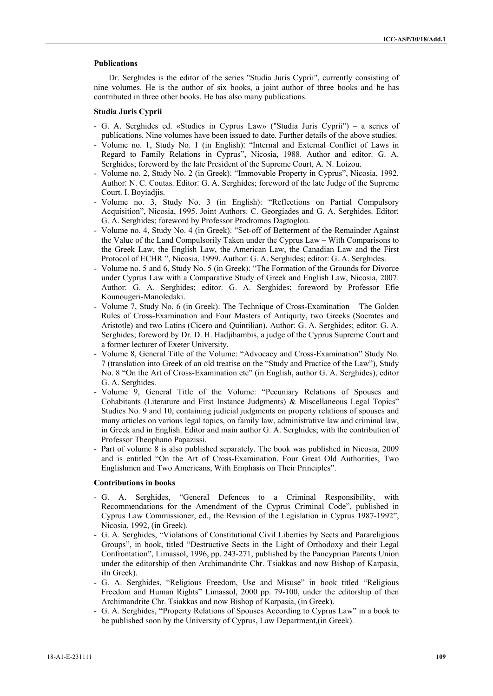# **Publications**

Dr. Serghides is the editor of the series "Studia Juris Cyprii", currently consisting of nine volumes. He is the author of six books, a joint author of three books and he has contributed in three other books. He has also many publications.

# **Studia Juris Cyprii**

- G. A. Serghides ed. «Studies in Cyprus Law» ("Studia Juris Cyprii") a series of publications. Nine volumes have been issued to date. Further details of the above studies׃
- Volume no. 1, Study No. 1 (in English)׃" Internal and External Conflict of Laws in Regard to Family Relations in Cyprus", Nicosia, 1988. Author and editor: G. A. Serghides; foreword by the late President of the Supreme Court, A. N. Loizou.
- Volume no. 2, Study No. 2 (in Greek)׃" Immovable Property in Cyprus", Nicosia, 1992. Author׃ N. C. Coutas. Editor׃ G. A. Serghides; foreword of the late Judge of the Supreme Court. I. Boyiadjis.
- Volume no. 3, Study No. 3 (in English): "Reflections on Partial Compulsory Acquisition", Nicosia, 1995. Joint Authors: C. Georgiades and G. A. Serghides. Editor: G. A. Serghides; foreword by Professor Prodromos Dagtoglou.
- Volume no. 4, Study No. 4 (in Greek)׃" Set-off of Betterment of the Remainder Against the Value of the Land Compulsorily Taken under the Cyprus Law – With Comparisons to the Greek Law, the English Law, the American Law, the Canadian Law and the First Protocol of ECHR ", Nicosia, 1999. Author׃ G. A. Serghides; editor׃ G. A. Serghides.
- Volume no. 5 and 6, Study No. 5 (in Greek)׃" The Formation of the Grounds for Divorce under Cyprus Law with a Comparative Study of Greek and English Law, Nicosia, 2007. Author: G. A. Serghides; editor: G. A. Serghides; foreword by Professor Efie Kounougeri-Manoledaki.
- Volume 7, Study No. 6 (in Greek): The Technique of Cross-Examination The Golden Rules of Cross-Examination and Four Masters of Antiquity, two Greeks (Socrates and Aristotle) and two Latins (Cicero and Quintilian). Author: G. A. Serghides; editor: G. A. Serghides; foreword by Dr. D. H. Hadjihambis, a judge of the Cyprus Supreme Court and a former lecturer of Exeter University.
- Volume 8, General Title of the Volume: "Advocacy and Cross-Examination" Study No. 7 (translation into Greek of an old treatise on the "Study and Practice of the Law"), Study No. 8 "On the Art of Cross-Examination etc" (in English, author G. A. Serghides), editor G. A. Serghides.
- Volume 9, General Title of the Volume: "Pecuniary Relations of Spouses and Cohabitants (Literature and First Instance Judgments) & Miscellaneous Legal Topics" Studies No. 9 and 10, containing judicial judgments on property relations of spouses and many articles on various legal topics, on family law, administrative law and criminal law, in Greek and in English. Editor and main author G. A. Serghides; with the contribution of Professor Theophano Papazissi.
- Part of volume 8 is also published separately. The book was published in Nicosia, 2009 and is entitled "On the Art of Cross-Examination. Four Great Old Authorities, Two Englishmen and Two Americans, With Emphasis on Their Principles".

# **Contributions in books**

- G. A. Serghides, "General Defences to a Criminal Responsibility, with Recommendations for the Amendment of the Cyprus Criminal Code", published in Cyprus Law Commissioner, ed., the Revision of the Legislation in Cyprus 1987-1992", Nicosia, 1992, (in Greek).
- G. A. Serghides, "Violations of Constitutional Civil Liberties by Sects and Parareligious Groups", in book, titled "Destructive Sects in the Light of Orthodoxy and their Legal Confrontation", Limassol, 1996, pp. 243-271, published by the Pancyprian Parents Union under the editorship of then Archimandrite Chr. Tsiakkas and now Bishop of Karpasia, iIn Greek).
- G. A. Serghides, "Religious Freedom, Use and Misuse" in book titled "Religious Freedom and Human Rights" Limassol, 2000 pp. 79-100, under the editorship of then Archimandrite Chr. Tsiakkas and now Bishop of Karpasia, (in Greek).
- G. A. Serghides, "Property Relations of Spouses According to Cyprus Law" in a book to be published soon by the University of Cyprus, Law Department,(in Greek).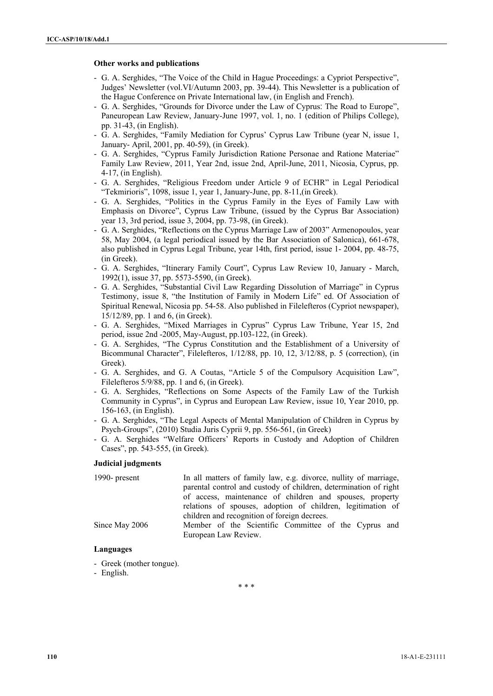# **Other works and publications**

- G. A. Serghides, "The Voice of the Child in Hague Proceedings׃ a Cypriot Perspective", Judges' Newsletter (vol.VI/Autumn 2003, pp. 39-44). This Newsletter is a publication of the Hague Conference on Private International law, (in English and French).
- G. A. Serghides, "Grounds for Divorce under the Law of Cyprus׃ The Road to Europe", Paneuropean Law Review, January-June 1997, vol. 1, no. 1 (edition of Philips College), pp. 31-43, (in English).
- G. A. Serghides, "Family Mediation for Cyprus' Cyprus Law Tribune (year N, issue 1, January- April, 2001, pp. 40-59), (in Greek).
- G. A. Serghides, "Cyprus Family Jurisdiction Ratione Personae and Ratione Materiae" Family Law Review, 2011, Year 2nd, issue 2nd, April-June, 2011, Nicosia, Cyprus, pp. 4-17, (in English).
- G. A. Serghides, "Religious Freedom under Article 9 of ECHR" in Legal Periodical "Tekmirioris", 1098, issue 1, year 1, January-June, pp. 8-11,(in Greek).
- G. A. Serghides, "Politics in the Cyprus Family in the Eyes of Family Law with Emphasis on Divorce", Cyprus Law Tribune, (issued by the Cyprus Bar Association) year 13, 3rd period, issue 3, 2004, pp. 73-98, (in Greek).
- G. A. Serghides, "Reflections on the Cyprus Marriage Law of 2003" Armenopoulos, year 58, May 2004, (a legal periodical issued by the Bar Association of Salonica), 661-678, also published in Cyprus Legal Tribune, year 14th, first period, issue 1- 2004, pp. 48-75, (in Greek).
- G. A. Serghides, "Itinerary Family Court", Cyprus Law Review 10, January March, 1992(1), issue 37, pp. 5573-5590, (in Greek).
- G. A. Serghides, "Substantial Civil Law Regarding Dissolution of Marriage" in Cyprus Testimony, issue 8, "the Institution of Family in Modern Life" ed. Of Association of Spiritual Renewal, Nicosia pp. 54-58. Also published in Filelefteros (Cypriot newspaper), 15/12/89, pp. 1 and 6, (in Greek).
- G. A. Serghides, "Mixed Marriages in Cyprus" Cyprus Law Tribune, Year 15, 2nd period, issue 2nd -2005, May-August, pp.103-122, (in Greek).
- G. A. Serghides, "The Cyprus Constitution and the Establishment of a University of Bicommunal Character", Filelefteros, 1/12/88, pp. 10, 12, 3/12/88, p. 5 (correction), (in Greek).
- G. A. Serghides, and G. A Coutas, "Article 5 of the Compulsory Acquisition Law", Filelefteros 5/9/88, pp. 1 and 6, (in Greek).
- G. A. Serghides, "Reflections on Some Aspects of the Family Law of the Turkish Community in Cyprus", in Cyprus and European Law Review, issue 10, Year 2010, pp. 156-163, (in English).
- G. A. Serghides, "The Legal Aspects of Mental Manipulation of Children in Cyprus by Psych-Groups", (2010) Studia Juris Cyprii 9, pp. 556-561, (in Greek)
- G. A. Serghides "Welfare Officers' Reports in Custody and Adoption of Children Cases", pp. 543-555, (in Greek).

## **Judicial judgments**

| 1990- present  | In all matters of family law, e.g. divorce, nullity of marriage, |
|----------------|------------------------------------------------------------------|
|                | parental control and custody of children, determination of right |
|                | of access, maintenance of children and spouses, property         |
|                | relations of spouses, adoption of children, legitimation of      |
|                | children and recognition of foreign decrees.                     |
| Since May 2006 | Member of the Scientific Committee of the Cyprus and             |
|                | European Law Review.                                             |

# **Languages**

- Greek (mother tongue).
- English.

\* \* \*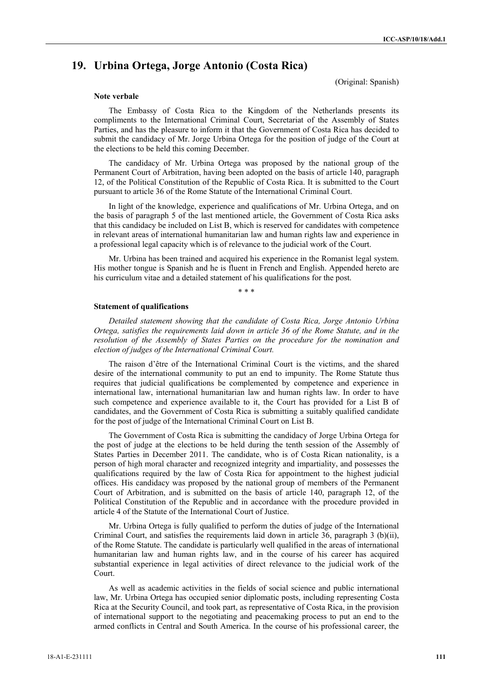# **19. Urbina Ortega, Jorge Antonio (Costa Rica)**

(Original: Spanish)

#### **Note verbale**

 The Embassy of Costa Rica to the Kingdom of the Netherlands presents its compliments to the International Criminal Court, Secretariat of the Assembly of States Parties, and has the pleasure to inform it that the Government of Costa Rica has decided to submit the candidacy of Mr. Jorge Urbina Ortega for the position of judge of the Court at the elections to be held this coming December.

 The candidacy of Mr. Urbina Ortega was proposed by the national group of the Permanent Court of Arbitration, having been adopted on the basis of article 140, paragraph 12, of the Political Constitution of the Republic of Costa Rica. It is submitted to the Court pursuant to article 36 of the Rome Statute of the International Criminal Court.

 In light of the knowledge, experience and qualifications of Mr. Urbina Ortega, and on the basis of paragraph 5 of the last mentioned article, the Government of Costa Rica asks that this candidacy be included on List B, which is reserved for candidates with competence in relevant areas of international humanitarian law and human rights law and experience in a professional legal capacity which is of relevance to the judicial work of the Court.

 Mr. Urbina has been trained and acquired his experience in the Romanist legal system. His mother tongue is Spanish and he is fluent in French and English. Appended hereto are his curriculum vitae and a detailed statement of his qualifications for the post.

\* \* \*

#### **Statement of qualifications**

*Detailed statement showing that the candidate of Costa Rica, Jorge Antonio Urbina Ortega, satisfies the requirements laid down in article 36 of the Rome Statute, and in the resolution of the Assembly of States Parties on the procedure for the nomination and election of judges of the International Criminal Court.* 

 The raison d'être of the International Criminal Court is the victims, and the shared desire of the international community to put an end to impunity. The Rome Statute thus requires that judicial qualifications be complemented by competence and experience in international law, international humanitarian law and human rights law. In order to have such competence and experience available to it, the Court has provided for a List B of candidates, and the Government of Costa Rica is submitting a suitably qualified candidate for the post of judge of the International Criminal Court on List B.

 The Government of Costa Rica is submitting the candidacy of Jorge Urbina Ortega for the post of judge at the elections to be held during the tenth session of the Assembly of States Parties in December 2011. The candidate, who is of Costa Rican nationality, is a person of high moral character and recognized integrity and impartiality, and possesses the qualifications required by the law of Costa Rica for appointment to the highest judicial offices. His candidacy was proposed by the national group of members of the Permanent Court of Arbitration, and is submitted on the basis of article 140, paragraph 12, of the Political Constitution of the Republic and in accordance with the procedure provided in article 4 of the Statute of the International Court of Justice.

 Mr. Urbina Ortega is fully qualified to perform the duties of judge of the International Criminal Court, and satisfies the requirements laid down in article 36, paragraph 3 (b)(ii), of the Rome Statute. The candidate is particularly well qualified in the areas of international humanitarian law and human rights law, and in the course of his career has acquired substantial experience in legal activities of direct relevance to the judicial work of the Court.

 As well as academic activities in the fields of social science and public international law, Mr. Urbina Ortega has occupied senior diplomatic posts, including representing Costa Rica at the Security Council, and took part, as representative of Costa Rica, in the provision of international support to the negotiating and peacemaking process to put an end to the armed conflicts in Central and South America. In the course of his professional career, the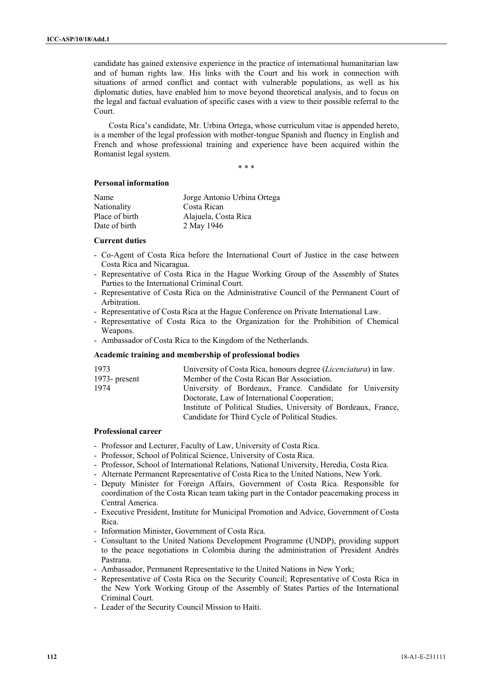candidate has gained extensive experience in the practice of international humanitarian law and of human rights law. His links with the Court and his work in connection with situations of armed conflict and contact with vulnerable populations, as well as his diplomatic duties, have enabled him to move beyond theoretical analysis, and to focus on the legal and factual evaluation of specific cases with a view to their possible referral to the Court.

 Costa Rica's candidate, Mr. Urbina Ortega, whose curriculum vitae is appended hereto, is a member of the legal profession with mother-tongue Spanish and fluency in English and French and whose professional training and experience have been acquired within the Romanist legal system.

\* \* \*

# **Personal information**

| Name           | Jorge Antonio Urbina Ortega |
|----------------|-----------------------------|
| Nationality    | Costa Rican                 |
| Place of birth | Alajuela, Costa Rica        |
| Date of birth  | 2 May 1946                  |

# **Current duties**

- Co-Agent of Costa Rica before the International Court of Justice in the case between Costa Rica and Nicaragua.
- Representative of Costa Rica in the Hague Working Group of the Assembly of States Parties to the International Criminal Court.
- Representative of Costa Rica on the Administrative Council of the Permanent Court of Arbitration.
- Representative of Costa Rica at the Hague Conference on Private International Law.
- Representative of Costa Rica to the Organization for the Prohibition of Chemical Weapons.
- Ambassador of Costa Rica to the Kingdom of the Netherlands.

## **Academic training and membership of professional bodies**

| 1973          | University of Costa Rica, honours degree ( <i>Licenciatura</i> ) in law. |
|---------------|--------------------------------------------------------------------------|
| 1973- present | Member of the Costa Rican Bar Association.                               |
| 1974          | University of Bordeaux, France. Candidate for University                 |
|               | Doctorate, Law of International Cooperation;                             |
|               | Institute of Political Studies, University of Bordeaux, France,          |
|               | Candidate for Third Cycle of Political Studies.                          |
|               |                                                                          |

# **Professional career**

- Professor and Lecturer, Faculty of Law, University of Costa Rica.
- Professor, School of Political Science, University of Costa Rica.
- Professor, School of International Relations, National University, Heredia, Costa Rica.
- Alternate Permanent Representative of Costa Rica to the United Nations, New York.
- Deputy Minister for Foreign Affairs, Government of Costa Rica. Responsible for coordination of the Costa Rican team taking part in the Contador peacemaking process in Central America.
- Executive President, Institute for Municipal Promotion and Advice, Government of Costa Rica.
- Information Minister, Government of Costa Rica.
- Consultant to the United Nations Development Programme (UNDP), providing support to the peace negotiations in Colombia during the administration of President Andrés Pastrana.
- Ambassador, Permanent Representative to the United Nations in New York;
- Representative of Costa Rica on the Security Council; Representative of Costa Rica in the New York Working Group of the Assembly of States Parties of the International Criminal Court.
- Leader of the Security Council Mission to Haiti.